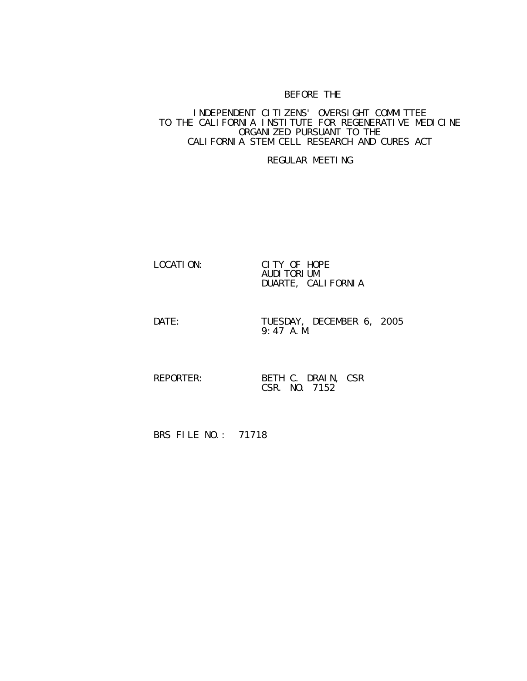## BEFORE THE

## INDEPENDENT CITIZENS' OVERSIGHT COMMITTEE TO THE CALIFORNIA INSTITUTE FOR REGENERATIVE MEDICINE ORGANIZED PURSUANT TO THE CALIFORNIA STEM CELL RESEARCH AND CURES ACT

## REGULAR MEETING

| LOCATION: | CITY OF HOPE         |
|-----------|----------------------|
|           | AUDI TORI UM         |
|           | DUARTE, CALI FORNI A |

DATE: TUESDAY, DECEMBER 6, 2005 9:47 A.M.

REPORTER: BETH C. DRAIN, CSR CSR. NO. 7152

BRS FILE NO.: 71718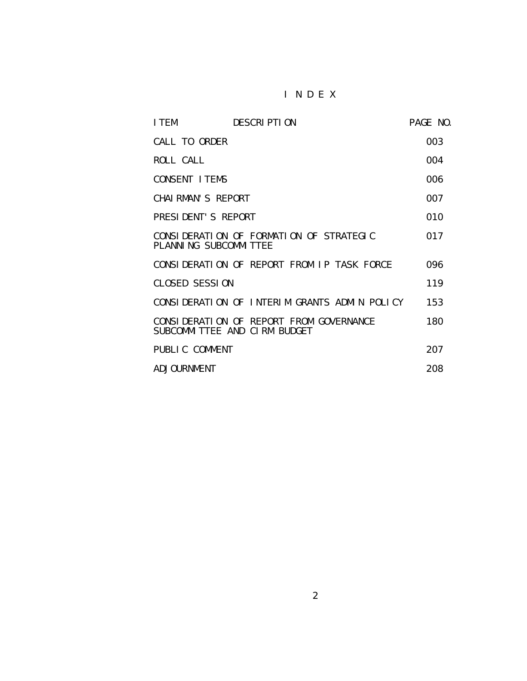## I N D E X

| I TEM                 | <b>DESCRIPTION</b>                                                      | PAGE NO. |
|-----------------------|-------------------------------------------------------------------------|----------|
| CALL TO ORDER         |                                                                         | 003      |
| ROLL CALL             |                                                                         | 004      |
| CONSENT I TEMS        |                                                                         | 006      |
| CHAI RMAN'S REPORT    |                                                                         | 007      |
| PRESIDENT'S REPORT    |                                                                         | 010      |
| PLANNING SUBCOMMITTEE | CONSIDERATION OF FORMATION OF STRATEGIC                                 | 017      |
|                       | CONSIDERATION OF REPORT FROM IP TASK FORCE                              | 096      |
| <b>CLOSED SESSION</b> |                                                                         | 119      |
|                       | CONSIDERATION OF INTERIM GRANTS ADMIN POLICY                            | 153      |
|                       | CONSIDERATION OF REPORT FROM GOVERNANCE<br>SUBCOMMITTEE AND CIRM BUDGET | 180      |
| PUBLIC COMMENT        |                                                                         | 207      |
| ADJOURNMENT           |                                                                         | 208      |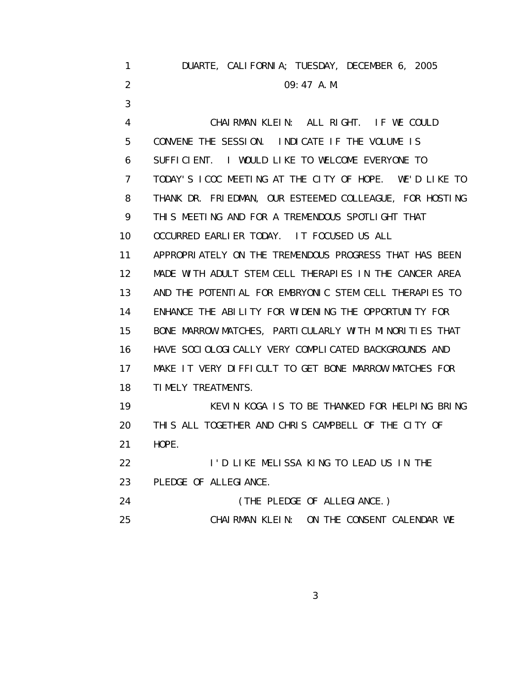| 1.             | DUARTE, CALIFORNIA; TUESDAY, DECEMBER 6, 2005           |
|----------------|---------------------------------------------------------|
| 2              | $09:47$ A. M.                                           |
| 3              |                                                         |
| 4              | CHAIRMAN KLEIN: ALL RIGHT. IF WE COULD                  |
| 5              | CONVENE THE SESSION. INDICATE IF THE VOLUME IS          |
| 6              | SUFFICIENT. I WOULD LIKE TO WELCOME EVERYONE TO         |
| $\overline{7}$ | TODAY'S ICOC MEETING AT THE CITY OF HOPE. WE'D LIKE TO  |
| 8              | THANK DR. FRIEDMAN, OUR ESTEEMED COLLEAGUE, FOR HOSTING |
| 9              | THIS MEETING AND FOR A TREMENDOUS SPOTLIGHT THAT        |
| 10             | OCCURRED EARLIER TODAY. IT FOCUSED US ALL               |
| 11             | APPROPRIATELY ON THE TREMENDOUS PROGRESS THAT HAS BEEN  |
| 12             | MADE WITH ADULT STEM CELL THERAPIES IN THE CANCER AREA  |
| 13             | AND THE POTENTIAL FOR EMBRYONIC STEM CELL THERAPIES TO  |
| 14             | ENHANCE THE ABILITY FOR WIDENING THE OPPORTUNITY FOR    |
| 15             | BONE MARROW MATCHES, PARTICULARLY WITH MINORITIES THAT  |
| 16             | HAVE SOCIOLOGICALLY VERY COMPLICATED BACKGROUNDS AND    |
| 17             | MAKE IT VERY DIFFICULT TO GET BONE MARROW MATCHES FOR   |
| 18             | TIMELY TREATMENTS.                                      |
| 19             | KEVIN KOGA IS TO BE THANKED FOR HELPING BRING           |
| 20             | THIS ALL TOGETHER AND CHRIS CAMPBELL OF THE CITY OF     |
| 21             | HOPE.                                                   |
| 22             | I'D LIKE MELISSA KING TO LEAD US IN THE                 |
| 23             | PLEDGE OF ALLEGIANCE.                                   |
| 24             | (THE PLEDGE OF ALLEGIANCE.)                             |
| 25             | CHAIRMAN KLEIN: ON THE CONSENT CALENDAR WE              |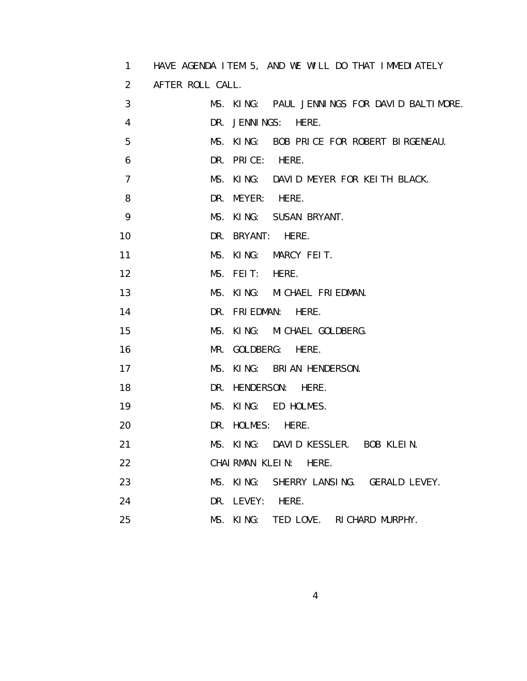| 1              | HAVE AGENDA ITEM 5, AND WE WILL DO THAT IMMEDIATELY |
|----------------|-----------------------------------------------------|
| 2              | AFTER ROLL CALL.                                    |
| 3              | MS. KING: PAUL JENNINGS FOR DAVID BALTIMORE.        |
| 4              | DR. JENNINGS: HERE.                                 |
| 5              | MS. KING: BOB PRICE FOR ROBERT BIRGENEAU.           |
| 6              | DR. PRICE: HERE.                                    |
| $\overline{7}$ | MS. KING: DAVID MEYER FOR KEITH BLACK.              |
| 8              | DR. MEYER: HERE.                                    |
| 9              | MS. KING: SUSAN BRYANT.                             |
| 10             | DR. BRYANT:<br>HERE.                                |
| 11             | MS. KING: MARCY FEIT.                               |
| 12             | MS. FEIT:<br>HERE.                                  |
| 13             | MS. KING: MICHAEL FRIEDMAN.                         |
| 14             | DR. FRIEDMAN: HERE.                                 |
| 15             | MS. KING: MICHAEL GOLDBERG.                         |
| 16             | MR. GOLDBERG: HERE.                                 |
| 17             | MS. KING: BRIAN HENDERSON.                          |
| 18             | DR. HENDERSON: HERE.                                |
| 19             | MS. KING: ED HOLMES.                                |
| 20             | DR. HOLMES: HERE.                                   |
| 21             | MS. KING: DAVID KESSLER. BOB KLEIN.                 |
| 22             | CHAI RMAN KLEIN: HERE.                              |
| 23             | MS. KING:<br>SHERRY LANSING. GERALD LEVEY.          |
| 24             | DR. LEVEY:<br>HERE.                                 |
| 25             | MS. KING:<br>TED LOVE. RICHARD MURPHY.              |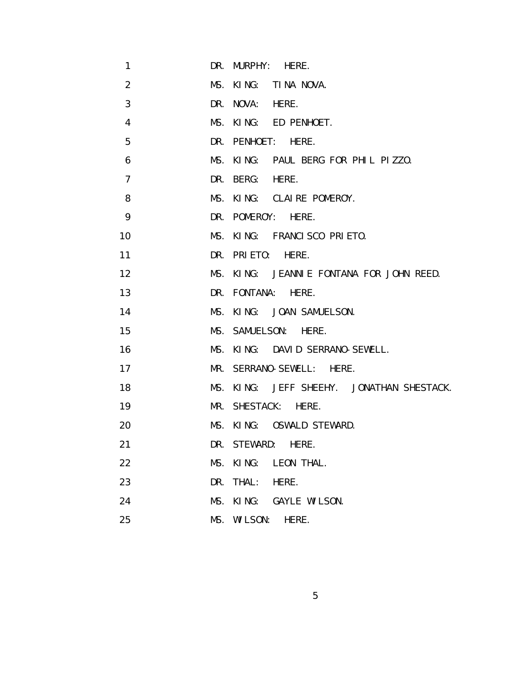| 1              |     | DR. MURPHY: HERE.                         |
|----------------|-----|-------------------------------------------|
| 2              |     | MS. KING: TINA NOVA.                      |
| 3              |     | DR. NOVA: HERE.                           |
| 4              |     | MS. KING: ED PENHOET.                     |
| 5              |     | DR. PENHOET: HERE.                        |
| 6              |     | MS. KING: PAUL BERG FOR PHIL PIZZO.       |
| $\overline{7}$ |     | DR. BERG:<br>HERE.                        |
| 8              |     | MS. KING: CLAIRE POMEROY.                 |
| 9              |     | DR. POMEROY: HERE.                        |
| 10             |     | MS. KING: FRANCISCO PRIETO.               |
| 11             |     | DR. PRIETO: HERE.                         |
| 12             |     | MS. KING: JEANNIE FONTANA FOR JOHN REED.  |
| 13             |     | DR. FONTANA: HERE.                        |
| 14             |     | MS. KING: JOAN SAMUELSON.                 |
| 15             |     | MS. SAMUELSON: HERE.                      |
| 16             |     | MS. KING: DAVID SERRANO-SEWELL.           |
| 17             |     | MR. SERRANO-SEWELL: HERE.                 |
| 18             |     | MS. KING: JEFF SHEEHY. JONATHAN SHESTACK. |
| 19             |     | MR. SHESTACK: HERE.                       |
| 20             |     | MS. KING: OSWALD STEWARD.                 |
| 21             |     | DR. STEWARD:<br>HERE.                     |
| 22             | MS. | KING:<br>LEON THAL.                       |
| 23             | DR. | THAL:<br>HERE.                            |
| 24             | MS. | KING:<br>GAYLE WILSON.                    |
| 25             | MS. | WI LSON:<br>HERE.                         |

 $\sim$  5  $\sim$  5  $\sim$  5  $\sim$  5  $\sim$  5  $\sim$  5  $\sim$  5  $\sim$  5  $\sim$  5  $\sim$  5  $\sim$  5  $\sim$  5  $\sim$  5  $\sim$  5  $\sim$  5  $\sim$  5  $\sim$  5  $\sim$  5  $\sim$  5  $\sim$  5  $\sim$  5  $\sim$  5  $\sim$  5  $\sim$  5  $\sim$  5  $\sim$  5  $\sim$  5  $\sim$  5  $\sim$  5  $\sim$  5  $\sim$  5  $\sim$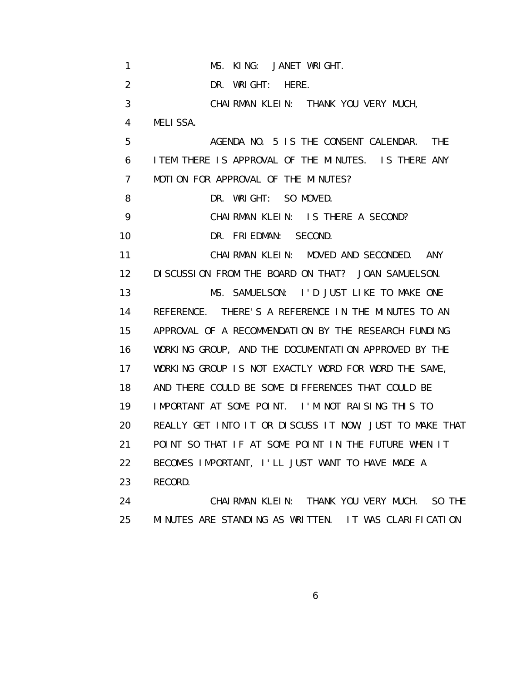| 1               | MS. KING: JANET WRIGHT.                                 |
|-----------------|---------------------------------------------------------|
| 2               | DR. WRIGHT:<br>HERE.                                    |
| 3               | CHAIRMAN KLEIN: THANK YOU VERY MUCH,                    |
| 4               | <b>MELISSA.</b>                                         |
| 5               | AGENDA NO. 5 IS THE CONSENT CALENDAR.<br><b>THE</b>     |
| 6               | I TEM THERE IS APPROVAL OF THE MINUTES. IS THERE ANY    |
| 7               | MOTION FOR APPROVAL OF THE MINUTES?                     |
| 8               | DR. WRIGHT: SO MOVED.                                   |
| 9               | CHAIRMAN KLEIN: IS THERE A SECOND?                      |
| 10              | DR. FRIEDMAN: SECOND.                                   |
| 11              | CHAIRMAN KLEIN: MOVED AND SECONDED. ANY                 |
| 12 <sup>2</sup> | DI SCUSSION FROM THE BOARD ON THAT? JOAN SAMUELSON.     |
| 13              | MS. SAMUELSON: I'D JUST LIKE TO MAKE ONE                |
| 14              | REFERENCE. THERE'S A REFERENCE IN THE MINUTES TO AN     |
| 15              | APPROVAL OF A RECOMMENDATION BY THE RESEARCH FUNDING    |
| 16              | WORKING GROUP, AND THE DOCUMENTATION APPROVED BY THE    |
| 17              | WORKING GROUP IS NOT EXACTLY WORD FOR WORD THE SAME,    |
| 18              | AND THERE COULD BE SOME DIFFERENCES THAT COULD BE       |
| 19              | IMPORTANT AT SOME POINT. I'M NOT RAISING THIS TO        |
| 20              | REALLY GET INTO IT OR DISCUSS IT NOW, JUST TO MAKE THAT |
| 21              | POINT SO THAT IF AT SOME POINT IN THE FUTURE WHEN IT    |
| 22              | BECOMES IMPORTANT, I'LL JUST WANT TO HAVE MADE A        |
| 23              | RECORD.                                                 |
| 24              | CHAIRMAN KLEIN: THANK YOU VERY MUCH.<br>SO THE          |
| 25              | MINUTES ARE STANDING AS WRITTEN. IT WAS CLARIFICATION   |

 $\sim$  6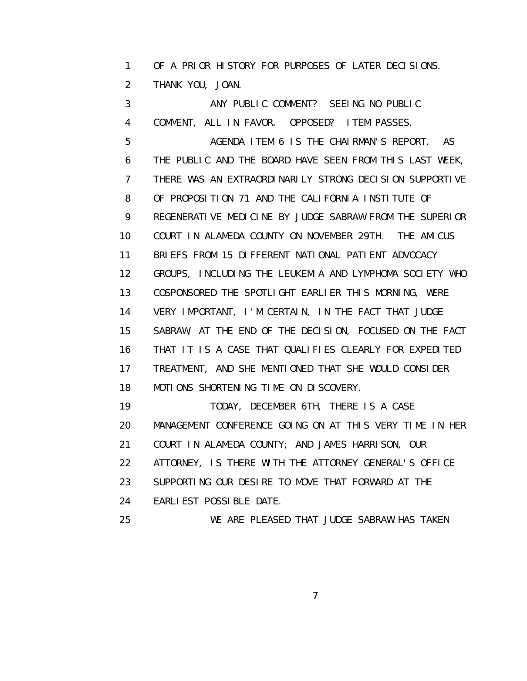1 OF A PRIOR HISTORY FOR PURPOSES OF LATER DECISIONS. 2 THANK YOU, JOAN.

 3 ANY PUBLIC COMMENT? SEEING NO PUBLIC 4 COMMENT, ALL IN FAVOR. OPPOSED? ITEM PASSES. 5 AGENDA ITEM 6 IS THE CHAIRMAN'S REPORT. AS 6 THE PUBLIC AND THE BOARD HAVE SEEN FROM THIS LAST WEEK, 7 THERE WAS AN EXTRAORDINARILY STRONG DECISION SUPPORTIVE 8 OF PROPOSITION 71 AND THE CALIFORNIA INSTITUTE OF 9 REGENERATIVE MEDICINE BY JUDGE SABRAW FROM THE SUPERIOR 10 COURT IN ALAMEDA COUNTY ON NOVEMBER 29TH. THE AMICUS 11 BRIEFS FROM 15 DIFFERENT NATIONAL PATIENT ADVOCACY 12 GROUPS, INCLUDING THE LEUKEMIA AND LYMPHOMA SOCIETY WHO 13 COSPONSORED THE SPOTLIGHT EARLIER THIS MORNING, WERE 14 VERY IMPORTANT, I'M CERTAIN, IN THE FACT THAT JUDGE 15 SABRAW, AT THE END OF THE DECISION, FOCUSED ON THE FACT 16 THAT IT IS A CASE THAT QUALIFIES CLEARLY FOR EXPEDITED 17 TREATMENT, AND SHE MENTIONED THAT SHE WOULD CONSIDER 18 MOTIONS SHORTENING TIME ON DISCOVERY. 19 TODAY, DECEMBER 6TH, THERE IS A CASE 20 MANAGEMENT CONFERENCE GOING ON AT THIS VERY TIME IN HER 21 COURT IN ALAMEDA COUNTY; AND JAMES HARRISON, OUR 22 ATTORNEY, IS THERE WITH THE ATTORNEY GENERAL'S OFFICE 23 SUPPORTING OUR DESIRE TO MOVE THAT FORWARD AT THE 24 EARLIEST POSSIBLE DATE.

25 WE ARE PLEASED THAT JUDGE SABRAW HAS TAKEN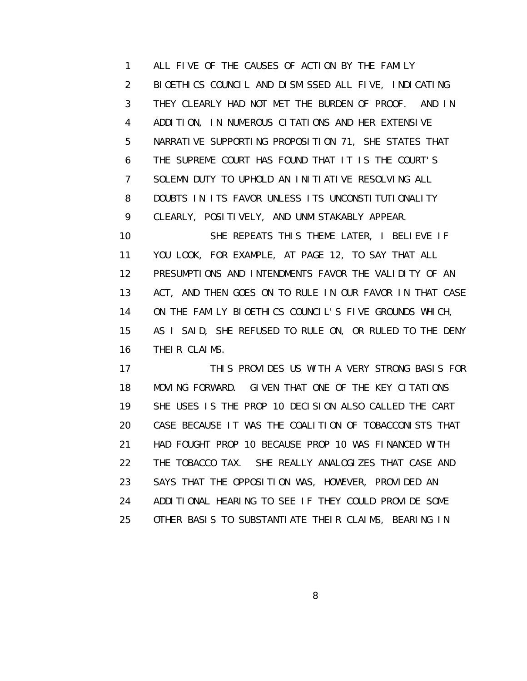1 ALL FIVE OF THE CAUSES OF ACTION BY THE FAMILY 2 BIOETHICS COUNCIL AND DISMISSED ALL FIVE, INDICATING 3 THEY CLEARLY HAD NOT MET THE BURDEN OF PROOF. AND IN 4 ADDITION, IN NUMEROUS CITATIONS AND HER EXTENSIVE 5 NARRATIVE SUPPORTING PROPOSITION 71, SHE STATES THAT 6 THE SUPREME COURT HAS FOUND THAT IT IS THE COURT'S 7 SOLEMN DUTY TO UPHOLD AN INITIATIVE RESOLVING ALL 8 DOUBTS IN ITS FAVOR UNLESS ITS UNCONSTITUTIONALITY 9 CLEARLY, POSITIVELY, AND UNMISTAKABLY APPEAR. 10 SHE REPEATS THIS THEME LATER, I BELIEVE IF 11 YOU LOOK, FOR EXAMPLE, AT PAGE 12, TO SAY THAT ALL 12 PRESUMPTIONS AND INTENDMENTS FAVOR THE VALIDITY OF AN 13 ACT, AND THEN GOES ON TO RULE IN OUR FAVOR IN THAT CASE 14 ON THE FAMILY BIOETHICS COUNCIL'S FIVE GROUNDS WHICH, 15 AS I SAID, SHE REFUSED TO RULE ON, OR RULED TO THE DENY

16 THEIR CLAIMS.

 17 THIS PROVIDES US WITH A VERY STRONG BASIS FOR 18 MOVING FORWARD. GIVEN THAT ONE OF THE KEY CITATIONS 19 SHE USES IS THE PROP 10 DECISION ALSO CALLED THE CART 20 CASE BECAUSE IT WAS THE COALITION OF TOBACCONISTS THAT 21 HAD FOUGHT PROP 10 BECAUSE PROP 10 WAS FINANCED WITH 22 THE TOBACCO TAX. SHE REALLY ANALOGIZES THAT CASE AND 23 SAYS THAT THE OPPOSITION WAS, HOWEVER, PROVIDED AN 24 ADDITIONAL HEARING TO SEE IF THEY COULD PROVIDE SOME 25 OTHER BASIS TO SUBSTANTIATE THEIR CLAIMS, BEARING IN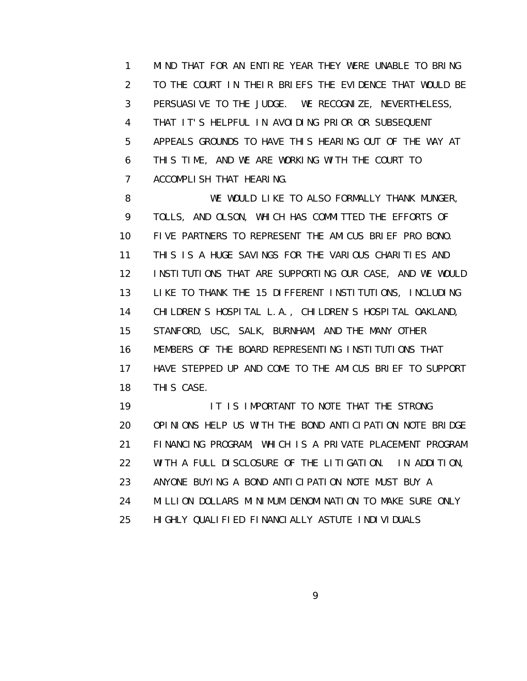1 MIND THAT FOR AN ENTIRE YEAR THEY WERE UNABLE TO BRING 2 TO THE COURT IN THEIR BRIEFS THE EVIDENCE THAT WOULD BE 3 PERSUASIVE TO THE JUDGE. WE RECOGNIZE, NEVERTHELESS, 4 THAT IT'S HELPFUL IN AVOIDING PRIOR OR SUBSEQUENT 5 APPEALS GROUNDS TO HAVE THIS HEARING OUT OF THE WAY AT 6 THIS TIME, AND WE ARE WORKING WITH THE COURT TO 7 ACCOMPLISH THAT HEARING.

8 WE WOULD LIKE TO ALSO FORMALLY THANK MUNGER, 9 TOLLS, AND OLSON, WHICH HAS COMMITTED THE EFFORTS OF 10 FIVE PARTNERS TO REPRESENT THE AMICUS BRIEF PRO BONO. 11 THIS IS A HUGE SAVINGS FOR THE VARIOUS CHARITIES AND 12 INSTITUTIONS THAT ARE SUPPORTING OUR CASE, AND WE WOULD 13 LIKE TO THANK THE 15 DIFFERENT INSTITUTIONS, INCLUDING 14 CHILDREN'S HOSPITAL L.A., CHILDREN'S HOSPITAL OAKLAND, 15 STANFORD, USC, SALK, BURNHAM, AND THE MANY OTHER 16 MEMBERS OF THE BOARD REPRESENTING INSTITUTIONS THAT 17 HAVE STEPPED UP AND COME TO THE AMICUS BRIEF TO SUPPORT 18 THIS CASE.

19 IT IS IMPORTANT TO NOTE THAT THE STRONG 20 OPINIONS HELP US WITH THE BOND ANTICIPATION NOTE BRIDGE 21 FINANCING PROGRAM, WHICH IS A PRIVATE PLACEMENT PROGRAM 22 WITH A FULL DISCLOSURE OF THE LITIGATION. IN ADDITION, 23 ANYONE BUYING A BOND ANTICIPATION NOTE MUST BUY A 24 MILLION DOLLARS MINIMUM DENOMINATION TO MAKE SURE ONLY 25 HIGHLY QUALIFIED FINANCIALLY ASTUTE INDIVIDUALS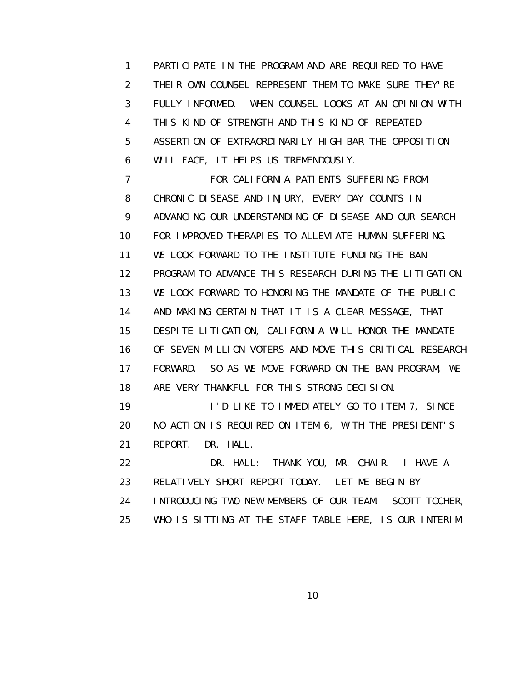1 PARTICIPATE IN THE PROGRAM AND ARE REQUIRED TO HAVE 2 THEIR OWN COUNSEL REPRESENT THEM TO MAKE SURE THEY'RE 3 FULLY INFORMED. WHEN COUNSEL LOOKS AT AN OPINION WITH 4 THIS KIND OF STRENGTH AND THIS KIND OF REPEATED 5 ASSERTION OF EXTRAORDINARILY HIGH BAR THE OPPOSITION 6 WILL FACE, IT HELPS US TREMENDOUSLY.

 7 FOR CALIFORNIA PATIENTS SUFFERING FROM 8 CHRONIC DISEASE AND INJURY, EVERY DAY COUNTS IN 9 ADVANCING OUR UNDERSTANDING OF DISEASE AND OUR SEARCH 10 FOR IMPROVED THERAPIES TO ALLEVIATE HUMAN SUFFERING. 11 WE LOOK FORWARD TO THE INSTITUTE FUNDING THE BAN 12 PROGRAM TO ADVANCE THIS RESEARCH DURING THE LITIGATION. 13 WE LOOK FORWARD TO HONORING THE MANDATE OF THE PUBLIC 14 AND MAKING CERTAIN THAT IT IS A CLEAR MESSAGE, THAT 15 DESPITE LITIGATION, CALIFORNIA WILL HONOR THE MANDATE 16 OF SEVEN MILLION VOTERS AND MOVE THIS CRITICAL RESEARCH 17 FORWARD. SO AS WE MOVE FORWARD ON THE BAN PROGRAM, WE 18 ARE VERY THANKFUL FOR THIS STRONG DECISION. 19 **I'D LIKE TO IMMEDIATELY GO TO ITEM 7, SINCE** 

 20 NO ACTION IS REQUIRED ON ITEM 6, WITH THE PRESIDENT'S 21 REPORT. DR. HALL.

 22 DR. HALL: THANK YOU, MR. CHAIR. I HAVE A 23 RELATIVELY SHORT REPORT TODAY. LET ME BEGIN BY 24 INTRODUCING TWO NEW MEMBERS OF OUR TEAM. SCOTT TOCHER, 25 WHO IS SITTING AT THE STAFF TABLE HERE, IS OUR INTERIM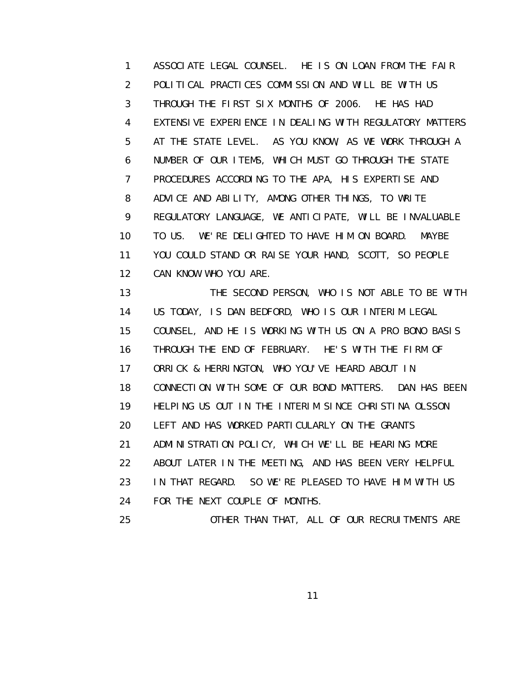1 ASSOCIATE LEGAL COUNSEL. HE IS ON LOAN FROM THE FAIR 2 POLITICAL PRACTICES COMMISSION AND WILL BE WITH US 3 THROUGH THE FIRST SIX MONTHS OF 2006. HE HAS HAD 4 EXTENSIVE EXPERIENCE IN DEALING WITH REGULATORY MATTERS 5 AT THE STATE LEVEL. AS YOU KNOW, AS WE WORK THROUGH A 6 NUMBER OF OUR ITEMS, WHICH MUST GO THROUGH THE STATE 7 PROCEDURES ACCORDING TO THE APA, HIS EXPERTISE AND 8 ADVICE AND ABILITY, AMONG OTHER THINGS, TO WRITE 9 REGULATORY LANGUAGE, WE ANTICIPATE, WILL BE INVALUABLE 10 TO US. WE'RE DELIGHTED TO HAVE HIM ON BOARD. MAYBE 11 YOU COULD STAND OR RAISE YOUR HAND, SCOTT, SO PEOPLE 12 CAN KNOW WHO YOU ARE.

 13 THE SECOND PERSON, WHO IS NOT ABLE TO BE WITH 14 US TODAY, IS DAN BEDFORD, WHO IS OUR INTERIM LEGAL 15 COUNSEL, AND HE IS WORKING WITH US ON A PRO BONO BASIS 16 THROUGH THE END OF FEBRUARY. HE'S WITH THE FIRM OF 17 ORRICK & HERRINGTON, WHO YOU'VE HEARD ABOUT IN 18 CONNECTION WITH SOME OF OUR BOND MATTERS. DAN HAS BEEN 19 HELPING US OUT IN THE INTERIM SINCE CHRISTINA OLSSON 20 LEFT AND HAS WORKED PARTICULARLY ON THE GRANTS 21 ADMINISTRATION POLICY, WHICH WE'LL BE HEARING MORE 22 ABOUT LATER IN THE MEETING, AND HAS BEEN VERY HELPFUL 23 IN THAT REGARD. SO WE'RE PLEASED TO HAVE HIM WITH US 24 FOR THE NEXT COUPLE OF MONTHS. 25 OTHER THAN THAT, ALL OF OUR RECRUITMENTS ARE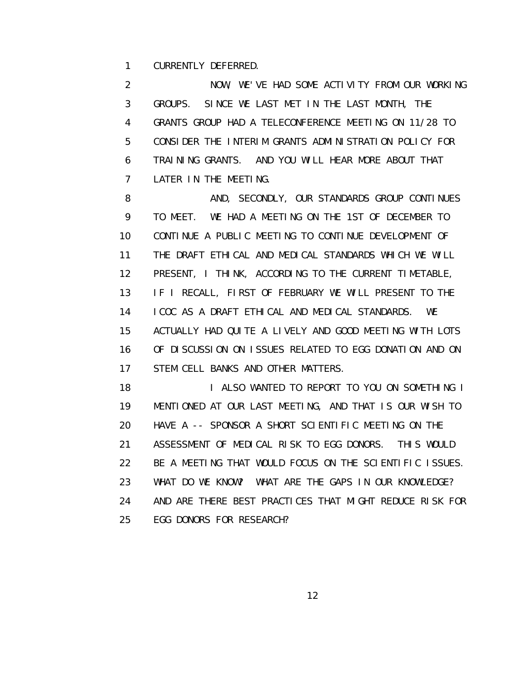1 CURRENTLY DEFERRED.

 2 NOW, WE'VE HAD SOME ACTIVITY FROM OUR WORKING 3 GROUPS. SINCE WE LAST MET IN THE LAST MONTH, THE 4 GRANTS GROUP HAD A TELECONFERENCE MEETING ON 11/28 TO 5 CONSIDER THE INTERIM GRANTS ADMINISTRATION POLICY FOR 6 TRAINING GRANTS. AND YOU WILL HEAR MORE ABOUT THAT 7 LATER IN THE MEETING.

8 AND, SECONDLY, OUR STANDARDS GROUP CONTINUES 9 TO MEET. WE HAD A MEETING ON THE 1ST OF DECEMBER TO 10 CONTINUE A PUBLIC MEETING TO CONTINUE DEVELOPMENT OF 11 THE DRAFT ETHICAL AND MEDICAL STANDARDS WHICH WE WILL 12 PRESENT, I THINK, ACCORDING TO THE CURRENT TIMETABLE, 13 IF I RECALL, FIRST OF FEBRUARY WE WILL PRESENT TO THE 14 ICOC AS A DRAFT ETHICAL AND MEDICAL STANDARDS. WE 15 ACTUALLY HAD QUITE A LIVELY AND GOOD MEETING WITH LOTS 16 OF DISCUSSION ON ISSUES RELATED TO EGG DONATION AND ON 17 STEM CELL BANKS AND OTHER MATTERS.

18 **I ALSO WANTED TO REPORT TO YOU ON SOMETHING I**  19 MENTIONED AT OUR LAST MEETING, AND THAT IS OUR WISH TO 20 HAVE A -- SPONSOR A SHORT SCIENTIFIC MEETING ON THE 21 ASSESSMENT OF MEDICAL RISK TO EGG DONORS. THIS WOULD 22 BE A MEETING THAT WOULD FOCUS ON THE SCIENTIFIC ISSUES. 23 WHAT DO WE KNOW? WHAT ARE THE GAPS IN OUR KNOWLEDGE? 24 AND ARE THERE BEST PRACTICES THAT MIGHT REDUCE RISK FOR 25 EGG DONORS FOR RESEARCH?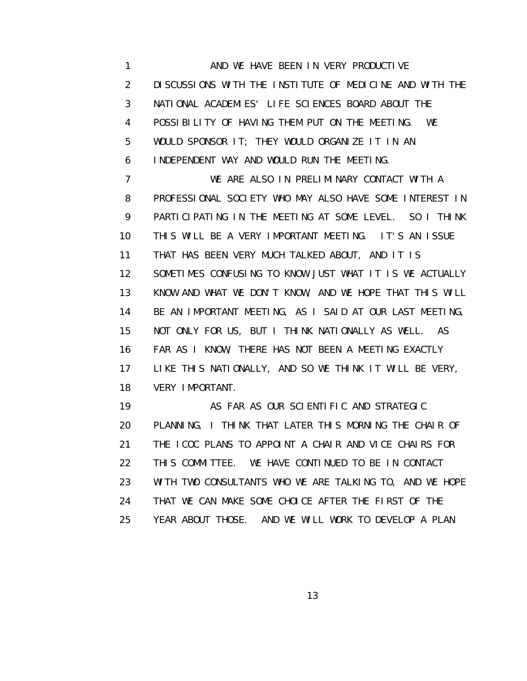1 AND WE HAVE BEEN IN VERY PRODUCTIVE 2 DISCUSSIONS WITH THE INSTITUTE OF MEDICINE AND WITH THE 3 NATIONAL ACADEMIES' LIFE SCIENCES BOARD ABOUT THE 4 POSSIBILITY OF HAVING THEM PUT ON THE MEETING. WE 5 WOULD SPONSOR IT; THEY WOULD ORGANIZE IT IN AN 6 INDEPENDENT WAY AND WOULD RUN THE MEETING.

 7 WE ARE ALSO IN PRELIMINARY CONTACT WITH A 8 PROFESSIONAL SOCIETY WHO MAY ALSO HAVE SOME INTEREST IN 9 PARTICIPATING IN THE MEETING AT SOME LEVEL. SO I THINK 10 THIS WILL BE A VERY IMPORTANT MEETING. IT'S AN ISSUE 11 THAT HAS BEEN VERY MUCH TALKED ABOUT, AND IT IS 12 SOMETIMES CONFUSING TO KNOW JUST WHAT IT IS WE ACTUALLY 13 KNOW AND WHAT WE DON'T KNOW, AND WE HOPE THAT THIS WILL 14 BE AN IMPORTANT MEETING, AS I SAID AT OUR LAST MEETING, 15 NOT ONLY FOR US, BUT I THINK NATIONALLY AS WELL. AS 16 FAR AS I KNOW, THERE HAS NOT BEEN A MEETING EXACTLY 17 LIKE THIS NATIONALLY, AND SO WE THINK IT WILL BE VERY, 18 VERY IMPORTANT.

19 **AS FAR AS OUR SCIENTIFIC AND STRATEGIC**  20 PLANNING, I THINK THAT LATER THIS MORNING THE CHAIR OF 21 THE ICOC PLANS TO APPOINT A CHAIR AND VICE CHAIRS FOR 22 THIS COMMITTEE. WE HAVE CONTINUED TO BE IN CONTACT 23 WITH TWO CONSULTANTS WHO WE ARE TALKING TO, AND WE HOPE 24 THAT WE CAN MAKE SOME CHOICE AFTER THE FIRST OF THE 25 YEAR ABOUT THOSE. AND WE WILL WORK TO DEVELOP A PLAN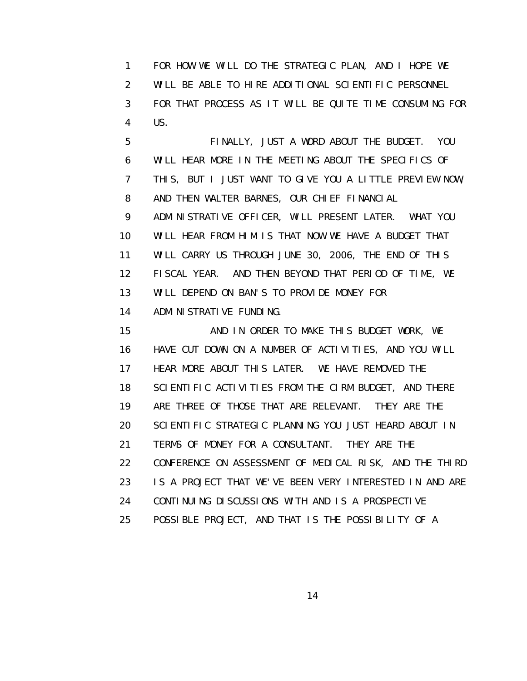1 FOR HOW WE WILL DO THE STRATEGIC PLAN, AND I HOPE WE 2 WILL BE ABLE TO HIRE ADDITIONAL SCIENTIFIC PERSONNEL 3 FOR THAT PROCESS AS IT WILL BE QUITE TIME CONSUMING FOR 4 US.

 5 FINALLY, JUST A WORD ABOUT THE BUDGET. YOU 6 WILL HEAR MORE IN THE MEETING ABOUT THE SPECIFICS OF 7 THIS, BUT I JUST WANT TO GIVE YOU A LITTLE PREVIEW NOW, 8 AND THEN WALTER BARNES, OUR CHIEF FINANCIAL 9 ADMINISTRATIVE OFFICER, WILL PRESENT LATER. WHAT YOU 10 WILL HEAR FROM HIM IS THAT NOW WE HAVE A BUDGET THAT 11 WILL CARRY US THROUGH JUNE 30, 2006, THE END OF THIS 12 FISCAL YEAR. AND THEN BEYOND THAT PERIOD OF TIME, WE 13 WILL DEPEND ON BAN'S TO PROVIDE MONEY FOR 14 ADMINISTRATIVE FUNDING.

 15 AND IN ORDER TO MAKE THIS BUDGET WORK, WE 16 HAVE CUT DOWN ON A NUMBER OF ACTIVITIES, AND YOU WILL 17 HEAR MORE ABOUT THIS LATER. WE HAVE REMOVED THE 18 SCIENTIFIC ACTIVITIES FROM THE CIRM BUDGET, AND THERE 19 ARE THREE OF THOSE THAT ARE RELEVANT. THEY ARE THE 20 SCIENTIFIC STRATEGIC PLANNING YOU JUST HEARD ABOUT IN 21 TERMS OF MONEY FOR A CONSULTANT. THEY ARE THE 22 CONFERENCE ON ASSESSMENT OF MEDICAL RISK, AND THE THIRD 23 IS A PROJECT THAT WE'VE BEEN VERY INTERESTED IN AND ARE 24 CONTINUING DISCUSSIONS WITH AND IS A PROSPECTIVE 25 POSSIBLE PROJECT, AND THAT IS THE POSSIBILITY OF A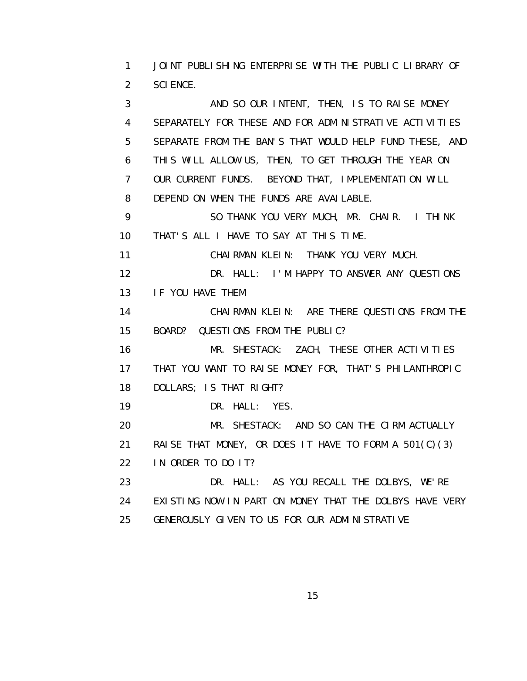1 JOINT PUBLISHING ENTERPRISE WITH THE PUBLIC LIBRARY OF 2 SCIENCE.

3 AND SO OUR INTENT, THEN, IS TO RAISE MONEY 4 SEPARATELY FOR THESE AND FOR ADMINISTRATIVE ACTIVITIES 5 SEPARATE FROM THE BAN'S THAT WOULD HELP FUND THESE, AND 6 THIS WILL ALLOW US, THEN, TO GET THROUGH THE YEAR ON 7 OUR CURRENT FUNDS. BEYOND THAT, IMPLEMENTATION WILL 8 DEPEND ON WHEN THE FUNDS ARE AVAILABLE. 9 SO THANK YOU VERY MUCH, MR. CHAIR. I THINK 10 THAT'S ALL I HAVE TO SAY AT THIS TIME. 11 CHAIRMAN KLEIN: THANK YOU VERY MUCH.

 12 DR. HALL: I'M HAPPY TO ANSWER ANY QUESTIONS 13 IF YOU HAVE THEM.

 14 CHAIRMAN KLEIN: ARE THERE QUESTIONS FROM THE 15 BOARD? QUESTIONS FROM THE PUBLIC?

 16 MR. SHESTACK: ZACH, THESE OTHER ACTIVITIES 17 THAT YOU WANT TO RAISE MONEY FOR, THAT'S PHILANTHROPIC 18 DOLLARS; IS THAT RIGHT?

19 DR. HALL: YES.

 20 MR. SHESTACK: AND SO CAN THE CIRM ACTUALLY 21 RAISE THAT MONEY, OR DOES IT HAVE TO FORM A 501(C)(3) 22 IN ORDER TO DO IT? 23 DR. HALL: AS YOU RECALL THE DOLBYS, WE'RE

 24 EXISTING NOW IN PART ON MONEY THAT THE DOLBYS HAVE VERY 25 GENEROUSLY GIVEN TO US FOR OUR ADMINISTRATIVE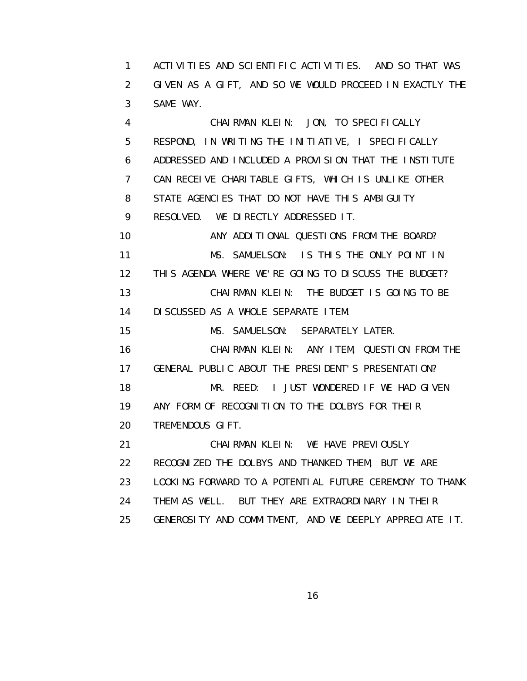1 ACTIVITIES AND SCIENTIFIC ACTIVITIES. AND SO THAT WAS 2 GIVEN AS A GIFT, AND SO WE WOULD PROCEED IN EXACTLY THE 3 SAME WAY.

 4 CHAIRMAN KLEIN: JON, TO SPECIFICALLY 5 RESPOND, IN WRITING THE INITIATIVE, I SPECIFICALLY 6 ADDRESSED AND INCLUDED A PROVISION THAT THE INSTITUTE 7 CAN RECEIVE CHARITABLE GIFTS, WHICH IS UNLIKE OTHER 8 STATE AGENCIES THAT DO NOT HAVE THIS AMBIGUITY 9 RESOLVED. WE DIRECTLY ADDRESSED IT.

10 **ANY ADDITIONAL QUESTIONS FROM THE BOARD?**  11 MS. SAMUELSON: IS THIS THE ONLY POINT IN 12 THIS AGENDA WHERE WE'RE GOING TO DISCUSS THE BUDGET? 13 CHAIRMAN KLEIN: THE BUDGET IS GOING TO BE 14 DISCUSSED AS A WHOLE SEPARATE ITEM.

15 MS. SAMUELSON: SEPARATELY LATER.

 16 CHAIRMAN KLEIN: ANY ITEM, QUESTION FROM THE 17 GENERAL PUBLIC ABOUT THE PRESIDENT'S PRESENTATION? 18 MR. REED: I JUST WONDERED IF WE HAD GIVEN 19 ANY FORM OF RECOGNITION TO THE DOLBYS FOR THEIR

20 TREMENDOUS GIFT.

21 CHAIRMAN KLEIN: WE HAVE PREVIOUSLY 22 RECOGNIZED THE DOLBYS AND THANKED THEM, BUT WE ARE 23 LOOKING FORWARD TO A POTENTIAL FUTURE CEREMONY TO THANK 24 THEM AS WELL. BUT THEY ARE EXTRAORDINARY IN THEIR 25 GENEROSITY AND COMMITMENT, AND WE DEEPLY APPRECIATE IT.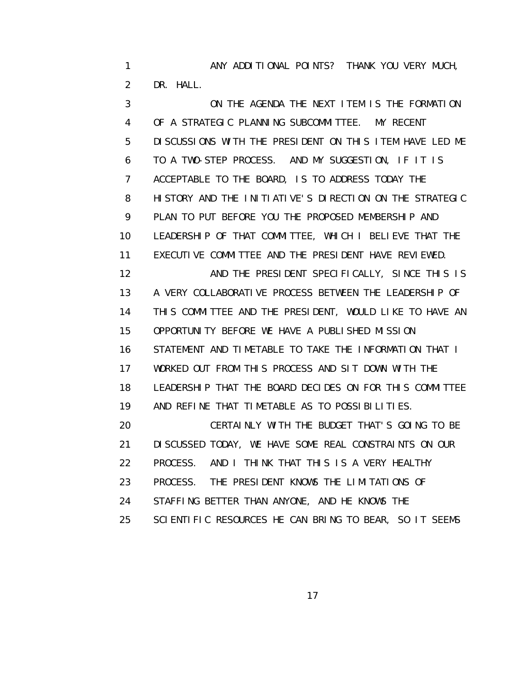1 ANY ADDITIONAL POINTS? THANK YOU VERY MUCH, 2 DR. HALL.

 3 ON THE AGENDA THE NEXT ITEM IS THE FORMATION 4 OF A STRATEGIC PLANNING SUBCOMMITTEE. MY RECENT 5 DISCUSSIONS WITH THE PRESIDENT ON THIS ITEM HAVE LED ME 6 TO A TWO-STEP PROCESS. AND MY SUGGESTION, IF IT IS 7 ACCEPTABLE TO THE BOARD, IS TO ADDRESS TODAY THE 8 HISTORY AND THE INITIATIVE'S DIRECTION ON THE STRATEGIC 9 PLAN TO PUT BEFORE YOU THE PROPOSED MEMBERSHIP AND 10 LEADERSHIP OF THAT COMMITTEE, WHICH I BELIEVE THAT THE 11 EXECUTIVE COMMITTEE AND THE PRESIDENT HAVE REVIEWED. 12 AND THE PRESIDENT SPECIFICALLY, SINCE THIS IS 13 A VERY COLLABORATIVE PROCESS BETWEEN THE LEADERSHIP OF 14 THIS COMMITTEE AND THE PRESIDENT, WOULD LIKE TO HAVE AN 15 OPPORTUNITY BEFORE WE HAVE A PUBLISHED MISSION 16 STATEMENT AND TIMETABLE TO TAKE THE INFORMATION THAT I 17 WORKED OUT FROM THIS PROCESS AND SIT DOWN WITH THE 18 LEADERSHIP THAT THE BOARD DECIDES ON FOR THIS COMMITTEE 19 AND REFINE THAT TIMETABLE AS TO POSSIBILITIES. 20 CERTAINLY WITH THE BUDGET THAT'S GOING TO BE 21 DISCUSSED TODAY, WE HAVE SOME REAL CONSTRAINTS ON OUR 22 PROCESS. AND I THINK THAT THIS IS A VERY HEALTHY 23 PROCESS. THE PRESIDENT KNOWS THE LIMITATIONS OF 24 STAFFING BETTER THAN ANYONE, AND HE KNOWS THE 25 SCIENTIFIC RESOURCES HE CAN BRING TO BEAR, SO IT SEEMS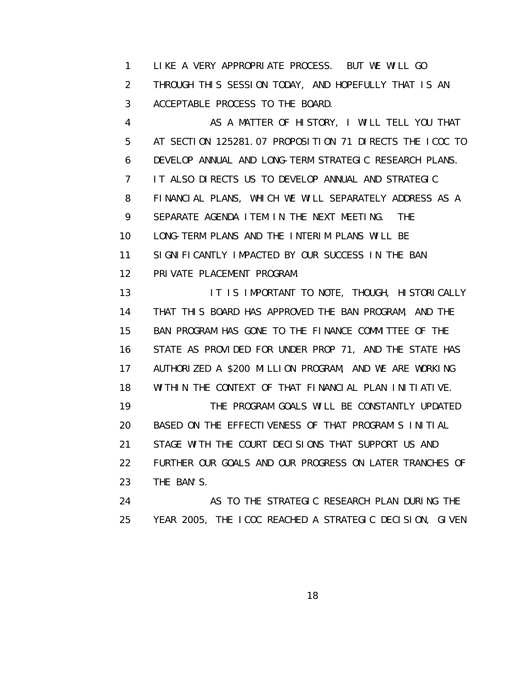1 LIKE A VERY APPROPRIATE PROCESS. BUT WE WILL GO 2 THROUGH THIS SESSION TODAY, AND HOPEFULLY THAT IS AN 3 ACCEPTABLE PROCESS TO THE BOARD.

 4 AS A MATTER OF HISTORY, I WILL TELL YOU THAT 5 AT SECTION 125281.07 PROPOSITION 71 DIRECTS THE ICOC TO 6 DEVELOP ANNUAL AND LONG-TERM STRATEGIC RESEARCH PLANS. 7 IT ALSO DIRECTS US TO DEVELOP ANNUAL AND STRATEGIC 8 FINANCIAL PLANS, WHICH WE WILL SEPARATELY ADDRESS AS A 9 SEPARATE AGENDA ITEM IN THE NEXT MEETING. THE 10 LONG-TERM PLANS AND THE INTERIM PLANS WILL BE 11 SIGNIFICANTLY IMPACTED BY OUR SUCCESS IN THE BAN 12 PRIVATE PLACEMENT PROGRAM.

13 **IT IS IMPORTANT TO NOTE, THOUGH, HISTORICALLY**  14 THAT THIS BOARD HAS APPROVED THE BAN PROGRAM, AND THE 15 BAN PROGRAM HAS GONE TO THE FINANCE COMMITTEE OF THE 16 STATE AS PROVIDED FOR UNDER PROP 71, AND THE STATE HAS 17 AUTHORIZED A \$200 MILLION PROGRAM, AND WE ARE WORKING 18 WITHIN THE CONTEXT OF THAT FINANCIAL PLAN INITIATIVE. 19 THE PROGRAM GOALS WILL BE CONSTANTLY UPDATED 20 BASED ON THE EFFECTIVENESS OF THAT PROGRAM'S INITIAL 21 STAGE WITH THE COURT DECISIONS THAT SUPPORT US AND 22 FURTHER OUR GOALS AND OUR PROGRESS ON LATER TRANCHES OF 23 THE BAN'S. 24 AS TO THE STRATEGIC RESEARCH PLAN DURING THE

25 YEAR 2005, THE ICOC REACHED A STRATEGIC DECISION, GIVEN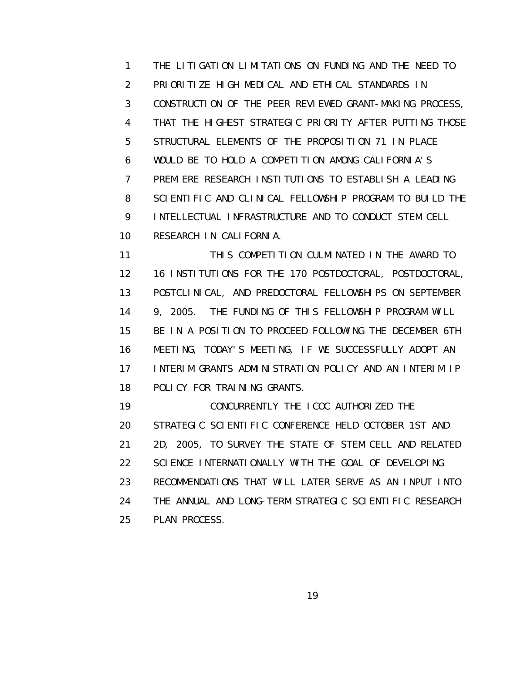1 THE LITIGATION LIMITATIONS ON FUNDING AND THE NEED TO 2 PRIORITIZE HIGH MEDICAL AND ETHICAL STANDARDS IN 3 CONSTRUCTION OF THE PEER REVIEWED GRANT-MAKING PROCESS, 4 THAT THE HIGHEST STRATEGIC PRIORITY AFTER PUTTING THOSE 5 STRUCTURAL ELEMENTS OF THE PROPOSITION 71 IN PLACE 6 WOULD BE TO HOLD A COMPETITION AMONG CALIFORNIA'S 7 PREMIERE RESEARCH INSTITUTIONS TO ESTABLISH A LEADING 8 SCIENTIFIC AND CLINICAL FELLOWSHIP PROGRAM TO BUILD THE 9 INTELLECTUAL INFRASTRUCTURE AND TO CONDUCT STEM CELL 10 RESEARCH IN CALIFORNIA.

11 THIS COMPETITION CULMINATED IN THE AWARD TO 12 16 INSTITUTIONS FOR THE 170 POSTDOCTORAL, POSTDOCTORAL, 13 POSTCLINICAL, AND PREDOCTORAL FELLOWSHIPS ON SEPTEMBER 14 9, 2005. THE FUNDING OF THIS FELLOWSHIP PROGRAM WILL 15 BE IN A POSITION TO PROCEED FOLLOWING THE DECEMBER 6TH 16 MEETING, TODAY'S MEETING, IF WE SUCCESSFULLY ADOPT AN 17 INTERIM GRANTS ADMINISTRATION POLICY AND AN INTERIM IP 18 POLICY FOR TRAINING GRANTS.

 19 CONCURRENTLY THE ICOC AUTHORIZED THE 20 STRATEGIC SCIENTIFIC CONFERENCE HELD OCTOBER 1ST AND 21 2D, 2005, TO SURVEY THE STATE OF STEM CELL AND RELATED 22 SCIENCE INTERNATIONALLY WITH THE GOAL OF DEVELOPING 23 RECOMMENDATIONS THAT WILL LATER SERVE AS AN INPUT INTO 24 THE ANNUAL AND LONG-TERM STRATEGIC SCIENTIFIC RESEARCH 25 PLAN PROCESS.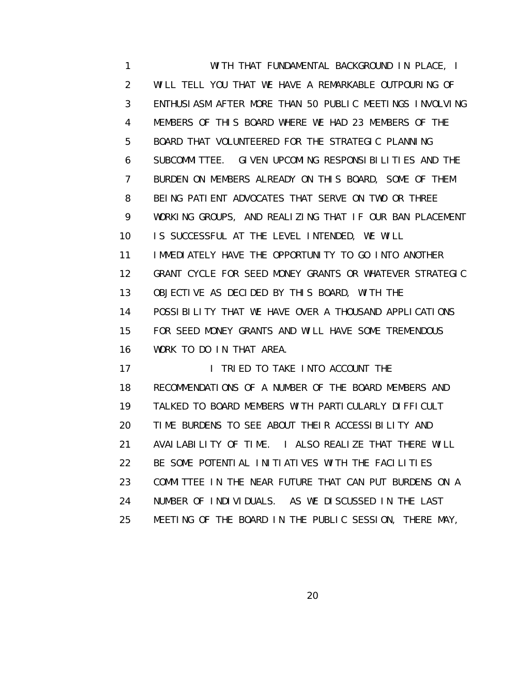1 WITH THAT FUNDAMENTAL BACKGROUND IN PLACE, I 2 WILL TELL YOU THAT WE HAVE A REMARKABLE OUTPOURING OF 3 ENTHUSIASM AFTER MORE THAN 50 PUBLIC MEETINGS INVOLVING 4 MEMBERS OF THIS BOARD WHERE WE HAD 23 MEMBERS OF THE 5 BOARD THAT VOLUNTEERED FOR THE STRATEGIC PLANNING 6 SUBCOMMITTEE. GIVEN UPCOMING RESPONSIBILITIES AND THE 7 BURDEN ON MEMBERS ALREADY ON THIS BOARD, SOME OF THEM 8 BEING PATIENT ADVOCATES THAT SERVE ON TWO OR THREE 9 WORKING GROUPS, AND REALIZING THAT IF OUR BAN PLACEMENT 10 IS SUCCESSFUL AT THE LEVEL INTENDED, WE WILL 11 IMMEDIATELY HAVE THE OPPORTUNITY TO GO INTO ANOTHER 12 GRANT CYCLE FOR SEED MONEY GRANTS OR WHATEVER STRATEGIC 13 OBJECTIVE AS DECIDED BY THIS BOARD, WITH THE 14 POSSIBILITY THAT WE HAVE OVER A THOUSAND APPLICATIONS 15 FOR SEED MONEY GRANTS AND WILL HAVE SOME TREMENDOUS 16 WORK TO DO IN THAT AREA. 17 I TRIED TO TAKE INTO ACCOUNT THE 18 RECOMMENDATIONS OF A NUMBER OF THE BOARD MEMBERS AND 19 TALKED TO BOARD MEMBERS WITH PARTICULARLY DIFFICULT 20 TIME BURDENS TO SEE ABOUT THEIR ACCESSIBILITY AND

21 AVAILABILITY OF TIME. I ALSO REALIZE THAT THERE WILL

- 22 BE SOME POTENTIAL INITIATIVES WITH THE FACILITIES
- 23 COMMITTEE IN THE NEAR FUTURE THAT CAN PUT BURDENS ON A
- 24 NUMBER OF INDIVIDUALS. AS WE DISCUSSED IN THE LAST
- 25 MEETING OF THE BOARD IN THE PUBLIC SESSION, THERE MAY,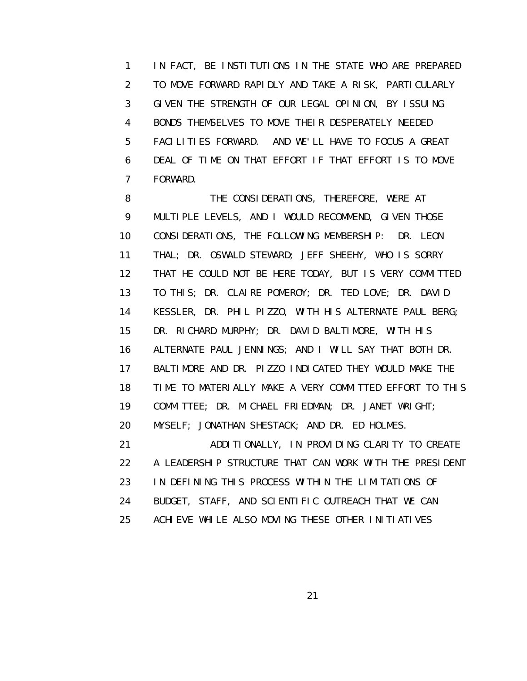1 IN FACT, BE INSTITUTIONS IN THE STATE WHO ARE PREPARED 2 TO MOVE FORWARD RAPIDLY AND TAKE A RISK, PARTICULARLY 3 GIVEN THE STRENGTH OF OUR LEGAL OPINION, BY ISSUING 4 BONDS THEMSELVES TO MOVE THEIR DESPERATELY NEEDED 5 FACILITIES FORWARD. AND WE'LL HAVE TO FOCUS A GREAT 6 DEAL OF TIME ON THAT EFFORT IF THAT EFFORT IS TO MOVE 7 FORWARD.

 8 THE CONSIDERATIONS, THEREFORE, WERE AT 9 MULTIPLE LEVELS, AND I WOULD RECOMMEND, GIVEN THOSE 10 CONSIDERATIONS, THE FOLLOWING MEMBERSHIP: DR. LEON 11 THAL; DR. OSWALD STEWARD; JEFF SHEEHY, WHO IS SORRY 12 THAT HE COULD NOT BE HERE TODAY, BUT IS VERY COMMITTED 13 TO THIS; DR. CLAIRE POMEROY; DR. TED LOVE; DR. DAVID 14 KESSLER, DR. PHIL PIZZO, WITH HIS ALTERNATE PAUL BERG; 15 DR. RICHARD MURPHY; DR. DAVID BALTIMORE, WITH HIS 16 ALTERNATE PAUL JENNINGS; AND I WILL SAY THAT BOTH DR. 17 BALTIMORE AND DR. PIZZO INDICATED THEY WOULD MAKE THE 18 TIME TO MATERIALLY MAKE A VERY COMMITTED EFFORT TO THIS 19 COMMITTEE; DR. MICHAEL FRIEDMAN; DR. JANET WRIGHT; 20 MYSELF; JONATHAN SHESTACK; AND DR. ED HOLMES. 21 ADDITIONALLY, IN PROVIDING CLARITY TO CREATE 22 A LEADERSHIP STRUCTURE THAT CAN WORK WITH THE PRESIDENT 23 IN DEFINING THIS PROCESS WITHIN THE LIMITATIONS OF

24 BUDGET, STAFF, AND SCIENTIFIC OUTREACH THAT WE CAN

25 ACHIEVE WHILE ALSO MOVING THESE OTHER INITIATIVES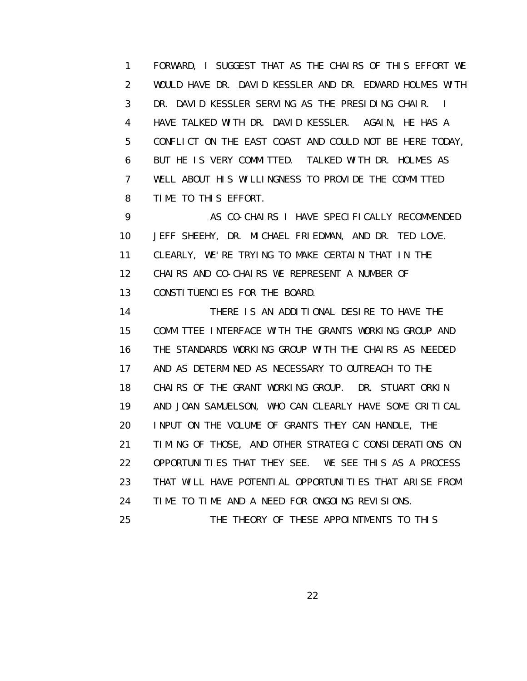1 FORWARD, I SUGGEST THAT AS THE CHAIRS OF THIS EFFORT WE 2 WOULD HAVE DR. DAVID KESSLER AND DR. EDWARD HOLMES WITH 3 DR. DAVID KESSLER SERVING AS THE PRESIDING CHAIR. I 4 HAVE TALKED WITH DR. DAVID KESSLER. AGAIN, HE HAS A 5 CONFLICT ON THE EAST COAST AND COULD NOT BE HERE TODAY, 6 BUT HE IS VERY COMMITTED. TALKED WITH DR. HOLMES AS 7 WELL ABOUT HIS WILLINGNESS TO PROVIDE THE COMMITTED 8 TIME TO THIS EFFORT.

9 AS CO-CHAIRS I HAVE SPECIFICALLY RECOMMENDED 10 JEFF SHEEHY, DR. MICHAEL FRIEDMAN, AND DR. TED LOVE. 11 CLEARLY, WE'RE TRYING TO MAKE CERTAIN THAT IN THE 12 CHAIRS AND CO-CHAIRS WE REPRESENT A NUMBER OF 13 CONSTITUENCIES FOR THE BOARD.

 14 THERE IS AN ADDITIONAL DESIRE TO HAVE THE 15 COMMITTEE INTERFACE WITH THE GRANTS WORKING GROUP AND 16 THE STANDARDS WORKING GROUP WITH THE CHAIRS AS NEEDED 17 AND AS DETERMINED AS NECESSARY TO OUTREACH TO THE 18 CHAIRS OF THE GRANT WORKING GROUP. DR. STUART ORKIN 19 AND JOAN SAMUELSON, WHO CAN CLEARLY HAVE SOME CRITICAL 20 INPUT ON THE VOLUME OF GRANTS THEY CAN HANDLE, THE 21 TIMING OF THOSE, AND OTHER STRATEGIC CONSIDERATIONS ON 22 OPPORTUNITIES THAT THEY SEE. WE SEE THIS AS A PROCESS 23 THAT WILL HAVE POTENTIAL OPPORTUNITIES THAT ARISE FROM 24 TIME TO TIME AND A NEED FOR ONGOING REVISIONS. 25 THE THEORY OF THESE APPOINTMENTS TO THIS

<u>22</u>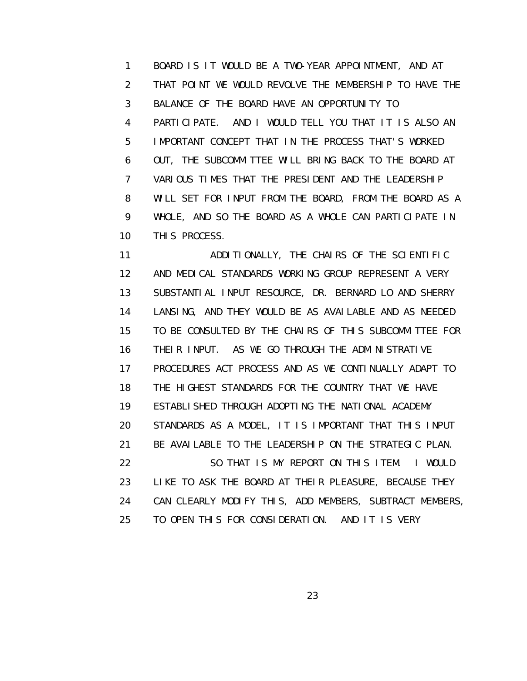1 BOARD IS IT WOULD BE A TWO-YEAR APPOINTMENT, AND AT 2 THAT POINT WE WOULD REVOLVE THE MEMBERSHIP TO HAVE THE 3 BALANCE OF THE BOARD HAVE AN OPPORTUNITY TO 4 PARTICIPATE. AND I WOULD TELL YOU THAT IT IS ALSO AN 5 IMPORTANT CONCEPT THAT IN THE PROCESS THAT'S WORKED 6 OUT, THE SUBCOMMITTEE WILL BRING BACK TO THE BOARD AT 7 VARIOUS TIMES THAT THE PRESIDENT AND THE LEADERSHIP 8 WILL SET FOR INPUT FROM THE BOARD, FROM THE BOARD AS A 9 WHOLE, AND SO THE BOARD AS A WHOLE CAN PARTICIPATE IN 10 THIS PROCESS.

 11 ADDITIONALLY, THE CHAIRS OF THE SCIENTIFIC 12 AND MEDICAL STANDARDS WORKING GROUP REPRESENT A VERY 13 SUBSTANTIAL INPUT RESOURCE, DR. BERNARD LO AND SHERRY 14 LANSING, AND THEY WOULD BE AS AVAILABLE AND AS NEEDED 15 TO BE CONSULTED BY THE CHAIRS OF THIS SUBCOMMITTEE FOR 16 THEIR INPUT. AS WE GO THROUGH THE ADMINISTRATIVE 17 PROCEDURES ACT PROCESS AND AS WE CONTINUALLY ADAPT TO 18 THE HIGHEST STANDARDS FOR THE COUNTRY THAT WE HAVE 19 ESTABLISHED THROUGH ADOPTING THE NATIONAL ACADEMY 20 STANDARDS AS A MODEL, IT IS IMPORTANT THAT THIS INPUT 21 BE AVAILABLE TO THE LEADERSHIP ON THE STRATEGIC PLAN. 22 SO THAT IS MY REPORT ON THIS ITEM. I WOULD 23 LIKE TO ASK THE BOARD AT THEIR PLEASURE, BECAUSE THEY 24 CAN CLEARLY MODIFY THIS, ADD MEMBERS, SUBTRACT MEMBERS, 25 TO OPEN THIS FOR CONSIDERATION. AND IT IS VERY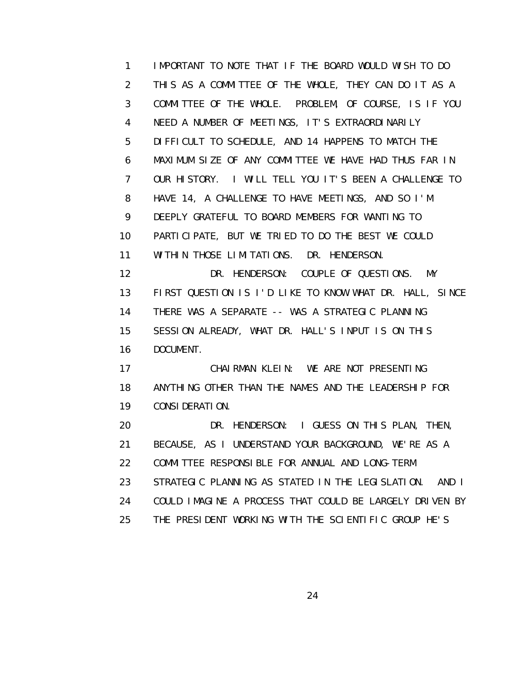1 IMPORTANT TO NOTE THAT IF THE BOARD WOULD WISH TO DO 2 THIS AS A COMMITTEE OF THE WHOLE, THEY CAN DO IT AS A 3 COMMITTEE OF THE WHOLE. PROBLEM, OF COURSE, IS IF YOU 4 NEED A NUMBER OF MEETINGS, IT'S EXTRAORDINARILY 5 DIFFICULT TO SCHEDULE, AND 14 HAPPENS TO MATCH THE 6 MAXIMUM SIZE OF ANY COMMITTEE WE HAVE HAD THUS FAR IN 7 OUR HISTORY. I WILL TELL YOU IT'S BEEN A CHALLENGE TO 8 HAVE 14, A CHALLENGE TO HAVE MEETINGS, AND SO I'M 9 DEEPLY GRATEFUL TO BOARD MEMBERS FOR WANTING TO 10 PARTICIPATE, BUT WE TRIED TO DO THE BEST WE COULD 11 WITHIN THOSE LIMITATIONS. DR. HENDERSON. 12 DR. HENDERSON: COUPLE OF QUESTIONS. MY 13 FIRST QUESTION IS I'D LIKE TO KNOW WHAT DR. HALL, SINCE 14 THERE WAS A SEPARATE -- WAS A STRATEGIC PLANNING 15 SESSION ALREADY, WHAT DR. HALL'S INPUT IS ON THIS 16 DOCUMENT. 17 CHAIRMAN KLEIN: WE ARE NOT PRESENTING 18 ANYTHING OTHER THAN THE NAMES AND THE LEADERSHIP FOR 19 CONSIDERATION. 20 DR. HENDERSON: I GUESS ON THIS PLAN, THEN, 21 BECAUSE, AS I UNDERSTAND YOUR BACKGROUND, WE'RE AS A 22 COMMITTEE RESPONSIBLE FOR ANNUAL AND LONG-TERM 23 STRATEGIC PLANNING AS STATED IN THE LEGISLATION. AND I 24 COULD IMAGINE A PROCESS THAT COULD BE LARGELY DRIVEN BY 25 THE PRESIDENT WORKING WITH THE SCIENTIFIC GROUP HE'S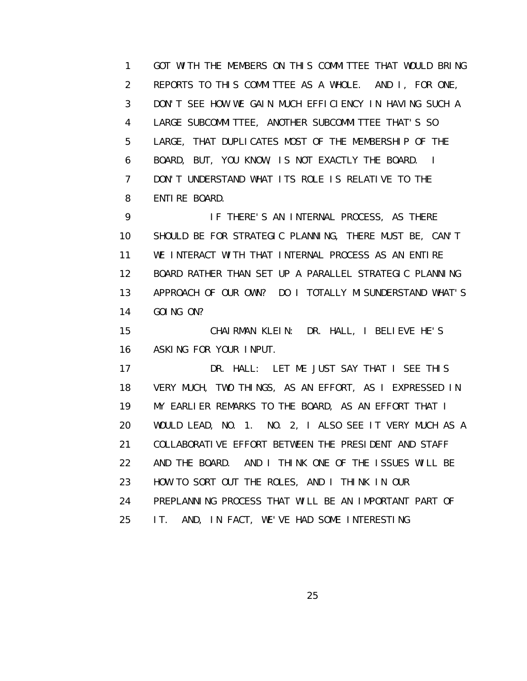1 GOT WITH THE MEMBERS ON THIS COMMITTEE THAT WOULD BRING 2 REPORTS TO THIS COMMITTEE AS A WHOLE. AND I, FOR ONE, 3 DON'T SEE HOW WE GAIN MUCH EFFICIENCY IN HAVING SUCH A 4 LARGE SUBCOMMITTEE, ANOTHER SUBCOMMITTEE THAT'S SO 5 LARGE, THAT DUPLICATES MOST OF THE MEMBERSHIP OF THE 6 BOARD, BUT, YOU KNOW, IS NOT EXACTLY THE BOARD. I 7 DON'T UNDERSTAND WHAT ITS ROLE IS RELATIVE TO THE 8 ENTIRE BOARD.

 9 IF THERE'S AN INTERNAL PROCESS, AS THERE 10 SHOULD BE FOR STRATEGIC PLANNING, THERE MUST BE, CAN'T 11 WE INTERACT WITH THAT INTERNAL PROCESS AS AN ENTIRE 12 BOARD RATHER THAN SET UP A PARALLEL STRATEGIC PLANNING 13 APPROACH OF OUR OWN? DO I TOTALLY MISUNDERSTAND WHAT'S 14 GOING ON?

 15 CHAIRMAN KLEIN: DR. HALL, I BELIEVE HE'S 16 ASKING FOR YOUR INPUT.

17 DR. HALL: LET ME JUST SAY THAT I SEE THIS 18 VERY MUCH, TWO THINGS, AS AN EFFORT, AS I EXPRESSED IN 19 MY EARLIER REMARKS TO THE BOARD, AS AN EFFORT THAT I 20 WOULD LEAD, NO. 1. NO. 2, I ALSO SEE IT VERY MUCH AS A 21 COLLABORATIVE EFFORT BETWEEN THE PRESIDENT AND STAFF 22 AND THE BOARD. AND I THINK ONE OF THE ISSUES WILL BE 23 HOW TO SORT OUT THE ROLES, AND I THINK IN OUR 24 PREPLANNING PROCESS THAT WILL BE AN IMPORTANT PART OF 25 IT. AND, IN FACT, WE'VE HAD SOME INTERESTING

<u>25 and 25 and 26 and 26 and 26 and 26 and 26 and 26 and 26 and 26 and 26 and 26 and 26 and 26 and 26 and 26 and 26 and 26 and 26 and 26 and 26 and 26 and 26 and 26 and 26 and 27 and 27 and 27 and 27 and 27 and 27 and 27 a</u>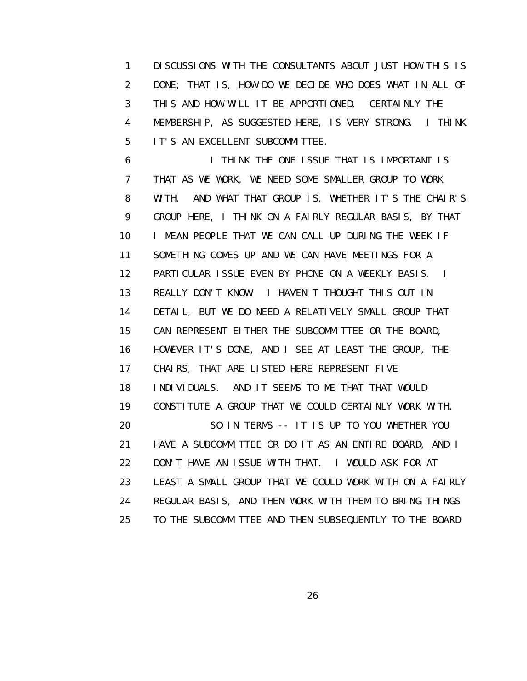1 DISCUSSIONS WITH THE CONSULTANTS ABOUT JUST HOW THIS IS 2 DONE; THAT IS, HOW DO WE DECIDE WHO DOES WHAT IN ALL OF 3 THIS AND HOW WILL IT BE APPORTIONED. CERTAINLY THE 4 MEMBERSHIP, AS SUGGESTED HERE, IS VERY STRONG. I THINK 5 IT'S AN EXCELLENT SUBCOMMITTEE.

 6 I THINK THE ONE ISSUE THAT IS IMPORTANT IS 7 THAT AS WE WORK, WE NEED SOME SMALLER GROUP TO WORK 8 WITH. AND WHAT THAT GROUP IS, WHETHER IT'S THE CHAIR'S 9 GROUP HERE, I THINK ON A FAIRLY REGULAR BASIS, BY THAT 10 I MEAN PEOPLE THAT WE CAN CALL UP DURING THE WEEK IF 11 SOMETHING COMES UP AND WE CAN HAVE MEETINGS FOR A 12 PARTICULAR ISSUE EVEN BY PHONE ON A WEEKLY BASIS. I 13 REALLY DON'T KNOW. I HAVEN'T THOUGHT THIS OUT IN 14 DETAIL, BUT WE DO NEED A RELATIVELY SMALL GROUP THAT 15 CAN REPRESENT EITHER THE SUBCOMMITTEE OR THE BOARD, 16 HOWEVER IT'S DONE, AND I SEE AT LEAST THE GROUP, THE 17 CHAIRS, THAT ARE LISTED HERE REPRESENT FIVE 18 INDIVIDUALS. AND IT SEEMS TO ME THAT THAT WOULD 19 CONSTITUTE A GROUP THAT WE COULD CERTAINLY WORK WITH. 20 SO IN TERMS -- IT IS UP TO YOU WHETHER YOU 21 HAVE A SUBCOMMITTEE OR DO IT AS AN ENTIRE BOARD, AND I 22 DON'T HAVE AN ISSUE WITH THAT. I WOULD ASK FOR AT 23 LEAST A SMALL GROUP THAT WE COULD WORK WITH ON A FAIRLY 24 REGULAR BASIS, AND THEN WORK WITH THEM TO BRING THINGS 25 TO THE SUBCOMMITTEE AND THEN SUBSEQUENTLY TO THE BOARD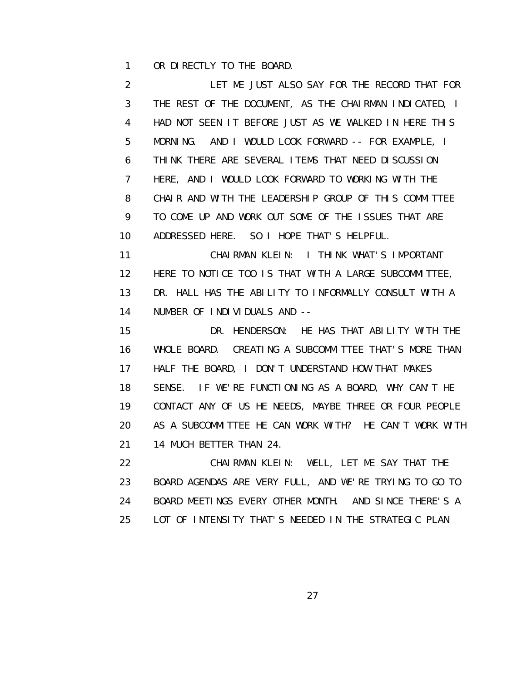1 OR DIRECTLY TO THE BOARD.

 2 LET ME JUST ALSO SAY FOR THE RECORD THAT FOR 3 THE REST OF THE DOCUMENT, AS THE CHAIRMAN INDICATED, I 4 HAD NOT SEEN IT BEFORE JUST AS WE WALKED IN HERE THIS 5 MORNING. AND I WOULD LOOK FORWARD -- FOR EXAMPLE, I 6 THINK THERE ARE SEVERAL ITEMS THAT NEED DISCUSSION 7 HERE, AND I WOULD LOOK FORWARD TO WORKING WITH THE 8 CHAIR AND WITH THE LEADERSHIP GROUP OF THIS COMMITTEE 9 TO COME UP AND WORK OUT SOME OF THE ISSUES THAT ARE 10 ADDRESSED HERE. SO I HOPE THAT'S HELPFUL.

 11 CHAIRMAN KLEIN: I THINK WHAT'S IMPORTANT 12 HERE TO NOTICE TOO IS THAT WITH A LARGE SUBCOMMITTEE, 13 DR. HALL HAS THE ABILITY TO INFORMALLY CONSULT WITH A 14 NUMBER OF INDIVIDUALS AND --

 15 DR. HENDERSON: HE HAS THAT ABILITY WITH THE 16 WHOLE BOARD. CREATING A SUBCOMMITTEE THAT'S MORE THAN 17 HALF THE BOARD, I DON'T UNDERSTAND HOW THAT MAKES 18 SENSE. IF WE'RE FUNCTIONING AS A BOARD, WHY CAN'T HE 19 CONTACT ANY OF US HE NEEDS, MAYBE THREE OR FOUR PEOPLE 20 AS A SUBCOMMITTEE HE CAN WORK WITH? HE CAN'T WORK WITH 21 14 MUCH BETTER THAN 24.

 22 CHAIRMAN KLEIN: WELL, LET ME SAY THAT THE 23 BOARD AGENDAS ARE VERY FULL, AND WE'RE TRYING TO GO TO 24 BOARD MEETINGS EVERY OTHER MONTH. AND SINCE THERE'S A 25 LOT OF INTENSITY THAT'S NEEDED IN THE STRATEGIC PLAN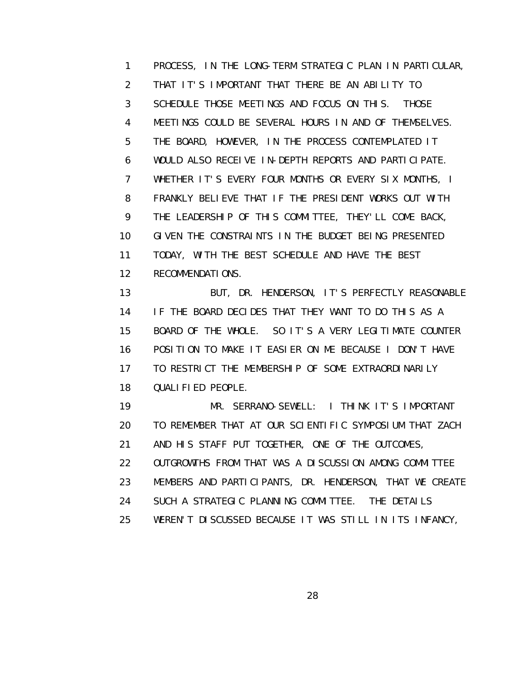1 PROCESS, IN THE LONG-TERM STRATEGIC PLAN IN PARTICULAR, 2 THAT IT'S IMPORTANT THAT THERE BE AN ABILITY TO 3 SCHEDULE THOSE MEETINGS AND FOCUS ON THIS. THOSE 4 MEETINGS COULD BE SEVERAL HOURS IN AND OF THEMSELVES. 5 THE BOARD, HOWEVER, IN THE PROCESS CONTEMPLATED IT 6 WOULD ALSO RECEIVE IN-DEPTH REPORTS AND PARTICIPATE. 7 WHETHER IT'S EVERY FOUR MONTHS OR EVERY SIX MONTHS, I 8 FRANKLY BELIEVE THAT IF THE PRESIDENT WORKS OUT WITH 9 THE LEADERSHIP OF THIS COMMITTEE, THEY'LL COME BACK, 10 GIVEN THE CONSTRAINTS IN THE BUDGET BEING PRESENTED 11 TODAY, WITH THE BEST SCHEDULE AND HAVE THE BEST 12 RECOMMENDATIONS. 13 BUT, DR. HENDERSON, IT'S PERFECTLY REASONABLE 14 IF THE BOARD DECIDES THAT THEY WANT TO DO THIS AS A 15 BOARD OF THE WHOLE. SO IT'S A VERY LEGITIMATE COUNTER 16 POSITION TO MAKE IT EASIER ON ME BECAUSE I DON'T HAVE 17 TO RESTRICT THE MEMBERSHIP OF SOME EXTRAORDINARILY 18 QUALIFIED PEOPLE. 19 MR. SERRANO-SEWELL: I THINK IT'S IMPORTANT 20 TO REMEMBER THAT AT OUR SCIENTIFIC SYMPOSIUM THAT ZACH 21 AND HIS STAFF PUT TOGETHER, ONE OF THE OUTCOMES, 22 OUTGROWTHS FROM THAT WAS A DISCUSSION AMONG COMMITTEE 23 MEMBERS AND PARTICIPANTS, DR. HENDERSON, THAT WE CREATE

24 SUCH A STRATEGIC PLANNING COMMITTEE. THE DETAILS

25 WEREN'T DISCUSSED BECAUSE IT WAS STILL IN ITS INFANCY,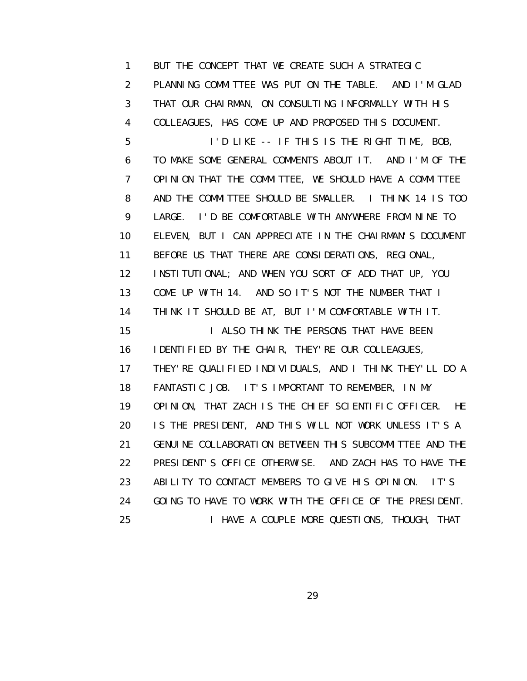1 BUT THE CONCEPT THAT WE CREATE SUCH A STRATEGIC 2 PLANNING COMMITTEE WAS PUT ON THE TABLE. AND I'M GLAD 3 THAT OUR CHAIRMAN, ON CONSULTING INFORMALLY WITH HIS 4 COLLEAGUES, HAS COME UP AND PROPOSED THIS DOCUMENT. 5 I'D LIKE -- IF THIS IS THE RIGHT TIME, BOB, 6 TO MAKE SOME GENERAL COMMENTS ABOUT IT. AND I'M OF THE 7 OPINION THAT THE COMMITTEE, WE SHOULD HAVE A COMMITTEE 8 AND THE COMMITTEE SHOULD BE SMALLER. I THINK 14 IS TOO 9 LARGE. I'D BE COMFORTABLE WITH ANYWHERE FROM NINE TO 10 ELEVEN, BUT I CAN APPRECIATE IN THE CHAIRMAN'S DOCUMENT 11 BEFORE US THAT THERE ARE CONSIDERATIONS, REGIONAL, 12 INSTITUTIONAL; AND WHEN YOU SORT OF ADD THAT UP, YOU 13 COME UP WITH 14. AND SO IT'S NOT THE NUMBER THAT I 14 THINK IT SHOULD BE AT, BUT I'M COMFORTABLE WITH IT. 15 I ALSO THINK THE PERSONS THAT HAVE BEEN 16 IDENTIFIED BY THE CHAIR, THEY'RE OUR COLLEAGUES, 17 THEY'RE QUALIFIED INDIVIDUALS, AND I THINK THEY'LL DO A 18 FANTASTIC JOB. IT'S IMPORTANT TO REMEMBER, IN MY 19 OPINION, THAT ZACH IS THE CHIEF SCIENTIFIC OFFICER. HE 20 IS THE PRESIDENT, AND THIS WILL NOT WORK UNLESS IT'S A 21 GENUINE COLLABORATION BETWEEN THIS SUBCOMMITTEE AND THE 22 PRESIDENT'S OFFICE OTHERWISE. AND ZACH HAS TO HAVE THE 23 ABILITY TO CONTACT MEMBERS TO GIVE HIS OPINION. IT'S 24 GOING TO HAVE TO WORK WITH THE OFFICE OF THE PRESIDENT. 25 I HAVE A COUPLE MORE QUESTIONS, THOUGH, THAT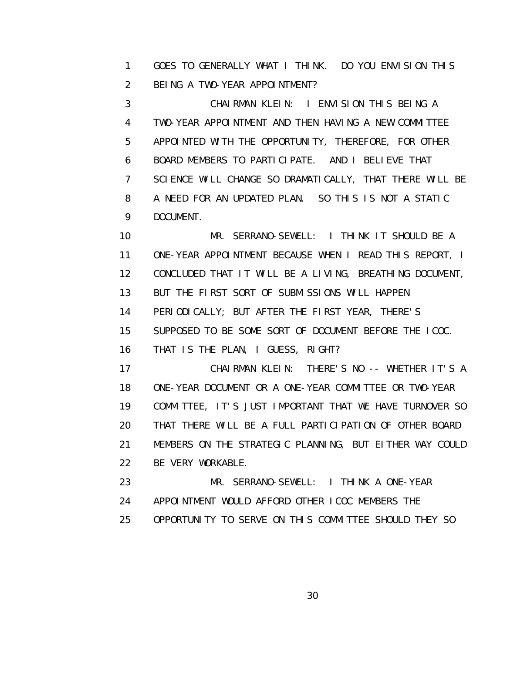1 GOES TO GENERALLY WHAT I THINK. DO YOU ENVISION THIS 2 BEING A TWO-YEAR APPOINTMENT?

 3 CHAIRMAN KLEIN: I ENVISION THIS BEING A 4 TWO-YEAR APPOINTMENT AND THEN HAVING A NEW COMMITTEE 5 APPOINTED WITH THE OPPORTUNITY, THEREFORE, FOR OTHER 6 BOARD MEMBERS TO PARTICIPATE. AND I BELIEVE THAT 7 SCIENCE WILL CHANGE SO DRAMATICALLY, THAT THERE WILL BE 8 A NEED FOR AN UPDATED PLAN. SO THIS IS NOT A STATIC 9 DOCUMENT.

 10 MR. SERRANO-SEWELL: I THINK IT SHOULD BE A 11 ONE-YEAR APPOINTMENT BECAUSE WHEN I READ THIS REPORT, I 12 CONCLUDED THAT IT WILL BE A LIVING, BREATHING DOCUMENT, 13 BUT THE FIRST SORT OF SUBMISSIONS WILL HAPPEN 14 PERIODICALLY; BUT AFTER THE FIRST YEAR, THERE'S 15 SUPPOSED TO BE SOME SORT OF DOCUMENT BEFORE THE ICOC. 16 THAT IS THE PLAN, I GUESS, RIGHT? 17 CHAIRMAN KLEIN: THERE'S NO -- WHETHER IT'S A

 18 ONE-YEAR DOCUMENT OR A ONE-YEAR COMMITTEE OR TWO-YEAR 19 COMMITTEE, IT'S JUST IMPORTANT THAT WE HAVE TURNOVER SO 20 THAT THERE WILL BE A FULL PARTICIPATION OF OTHER BOARD 21 MEMBERS ON THE STRATEGIC PLANNING, BUT EITHER WAY COULD 22 BE VERY WORKABLE.

 23 MR. SERRANO-SEWELL: I THINK A ONE-YEAR 24 APPOINTMENT WOULD AFFORD OTHER ICOC MEMBERS THE 25 OPPORTUNITY TO SERVE ON THIS COMMITTEE SHOULD THEY SO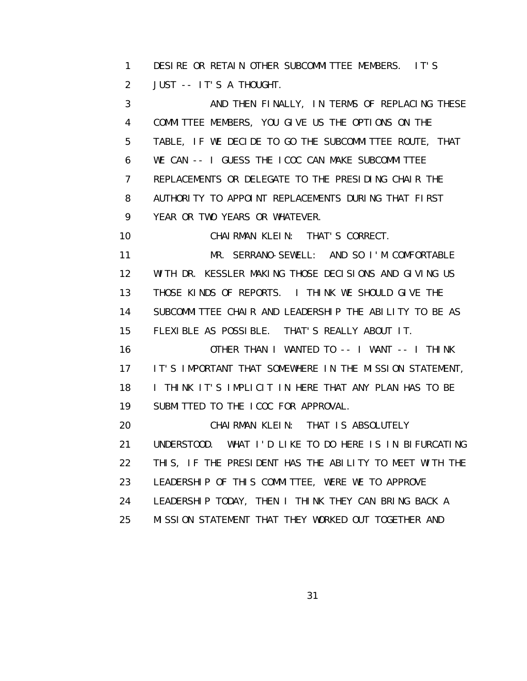1 DESIRE OR RETAIN OTHER SUBCOMMITTEE MEMBERS. IT'S 2 JUST -- IT'S A THOUGHT.

 3 AND THEN FINALLY, IN TERMS OF REPLACING THESE 4 COMMITTEE MEMBERS, YOU GIVE US THE OPTIONS ON THE 5 TABLE, IF WE DECIDE TO GO THE SUBCOMMITTEE ROUTE, THAT 6 WE CAN -- I GUESS THE ICOC CAN MAKE SUBCOMMITTEE 7 REPLACEMENTS OR DELEGATE TO THE PRESIDING CHAIR THE 8 AUTHORITY TO APPOINT REPLACEMENTS DURING THAT FIRST 9 YEAR OR TWO YEARS OR WHATEVER.

10 CHAIRMAN KLEIN: THAT'S CORRECT.

 11 MR. SERRANO-SEWELL: AND SO I'M COMFORTABLE 12 WITH DR. KESSLER MAKING THOSE DECISIONS AND GIVING US 13 THOSE KINDS OF REPORTS. I THINK WE SHOULD GIVE THE 14 SUBCOMMITTEE CHAIR AND LEADERSHIP THE ABILITY TO BE AS 15 FLEXIBLE AS POSSIBLE. THAT'S REALLY ABOUT IT.

 16 OTHER THAN I WANTED TO -- I WANT -- I THINK 17 IT'S IMPORTANT THAT SOMEWHERE IN THE MISSION STATEMENT, 18 I THINK IT'S IMPLICIT IN HERE THAT ANY PLAN HAS TO BE 19 SUBMITTED TO THE ICOC FOR APPROVAL.

20 CHAIRMAN KLEIN: THAT IS ABSOLUTELY 21 UNDERSTOOD. WHAT I'D LIKE TO DO HERE IS IN BIFURCATING 22 THIS, IF THE PRESIDENT HAS THE ABILITY TO MEET WITH THE 23 LEADERSHIP OF THIS COMMITTEE, WERE WE TO APPROVE 24 LEADERSHIP TODAY, THEN I THINK THEY CAN BRING BACK A 25 MISSION STATEMENT THAT THEY WORKED OUT TOGETHER AND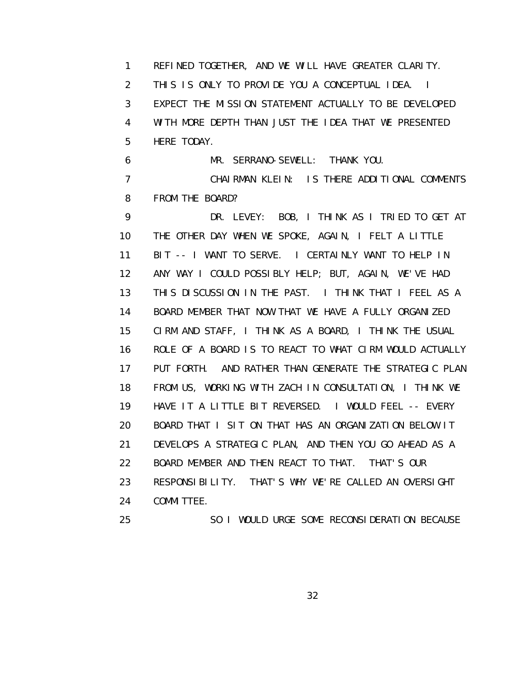1 REFINED TOGETHER, AND WE WILL HAVE GREATER CLARITY. 2 THIS IS ONLY TO PROVIDE YOU A CONCEPTUAL IDEA. I 3 EXPECT THE MISSION STATEMENT ACTUALLY TO BE DEVELOPED 4 WITH MORE DEPTH THAN JUST THE IDEA THAT WE PRESENTED 5 HERE TODAY. 6 MR. SERRANO-SEWELL: THANK YOU. 7 CHAIRMAN KLEIN: IS THERE ADDITIONAL COMMENTS 8 FROM THE BOARD? 9 DR. LEVEY: BOB, I THINK AS I TRIED TO GET AT 10 THE OTHER DAY WHEN WE SPOKE, AGAIN, I FELT A LITTLE 11 BIT -- I WANT TO SERVE. I CERTAINLY WANT TO HELP IN 12 ANY WAY I COULD POSSIBLY HELP; BUT, AGAIN, WE'VE HAD 13 THIS DISCUSSION IN THE PAST. I THINK THAT I FEEL AS A 14 BOARD MEMBER THAT NOW THAT WE HAVE A FULLY ORGANIZED 15 CIRM AND STAFF, I THINK AS A BOARD, I THINK THE USUAL 16 ROLE OF A BOARD IS TO REACT TO WHAT CIRM WOULD ACTUALLY 17 PUT FORTH. AND RATHER THAN GENERATE THE STRATEGIC PLAN 18 FROM US, WORKING WITH ZACH IN CONSULTATION, I THINK WE 19 HAVE IT A LITTLE BIT REVERSED. I WOULD FEEL -- EVERY 20 BOARD THAT I SIT ON THAT HAS AN ORGANIZATION BELOW IT 21 DEVELOPS A STRATEGIC PLAN, AND THEN YOU GO AHEAD AS A 22 BOARD MEMBER AND THEN REACT TO THAT. THAT'S OUR 23 RESPONSIBILITY. THAT'S WHY WE'RE CALLED AN OVERSIGHT 24 COMMITTEE. 25 SO I WOULD URGE SOME RECONSIDERATION BECAUSE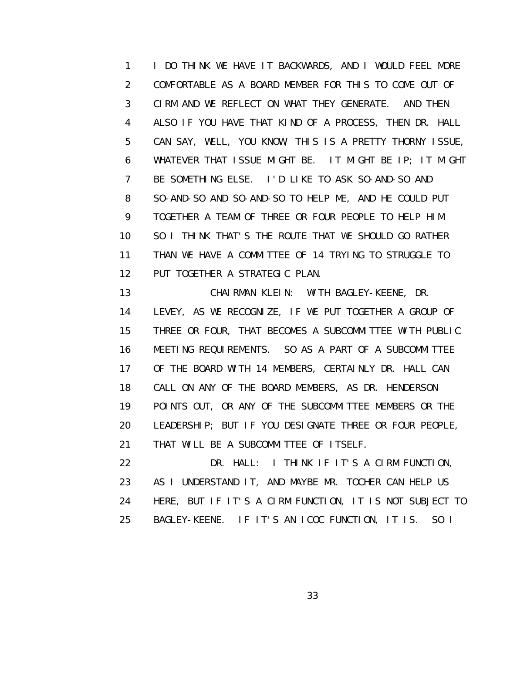1 I DO THINK WE HAVE IT BACKWARDS, AND I WOULD FEEL MORE 2 COMFORTABLE AS A BOARD MEMBER FOR THIS TO COME OUT OF 3 CIRM AND WE REFLECT ON WHAT THEY GENERATE. AND THEN 4 ALSO IF YOU HAVE THAT KIND OF A PROCESS, THEN DR. HALL 5 CAN SAY, WELL, YOU KNOW, THIS IS A PRETTY THORNY ISSUE, 6 WHATEVER THAT ISSUE MIGHT BE. IT MIGHT BE IP; IT MIGHT 7 BE SOMETHING ELSE. I'D LIKE TO ASK SO-AND-SO AND 8 SO-AND-SO AND SO-AND-SO TO HELP ME, AND HE COULD PUT 9 TOGETHER A TEAM OF THREE OR FOUR PEOPLE TO HELP HIM. 10 SO I THINK THAT'S THE ROUTE THAT WE SHOULD GO RATHER 11 THAN WE HAVE A COMMITTEE OF 14 TRYING TO STRUGGLE TO 12 PUT TOGETHER A STRATEGIC PLAN.

 13 CHAIRMAN KLEIN: WITH BAGLEY-KEENE, DR. 14 LEVEY, AS WE RECOGNIZE, IF WE PUT TOGETHER A GROUP OF 15 THREE OR FOUR, THAT BECOMES A SUBCOMMITTEE WITH PUBLIC 16 MEETING REQUIREMENTS. SO AS A PART OF A SUBCOMMITTEE 17 OF THE BOARD WITH 14 MEMBERS, CERTAINLY DR. HALL CAN 18 CALL ON ANY OF THE BOARD MEMBERS, AS DR. HENDERSON 19 POINTS OUT, OR ANY OF THE SUBCOMMITTEE MEMBERS OR THE 20 LEADERSHIP; BUT IF YOU DESIGNATE THREE OR FOUR PEOPLE, 21 THAT WILL BE A SUBCOMMITTEE OF ITSELF.

 22 DR. HALL: I THINK IF IT'S A CIRM FUNCTION, 23 AS I UNDERSTAND IT, AND MAYBE MR. TOCHER CAN HELP US 24 HERE, BUT IF IT'S A CIRM FUNCTION, IT IS NOT SUBJECT TO 25 BAGLEY-KEENE. IF IT'S AN ICOC FUNCTION, IT IS. SO I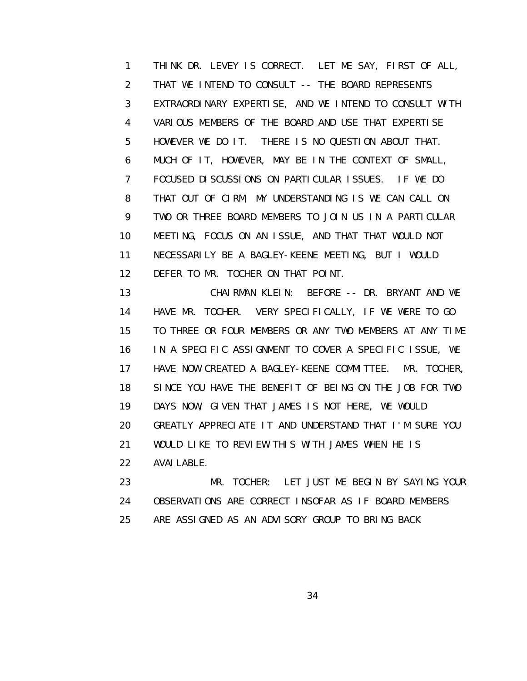1 THINK DR. LEVEY IS CORRECT. LET ME SAY, FIRST OF ALL, 2 THAT WE INTEND TO CONSULT -- THE BOARD REPRESENTS 3 EXTRAORDINARY EXPERTISE, AND WE INTEND TO CONSULT WITH 4 VARIOUS MEMBERS OF THE BOARD AND USE THAT EXPERTISE 5 HOWEVER WE DO IT. THERE IS NO QUESTION ABOUT THAT. 6 MUCH OF IT, HOWEVER, MAY BE IN THE CONTEXT OF SMALL, 7 FOCUSED DISCUSSIONS ON PARTICULAR ISSUES. IF WE DO 8 THAT OUT OF CIRM, MY UNDERSTANDING IS WE CAN CALL ON 9 TWO OR THREE BOARD MEMBERS TO JOIN US IN A PARTICULAR 10 MEETING, FOCUS ON AN ISSUE, AND THAT THAT WOULD NOT 11 NECESSARILY BE A BAGLEY-KEENE MEETING, BUT I WOULD 12 DEFER TO MR. TOCHER ON THAT POINT.

 13 CHAIRMAN KLEIN: BEFORE -- DR. BRYANT AND WE 14 HAVE MR. TOCHER. VERY SPECIFICALLY, IF WE WERE TO GO 15 TO THREE OR FOUR MEMBERS OR ANY TWO MEMBERS AT ANY TIME 16 IN A SPECIFIC ASSIGNMENT TO COVER A SPECIFIC ISSUE, WE 17 HAVE NOW CREATED A BAGLEY-KEENE COMMITTEE. MR. TOCHER, 18 SINCE YOU HAVE THE BENEFIT OF BEING ON THE JOB FOR TWO 19 DAYS NOW, GIVEN THAT JAMES IS NOT HERE, WE WOULD 20 GREATLY APPRECIATE IT AND UNDERSTAND THAT I'M SURE YOU 21 WOULD LIKE TO REVIEW THIS WITH JAMES WHEN HE IS 22 AVAILABLE.

 23 MR. TOCHER: LET JUST ME BEGIN BY SAYING YOUR 24 OBSERVATIONS ARE CORRECT INSOFAR AS IF BOARD MEMBERS 25 ARE ASSIGNED AS AN ADVISORY GROUP TO BRING BACK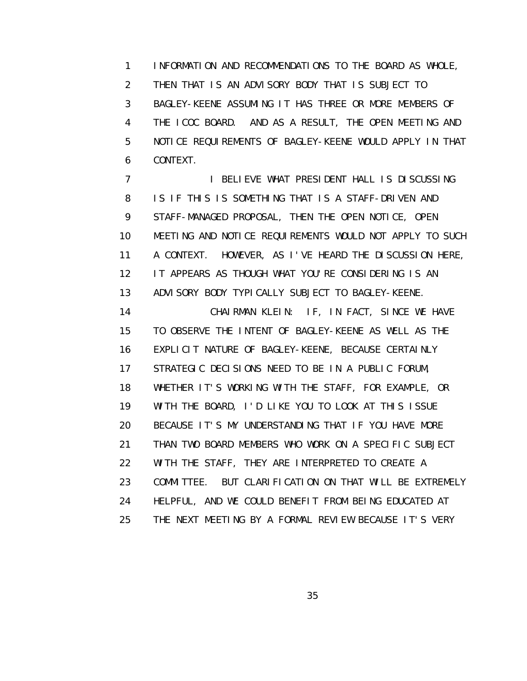1 INFORMATION AND RECOMMENDATIONS TO THE BOARD AS WHOLE, 2 THEN THAT IS AN ADVISORY BODY THAT IS SUBJECT TO 3 BAGLEY-KEENE ASSUMING IT HAS THREE OR MORE MEMBERS OF 4 THE ICOC BOARD. AND AS A RESULT, THE OPEN MEETING AND 5 NOTICE REQUIREMENTS OF BAGLEY-KEENE WOULD APPLY IN THAT 6 CONTEXT.

7 **I BELIEVE WHAT PRESIDENT HALL IS DISCUSSING**  8 IS IF THIS IS SOMETHING THAT IS A STAFF-DRIVEN AND 9 STAFF-MANAGED PROPOSAL, THEN THE OPEN NOTICE, OPEN 10 MEETING AND NOTICE REQUIREMENTS WOULD NOT APPLY TO SUCH 11 A CONTEXT. HOWEVER, AS I'VE HEARD THE DISCUSSION HERE, 12 IT APPEARS AS THOUGH WHAT YOU'RE CONSIDERING IS AN 13 ADVISORY BODY TYPICALLY SUBJECT TO BAGLEY-KEENE. 14 CHAIRMAN KLEIN: IF, IN FACT, SINCE WE HAVE 15 TO OBSERVE THE INTENT OF BAGLEY-KEENE AS WELL AS THE 16 EXPLICIT NATURE OF BAGLEY-KEENE, BECAUSE CERTAINLY 17 STRATEGIC DECISIONS NEED TO BE IN A PUBLIC FORUM, 18 WHETHER IT'S WORKING WITH THE STAFF, FOR EXAMPLE, OR 19 WITH THE BOARD, I'D LIKE YOU TO LOOK AT THIS ISSUE 20 BECAUSE IT'S MY UNDERSTANDING THAT IF YOU HAVE MORE 21 THAN TWO BOARD MEMBERS WHO WORK ON A SPECIFIC SUBJECT 22 WITH THE STAFF, THEY ARE INTERPRETED TO CREATE A 23 COMMITTEE. BUT CLARIFICATION ON THAT WILL BE EXTREMELY 24 HELPFUL, AND WE COULD BENEFIT FROM BEING EDUCATED AT 25 THE NEXT MEETING BY A FORMAL REVIEW BECAUSE IT'S VERY

<u>35 and 2012 and 2013 and 2014 and 2014 and 2014 and 2014 and 2014 and 2014 and 2014 and 2014 and 2014 and 201</u>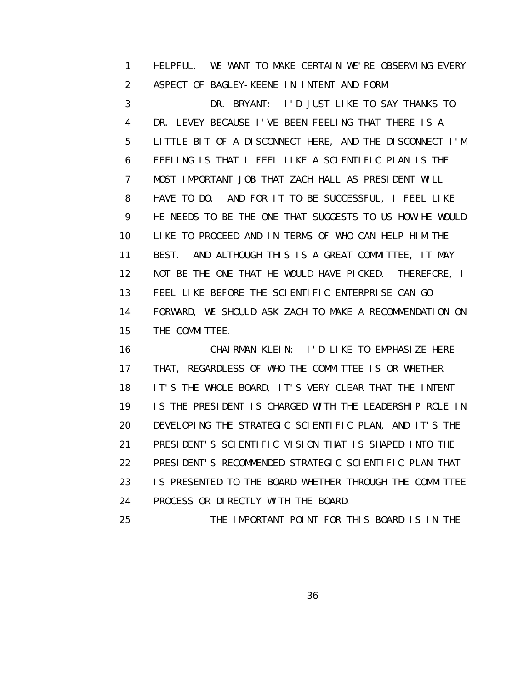1 HELPFUL. WE WANT TO MAKE CERTAIN WE'RE OBSERVING EVERY 2 ASPECT OF BAGLEY-KEENE IN INTENT AND FORM.

 3 DR. BRYANT: I'D JUST LIKE TO SAY THANKS TO 4 DR. LEVEY BECAUSE I'VE BEEN FEELING THAT THERE IS A 5 LITTLE BIT OF A DISCONNECT HERE, AND THE DISCONNECT I'M 6 FEELING IS THAT I FEEL LIKE A SCIENTIFIC PLAN IS THE 7 MOST IMPORTANT JOB THAT ZACH HALL AS PRESIDENT WILL 8 HAVE TO DO. AND FOR IT TO BE SUCCESSFUL, I FEEL LIKE 9 HE NEEDS TO BE THE ONE THAT SUGGESTS TO US HOW HE WOULD 10 LIKE TO PROCEED AND IN TERMS OF WHO CAN HELP HIM THE 11 BEST. AND ALTHOUGH THIS IS A GREAT COMMITTEE, IT MAY 12 NOT BE THE ONE THAT HE WOULD HAVE PICKED. THEREFORE, I 13 FEEL LIKE BEFORE THE SCIENTIFIC ENTERPRISE CAN GO 14 FORWARD, WE SHOULD ASK ZACH TO MAKE A RECOMMENDATION ON 15 THE COMMITTEE.

 16 CHAIRMAN KLEIN: I'D LIKE TO EMPHASIZE HERE 17 THAT, REGARDLESS OF WHO THE COMMITTEE IS OR WHETHER 18 IT'S THE WHOLE BOARD, IT'S VERY CLEAR THAT THE INTENT 19 IS THE PRESIDENT IS CHARGED WITH THE LEADERSHIP ROLE IN 20 DEVELOPING THE STRATEGIC SCIENTIFIC PLAN, AND IT'S THE 21 PRESIDENT'S SCIENTIFIC VISION THAT IS SHAPED INTO THE 22 PRESIDENT'S RECOMMENDED STRATEGIC SCIENTIFIC PLAN THAT 23 IS PRESENTED TO THE BOARD WHETHER THROUGH THE COMMITTEE 24 PROCESS OR DIRECTLY WITH THE BOARD.

25 THE IMPORTANT POINT FOR THIS BOARD IS IN THE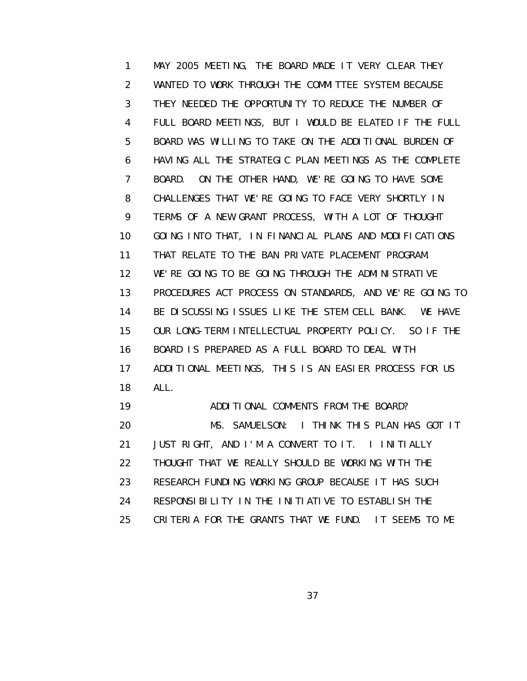1 MAY 2005 MEETING, THE BOARD MADE IT VERY CLEAR THEY 2 WANTED TO WORK THROUGH THE COMMITTEE SYSTEM BECAUSE 3 THEY NEEDED THE OPPORTUNITY TO REDUCE THE NUMBER OF 4 FULL BOARD MEETINGS, BUT I WOULD BE ELATED IF THE FULL 5 BOARD WAS WILLING TO TAKE ON THE ADDITIONAL BURDEN OF 6 HAVING ALL THE STRATEGIC PLAN MEETINGS AS THE COMPLETE 7 BOARD. ON THE OTHER HAND, WE'RE GOING TO HAVE SOME 8 CHALLENGES THAT WE'RE GOING TO FACE VERY SHORTLY IN 9 TERMS OF A NEW GRANT PROCESS, WITH A LOT OF THOUGHT 10 GOING INTO THAT, IN FINANCIAL PLANS AND MODIFICATIONS 11 THAT RELATE TO THE BAN PRIVATE PLACEMENT PROGRAM. 12 WE'RE GOING TO BE GOING THROUGH THE ADMINISTRATIVE 13 PROCEDURES ACT PROCESS ON STANDARDS, AND WE'RE GOING TO 14 BE DISCUSSING ISSUES LIKE THE STEM CELL BANK. WE HAVE 15 OUR LONG-TERM INTELLECTUAL PROPERTY POLICY. SO IF THE 16 BOARD IS PREPARED AS A FULL BOARD TO DEAL WITH 17 ADDITIONAL MEETINGS, THIS IS AN EASIER PROCESS FOR US 18 ALL. 19 ADDITIONAL COMMENTS FROM THE BOARD? 20 MS. SAMUELSON: I THINK THIS PLAN HAS GOT IT 21 JUST RIGHT, AND I'M A CONVERT TO IT. I INITIALLY

- 22 THOUGHT THAT WE REALLY SHOULD BE WORKING WITH THE
- 23 RESEARCH FUNDING WORKING GROUP BECAUSE IT HAS SUCH
- 24 RESPONSIBILITY IN THE INITIATIVE TO ESTABLISH THE
- 25 CRITERIA FOR THE GRANTS THAT WE FUND. IT SEEMS TO ME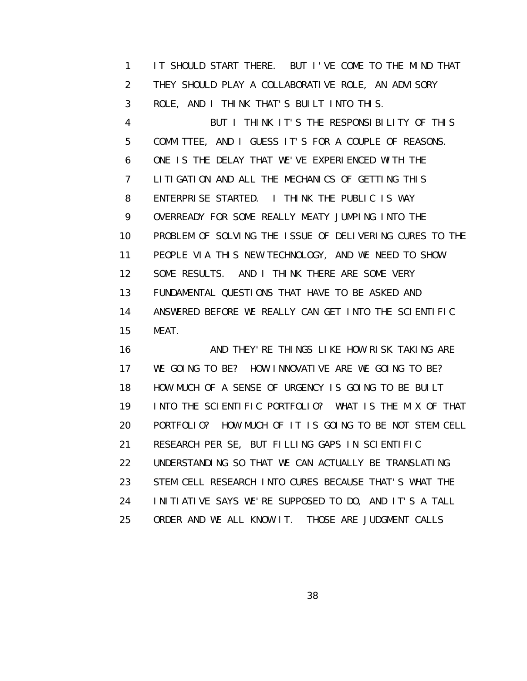1 IT SHOULD START THERE. BUT I'VE COME TO THE MIND THAT 2 THEY SHOULD PLAY A COLLABORATIVE ROLE, AN ADVISORY 3 ROLE, AND I THINK THAT'S BUILT INTO THIS. 4 BUT I THINK IT'S THE RESPONSIBILITY OF THIS 5 COMMITTEE, AND I GUESS IT'S FOR A COUPLE OF REASONS. 6 ONE IS THE DELAY THAT WE'VE EXPERIENCED WITH THE 7 LITIGATION AND ALL THE MECHANICS OF GETTING THIS 8 ENTERPRISE STARTED. I THINK THE PUBLIC IS WAY 9 OVERREADY FOR SOME REALLY MEATY JUMPING INTO THE 10 PROBLEM OF SOLVING THE ISSUE OF DELIVERING CURES TO THE 11 PEOPLE VIA THIS NEW TECHNOLOGY, AND WE NEED TO SHOW 12 SOME RESULTS. AND I THINK THERE ARE SOME VERY 13 FUNDAMENTAL QUESTIONS THAT HAVE TO BE ASKED AND 14 ANSWERED BEFORE WE REALLY CAN GET INTO THE SCIENTIFIC 15 MEAT.

16 AND THEY'RE THINGS LIKE HOW RISK TAKING ARE 17 WE GOING TO BE? HOW INNOVATIVE ARE WE GOING TO BE? 18 HOW MUCH OF A SENSE OF URGENCY IS GOING TO BE BUILT 19 INTO THE SCIENTIFIC PORTFOLIO? WHAT IS THE MIX OF THAT 20 PORTFOLIO? HOW MUCH OF IT IS GOING TO BE NOT STEM CELL 21 RESEARCH PER SE, BUT FILLING GAPS IN SCIENTIFIC 22 UNDERSTANDING SO THAT WE CAN ACTUALLY BE TRANSLATING 23 STEM CELL RESEARCH INTO CURES BECAUSE THAT'S WHAT THE 24 INITIATIVE SAYS WE'RE SUPPOSED TO DO, AND IT'S A TALL 25 ORDER AND WE ALL KNOW IT. THOSE ARE JUDGMENT CALLS

<u>38 and 2012 and 2013 and 2014 and 2014 and 2014 and 2014 and 2014 and 2014 and 2014 and 2014 and 2014 and 201</u>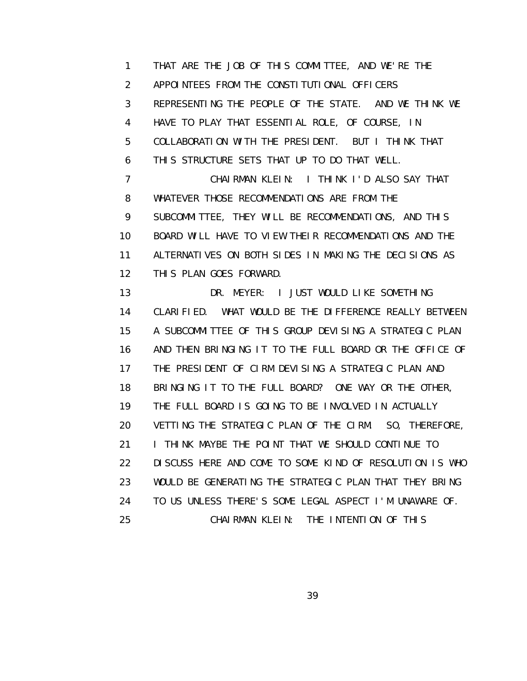1 THAT ARE THE JOB OF THIS COMMITTEE, AND WE'RE THE 2 APPOINTEES FROM THE CONSTITUTIONAL OFFICERS 3 REPRESENTING THE PEOPLE OF THE STATE. AND WE THINK WE 4 HAVE TO PLAY THAT ESSENTIAL ROLE, OF COURSE, IN 5 COLLABORATION WITH THE PRESIDENT. BUT I THINK THAT 6 THIS STRUCTURE SETS THAT UP TO DO THAT WELL. 7 CHAIRMAN KLEIN: I THINK I'D ALSO SAY THAT 8 WHATEVER THOSE RECOMMENDATIONS ARE FROM THE 9 SUBCOMMITTEE, THEY WILL BE RECOMMENDATIONS, AND THIS 10 BOARD WILL HAVE TO VIEW THEIR RECOMMENDATIONS AND THE 11 ALTERNATIVES ON BOTH SIDES IN MAKING THE DECISIONS AS 12 THIS PLAN GOES FORWARD. 13 DR. MEYER: I JUST WOULD LIKE SOMETHING 14 CLARIFIED. WHAT WOULD BE THE DIFFERENCE REALLY BETWEEN 15 A SUBCOMMITTEE OF THIS GROUP DEVISING A STRATEGIC PLAN 16 AND THEN BRINGING IT TO THE FULL BOARD OR THE OFFICE OF 17 THE PRESIDENT OF CIRM DEVISING A STRATEGIC PLAN AND 18 BRINGING IT TO THE FULL BOARD? ONE WAY OR THE OTHER, 19 THE FULL BOARD IS GOING TO BE INVOLVED IN ACTUALLY 20 VETTING THE STRATEGIC PLAN OF THE CIRM. SO, THEREFORE, 21 **I THINK MAYBE THE POINT THAT WE SHOULD CONTINUE TO**  22 DISCUSS HERE AND COME TO SOME KIND OF RESOLUTION IS WHO 23 WOULD BE GENERATING THE STRATEGIC PLAN THAT THEY BRING

24 TO US UNLESS THERE'S SOME LEGAL ASPECT I'M UNAWARE OF.

25 CHAIRMAN KLEIN: THE INTENTION OF THIS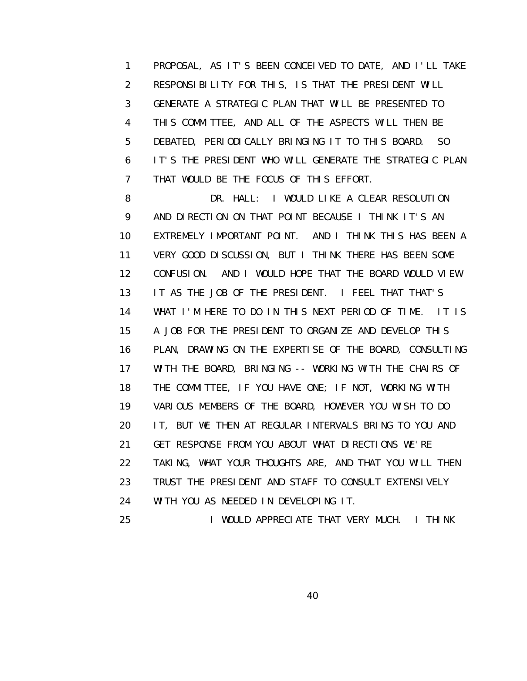1 PROPOSAL, AS IT'S BEEN CONCEIVED TO DATE, AND I'LL TAKE 2 RESPONSIBILITY FOR THIS, IS THAT THE PRESIDENT WILL 3 GENERATE A STRATEGIC PLAN THAT WILL BE PRESENTED TO 4 THIS COMMITTEE, AND ALL OF THE ASPECTS WILL THEN BE 5 DEBATED, PERIODICALLY BRINGING IT TO THIS BOARD. SO 6 IT'S THE PRESIDENT WHO WILL GENERATE THE STRATEGIC PLAN 7 THAT WOULD BE THE FOCUS OF THIS EFFORT.

8 DR. HALL: I WOULD LIKE A CLEAR RESOLUTION 9 AND DIRECTION ON THAT POINT BECAUSE I THINK IT'S AN 10 EXTREMELY IMPORTANT POINT. AND I THINK THIS HAS BEEN A 11 VERY GOOD DISCUSSION, BUT I THINK THERE HAS BEEN SOME 12 CONFUSION. AND I WOULD HOPE THAT THE BOARD WOULD VIEW 13 IT AS THE JOB OF THE PRESIDENT. I FEEL THAT THAT'S 14 WHAT I'M HERE TO DO IN THIS NEXT PERIOD OF TIME. IT IS 15 A JOB FOR THE PRESIDENT TO ORGANIZE AND DEVELOP THIS 16 PLAN, DRAWING ON THE EXPERTISE OF THE BOARD, CONSULTING 17 WITH THE BOARD, BRINGING -- WORKING WITH THE CHAIRS OF 18 THE COMMITTEE, IF YOU HAVE ONE; IF NOT, WORKING WITH 19 VARIOUS MEMBERS OF THE BOARD, HOWEVER YOU WISH TO DO 20 IT, BUT WE THEN AT REGULAR INTERVALS BRING TO YOU AND 21 GET RESPONSE FROM YOU ABOUT WHAT DIRECTIONS WE'RE 22 TAKING, WHAT YOUR THOUGHTS ARE, AND THAT YOU WILL THEN 23 TRUST THE PRESIDENT AND STAFF TO CONSULT EXTENSIVELY 24 WITH YOU AS NEEDED IN DEVELOPING IT.

25 I WOULD APPRECIATE THAT VERY MUCH. I THINK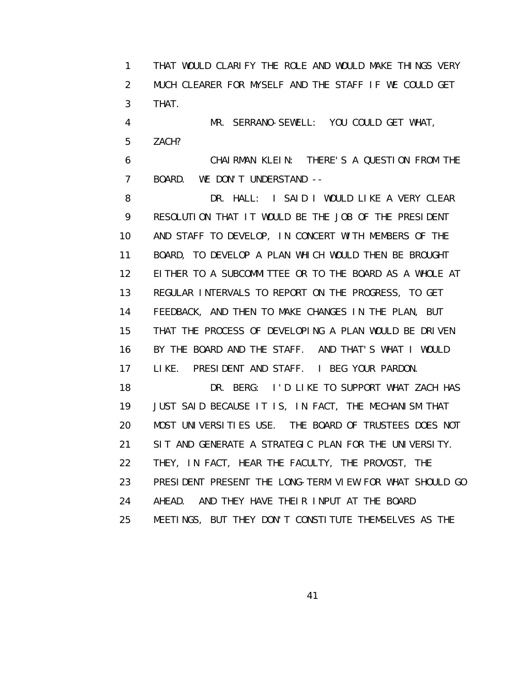1 THAT WOULD CLARIFY THE ROLE AND WOULD MAKE THINGS VERY 2 MUCH CLEARER FOR MYSELF AND THE STAFF IF WE COULD GET 3 THAT.

 4 MR. SERRANO-SEWELL: YOU COULD GET WHAT, 5 ZACH?

 6 CHAIRMAN KLEIN: THERE'S A QUESTION FROM THE 7 BOARD. WE DON'T UNDERSTAND --

8 DR. HALL: I SAID I WOULD LIKE A VERY CLEAR 9 RESOLUTION THAT IT WOULD BE THE JOB OF THE PRESIDENT 10 AND STAFF TO DEVELOP, IN CONCERT WITH MEMBERS OF THE 11 BOARD, TO DEVELOP A PLAN WHICH WOULD THEN BE BROUGHT 12 EITHER TO A SUBCOMMITTEE OR TO THE BOARD AS A WHOLE AT 13 REGULAR INTERVALS TO REPORT ON THE PROGRESS, TO GET 14 FEEDBACK, AND THEN TO MAKE CHANGES IN THE PLAN, BUT 15 THAT THE PROCESS OF DEVELOPING A PLAN WOULD BE DRIVEN 16 BY THE BOARD AND THE STAFF. AND THAT'S WHAT I WOULD 17 LIKE. PRESIDENT AND STAFF. I BEG YOUR PARDON. 18 DR. BERG: I'D LIKE TO SUPPORT WHAT ZACH HAS 19 JUST SAID BECAUSE IT IS, IN FACT, THE MECHANISM THAT 20 MOST UNIVERSITIES USE. THE BOARD OF TRUSTEES DOES NOT 21 SIT AND GENERATE A STRATEGIC PLAN FOR THE UNIVERSITY. 22 THEY, IN FACT, HEAR THE FACULTY, THE PROVOST, THE 23 PRESIDENT PRESENT THE LONG-TERM VIEW FOR WHAT SHOULD GO

24 AHEAD. AND THEY HAVE THEIR INPUT AT THE BOARD

25 MEETINGS, BUT THEY DON'T CONSTITUTE THEMSELVES AS THE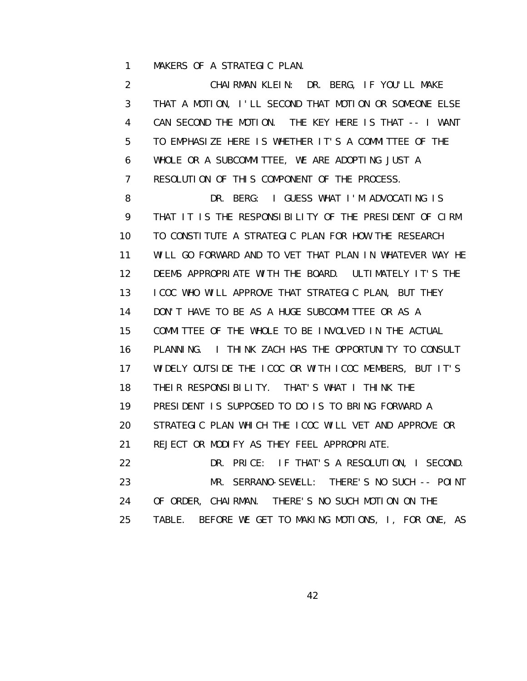1 MAKERS OF A STRATEGIC PLAN.

 2 CHAIRMAN KLEIN: DR. BERG, IF YOU'LL MAKE 3 THAT A MOTION, I'LL SECOND THAT MOTION OR SOMEONE ELSE 4 CAN SECOND THE MOTION. THE KEY HERE IS THAT -- I WANT 5 TO EMPHASIZE HERE IS WHETHER IT'S A COMMITTEE OF THE 6 WHOLE OR A SUBCOMMITTEE, WE ARE ADOPTING JUST A 7 RESOLUTION OF THIS COMPONENT OF THE PROCESS. 8 DR. BERG: I GUESS WHAT I'M ADVOCATING IS 9 THAT IT IS THE RESPONSIBILITY OF THE PRESIDENT OF CIRM 10 TO CONSTITUTE A STRATEGIC PLAN FOR HOW THE RESEARCH 11 WILL GO FORWARD AND TO VET THAT PLAN IN WHATEVER WAY HE 12 DEEMS APPROPRIATE WITH THE BOARD. ULTIMATELY IT'S THE 13 ICOC WHO WILL APPROVE THAT STRATEGIC PLAN, BUT THEY 14 DON'T HAVE TO BE AS A HUGE SUBCOMMITTEE OR AS A 15 COMMITTEE OF THE WHOLE TO BE INVOLVED IN THE ACTUAL 16 PLANNING. I THINK ZACH HAS THE OPPORTUNITY TO CONSULT 17 WIDELY OUTSIDE THE ICOC OR WITH ICOC MEMBERS, BUT IT'S 18 THEIR RESPONSIBILITY. THAT'S WHAT I THINK THE 19 PRESIDENT IS SUPPOSED TO DO IS TO BRING FORWARD A 20 STRATEGIC PLAN WHICH THE ICOC WILL VET AND APPROVE OR 21 REJECT OR MODIFY AS THEY FEEL APPROPRIATE. 22 DR. PRICE: IF THAT'S A RESOLUTION, I SECOND. 23 MR. SERRANO-SEWELL: THERE'S NO SUCH -- POINT 24 OF ORDER, CHAIRMAN. THERE'S NO SUCH MOTION ON THE 25 TABLE. BEFORE WE GET TO MAKING MOTIONS, I, FOR ONE, AS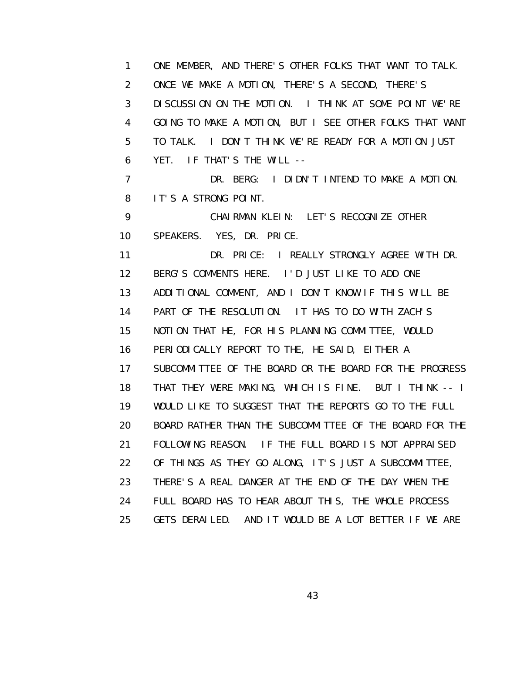1 ONE MEMBER, AND THERE'S OTHER FOLKS THAT WANT TO TALK. 2 ONCE WE MAKE A MOTION, THERE'S A SECOND, THERE'S 3 DISCUSSION ON THE MOTION. I THINK AT SOME POINT WE'RE 4 GOING TO MAKE A MOTION, BUT I SEE OTHER FOLKS THAT WANT 5 TO TALK. I DON'T THINK WE'RE READY FOR A MOTION JUST 6 YET. IF THAT'S THE WILL -- 7 DR. BERG: I DIDN'T INTEND TO MAKE A MOTION. 8 IT'S A STRONG POINT. 9 CHAIRMAN KLEIN: LET'S RECOGNIZE OTHER 10 SPEAKERS. YES, DR. PRICE. 11 DR. PRICE: I REALLY STRONGLY AGREE WITH DR. 12 BERG'S COMMENTS HERE. I'D JUST LIKE TO ADD ONE 13 ADDITIONAL COMMENT, AND I DON'T KNOW IF THIS WILL BE 14 PART OF THE RESOLUTION. IT HAS TO DO WITH ZACH'S 15 NOTION THAT HE, FOR HIS PLANNING COMMITTEE, WOULD 16 PERIODICALLY REPORT TO THE, HE SAID, EITHER A 17 SUBCOMMITTEE OF THE BOARD OR THE BOARD FOR THE PROGRESS 18 THAT THEY WERE MAKING, WHICH IS FINE. BUT I THINK -- I 19 WOULD LIKE TO SUGGEST THAT THE REPORTS GO TO THE FULL 20 BOARD RATHER THAN THE SUBCOMMITTEE OF THE BOARD FOR THE 21 FOLLOWING REASON. IF THE FULL BOARD IS NOT APPRAISED 22 OF THINGS AS THEY GO ALONG, IT'S JUST A SUBCOMMITTEE, 23 THERE'S A REAL DANGER AT THE END OF THE DAY WHEN THE 24 FULL BOARD HAS TO HEAR ABOUT THIS, THE WHOLE PROCESS 25 GETS DERAILED. AND IT WOULD BE A LOT BETTER IF WE ARE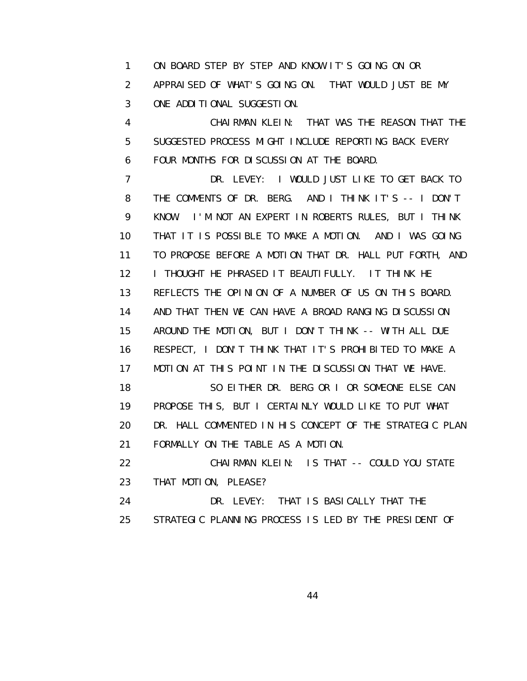1 ON BOARD STEP BY STEP AND KNOW IT'S GOING ON OR 2 APPRAISED OF WHAT'S GOING ON. THAT WOULD JUST BE MY 3 ONE ADDITIONAL SUGGESTION.

 4 CHAIRMAN KLEIN: THAT WAS THE REASON THAT THE 5 SUGGESTED PROCESS MIGHT INCLUDE REPORTING BACK EVERY 6 FOUR MONTHS FOR DISCUSSION AT THE BOARD.

 7 DR. LEVEY: I WOULD JUST LIKE TO GET BACK TO 8 THE COMMENTS OF DR. BERG. AND I THINK IT'S -- I DON'T 9 KNOW. I'M NOT AN EXPERT IN ROBERTS RULES, BUT I THINK 10 THAT IT IS POSSIBLE TO MAKE A MOTION. AND I WAS GOING 11 TO PROPOSE BEFORE A MOTION THAT DR. HALL PUT FORTH, AND 12 I THOUGHT HE PHRASED IT BEAUTIFULLY. IT THINK HE 13 REFLECTS THE OPINION OF A NUMBER OF US ON THIS BOARD. 14 AND THAT THEN WE CAN HAVE A BROAD RANGING DISCUSSION 15 AROUND THE MOTION, BUT I DON'T THINK -- WITH ALL DUE 16 RESPECT, I DON'T THINK THAT IT'S PROHIBITED TO MAKE A 17 MOTION AT THIS POINT IN THE DISCUSSION THAT WE HAVE. 18 SO EITHER DR. BERG OR I OR SOMEONE ELSE CAN

 19 PROPOSE THIS, BUT I CERTAINLY WOULD LIKE TO PUT WHAT 20 DR. HALL COMMENTED IN HIS CONCEPT OF THE STRATEGIC PLAN 21 FORMALLY ON THE TABLE AS A MOTION.

 22 CHAIRMAN KLEIN: IS THAT -- COULD YOU STATE 23 THAT MOTION, PLEASE?

 24 DR. LEVEY: THAT IS BASICALLY THAT THE 25 STRATEGIC PLANNING PROCESS IS LED BY THE PRESIDENT OF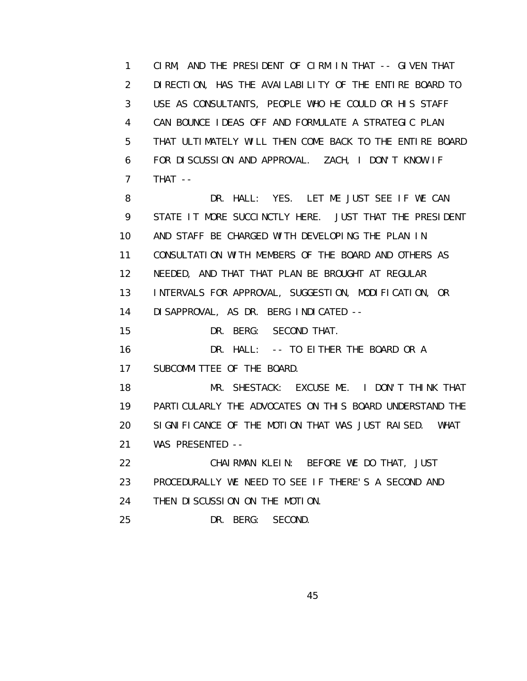1 CIRM, AND THE PRESIDENT OF CIRM IN THAT -- GIVEN THAT 2 DIRECTION, HAS THE AVAILABILITY OF THE ENTIRE BOARD TO 3 USE AS CONSULTANTS, PEOPLE WHO HE COULD OR HIS STAFF 4 CAN BOUNCE IDEAS OFF AND FORMULATE A STRATEGIC PLAN 5 THAT ULTIMATELY WILL THEN COME BACK TO THE ENTIRE BOARD 6 FOR DISCUSSION AND APPROVAL. ZACH, I DON'T KNOW IF 7 THAT --

8 DR. HALL: YES. LET ME JUST SEE IF WE CAN 9 STATE IT MORE SUCCINCTLY HERE. JUST THAT THE PRESIDENT 10 AND STAFF BE CHARGED WITH DEVELOPING THE PLAN IN 11 CONSULTATION WITH MEMBERS OF THE BOARD AND OTHERS AS 12 NEEDED, AND THAT THAT PLAN BE BROUGHT AT REGULAR 13 INTERVALS FOR APPROVAL, SUGGESTION, MODIFICATION, OR 14 DISAPPROVAL, AS DR. BERG INDICATED -- 15 DR. BERG: SECOND THAT. 16 **DR. HALL:** -- TO EITHER THE BOARD OR A 17 SUBCOMMITTEE OF THE BOARD. 18 MR. SHESTACK: EXCUSE ME. I DON'T THINK THAT 19 PARTICULARLY THE ADVOCATES ON THIS BOARD UNDERSTAND THE 20 SIGNIFICANCE OF THE MOTION THAT WAS JUST RAISED. WHAT 21 WAS PRESENTED -- 22 CHAIRMAN KLEIN: BEFORE WE DO THAT, JUST

 23 PROCEDURALLY WE NEED TO SEE IF THERE'S A SECOND AND 24 THEN DISCUSSION ON THE MOTION.

25 DR. BERG: SECOND.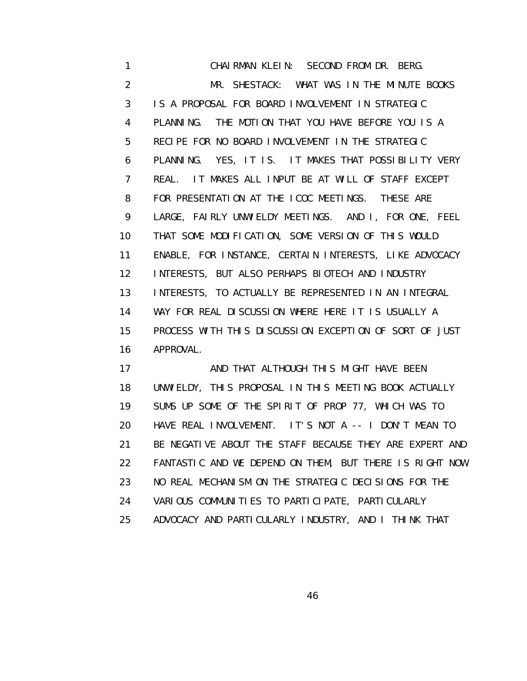1 CHAIRMAN KLEIN: SECOND FROM DR. BERG. 2 MR. SHESTACK: WHAT WAS IN THE MINUTE BOOKS 3 IS A PROPOSAL FOR BOARD INVOLVEMENT IN STRATEGIC 4 PLANNING. THE MOTION THAT YOU HAVE BEFORE YOU IS A 5 RECIPE FOR NO BOARD INVOLVEMENT IN THE STRATEGIC 6 PLANNING. YES, IT IS. IT MAKES THAT POSSIBILITY VERY 7 REAL. IT MAKES ALL INPUT BE AT WILL OF STAFF EXCEPT 8 FOR PRESENTATION AT THE ICOC MEETINGS. THESE ARE 9 LARGE, FAIRLY UNWIELDY MEETINGS. AND I, FOR ONE, FEEL 10 THAT SOME MODIFICATION, SOME VERSION OF THIS WOULD 11 ENABLE, FOR INSTANCE, CERTAIN INTERESTS, LIKE ADVOCACY 12 INTERESTS, BUT ALSO PERHAPS BIOTECH AND INDUSTRY 13 INTERESTS, TO ACTUALLY BE REPRESENTED IN AN INTEGRAL 14 WAY FOR REAL DISCUSSION WHERE HERE IT IS USUALLY A 15 PROCESS WITH THIS DISCUSSION EXCEPTION OF SORT OF JUST 16 APPROVAL.

17 AND THAT ALTHOUGH THIS MIGHT HAVE BEEN 18 UNWIELDY, THIS PROPOSAL IN THIS MEETING BOOK ACTUALLY 19 SUMS UP SOME OF THE SPIRIT OF PROP 77, WHICH WAS TO 20 HAVE REAL INVOLVEMENT. IT'S NOT A -- I DON'T MEAN TO 21 BE NEGATIVE ABOUT THE STAFF BECAUSE THEY ARE EXPERT AND 22 FANTASTIC AND WE DEPEND ON THEM, BUT THERE IS RIGHT NOW 23 NO REAL MECHANISM ON THE STRATEGIC DECISIONS FOR THE 24 VARIOUS COMMUNITIES TO PARTICIPATE, PARTICULARLY 25 ADVOCACY AND PARTICULARLY INDUSTRY, AND I THINK THAT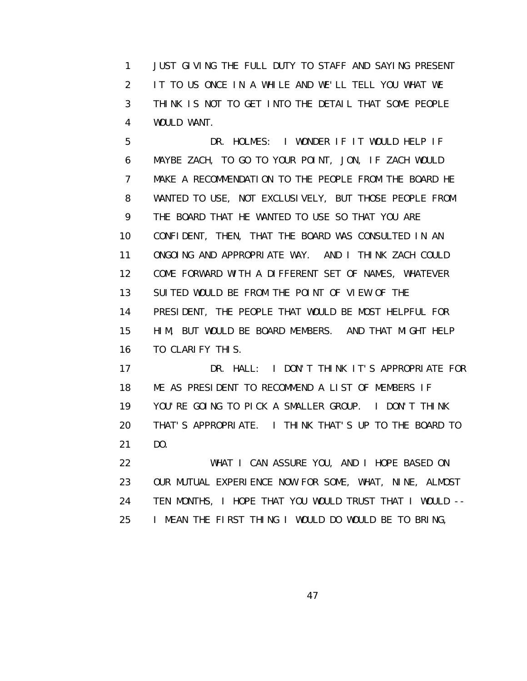1 JUST GIVING THE FULL DUTY TO STAFF AND SAYING PRESENT 2 IT TO US ONCE IN A WHILE AND WE'LL TELL YOU WHAT WE 3 THINK IS NOT TO GET INTO THE DETAIL THAT SOME PEOPLE 4 WOULD WANT.

 5 DR. HOLMES: I WONDER IF IT WOULD HELP IF 6 MAYBE ZACH, TO GO TO YOUR POINT, JON, IF ZACH WOULD 7 MAKE A RECOMMENDATION TO THE PEOPLE FROM THE BOARD HE 8 WANTED TO USE, NOT EXCLUSIVELY, BUT THOSE PEOPLE FROM 9 THE BOARD THAT HE WANTED TO USE SO THAT YOU ARE 10 CONFIDENT, THEN, THAT THE BOARD WAS CONSULTED IN AN 11 ONGOING AND APPROPRIATE WAY. AND I THINK ZACH COULD 12 COME FORWARD WITH A DIFFERENT SET OF NAMES, WHATEVER 13 SUITED WOULD BE FROM THE POINT OF VIEW OF THE 14 PRESIDENT, THE PEOPLE THAT WOULD BE MOST HELPFUL FOR 15 HIM, BUT WOULD BE BOARD MEMBERS. AND THAT MIGHT HELP 16 TO CLARIFY THIS.

 17 DR. HALL: I DON'T THINK IT'S APPROPRIATE FOR 18 ME AS PRESIDENT TO RECOMMEND A LIST OF MEMBERS IF 19 YOU'RE GOING TO PICK A SMALLER GROUP. I DON'T THINK 20 THAT'S APPROPRIATE. I THINK THAT'S UP TO THE BOARD TO 21 DO.

 22 WHAT I CAN ASSURE YOU, AND I HOPE BASED ON 23 OUR MUTUAL EXPERIENCE NOW FOR SOME, WHAT, NINE, ALMOST 24 TEN MONTHS, I HOPE THAT YOU WOULD TRUST THAT I WOULD -- 25 I MEAN THE FIRST THING I WOULD DO WOULD BE TO BRING,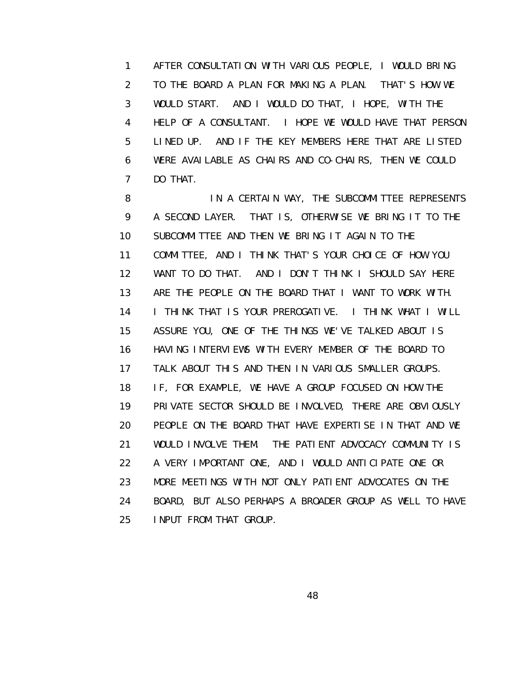1 AFTER CONSULTATION WITH VARIOUS PEOPLE, I WOULD BRING 2 TO THE BOARD A PLAN FOR MAKING A PLAN. THAT'S HOW WE 3 WOULD START. AND I WOULD DO THAT, I HOPE, WITH THE 4 HELP OF A CONSULTANT. I HOPE WE WOULD HAVE THAT PERSON 5 LINED UP. AND IF THE KEY MEMBERS HERE THAT ARE LISTED 6 WERE AVAILABLE AS CHAIRS AND CO-CHAIRS, THEN WE COULD 7 DO THAT.

8 IN A CERTAIN WAY, THE SUBCOMMITTEE REPRESENTS 9 A SECOND LAYER. THAT IS, OTHERWISE WE BRING IT TO THE 10 SUBCOMMITTEE AND THEN WE BRING IT AGAIN TO THE 11 COMMITTEE, AND I THINK THAT'S YOUR CHOICE OF HOW YOU 12 WANT TO DO THAT. AND I DON'T THINK I SHOULD SAY HERE 13 ARE THE PEOPLE ON THE BOARD THAT I WANT TO WORK WITH. 14 I THINK THAT IS YOUR PREROGATIVE. I THINK WHAT I WILL 15 ASSURE YOU, ONE OF THE THINGS WE'VE TALKED ABOUT IS 16 HAVING INTERVIEWS WITH EVERY MEMBER OF THE BOARD TO 17 TALK ABOUT THIS AND THEN IN VARIOUS SMALLER GROUPS. 18 IF, FOR EXAMPLE, WE HAVE A GROUP FOCUSED ON HOW THE 19 PRIVATE SECTOR SHOULD BE INVOLVED, THERE ARE OBVIOUSLY 20 PEOPLE ON THE BOARD THAT HAVE EXPERTISE IN THAT AND WE 21 WOULD INVOLVE THEM. THE PATIENT ADVOCACY COMMUNITY IS 22 A VERY IMPORTANT ONE, AND I WOULD ANTICIPATE ONE OR 23 MORE MEETINGS WITH NOT ONLY PATIENT ADVOCATES ON THE 24 BOARD, BUT ALSO PERHAPS A BROADER GROUP AS WELL TO HAVE 25 INPUT FROM THAT GROUP.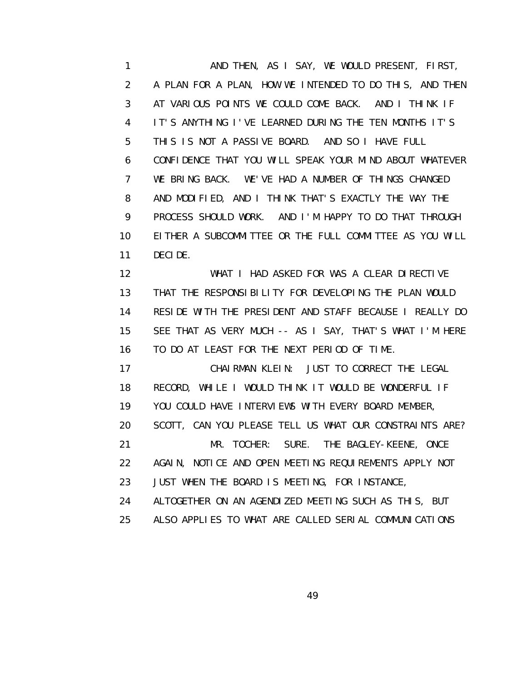1 AND THEN, AS I SAY, WE WOULD PRESENT, FIRST, 2 A PLAN FOR A PLAN, HOW WE INTENDED TO DO THIS, AND THEN 3 AT VARIOUS POINTS WE COULD COME BACK. AND I THINK IF 4 IT'S ANYTHING I'VE LEARNED DURING THE TEN MONTHS IT'S 5 THIS IS NOT A PASSIVE BOARD. AND SO I HAVE FULL 6 CONFIDENCE THAT YOU WILL SPEAK YOUR MIND ABOUT WHATEVER 7 WE BRING BACK. WE'VE HAD A NUMBER OF THINGS CHANGED 8 AND MODIFIED, AND I THINK THAT'S EXACTLY THE WAY THE 9 PROCESS SHOULD WORK. AND I'M HAPPY TO DO THAT THROUGH 10 EITHER A SUBCOMMITTEE OR THE FULL COMMITTEE AS YOU WILL 11 DECIDE.

 12 WHAT I HAD ASKED FOR WAS A CLEAR DIRECTIVE 13 THAT THE RESPONSIBILITY FOR DEVELOPING THE PLAN WOULD 14 RESIDE WITH THE PRESIDENT AND STAFF BECAUSE I REALLY DO 15 SEE THAT AS VERY MUCH -- AS I SAY, THAT'S WHAT I'M HERE 16 TO DO AT LEAST FOR THE NEXT PERIOD OF TIME.

 17 CHAIRMAN KLEIN: JUST TO CORRECT THE LEGAL 18 RECORD, WHILE I WOULD THINK IT WOULD BE WONDERFUL IF 19 YOU COULD HAVE INTERVIEWS WITH EVERY BOARD MEMBER, 20 SCOTT, CAN YOU PLEASE TELL US WHAT OUR CONSTRAINTS ARE? 21 MR. TOCHER: SURE. THE BAGLEY-KEENE, ONCE 22 AGAIN, NOTICE AND OPEN MEETING REQUIREMENTS APPLY NOT 23 JUST WHEN THE BOARD IS MEETING, FOR INSTANCE, 24 ALTOGETHER ON AN AGENDIZED MEETING SUCH AS THIS, BUT

25 ALSO APPLIES TO WHAT ARE CALLED SERIAL COMMUNICATIONS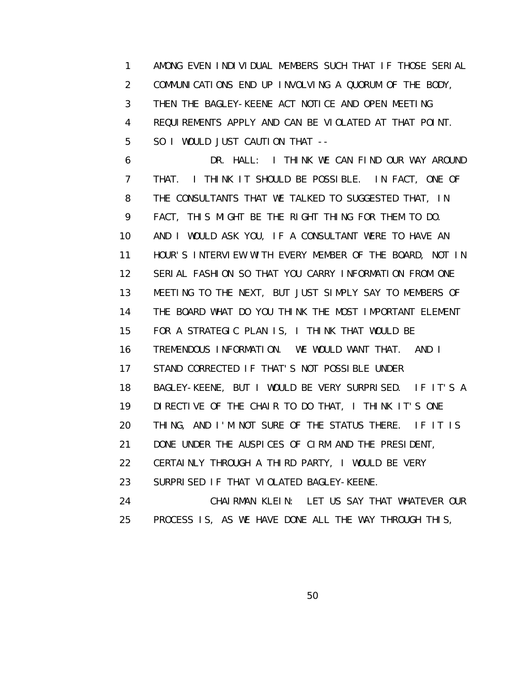1 AMONG EVEN INDIVIDUAL MEMBERS SUCH THAT IF THOSE SERIAL 2 COMMUNICATIONS END UP INVOLVING A QUORUM OF THE BODY, 3 THEN THE BAGLEY-KEENE ACT NOTICE AND OPEN MEETING 4 REQUIREMENTS APPLY AND CAN BE VIOLATED AT THAT POINT. 5 SO I WOULD JUST CAUTION THAT --

 6 DR. HALL: I THINK WE CAN FIND OUR WAY AROUND 7 THAT. I THINK IT SHOULD BE POSSIBLE. IN FACT, ONE OF 8 THE CONSULTANTS THAT WE TALKED TO SUGGESTED THAT, IN 9 FACT, THIS MIGHT BE THE RIGHT THING FOR THEM TO DO. 10 AND I WOULD ASK YOU, IF A CONSULTANT WERE TO HAVE AN 11 HOUR'S INTERVIEW WITH EVERY MEMBER OF THE BOARD, NOT IN 12 SERIAL FASHION SO THAT YOU CARRY INFORMATION FROM ONE 13 MEETING TO THE NEXT, BUT JUST SIMPLY SAY TO MEMBERS OF 14 THE BOARD WHAT DO YOU THINK THE MOST IMPORTANT ELEMENT 15 FOR A STRATEGIC PLAN IS, I THINK THAT WOULD BE 16 TREMENDOUS INFORMATION. WE WOULD WANT THAT. AND I 17 STAND CORRECTED IF THAT'S NOT POSSIBLE UNDER 18 BAGLEY-KEENE, BUT I WOULD BE VERY SURPRISED. IF IT'S A 19 DIRECTIVE OF THE CHAIR TO DO THAT, I THINK IT'S ONE 20 THING, AND I'M NOT SURE OF THE STATUS THERE. IF IT IS 21 DONE UNDER THE AUSPICES OF CIRM AND THE PRESIDENT, 22 CERTAINLY THROUGH A THIRD PARTY, I WOULD BE VERY 23 SURPRISED IF THAT VIOLATED BAGLEY-KEENE. 24 CHAIRMAN KLEIN: LET US SAY THAT WHATEVER OUR 25 PROCESS IS, AS WE HAVE DONE ALL THE WAY THROUGH THIS,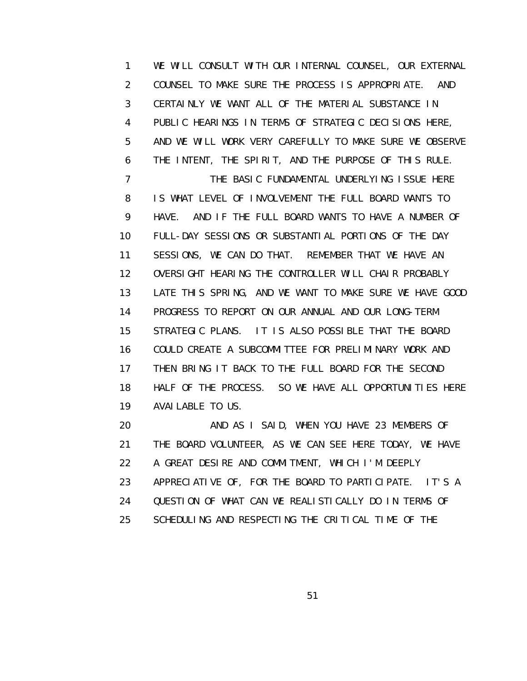1 WE WILL CONSULT WITH OUR INTERNAL COUNSEL, OUR EXTERNAL 2 COUNSEL TO MAKE SURE THE PROCESS IS APPROPRIATE. AND 3 CERTAINLY WE WANT ALL OF THE MATERIAL SUBSTANCE IN 4 PUBLIC HEARINGS IN TERMS OF STRATEGIC DECISIONS HERE, 5 AND WE WILL WORK VERY CAREFULLY TO MAKE SURE WE OBSERVE 6 THE INTENT, THE SPIRIT, AND THE PURPOSE OF THIS RULE. 7 THE BASIC FUNDAMENTAL UNDERLYING ISSUE HERE 8 IS WHAT LEVEL OF INVOLVEMENT THE FULL BOARD WANTS TO 9 HAVE. AND IF THE FULL BOARD WANTS TO HAVE A NUMBER OF 10 FULL-DAY SESSIONS OR SUBSTANTIAL PORTIONS OF THE DAY 11 SESSIONS, WE CAN DO THAT. REMEMBER THAT WE HAVE AN 12 OVERSIGHT HEARING THE CONTROLLER WILL CHAIR PROBABLY 13 LATE THIS SPRING, AND WE WANT TO MAKE SURE WE HAVE GOOD 14 PROGRESS TO REPORT ON OUR ANNUAL AND OUR LONG-TERM 15 STRATEGIC PLANS. IT IS ALSO POSSIBLE THAT THE BOARD 16 COULD CREATE A SUBCOMMITTEE FOR PRELIMINARY WORK AND 17 THEN BRING IT BACK TO THE FULL BOARD FOR THE SECOND 18 HALF OF THE PROCESS. SO WE HAVE ALL OPPORTUNITIES HERE 19 AVAILABLE TO US.

 20 AND AS I SAID, WHEN YOU HAVE 23 MEMBERS OF 21 THE BOARD VOLUNTEER, AS WE CAN SEE HERE TODAY, WE HAVE 22 A GREAT DESIRE AND COMMITMENT, WHICH I'M DEEPLY 23 APPRECIATIVE OF, FOR THE BOARD TO PARTICIPATE. IT'S A 24 QUESTION OF WHAT CAN WE REALISTICALLY DO IN TERMS OF 25 SCHEDULING AND RESPECTING THE CRITICAL TIME OF THE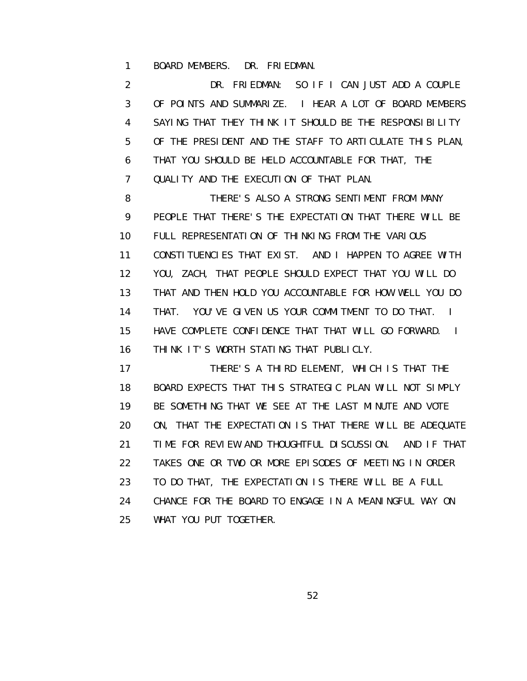1 BOARD MEMBERS. DR. FRIEDMAN.

 2 DR. FRIEDMAN: SO IF I CAN JUST ADD A COUPLE 3 OF POINTS AND SUMMARIZE. I HEAR A LOT OF BOARD MEMBERS 4 SAYING THAT THEY THINK IT SHOULD BE THE RESPONSIBILITY 5 OF THE PRESIDENT AND THE STAFF TO ARTICULATE THIS PLAN, 6 THAT YOU SHOULD BE HELD ACCOUNTABLE FOR THAT, THE 7 QUALITY AND THE EXECUTION OF THAT PLAN.

 8 THERE'S ALSO A STRONG SENTIMENT FROM MANY 9 PEOPLE THAT THERE'S THE EXPECTATION THAT THERE WILL BE 10 FULL REPRESENTATION OF THINKING FROM THE VARIOUS 11 CONSTITUENCIES THAT EXIST. AND I HAPPEN TO AGREE WITH 12 YOU, ZACH, THAT PEOPLE SHOULD EXPECT THAT YOU WILL DO 13 THAT AND THEN HOLD YOU ACCOUNTABLE FOR HOW WELL YOU DO 14 THAT. YOU'VE GIVEN US YOUR COMMITMENT TO DO THAT. I 15 HAVE COMPLETE CONFIDENCE THAT THAT WILL GO FORWARD. I 16 THINK IT'S WORTH STATING THAT PUBLICLY.

 17 THERE'S A THIRD ELEMENT, WHICH IS THAT THE 18 BOARD EXPECTS THAT THIS STRATEGIC PLAN WILL NOT SIMPLY 19 BE SOMETHING THAT WE SEE AT THE LAST MINUTE AND VOTE 20 ON, THAT THE EXPECTATION IS THAT THERE WILL BE ADEQUATE 21 TIME FOR REVIEW AND THOUGHTFUL DISCUSSION. AND IF THAT 22 TAKES ONE OR TWO OR MORE EPISODES OF MEETING IN ORDER 23 TO DO THAT, THE EXPECTATION IS THERE WILL BE A FULL 24 CHANCE FOR THE BOARD TO ENGAGE IN A MEANINGFUL WAY ON 25 WHAT YOU PUT TOGETHER.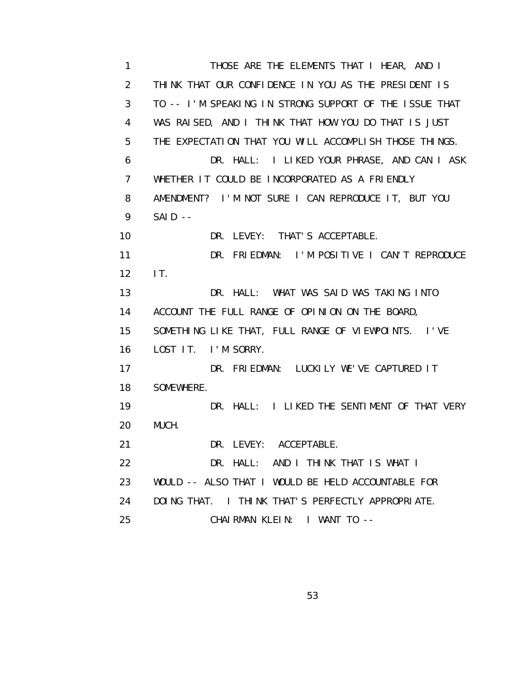1 THOSE ARE THE ELEMENTS THAT I HEAR, AND I 2 THINK THAT OUR CONFIDENCE IN YOU AS THE PRESIDENT IS 3 TO -- I'M SPEAKING IN STRONG SUPPORT OF THE ISSUE THAT 4 WAS RAISED, AND I THINK THAT HOW YOU DO THAT IS JUST 5 THE EXPECTATION THAT YOU WILL ACCOMPLISH THOSE THINGS. 6 DR. HALL: I LIKED YOUR PHRASE, AND CAN I ASK 7 WHETHER IT COULD BE INCORPORATED AS A FRIENDLY 8 AMENDMENT? I'M NOT SURE I CAN REPRODUCE IT, BUT YOU 9 SAID -- 10 DR. LEVEY: THAT'S ACCEPTABLE. 11 DR. FRIEDMAN: I'M POSITIVE I CAN'T REPRODUCE 12 IT. 13 DR. HALL: WHAT WAS SAID WAS TAKING INTO 14 ACCOUNT THE FULL RANGE OF OPINION ON THE BOARD, 15 SOMETHING LIKE THAT, FULL RANGE OF VIEWPOINTS. I'VE 16 LOST IT. I'M SORRY. 17 DR. FRIEDMAN: LUCKILY WE'VE CAPTURED IT 18 SOMEWHERE. 19 DR. HALL: I LIKED THE SENTIMENT OF THAT VERY 20 MUCH. 21 DR. LEVEY: ACCEPTABLE. 22 DR. HALL: AND I THINK THAT IS WHAT I 23 WOULD -- ALSO THAT I WOULD BE HELD ACCOUNTABLE FOR 24 DOING THAT. I THINK THAT'S PERFECTLY APPROPRIATE. 25 CHAIRMAN KLEIN: I WANT TO --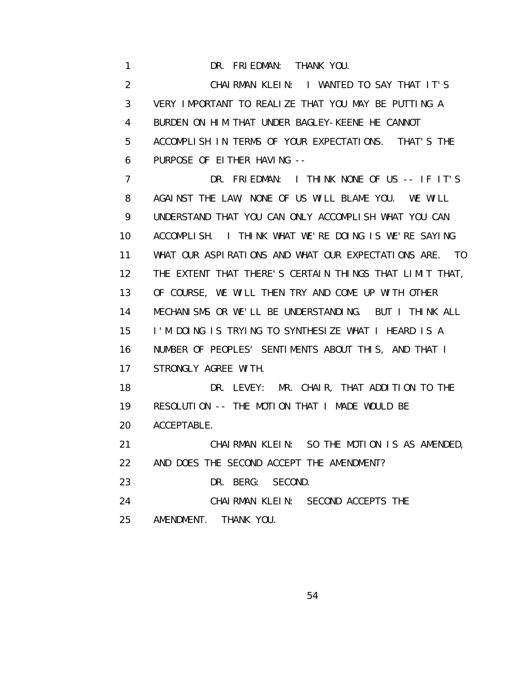1 DR. FRIEDMAN: THANK YOU. 2 CHAIRMAN KLEIN: I WANTED TO SAY THAT IT'S 3 VERY IMPORTANT TO REALIZE THAT YOU MAY BE PUTTING A 4 BURDEN ON HIM THAT UNDER BAGLEY-KEENE HE CANNOT 5 ACCOMPLISH IN TERMS OF YOUR EXPECTATIONS. THAT'S THE 6 PURPOSE OF EITHER HAVING -- 7 DR. FRIEDMAN: I THINK NONE OF US -- IF IT'S 8 AGAINST THE LAW, NONE OF US WILL BLAME YOU. WE WILL 9 UNDERSTAND THAT YOU CAN ONLY ACCOMPLISH WHAT YOU CAN 10 ACCOMPLISH. I THINK WHAT WE'RE DOING IS WE'RE SAYING 11 WHAT OUR ASPIRATIONS AND WHAT OUR EXPECTATIONS ARE. TO 12 THE EXTENT THAT THERE'S CERTAIN THINGS THAT LIMIT THAT, 13 OF COURSE, WE WILL THEN TRY AND COME UP WITH OTHER 14 MECHANISMS OR WE'LL BE UNDERSTANDING. BUT I THINK ALL 15 I'M DOING IS TRYING TO SYNTHESIZE WHAT I HEARD IS A 16 NUMBER OF PEOPLES' SENTIMENTS ABOUT THIS, AND THAT I 17 STRONGLY AGREE WITH. 18 DR. LEVEY: MR. CHAIR, THAT ADDITION TO THE 19 RESOLUTION -- THE MOTION THAT I MADE WOULD BE 20 ACCEPTABLE. 21 CHAIRMAN KLEIN: SO THE MOTION IS AS AMENDED, 22 AND DOES THE SECOND ACCEPT THE AMENDMENT? 23 DR. BERG: SECOND. 24 CHAIRMAN KLEIN: SECOND ACCEPTS THE 25 AMENDMENT. THANK YOU.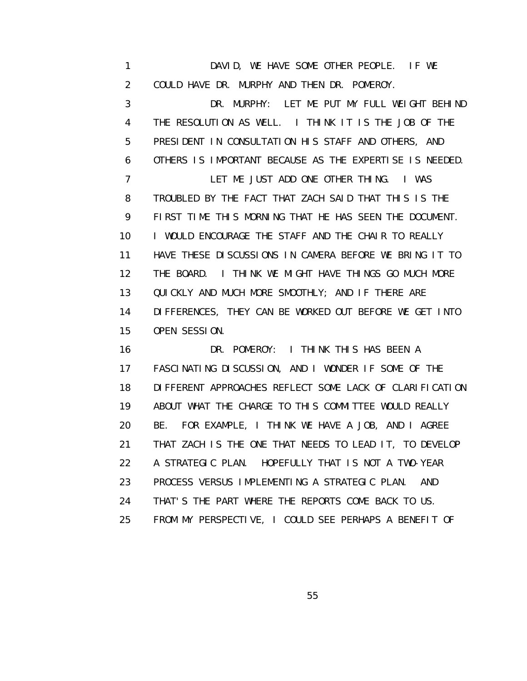1 DAVID, WE HAVE SOME OTHER PEOPLE. IF WE 2 COULD HAVE DR. MURPHY AND THEN DR. POMEROY.

 3 DR. MURPHY: LET ME PUT MY FULL WEIGHT BEHIND 4 THE RESOLUTION AS WELL. I THINK IT IS THE JOB OF THE 5 PRESIDENT IN CONSULTATION HIS STAFF AND OTHERS, AND 6 OTHERS IS IMPORTANT BECAUSE AS THE EXPERTISE IS NEEDED. 7 LET ME JUST ADD ONE OTHER THING. I WAS 8 TROUBLED BY THE FACT THAT ZACH SAID THAT THIS IS THE 9 FIRST TIME THIS MORNING THAT HE HAS SEEN THE DOCUMENT. 10 I WOULD ENCOURAGE THE STAFF AND THE CHAIR TO REALLY 11 HAVE THESE DISCUSSIONS IN CAMERA BEFORE WE BRING IT TO 12 THE BOARD. I THINK WE MIGHT HAVE THINGS GO MUCH MORE 13 QUICKLY AND MUCH MORE SMOOTHLY; AND IF THERE ARE 14 DIFFERENCES, THEY CAN BE WORKED OUT BEFORE WE GET INTO 15 OPEN SESSION.

 16 DR. POMEROY: I THINK THIS HAS BEEN A 17 FASCINATING DISCUSSION, AND I WONDER IF SOME OF THE 18 DIFFERENT APPROACHES REFLECT SOME LACK OF CLARIFICATION 19 ABOUT WHAT THE CHARGE TO THIS COMMITTEE WOULD REALLY 20 BE. FOR EXAMPLE, I THINK WE HAVE A JOB, AND I AGREE 21 THAT ZACH IS THE ONE THAT NEEDS TO LEAD IT, TO DEVELOP 22 A STRATEGIC PLAN. HOPEFULLY THAT IS NOT A TWO-YEAR 23 PROCESS VERSUS IMPLEMENTING A STRATEGIC PLAN. AND 24 THAT'S THE PART WHERE THE REPORTS COME BACK TO US. 25 FROM MY PERSPECTIVE, I COULD SEE PERHAPS A BENEFIT OF

<u>55 September 2006 September 2006 September 2006 September 2006 September 2006 September 2006 September 2006 S</u>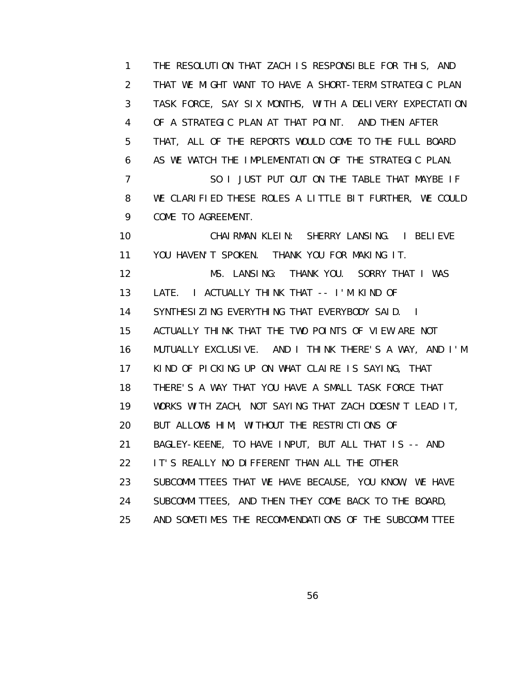1 THE RESOLUTION THAT ZACH IS RESPONSIBLE FOR THIS, AND 2 THAT WE MIGHT WANT TO HAVE A SHORT-TERM STRATEGIC PLAN 3 TASK FORCE, SAY SIX MONTHS, WITH A DELIVERY EXPECTATION 4 OF A STRATEGIC PLAN AT THAT POINT. AND THEN AFTER 5 THAT, ALL OF THE REPORTS WOULD COME TO THE FULL BOARD 6 AS WE WATCH THE IMPLEMENTATION OF THE STRATEGIC PLAN. 7 SO I JUST PUT OUT ON THE TABLE THAT MAYBE IF 8 WE CLARIFIED THESE ROLES A LITTLE BIT FURTHER, WE COULD 9 COME TO AGREEMENT. 10 CHAIRMAN KLEIN: SHERRY LANSING. I BELIEVE 11 YOU HAVEN'T SPOKEN. THANK YOU FOR MAKING IT. 12 MS. LANSING: THANK YOU. SORRY THAT I WAS 13 LATE. I ACTUALLY THINK THAT -- I'M KIND OF 14 SYNTHESIZING EVERYTHING THAT EVERYBODY SAID. I 15 ACTUALLY THINK THAT THE TWO POINTS OF VIEW ARE NOT 16 MUTUALLY EXCLUSIVE. AND I THINK THERE'S A WAY, AND I'M 17 KIND OF PICKING UP ON WHAT CLAIRE IS SAYING, THAT 18 THERE'S A WAY THAT YOU HAVE A SMALL TASK FORCE THAT 19 WORKS WITH ZACH, NOT SAYING THAT ZACH DOESN'T LEAD IT, 20 BUT ALLOWS HIM, WITHOUT THE RESTRICTIONS OF 21 BAGLEY-KEENE, TO HAVE INPUT, BUT ALL THAT IS -- AND 22 IT'S REALLY NO DIFFERENT THAN ALL THE OTHER 23 SUBCOMMITTEES THAT WE HAVE BECAUSE, YOU KNOW, WE HAVE 24 SUBCOMMITTEES, AND THEN THEY COME BACK TO THE BOARD, 25 AND SOMETIMES THE RECOMMENDATIONS OF THE SUBCOMMITTEE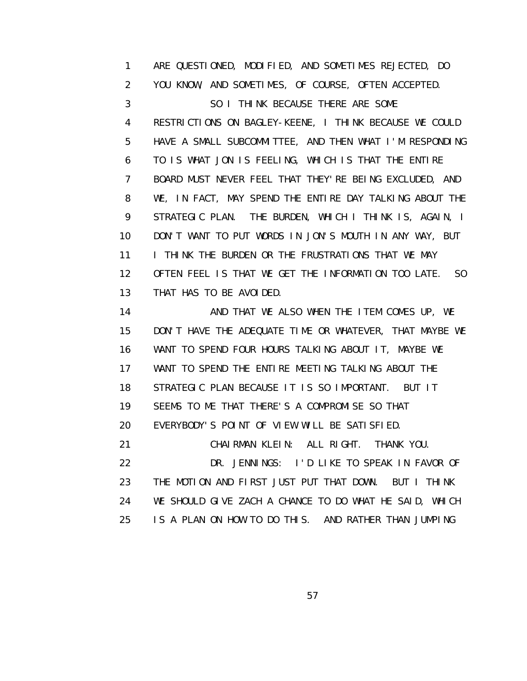1 ARE QUESTIONED, MODIFIED, AND SOMETIMES REJECTED, DO 2 YOU KNOW, AND SOMETIMES, OF COURSE, OFTEN ACCEPTED. 3 SO I THINK BECAUSE THERE ARE SOME 4 RESTRICTIONS ON BAGLEY-KEENE, I THINK BECAUSE WE COULD 5 HAVE A SMALL SUBCOMMITTEE, AND THEN WHAT I'M RESPONDING 6 TO IS WHAT JON IS FEELING, WHICH IS THAT THE ENTIRE 7 BOARD MUST NEVER FEEL THAT THEY'RE BEING EXCLUDED, AND 8 WE, IN FACT, MAY SPEND THE ENTIRE DAY TALKING ABOUT THE 9 STRATEGIC PLAN. THE BURDEN, WHICH I THINK IS, AGAIN, I 10 DON'T WANT TO PUT WORDS IN JON'S MOUTH IN ANY WAY, BUT 11 **I THINK THE BURDEN OR THE FRUSTRATIONS THAT WE MAY**  12 OFTEN FEEL IS THAT WE GET THE INFORMATION TOO LATE. SO 13 THAT HAS TO BE AVOIDED.

14 AND THAT WE ALSO WHEN THE ITEM COMES UP, WE 15 DON'T HAVE THE ADEQUATE TIME OR WHATEVER, THAT MAYBE WE 16 WANT TO SPEND FOUR HOURS TALKING ABOUT IT, MAYBE WE 17 WANT TO SPEND THE ENTIRE MEETING TALKING ABOUT THE 18 STRATEGIC PLAN BECAUSE IT IS SO IMPORTANT. BUT IT 19 SEEMS TO ME THAT THERE'S A COMPROMISE SO THAT 20 EVERYBODY'S POINT OF VIEW WILL BE SATISFIED. 21 CHAIRMAN KLEIN: ALL RIGHT. THANK YOU. 22 DR. JENNINGS: I'D LIKE TO SPEAK IN FAVOR OF 23 THE MOTION AND FIRST JUST PUT THAT DOWN. BUT I THINK 24 WE SHOULD GIVE ZACH A CHANCE TO DO WHAT HE SAID, WHICH

25 IS A PLAN ON HOW TO DO THIS. AND RATHER THAN JUMPING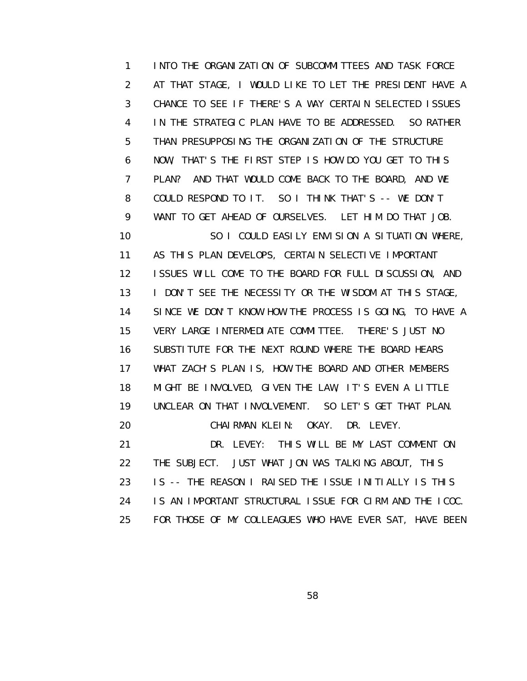1 INTO THE ORGANIZATION OF SUBCOMMITTEES AND TASK FORCE 2 AT THAT STAGE, I WOULD LIKE TO LET THE PRESIDENT HAVE A 3 CHANCE TO SEE IF THERE'S A WAY CERTAIN SELECTED ISSUES 4 IN THE STRATEGIC PLAN HAVE TO BE ADDRESSED. SO RATHER 5 THAN PRESUPPOSING THE ORGANIZATION OF THE STRUCTURE 6 NOW, THAT'S THE FIRST STEP IS HOW DO YOU GET TO THIS 7 PLAN? AND THAT WOULD COME BACK TO THE BOARD, AND WE 8 COULD RESPOND TO IT. SO I THINK THAT'S -- WE DON'T 9 WANT TO GET AHEAD OF OURSELVES. LET HIM DO THAT JOB. 10 SO I COULD EASILY ENVISION A SITUATION WHERE, 11 AS THIS PLAN DEVELOPS, CERTAIN SELECTIVE IMPORTANT 12 ISSUES WILL COME TO THE BOARD FOR FULL DISCUSSION, AND 13 I DON'T SEE THE NECESSITY OR THE WISDOM AT THIS STAGE, 14 SINCE WE DON'T KNOW HOW THE PROCESS IS GOING, TO HAVE A 15 VERY LARGE INTERMEDIATE COMMITTEE. THERE'S JUST NO 16 SUBSTITUTE FOR THE NEXT ROUND WHERE THE BOARD HEARS 17 WHAT ZACH'S PLAN IS, HOW THE BOARD AND OTHER MEMBERS 18 MIGHT BE INVOLVED, GIVEN THE LAW, IT'S EVEN A LITTLE 19 UNCLEAR ON THAT INVOLVEMENT. SO LET'S GET THAT PLAN. 20 CHAIRMAN KLEIN: OKAY. DR. LEVEY. 21 DR. LEVEY: THIS WILL BE MY LAST COMMENT ON 22 THE SUBJECT. JUST WHAT JON WAS TALKING ABOUT, THIS 23 IS -- THE REASON I RAISED THE ISSUE INITIALLY IS THIS 24 IS AN IMPORTANT STRUCTURAL ISSUE FOR CIRM AND THE ICOC.

25 FOR THOSE OF MY COLLEAGUES WHO HAVE EVER SAT, HAVE BEEN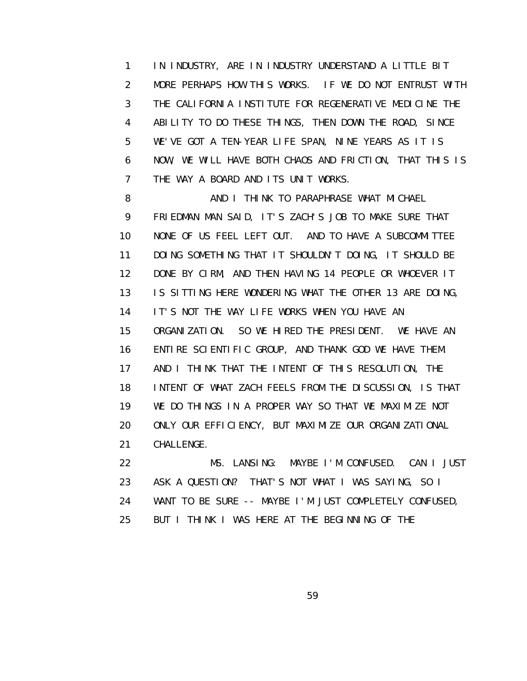1 IN INDUSTRY, ARE IN INDUSTRY UNDERSTAND A LITTLE BIT 2 MORE PERHAPS HOW THIS WORKS. IF WE DO NOT ENTRUST WITH 3 THE CALIFORNIA INSTITUTE FOR REGENERATIVE MEDICINE THE 4 ABILITY TO DO THESE THINGS, THEN DOWN THE ROAD, SINCE 5 WE'VE GOT A TEN-YEAR LIFE SPAN, NINE YEARS AS IT IS 6 NOW, WE WILL HAVE BOTH CHAOS AND FRICTION, THAT THIS IS 7 THE WAY A BOARD AND ITS UNIT WORKS.

8 AND I THINK TO PARAPHRASE WHAT MICHAEL 9 FRIEDMAN MAN SAID, IT'S ZACH'S JOB TO MAKE SURE THAT 10 NONE OF US FEEL LEFT OUT. AND TO HAVE A SUBCOMMITTEE 11 DOING SOMETHING THAT IT SHOULDN'T DOING, IT SHOULD BE 12 DONE BY CIRM, AND THEN HAVING 14 PEOPLE OR WHOEVER IT 13 IS SITTING HERE WONDERING WHAT THE OTHER 13 ARE DOING, 14 IT'S NOT THE WAY LIFE WORKS WHEN YOU HAVE AN 15 ORGANIZATION. SO WE HIRED THE PRESIDENT. WE HAVE AN 16 ENTIRE SCIENTIFIC GROUP, AND THANK GOD WE HAVE THEM. 17 AND I THINK THAT THE INTENT OF THIS RESOLUTION, THE 18 INTENT OF WHAT ZACH FEELS FROM THE DISCUSSION, IS THAT 19 WE DO THINGS IN A PROPER WAY SO THAT WE MAXIMIZE NOT 20 ONLY OUR EFFICIENCY, BUT MAXIMIZE OUR ORGANIZATIONAL 21 CHALLENGE.

 22 MS. LANSING: MAYBE I'M CONFUSED. CAN I JUST 23 ASK A QUESTION? THAT'S NOT WHAT I WAS SAYING, SO I 24 WANT TO BE SURE -- MAYBE I'M JUST COMPLETELY CONFUSED, 25 BUT I THINK I WAS HERE AT THE BEGINNING OF THE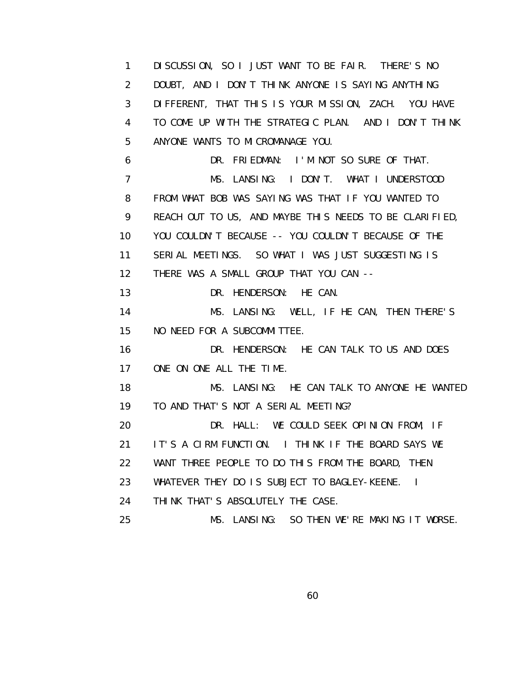1 DISCUSSION, SO I JUST WANT TO BE FAIR. THERE'S NO 2 DOUBT, AND I DON'T THINK ANYONE IS SAYING ANYTHING 3 DIFFERENT, THAT THIS IS YOUR MISSION, ZACH. YOU HAVE 4 TO COME UP WITH THE STRATEGIC PLAN. AND I DON'T THINK 5 ANYONE WANTS TO MICROMANAGE YOU. 6 DR. FRIEDMAN: I'M NOT SO SURE OF THAT. 7 MS. LANSING: I DON'T. WHAT I UNDERSTOOD 8 FROM WHAT BOB WAS SAYING WAS THAT IF YOU WANTED TO 9 REACH OUT TO US, AND MAYBE THIS NEEDS TO BE CLARIFIED, 10 YOU COULDN'T BECAUSE -- YOU COULDN'T BECAUSE OF THE 11 SERIAL MEETINGS. SO WHAT I WAS JUST SUGGESTING IS 12 THERE WAS A SMALL GROUP THAT YOU CAN -- 13 DR. HENDERSON: HE CAN. 14 MS. LANSING: WELL, IF HE CAN, THEN THERE'S 15 NO NEED FOR A SUBCOMMITTEE. 16 DR. HENDERSON: HE CAN TALK TO US AND DOES 17 ONE ON ONE ALL THE TIME. 18 MS. LANSING: HE CAN TALK TO ANYONE HE WANTED 19 TO AND THAT'S NOT A SERIAL MEETING? 20 DR. HALL: WE COULD SEEK OPINION FROM, IF 21 IT'S A CIRM FUNCTION. I THINK IF THE BOARD SAYS WE 22 WANT THREE PEOPLE TO DO THIS FROM THE BOARD, THEN 23 WHATEVER THEY DO IS SUBJECT TO BAGLEY-KEENE. I 24 THINK THAT'S ABSOLUTELY THE CASE. 25 MS. LANSING: SO THEN WE'RE MAKING IT WORSE.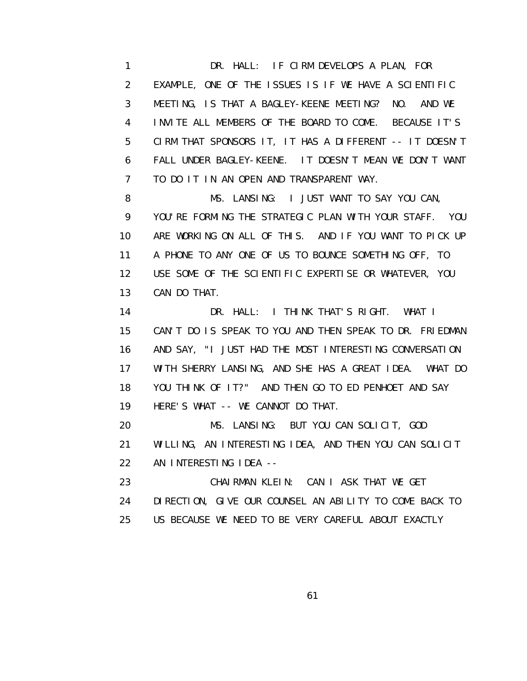1 DR. HALL: IF CIRM DEVELOPS A PLAN, FOR 2 EXAMPLE, ONE OF THE ISSUES IS IF WE HAVE A SCIENTIFIC 3 MEETING, IS THAT A BAGLEY-KEENE MEETING? NO. AND WE 4 INVITE ALL MEMBERS OF THE BOARD TO COME. BECAUSE IT'S 5 CIRM THAT SPONSORS IT, IT HAS A DIFFERENT -- IT DOESN'T 6 FALL UNDER BAGLEY-KEENE. IT DOESN'T MEAN WE DON'T WANT 7 TO DO IT IN AN OPEN AND TRANSPARENT WAY.

8 MS. LANSING: I JUST WANT TO SAY YOU CAN, 9 YOU'RE FORMING THE STRATEGIC PLAN WITH YOUR STAFF. YOU 10 ARE WORKING ON ALL OF THIS. AND IF YOU WANT TO PICK UP 11 A PHONE TO ANY ONE OF US TO BOUNCE SOMETHING OFF, TO 12 USE SOME OF THE SCIENTIFIC EXPERTISE OR WHATEVER, YOU 13 CAN DO THAT.

 14 DR. HALL: I THINK THAT'S RIGHT. WHAT I 15 CAN'T DO IS SPEAK TO YOU AND THEN SPEAK TO DR. FRIEDMAN 16 AND SAY, "I JUST HAD THE MOST INTERESTING CONVERSATION 17 WITH SHERRY LANSING, AND SHE HAS A GREAT IDEA. WHAT DO 18 YOU THINK OF IT?" AND THEN GO TO ED PENHOET AND SAY 19 HERE'S WHAT -- WE CANNOT DO THAT.

 20 MS. LANSING: BUT YOU CAN SOLICIT, GOD 21 WILLING, AN INTERESTING IDEA, AND THEN YOU CAN SOLICIT 22 AN INTERESTING IDEA --

 23 CHAIRMAN KLEIN: CAN I ASK THAT WE GET 24 DIRECTION, GIVE OUR COUNSEL AN ABILITY TO COME BACK TO 25 US BECAUSE WE NEED TO BE VERY CAREFUL ABOUT EXACTLY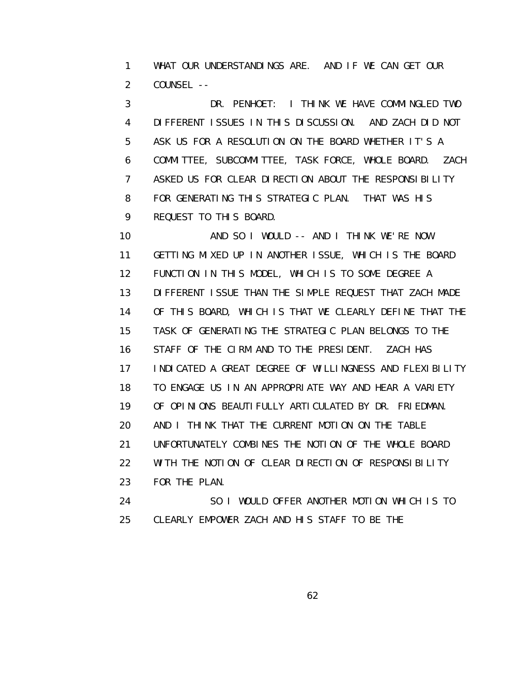1 WHAT OUR UNDERSTANDINGS ARE. AND IF WE CAN GET OUR 2 COUNSEL --

 3 DR. PENHOET: I THINK WE HAVE COMMINGLED TWO 4 DIFFERENT ISSUES IN THIS DISCUSSION. AND ZACH DID NOT 5 ASK US FOR A RESOLUTION ON THE BOARD WHETHER IT'S A 6 COMMITTEE, SUBCOMMITTEE, TASK FORCE, WHOLE BOARD. ZACH 7 ASKED US FOR CLEAR DIRECTION ABOUT THE RESPONSIBILITY 8 FOR GENERATING THIS STRATEGIC PLAN. THAT WAS HIS 9 REQUEST TO THIS BOARD.

 10 AND SO I WOULD -- AND I THINK WE'RE NOW 11 GETTING MIXED UP IN ANOTHER ISSUE, WHICH IS THE BOARD 12 FUNCTION IN THIS MODEL, WHICH IS TO SOME DEGREE A 13 DIFFERENT ISSUE THAN THE SIMPLE REQUEST THAT ZACH MADE 14 OF THIS BOARD, WHICH IS THAT WE CLEARLY DEFINE THAT THE 15 TASK OF GENERATING THE STRATEGIC PLAN BELONGS TO THE 16 STAFF OF THE CIRM AND TO THE PRESIDENT. ZACH HAS 17 INDICATED A GREAT DEGREE OF WILLINGNESS AND FLEXIBILITY 18 TO ENGAGE US IN AN APPROPRIATE WAY AND HEAR A VARIETY 19 OF OPINIONS BEAUTIFULLY ARTICULATED BY DR. FRIEDMAN. 20 AND I THINK THAT THE CURRENT MOTION ON THE TABLE 21 UNFORTUNATELY COMBINES THE NOTION OF THE WHOLE BOARD 22 WITH THE NOTION OF CLEAR DIRECTION OF RESPONSIBILITY 23 FOR THE PLAN. 24 SO I WOULD OFFER ANOTHER MOTION WHICH IS TO

25 CLEARLY EMPOWER ZACH AND HIS STAFF TO BE THE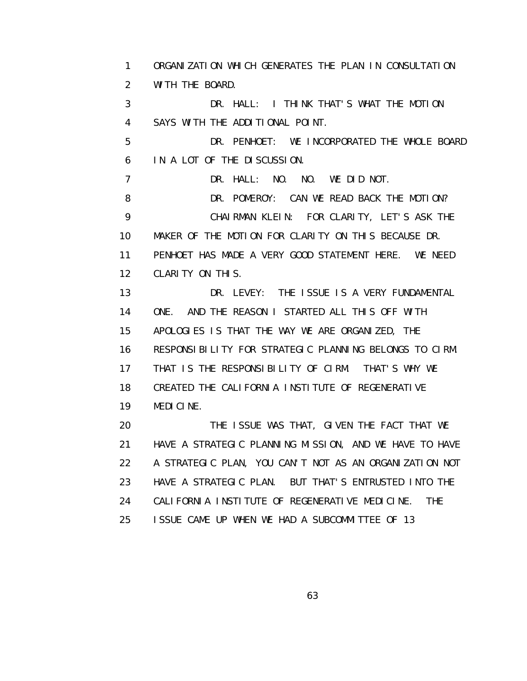1 ORGANIZATION WHICH GENERATES THE PLAN IN CONSULTATION 2 WITH THE BOARD. 3 DR. HALL: I THINK THAT'S WHAT THE MOTION 4 SAYS WITH THE ADDITIONAL POINT. 5 DR. PENHOET: WE INCORPORATED THE WHOLE BOARD 6 IN A LOT OF THE DISCUSSION. 7 DR. HALL: NO. NO. WE DID NOT. 8 DR. POMEROY: CAN WE READ BACK THE MOTION? 9 CHAIRMAN KLEIN: FOR CLARITY, LET'S ASK THE 10 MAKER OF THE MOTION FOR CLARITY ON THIS BECAUSE DR. 11 PENHOET HAS MADE A VERY GOOD STATEMENT HERE. WE NEED 12 CLARITY ON THIS. 13 DR. LEVEY: THE ISSUE IS A VERY FUNDAMENTAL 14 ONE. AND THE REASON I STARTED ALL THIS OFF WITH 15 APOLOGIES IS THAT THE WAY WE ARE ORGANIZED, THE 16 RESPONSIBILITY FOR STRATEGIC PLANNING BELONGS TO CIRM. 17 THAT IS THE RESPONSIBILITY OF CIRM. THAT'S WHY WE 18 CREATED THE CALIFORNIA INSTITUTE OF REGENERATIVE 19 MEDICINE. 20 THE ISSUE WAS THAT, GIVEN THE FACT THAT WE 21 HAVE A STRATEGIC PLANNING MISSION, AND WE HAVE TO HAVE 22 A STRATEGIC PLAN, YOU CAN'T NOT AS AN ORGANIZATION NOT 23 HAVE A STRATEGIC PLAN. BUT THAT'S ENTRUSTED INTO THE 24 CALIFORNIA INSTITUTE OF REGENERATIVE MEDICINE. THE 25 ISSUE CAME UP WHEN WE HAD A SUBCOMMITTEE OF 13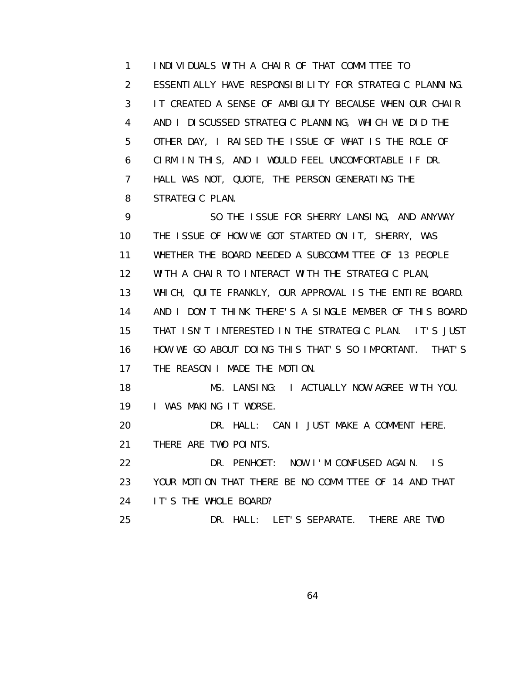1 INDIVIDUALS WITH A CHAIR OF THAT COMMITTEE TO 2 ESSENTIALLY HAVE RESPONSIBILITY FOR STRATEGIC PLANNING. 3 IT CREATED A SENSE OF AMBIGUITY BECAUSE WHEN OUR CHAIR 4 AND I DISCUSSED STRATEGIC PLANNING, WHICH WE DID THE 5 OTHER DAY, I RAISED THE ISSUE OF WHAT IS THE ROLE OF 6 CIRM IN THIS, AND I WOULD FEEL UNCOMFORTABLE IF DR. 7 HALL WAS NOT, QUOTE, THE PERSON GENERATING THE 8 STRATEGIC PLAN.

 9 SO THE ISSUE FOR SHERRY LANSING, AND ANYWAY 10 THE ISSUE OF HOW WE GOT STARTED ON IT, SHERRY, WAS 11 WHETHER THE BOARD NEEDED A SUBCOMMITTEE OF 13 PEOPLE 12 WITH A CHAIR TO INTERACT WITH THE STRATEGIC PLAN, 13 WHICH, QUITE FRANKLY, OUR APPROVAL IS THE ENTIRE BOARD. 14 AND I DON'T THINK THERE'S A SINGLE MEMBER OF THIS BOARD 15 THAT ISN'T INTERESTED IN THE STRATEGIC PLAN. IT'S JUST 16 HOW WE GO ABOUT DOING THIS THAT'S SO IMPORTANT. THAT'S 17 THE REASON I MADE THE MOTION. 18 MS. LANSING: I ACTUALLY NOW AGREE WITH YOU.

19 I WAS MAKING IT WORSE.

 20 DR. HALL: CAN I JUST MAKE A COMMENT HERE. 21 THERE ARE TWO POINTS.

 22 DR. PENHOET: NOW I'M CONFUSED AGAIN. IS 23 YOUR MOTION THAT THERE BE NO COMMITTEE OF 14 AND THAT 24 IT'S THE WHOLE BOARD?

25 DR. HALL: LET'S SEPARATE. THERE ARE TWO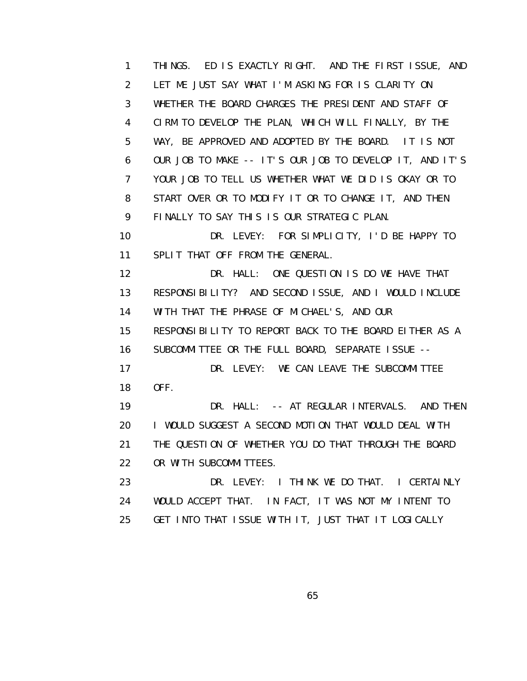1 THINGS. ED IS EXACTLY RIGHT. AND THE FIRST ISSUE, AND 2 LET ME JUST SAY WHAT I'M ASKING FOR IS CLARITY ON 3 WHETHER THE BOARD CHARGES THE PRESIDENT AND STAFF OF 4 CIRM TO DEVELOP THE PLAN, WHICH WILL FINALLY, BY THE 5 WAY, BE APPROVED AND ADOPTED BY THE BOARD. IT IS NOT 6 OUR JOB TO MAKE -- IT'S OUR JOB TO DEVELOP IT, AND IT'S 7 YOUR JOB TO TELL US WHETHER WHAT WE DID IS OKAY OR TO 8 START OVER OR TO MODIFY IT OR TO CHANGE IT, AND THEN 9 FINALLY TO SAY THIS IS OUR STRATEGIC PLAN.

 10 DR. LEVEY: FOR SIMPLICITY, I'D BE HAPPY TO 11 SPLIT THAT OFF FROM THE GENERAL.

 12 DR. HALL: ONE QUESTION IS DO WE HAVE THAT 13 RESPONSIBILITY? AND SECOND ISSUE, AND I WOULD INCLUDE 14 WITH THAT THE PHRASE OF MICHAEL'S, AND OUR 15 RESPONSIBILITY TO REPORT BACK TO THE BOARD EITHER AS A 16 SUBCOMMITTEE OR THE FULL BOARD, SEPARATE ISSUE -- 17 DR. LEVEY: WE CAN LEAVE THE SUBCOMMITTEE 18 OFF. 19 DR. HALL: -- AT REGULAR INTERVALS. AND THEN 20 I WOULD SUGGEST A SECOND MOTION THAT WOULD DEAL WITH 21 THE QUESTION OF WHETHER YOU DO THAT THROUGH THE BOARD

22 OR WITH SUBCOMMITTEES.

23 DR. LEVEY: I THINK WE DO THAT. I CERTAINLY 24 WOULD ACCEPT THAT. IN FACT, IT WAS NOT MY INTENT TO 25 GET INTO THAT ISSUE WITH IT, JUST THAT IT LOGICALLY

 $\sim$  65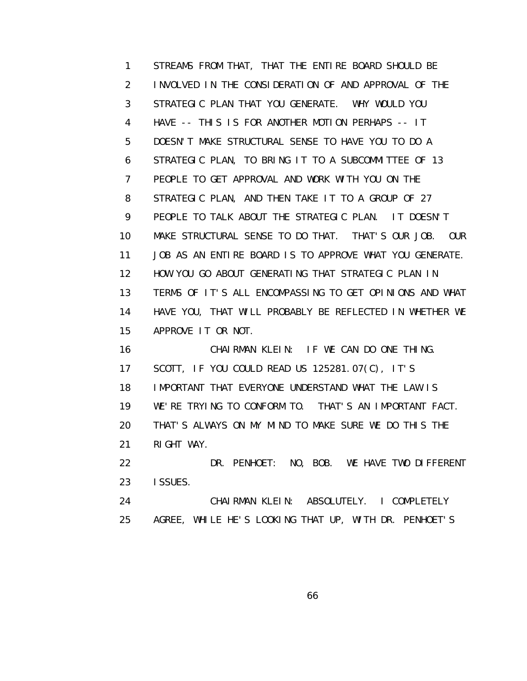1 STREAMS FROM THAT, THAT THE ENTIRE BOARD SHOULD BE 2 INVOLVED IN THE CONSIDERATION OF AND APPROVAL OF THE 3 STRATEGIC PLAN THAT YOU GENERATE. WHY WOULD YOU 4 HAVE -- THIS IS FOR ANOTHER MOTION PERHAPS -- IT 5 DOESN'T MAKE STRUCTURAL SENSE TO HAVE YOU TO DO A 6 STRATEGIC PLAN, TO BRING IT TO A SUBCOMMITTEE OF 13 7 PEOPLE TO GET APPROVAL AND WORK WITH YOU ON THE 8 STRATEGIC PLAN, AND THEN TAKE IT TO A GROUP OF 27 9 PEOPLE TO TALK ABOUT THE STRATEGIC PLAN. IT DOESN'T 10 MAKE STRUCTURAL SENSE TO DO THAT. THAT'S OUR JOB. OUR 11 JOB AS AN ENTIRE BOARD IS TO APPROVE WHAT YOU GENERATE. 12 HOW YOU GO ABOUT GENERATING THAT STRATEGIC PLAN IN 13 TERMS OF IT'S ALL ENCOMPASSING TO GET OPINIONS AND WHAT 14 HAVE YOU, THAT WILL PROBABLY BE REFLECTED IN WHETHER WE 15 APPROVE IT OR NOT. 16 CHAIRMAN KLEIN: IF WE CAN DO ONE THING. 17 SCOTT, IF YOU COULD READ US 125281.07(C), IT'S 18 IMPORTANT THAT EVERYONE UNDERSTAND WHAT THE LAW IS 19 WE'RE TRYING TO CONFORM TO. THAT'S AN IMPORTANT FACT. 20 THAT'S ALWAYS ON MY MIND TO MAKE SURE WE DO THIS THE 21 RIGHT WAY. 22 DR. PENHOET: NO, BOB. WE HAVE TWO DIFFERENT

 23 ISSUES. 24 CHAIRMAN KLEIN: ABSOLUTELY. I COMPLETELY 25 AGREE, WHILE HE'S LOOKING THAT UP, WITH DR. PENHOET'S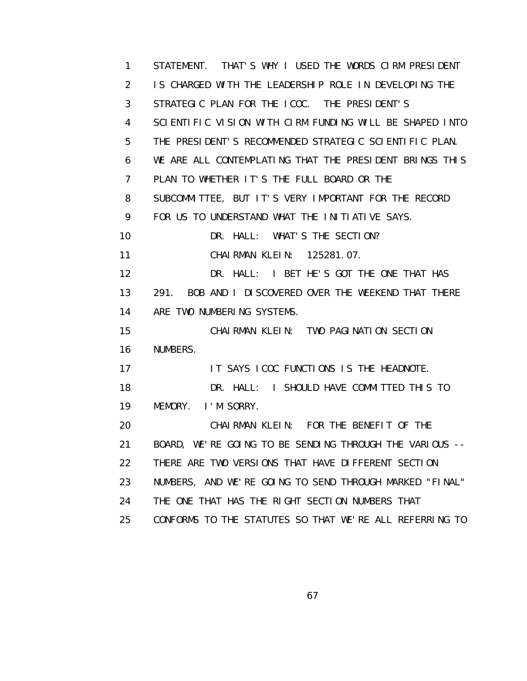1 STATEMENT. THAT'S WHY I USED THE WORDS CIRM PRESIDENT 2 IS CHARGED WITH THE LEADERSHIP ROLE IN DEVELOPING THE 3 STRATEGIC PLAN FOR THE ICOC. THE PRESIDENT'S 4 SCIENTIFIC VISION WITH CIRM FUNDING WILL BE SHAPED INTO 5 THE PRESIDENT'S RECOMMENDED STRATEGIC SCIENTIFIC PLAN. 6 WE ARE ALL CONTEMPLATING THAT THE PRESIDENT BRINGS THIS 7 PLAN TO WHETHER IT'S THE FULL BOARD OR THE 8 SUBCOMMITTEE, BUT IT'S VERY IMPORTANT FOR THE RECORD 9 FOR US TO UNDERSTAND WHAT THE INITIATIVE SAYS. 10 DR. HALL: WHAT'S THE SECTION? 11 CHAIRMAN KLEIN: 125281.07. 12 DR. HALL: I BET HE'S GOT THE ONE THAT HAS 13 291. BOB AND I DISCOVERED OVER THE WEEKEND THAT THERE 14 ARE TWO NUMBERING SYSTEMS. 15 CHAIRMAN KLEIN: TWO PAGINATION SECTION 16 NUMBERS. 17 **IT SAYS ICOC FUNCTIONS IS THE HEADNOTE.** 18 **DR. HALL:** I SHOULD HAVE COMMITTED THIS TO 19 MEMORY. I'M SORRY. 20 CHAIRMAN KLEIN: FOR THE BENEFIT OF THE 21 BOARD, WE'RE GOING TO BE SENDING THROUGH THE VARIOUS -- 22 THERE ARE TWO VERSIONS THAT HAVE DIFFERENT SECTION 23 NUMBERS, AND WE'RE GOING TO SEND THROUGH MARKED "FINAL" 24 THE ONE THAT HAS THE RIGHT SECTION NUMBERS THAT 25 CONFORMS TO THE STATUTES SO THAT WE'RE ALL REFERRING TO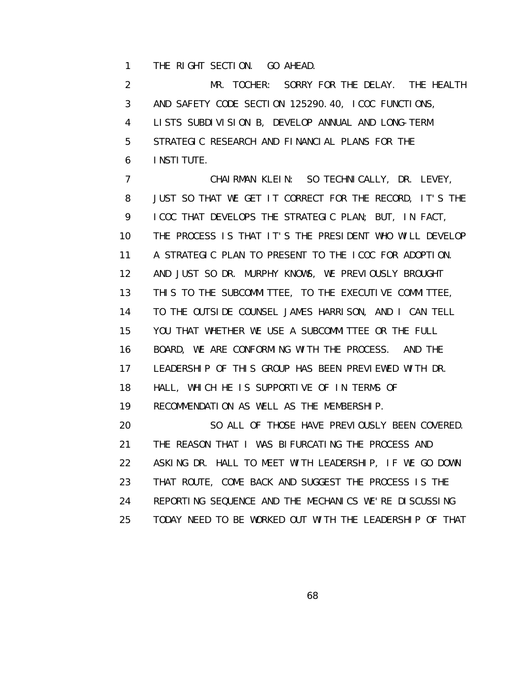1 THE RIGHT SECTION. GO AHEAD.

 2 MR. TOCHER: SORRY FOR THE DELAY. THE HEALTH 3 AND SAFETY CODE SECTION 125290.40, ICOC FUNCTIONS, 4 LISTS SUBDIVISION B, DEVELOP ANNUAL AND LONG-TERM 5 STRATEGIC RESEARCH AND FINANCIAL PLANS FOR THE 6 INSTITUTE.

 7 CHAIRMAN KLEIN: SO TECHNICALLY, DR. LEVEY, 8 JUST SO THAT WE GET IT CORRECT FOR THE RECORD, IT'S THE 9 ICOC THAT DEVELOPS THE STRATEGIC PLAN; BUT, IN FACT, 10 THE PROCESS IS THAT IT'S THE PRESIDENT WHO WILL DEVELOP 11 A STRATEGIC PLAN TO PRESENT TO THE ICOC FOR ADOPTION. 12 AND JUST SO DR. MURPHY KNOWS, WE PREVIOUSLY BROUGHT 13 THIS TO THE SUBCOMMITTEE, TO THE EXECUTIVE COMMITTEE, 14 TO THE OUTSIDE COUNSEL JAMES HARRISON, AND I CAN TELL 15 YOU THAT WHETHER WE USE A SUBCOMMITTEE OR THE FULL 16 BOARD, WE ARE CONFORMING WITH THE PROCESS. AND THE 17 LEADERSHIP OF THIS GROUP HAS BEEN PREVIEWED WITH DR. 18 HALL, WHICH HE IS SUPPORTIVE OF IN TERMS OF 19 RECOMMENDATION AS WELL AS THE MEMBERSHIP. 20 SO ALL OF THOSE HAVE PREVIOUSLY BEEN COVERED. 21 THE REASON THAT I WAS BIFURCATING THE PROCESS AND 22 ASKING DR. HALL TO MEET WITH LEADERSHIP, IF WE GO DOWN 23 THAT ROUTE, COME BACK AND SUGGEST THE PROCESS IS THE 24 REPORTING SEQUENCE AND THE MECHANICS WE'RE DISCUSSING 25 TODAY NEED TO BE WORKED OUT WITH THE LEADERSHIP OF THAT

 $\sim$  68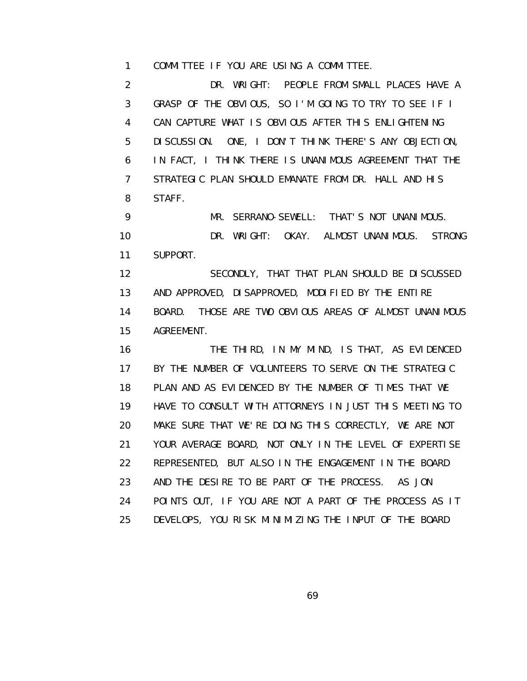1 COMMITTEE IF YOU ARE USING A COMMITTEE.

 2 DR. WRIGHT: PEOPLE FROM SMALL PLACES HAVE A 3 GRASP OF THE OBVIOUS, SO I'M GOING TO TRY TO SEE IF I 4 CAN CAPTURE WHAT IS OBVIOUS AFTER THIS ENLIGHTENING 5 DISCUSSION. ONE, I DON'T THINK THERE'S ANY OBJECTION, 6 IN FACT, I THINK THERE IS UNANIMOUS AGREEMENT THAT THE 7 STRATEGIC PLAN SHOULD EMANATE FROM DR. HALL AND HIS 8 STAFF.

9 MR. SERRANO-SEWELL: THAT'S NOT UNANIMOUS. 10 DR. WRIGHT: OKAY. ALMOST UNANIMOUS. STRONG 11 SUPPORT.

 12 SECONDLY, THAT THAT PLAN SHOULD BE DISCUSSED 13 AND APPROVED, DISAPPROVED, MODIFIED BY THE ENTIRE 14 BOARD. THOSE ARE TWO OBVIOUS AREAS OF ALMOST UNANIMOUS 15 AGREEMENT.

 16 THE THIRD, IN MY MIND, IS THAT, AS EVIDENCED 17 BY THE NUMBER OF VOLUNTEERS TO SERVE ON THE STRATEGIC 18 PLAN AND AS EVIDENCED BY THE NUMBER OF TIMES THAT WE 19 HAVE TO CONSULT WITH ATTORNEYS IN JUST THIS MEETING TO 20 MAKE SURE THAT WE'RE DOING THIS CORRECTLY, WE ARE NOT 21 YOUR AVERAGE BOARD, NOT ONLY IN THE LEVEL OF EXPERTISE 22 REPRESENTED, BUT ALSO IN THE ENGAGEMENT IN THE BOARD 23 AND THE DESIRE TO BE PART OF THE PROCESS. AS JON 24 POINTS OUT, IF YOU ARE NOT A PART OF THE PROCESS AS IT 25 DEVELOPS, YOU RISK MINIMIZING THE INPUT OF THE BOARD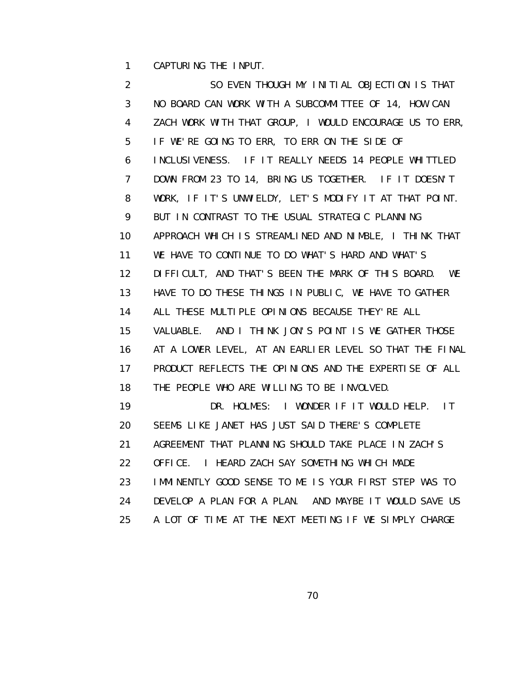1 CAPTURING THE INPUT.

 2 SO EVEN THOUGH MY INITIAL OBJECTION IS THAT 3 NO BOARD CAN WORK WITH A SUBCOMMITTEE OF 14, HOW CAN 4 ZACH WORK WITH THAT GROUP, I WOULD ENCOURAGE US TO ERR, 5 IF WE'RE GOING TO ERR, TO ERR ON THE SIDE OF 6 INCLUSIVENESS. IF IT REALLY NEEDS 14 PEOPLE WHITTLED 7 DOWN FROM 23 TO 14, BRING US TOGETHER. IF IT DOESN'T 8 WORK, IF IT'S UNWIELDY, LET'S MODIFY IT AT THAT POINT. 9 BUT IN CONTRAST TO THE USUAL STRATEGIC PLANNING 10 APPROACH WHICH IS STREAMLINED AND NIMBLE, I THINK THAT 11 WE HAVE TO CONTINUE TO DO WHAT'S HARD AND WHAT'S 12 DIFFICULT, AND THAT'S BEEN THE MARK OF THIS BOARD. WE 13 HAVE TO DO THESE THINGS IN PUBLIC, WE HAVE TO GATHER 14 ALL THESE MULTIPLE OPINIONS BECAUSE THEY'RE ALL 15 VALUABLE. AND I THINK JON'S POINT IS WE GATHER THOSE 16 AT A LOWER LEVEL, AT AN EARLIER LEVEL SO THAT THE FINAL 17 PRODUCT REFLECTS THE OPINIONS AND THE EXPERTISE OF ALL 18 THE PEOPLE WHO ARE WILLING TO BE INVOLVED. 19 DR. HOLMES: I WONDER IF IT WOULD HELP. IT 20 SEEMS LIKE JANET HAS JUST SAID THERE'S COMPLETE 21 AGREEMENT THAT PLANNING SHOULD TAKE PLACE IN ZACH'S 22 OFFICE. I HEARD ZACH SAY SOMETHING WHICH MADE 23 IMMINENTLY GOOD SENSE TO ME IS YOUR FIRST STEP WAS TO 24 DEVELOP A PLAN FOR A PLAN. AND MAYBE IT WOULD SAVE US 25 A LOT OF TIME AT THE NEXT MEETING IF WE SIMPLY CHARGE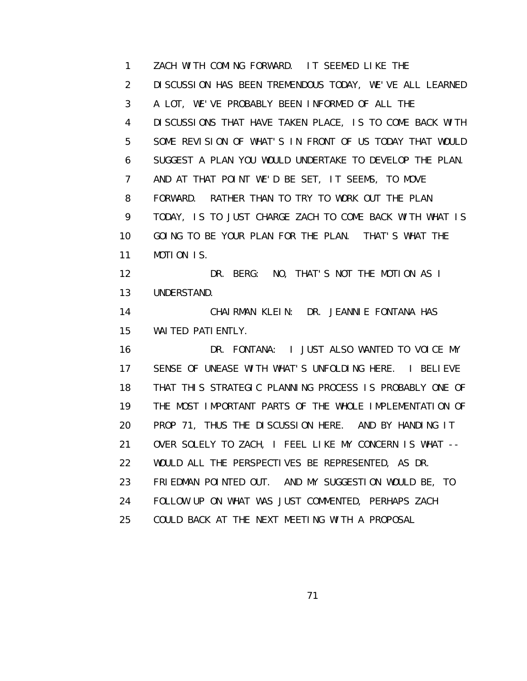1 ZACH WITH COMING FORWARD. IT SEEMED LIKE THE 2 DISCUSSION HAS BEEN TREMENDOUS TODAY, WE'VE ALL LEARNED 3 A LOT, WE'VE PROBABLY BEEN INFORMED OF ALL THE 4 DISCUSSIONS THAT HAVE TAKEN PLACE, IS TO COME BACK WITH 5 SOME REVISION OF WHAT'S IN FRONT OF US TODAY THAT WOULD 6 SUGGEST A PLAN YOU WOULD UNDERTAKE TO DEVELOP THE PLAN. 7 AND AT THAT POINT WE'D BE SET, IT SEEMS, TO MOVE 8 FORWARD. RATHER THAN TO TRY TO WORK OUT THE PLAN 9 TODAY, IS TO JUST CHARGE ZACH TO COME BACK WITH WHAT IS 10 GOING TO BE YOUR PLAN FOR THE PLAN. THAT'S WHAT THE 11 MOTION IS. 12 DR. BERG: NO, THAT'S NOT THE MOTION AS I 13 UNDERSTAND. 14 CHAIRMAN KLEIN: DR. JEANNIE FONTANA HAS 15 WAITED PATIENTLY. 16 DR. FONTANA: I JUST ALSO WANTED TO VOICE MY 17 SENSE OF UNEASE WITH WHAT'S UNFOLDING HERE. I BELIEVE 18 THAT THIS STRATEGIC PLANNING PROCESS IS PROBABLY ONE OF 19 THE MOST IMPORTANT PARTS OF THE WHOLE IMPLEMENTATION OF 20 PROP 71, THUS THE DISCUSSION HERE. AND BY HANDING IT 21 OVER SOLELY TO ZACH, I FEEL LIKE MY CONCERN IS WHAT -- 22 WOULD ALL THE PERSPECTIVES BE REPRESENTED, AS DR. 23 FRIEDMAN POINTED OUT. AND MY SUGGESTION WOULD BE, TO 24 FOLLOW UP ON WHAT WAS JUST COMMENTED, PERHAPS ZACH 25 COULD BACK AT THE NEXT MEETING WITH A PROPOSAL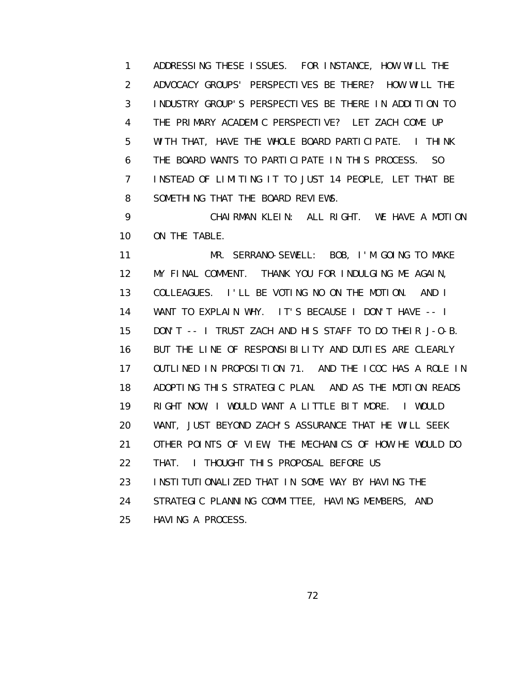1 ADDRESSING THESE ISSUES. FOR INSTANCE, HOW WILL THE 2 ADVOCACY GROUPS' PERSPECTIVES BE THERE? HOW WILL THE 3 INDUSTRY GROUP'S PERSPECTIVES BE THERE IN ADDITION TO 4 THE PRIMARY ACADEMIC PERSPECTIVE? LET ZACH COME UP 5 WITH THAT, HAVE THE WHOLE BOARD PARTICIPATE. I THINK 6 THE BOARD WANTS TO PARTICIPATE IN THIS PROCESS. SO 7 INSTEAD OF LIMITING IT TO JUST 14 PEOPLE, LET THAT BE 8 SOMETHING THAT THE BOARD REVIEWS.

 9 CHAIRMAN KLEIN: ALL RIGHT. WE HAVE A MOTION 10 ON THE TABLE.

 11 MR. SERRANO-SEWELL: BOB, I'M GOING TO MAKE 12 MY FINAL COMMENT. THANK YOU FOR INDULGING ME AGAIN, 13 COLLEAGUES. I'LL BE VOTING NO ON THE MOTION. AND I 14 WANT TO EXPLAIN WHY. IT'S BECAUSE I DON'T HAVE -- I 15 DON'T -- I TRUST ZACH AND HIS STAFF TO DO THEIR J-O-B. 16 BUT THE LINE OF RESPONSIBILITY AND DUTIES ARE CLEARLY 17 OUTLINED IN PROPOSITION 71. AND THE ICOC HAS A ROLE IN 18 ADOPTING THIS STRATEGIC PLAN. AND AS THE MOTION READS 19 RIGHT NOW, I WOULD WANT A LITTLE BIT MORE. I WOULD 20 WANT, JUST BEYOND ZACH'S ASSURANCE THAT HE WILL SEEK 21 OTHER POINTS OF VIEW, THE MECHANICS OF HOW HE WOULD DO 22 THAT. I THOUGHT THIS PROPOSAL BEFORE US 23 INSTITUTIONALIZED THAT IN SOME WAY BY HAVING THE 24 STRATEGIC PLANNING COMMITTEE, HAVING MEMBERS, AND 25 HAVING A PROCESS.

<u>72</u>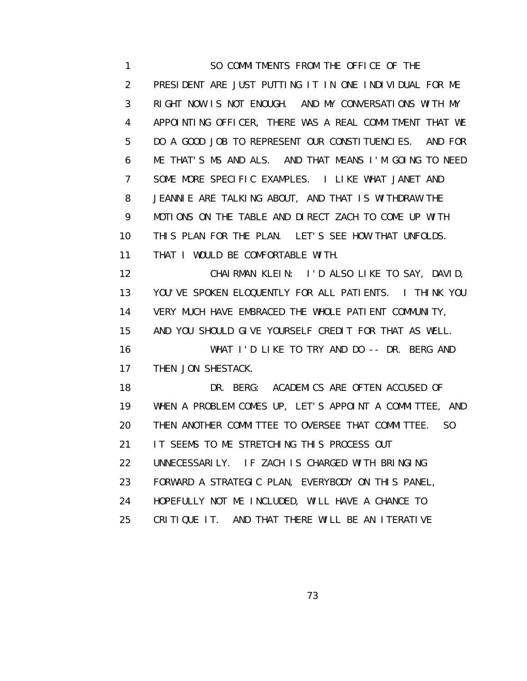1 SO COMMITMENTS FROM THE OFFICE OF THE 2 PRESIDENT ARE JUST PUTTING IT IN ONE INDIVIDUAL FOR ME 3 RIGHT NOW IS NOT ENOUGH. AND MY CONVERSATIONS WITH MY 4 APPOINTING OFFICER, THERE WAS A REAL COMMITMENT THAT WE 5 DO A GOOD JOB TO REPRESENT OUR CONSTITUENCIES. AND FOR 6 ME THAT'S MS AND ALS. AND THAT MEANS I'M GOING TO NEED 7 SOME MORE SPECIFIC EXAMPLES. I LIKE WHAT JANET AND 8 JEANNIE ARE TALKING ABOUT, AND THAT IS WITHDRAW THE 9 MOTIONS ON THE TABLE AND DIRECT ZACH TO COME UP WITH 10 THIS PLAN FOR THE PLAN. LET'S SEE HOW THAT UNFOLDS. 11 THAT I WOULD BE COMFORTABLE WITH. 12 CHAIRMAN KLEIN: I'D ALSO LIKE TO SAY, DAVID, 13 YOU'VE SPOKEN ELOQUENTLY FOR ALL PATIENTS. I THINK YOU 14 VERY MUCH HAVE EMBRACED THE WHOLE PATIENT COMMUNITY, 15 AND YOU SHOULD GIVE YOURSELF CREDIT FOR THAT AS WELL. 16 WHAT I'D LIKE TO TRY AND DO -- DR. BERG AND

17 THEN JON SHESTACK.

 18 DR. BERG: ACADEMICS ARE OFTEN ACCUSED OF 19 WHEN A PROBLEM COMES UP, LET'S APPOINT A COMMITTEE, AND 20 THEN ANOTHER COMMITTEE TO OVERSEE THAT COMMITTEE. SO 21 IT SEEMS TO ME STRETCHING THIS PROCESS OUT 22 UNNECESSARILY. IF ZACH IS CHARGED WITH BRINGING 23 FORWARD A STRATEGIC PLAN, EVERYBODY ON THIS PANEL, 24 HOPEFULLY NOT ME INCLUDED, WILL HAVE A CHANCE TO 25 CRITIQUE IT. AND THAT THERE WILL BE AN ITERATIVE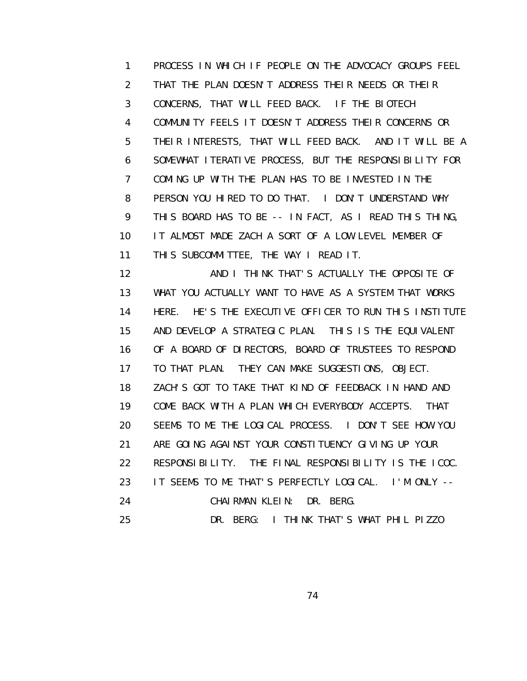1 PROCESS IN WHICH IF PEOPLE ON THE ADVOCACY GROUPS FEEL 2 THAT THE PLAN DOESN'T ADDRESS THEIR NEEDS OR THEIR 3 CONCERNS, THAT WILL FEED BACK. IF THE BIOTECH 4 COMMUNITY FEELS IT DOESN'T ADDRESS THEIR CONCERNS OR 5 THEIR INTERESTS, THAT WILL FEED BACK. AND IT WILL BE A 6 SOMEWHAT ITERATIVE PROCESS, BUT THE RESPONSIBILITY FOR 7 COMING UP WITH THE PLAN HAS TO BE INVESTED IN THE 8 PERSON YOU HIRED TO DO THAT. I DON'T UNDERSTAND WHY 9 THIS BOARD HAS TO BE -- IN FACT, AS I READ THIS THING, 10 IT ALMOST MADE ZACH A SORT OF A LOW LEVEL MEMBER OF 11 THIS SUBCOMMITTEE, THE WAY I READ IT.

12 **AND I THINK THAT'S ACTUALLY THE OPPOSITE OF**  13 WHAT YOU ACTUALLY WANT TO HAVE AS A SYSTEM THAT WORKS 14 HERE. HE'S THE EXECUTIVE OFFICER TO RUN THIS INSTITUTE 15 AND DEVELOP A STRATEGIC PLAN. THIS IS THE EQUIVALENT 16 OF A BOARD OF DIRECTORS, BOARD OF TRUSTEES TO RESPOND 17 TO THAT PLAN. THEY CAN MAKE SUGGESTIONS, OBJECT. 18 ZACH'S GOT TO TAKE THAT KIND OF FEEDBACK IN HAND AND 19 COME BACK WITH A PLAN WHICH EVERYBODY ACCEPTS. THAT 20 SEEMS TO ME THE LOGICAL PROCESS. I DON'T SEE HOW YOU 21 ARE GOING AGAINST YOUR CONSTITUENCY GIVING UP YOUR 22 RESPONSIBILITY. THE FINAL RESPONSIBILITY IS THE ICOC. 23 IT SEEMS TO ME THAT'S PERFECTLY LOGICAL. I'M ONLY -- 24 CHAIRMAN KLEIN: DR. BERG. 25 DR. BERG: I THINK THAT'S WHAT PHIL PIZZO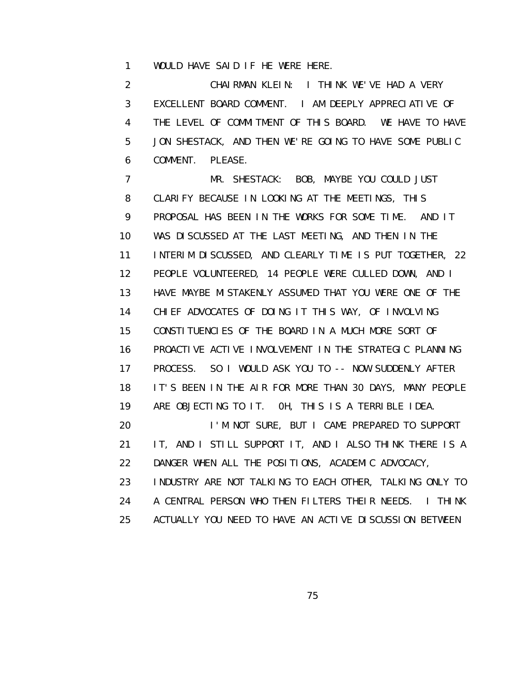1 WOULD HAVE SAID IF HE WERE HERE.

 2 CHAIRMAN KLEIN: I THINK WE'VE HAD A VERY 3 EXCELLENT BOARD COMMENT. I AM DEEPLY APPRECIATIVE OF 4 THE LEVEL OF COMMITMENT OF THIS BOARD. WE HAVE TO HAVE 5 JON SHESTACK, AND THEN WE'RE GOING TO HAVE SOME PUBLIC 6 COMMENT. PLEASE.

 7 MR. SHESTACK: BOB, MAYBE YOU COULD JUST 8 CLARIFY BECAUSE IN LOOKING AT THE MEETINGS, THIS 9 PROPOSAL HAS BEEN IN THE WORKS FOR SOME TIME. AND IT 10 WAS DISCUSSED AT THE LAST MEETING, AND THEN IN THE 11 INTERIM DISCUSSED, AND CLEARLY TIME IS PUT TOGETHER, 22 12 PEOPLE VOLUNTEERED, 14 PEOPLE WERE CULLED DOWN, AND I 13 HAVE MAYBE MISTAKENLY ASSUMED THAT YOU WERE ONE OF THE 14 CHIEF ADVOCATES OF DOING IT THIS WAY, OF INVOLVING 15 CONSTITUENCIES OF THE BOARD IN A MUCH MORE SORT OF 16 PROACTIVE ACTIVE INVOLVEMENT IN THE STRATEGIC PLANNING 17 PROCESS. SO I WOULD ASK YOU TO -- NOW SUDDENLY AFTER 18 IT'S BEEN IN THE AIR FOR MORE THAN 30 DAYS, MANY PEOPLE 19 ARE OBJECTING TO IT. 0H, THIS IS A TERRIBLE IDEA. 20 I'M NOT SURE, BUT I CAME PREPARED TO SUPPORT 21 IT, AND I STILL SUPPORT IT, AND I ALSO THINK THERE IS A 22 DANGER WHEN ALL THE POSITIONS, ACADEMIC ADVOCACY, 23 INDUSTRY ARE NOT TALKING TO EACH OTHER, TALKING ONLY TO 24 A CENTRAL PERSON WHO THEN FILTERS THEIR NEEDS. I THINK 25 ACTUALLY YOU NEED TO HAVE AN ACTIVE DISCUSSION BETWEEN

<u>75 and 2012 and 2013 and 2014 and 2014 and 2014 and 2014 and 2014 and 2014 and 2014 and 2014 and 2014 and 201</u>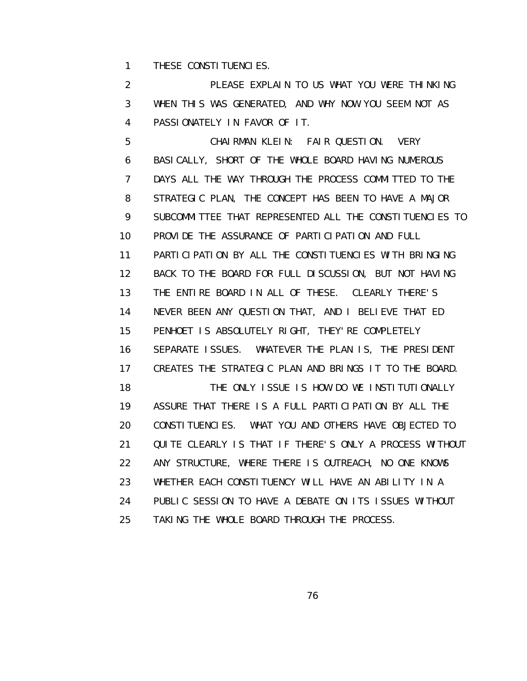1 THESE CONSTITUENCIES.

 2 PLEASE EXPLAIN TO US WHAT YOU WERE THINKING 3 WHEN THIS WAS GENERATED, AND WHY NOW YOU SEEM NOT AS 4 PASSIONATELY IN FAVOR OF IT.

 5 CHAIRMAN KLEIN: FAIR QUESTION. VERY 6 BASICALLY, SHORT OF THE WHOLE BOARD HAVING NUMEROUS 7 DAYS ALL THE WAY THROUGH THE PROCESS COMMITTED TO THE 8 STRATEGIC PLAN, THE CONCEPT HAS BEEN TO HAVE A MAJOR 9 SUBCOMMITTEE THAT REPRESENTED ALL THE CONSTITUENCIES TO 10 PROVIDE THE ASSURANCE OF PARTICIPATION AND FULL 11 PARTICIPATION BY ALL THE CONSTITUENCIES WITH BRINGING 12 BACK TO THE BOARD FOR FULL DISCUSSION, BUT NOT HAVING 13 THE ENTIRE BOARD IN ALL OF THESE. CLEARLY THERE'S 14 NEVER BEEN ANY QUESTION THAT, AND I BELIEVE THAT ED 15 PENHOET IS ABSOLUTELY RIGHT, THEY'RE COMPLETELY 16 SEPARATE ISSUES. WHATEVER THE PLAN IS, THE PRESIDENT 17 CREATES THE STRATEGIC PLAN AND BRINGS IT TO THE BOARD. 18 THE ONLY ISSUE IS HOW DO WE INSTITUTIONALLY 19 ASSURE THAT THERE IS A FULL PARTICIPATION BY ALL THE 20 CONSTITUENCIES. WHAT YOU AND OTHERS HAVE OBJECTED TO 21 QUITE CLEARLY IS THAT IF THERE'S ONLY A PROCESS WITHOUT 22 ANY STRUCTURE, WHERE THERE IS OUTREACH, NO ONE KNOWS 23 WHETHER EACH CONSTITUENCY WILL HAVE AN ABILITY IN A 24 PUBLIC SESSION TO HAVE A DEBATE ON ITS ISSUES WITHOUT 25 TAKING THE WHOLE BOARD THROUGH THE PROCESS.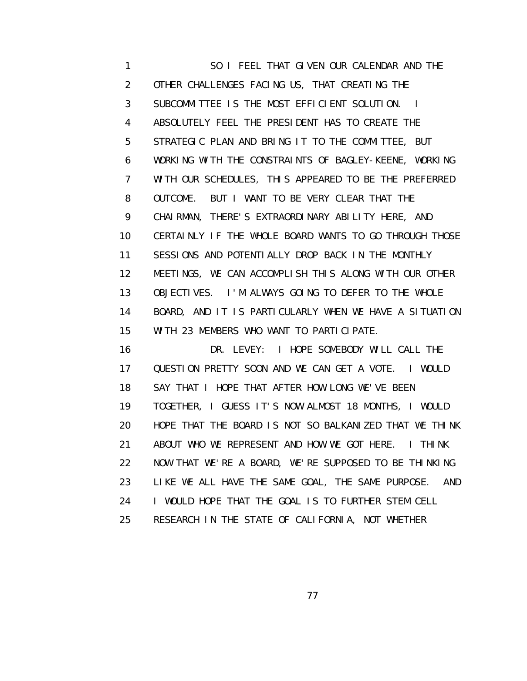1 SO I FEEL THAT GIVEN OUR CALENDAR AND THE 2 OTHER CHALLENGES FACING US, THAT CREATING THE 3 SUBCOMMITTEE IS THE MOST EFFICIENT SOLUTION. I 4 ABSOLUTELY FEEL THE PRESIDENT HAS TO CREATE THE 5 STRATEGIC PLAN AND BRING IT TO THE COMMITTEE, BUT 6 WORKING WITH THE CONSTRAINTS OF BAGLEY-KEENE, WORKING 7 WITH OUR SCHEDULES, THIS APPEARED TO BE THE PREFERRED 8 OUTCOME. BUT I WANT TO BE VERY CLEAR THAT THE 9 CHAIRMAN, THERE'S EXTRAORDINARY ABILITY HERE, AND 10 CERTAINLY IF THE WHOLE BOARD WANTS TO GO THROUGH THOSE 11 SESSIONS AND POTENTIALLY DROP BACK IN THE MONTHLY 12 MEETINGS, WE CAN ACCOMPLISH THIS ALONG WITH OUR OTHER 13 OBJECTIVES. I'M ALWAYS GOING TO DEFER TO THE WHOLE 14 BOARD, AND IT IS PARTICULARLY WHEN WE HAVE A SITUATION 15 WITH 23 MEMBERS WHO WANT TO PARTICIPATE.

 16 DR. LEVEY: I HOPE SOMEBODY WILL CALL THE 17 QUESTION PRETTY SOON AND WE CAN GET A VOTE. I WOULD 18 SAY THAT I HOPE THAT AFTER HOW LONG WE'VE BEEN 19 TOGETHER, I GUESS IT'S NOW ALMOST 18 MONTHS, I WOULD 20 HOPE THAT THE BOARD IS NOT SO BALKANIZED THAT WE THINK 21 ABOUT WHO WE REPRESENT AND HOW WE GOT HERE. I THINK 22 NOW THAT WE'RE A BOARD, WE'RE SUPPOSED TO BE THINKING 23 LIKE WE ALL HAVE THE SAME GOAL, THE SAME PURPOSE. AND 24 I WOULD HOPE THAT THE GOAL IS TO FURTHER STEM CELL 25 RESEARCH IN THE STATE OF CALIFORNIA, NOT WHETHER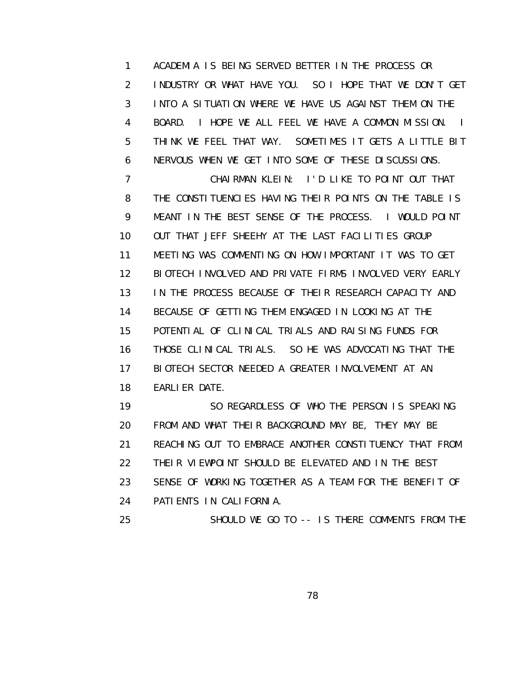1 ACADEMIA IS BEING SERVED BETTER IN THE PROCESS OR 2 INDUSTRY OR WHAT HAVE YOU. SO I HOPE THAT WE DON'T GET 3 INTO A SITUATION WHERE WE HAVE US AGAINST THEM ON THE 4 BOARD. I HOPE WE ALL FEEL WE HAVE A COMMON MISSION. I 5 THINK WE FEEL THAT WAY. SOMETIMES IT GETS A LITTLE BIT 6 NERVOUS WHEN WE GET INTO SOME OF THESE DISCUSSIONS.

 7 CHAIRMAN KLEIN: I'D LIKE TO POINT OUT THAT 8 THE CONSTITUENCIES HAVING THEIR POINTS ON THE TABLE IS 9 MEANT IN THE BEST SENSE OF THE PROCESS. I WOULD POINT 10 OUT THAT JEFF SHEEHY AT THE LAST FACILITIES GROUP 11 MEETING WAS COMMENTING ON HOW IMPORTANT IT WAS TO GET 12 BIOTECH INVOLVED AND PRIVATE FIRMS INVOLVED VERY EARLY 13 IN THE PROCESS BECAUSE OF THEIR RESEARCH CAPACITY AND 14 BECAUSE OF GETTING THEM ENGAGED IN LOOKING AT THE 15 POTENTIAL OF CLINICAL TRIALS AND RAISING FUNDS FOR 16 THOSE CLINICAL TRIALS. SO HE WAS ADVOCATING THAT THE 17 BIOTECH SECTOR NEEDED A GREATER INVOLVEMENT AT AN 18 EARLIER DATE.

 19 SO REGARDLESS OF WHO THE PERSON IS SPEAKING 20 FROM AND WHAT THEIR BACKGROUND MAY BE, THEY MAY BE 21 REACHING OUT TO EMBRACE ANOTHER CONSTITUENCY THAT FROM 22 THEIR VIEWPOINT SHOULD BE ELEVATED AND IN THE BEST 23 SENSE OF WORKING TOGETHER AS A TEAM FOR THE BENEFIT OF 24 PATIENTS IN CALIFORNIA.

25 SHOULD WE GO TO -- IS THERE COMMENTS FROM THE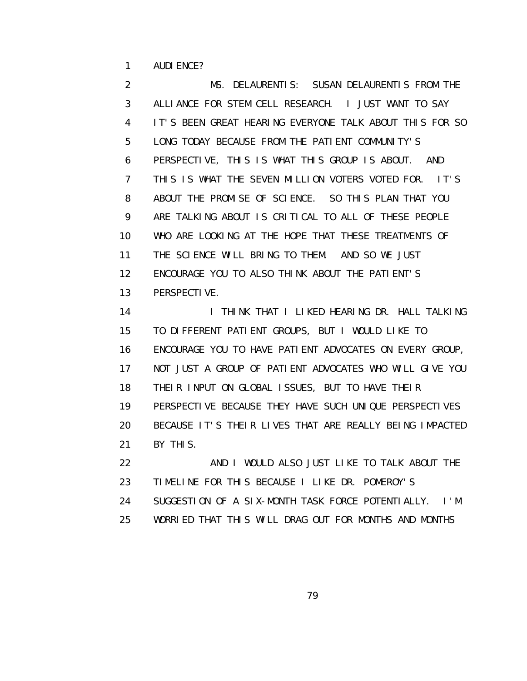1 AUDIENCE?

 2 MS. DELAURENTIS: SUSAN DELAURENTIS FROM THE 3 ALLIANCE FOR STEM CELL RESEARCH. I JUST WANT TO SAY 4 IT'S BEEN GREAT HEARING EVERYONE TALK ABOUT THIS FOR SO 5 LONG TODAY BECAUSE FROM THE PATIENT COMMUNITY'S 6 PERSPECTIVE, THIS IS WHAT THIS GROUP IS ABOUT. AND 7 THIS IS WHAT THE SEVEN MILLION VOTERS VOTED FOR. IT'S 8 ABOUT THE PROMISE OF SCIENCE. SO THIS PLAN THAT YOU 9 ARE TALKING ABOUT IS CRITICAL TO ALL OF THESE PEOPLE 10 WHO ARE LOOKING AT THE HOPE THAT THESE TREATMENTS OF 11 THE SCIENCE WILL BRING TO THEM. AND SO WE JUST 12 ENCOURAGE YOU TO ALSO THINK ABOUT THE PATIENT'S 13 PERSPECTIVE.

14 I THINK THAT I LIKED HEARING DR. HALL TALKING 15 TO DIFFERENT PATIENT GROUPS, BUT I WOULD LIKE TO 16 ENCOURAGE YOU TO HAVE PATIENT ADVOCATES ON EVERY GROUP, 17 NOT JUST A GROUP OF PATIENT ADVOCATES WHO WILL GIVE YOU 18 THEIR INPUT ON GLOBAL ISSUES, BUT TO HAVE THEIR 19 PERSPECTIVE BECAUSE THEY HAVE SUCH UNIQUE PERSPECTIVES 20 BECAUSE IT'S THEIR LIVES THAT ARE REALLY BEING IMPACTED 21 BY THIS. 22 AND I WOULD ALSO JUST LIKE TO TALK ABOUT THE

 23 TIMELINE FOR THIS BECAUSE I LIKE DR. POMEROY'S 24 SUGGESTION OF A SIX-MONTH TASK FORCE POTENTIALLY. I'M 25 WORRIED THAT THIS WILL DRAG OUT FOR MONTHS AND MONTHS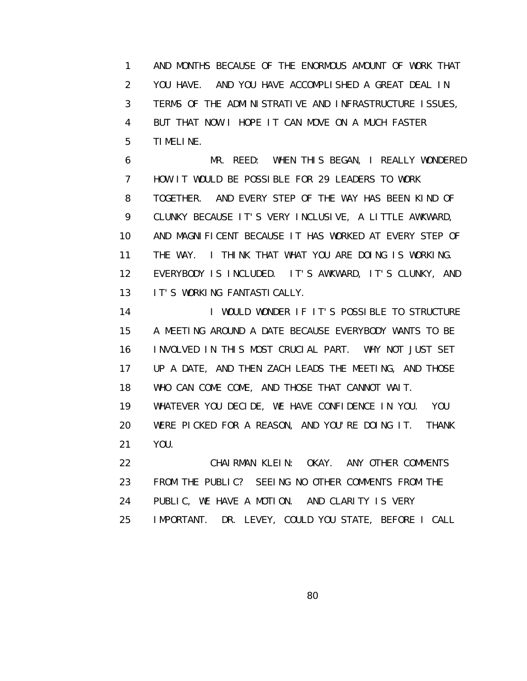1 AND MONTHS BECAUSE OF THE ENORMOUS AMOUNT OF WORK THAT 2 YOU HAVE. AND YOU HAVE ACCOMPLISHED A GREAT DEAL IN 3 TERMS OF THE ADMINISTRATIVE AND INFRASTRUCTURE ISSUES, 4 BUT THAT NOW I HOPE IT CAN MOVE ON A MUCH FASTER 5 TIMELINE.

 6 MR. REED: WHEN THIS BEGAN, I REALLY WONDERED 7 HOW IT WOULD BE POSSIBLE FOR 29 LEADERS TO WORK 8 TOGETHER. AND EVERY STEP OF THE WAY HAS BEEN KIND OF 9 CLUNKY BECAUSE IT'S VERY INCLUSIVE, A LITTLE AWKWARD, 10 AND MAGNIFICENT BECAUSE IT HAS WORKED AT EVERY STEP OF 11 THE WAY. I THINK THAT WHAT YOU ARE DOING IS WORKING. 12 EVERYBODY IS INCLUDED. IT'S AWKWARD, IT'S CLUNKY, AND 13 IT'S WORKING FANTASTICALLY.

14 I WOULD WONDER IF IT'S POSSIBLE TO STRUCTURE 15 A MEETING AROUND A DATE BECAUSE EVERYBODY WANTS TO BE 16 INVOLVED IN THIS MOST CRUCIAL PART. WHY NOT JUST SET 17 UP A DATE, AND THEN ZACH LEADS THE MEETING, AND THOSE 18 WHO CAN COME COME, AND THOSE THAT CANNOT WAIT.

 19 WHATEVER YOU DECIDE, WE HAVE CONFIDENCE IN YOU. YOU 20 WERE PICKED FOR A REASON, AND YOU'RE DOING IT. THANK 21 YOU.

 22 CHAIRMAN KLEIN: OKAY. ANY OTHER COMMENTS 23 FROM THE PUBLIC? SEEING NO OTHER COMMENTS FROM THE 24 PUBLIC, WE HAVE A MOTION. AND CLARITY IS VERY 25 IMPORTANT. DR. LEVEY, COULD YOU STATE, BEFORE I CALL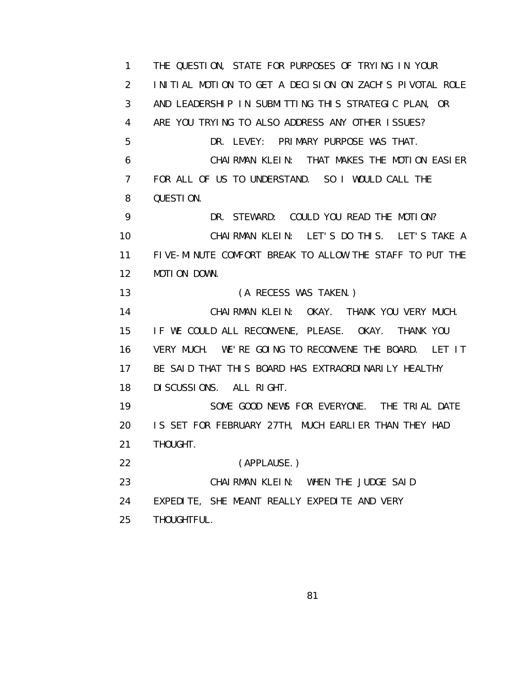1 THE QUESTION, STATE FOR PURPOSES OF TRYING IN YOUR 2 INITIAL MOTION TO GET A DECISION ON ZACH'S PIVOTAL ROLE 3 AND LEADERSHIP IN SUBMITTING THIS STRATEGIC PLAN, OR 4 ARE YOU TRYING TO ALSO ADDRESS ANY OTHER ISSUES? 5 DR. LEVEY: PRIMARY PURPOSE WAS THAT. 6 CHAIRMAN KLEIN: THAT MAKES THE MOTION EASIER 7 FOR ALL OF US TO UNDERSTAND. SO I WOULD CALL THE 8 QUESTION. 9 DR. STEWARD: COULD YOU READ THE MOTION? 10 CHAIRMAN KLEIN: LET'S DO THIS. LET'S TAKE A 11 FIVE-MINUTE COMFORT BREAK TO ALLOW THE STAFF TO PUT THE 12 MOTION DOWN. 13 (A RECESS WAS TAKEN.) 14 CHAIRMAN KLEIN: OKAY. THANK YOU VERY MUCH. 15 IF WE COULD ALL RECONVENE, PLEASE. OKAY. THANK YOU 16 VERY MUCH. WE'RE GOING TO RECONVENE THE BOARD. LET IT 17 BE SAID THAT THIS BOARD HAS EXTRAORDINARILY HEALTHY 18 DISCUSSIONS. ALL RIGHT. 19 SOME GOOD NEWS FOR EVERYONE. THE TRIAL DATE 20 IS SET FOR FEBRUARY 27TH, MUCH EARLIER THAN THEY HAD 21 THOUGHT. 22 (APPLAUSE.) 23 CHAIRMAN KLEIN: WHEN THE JUDGE SAID 24 EXPEDITE, SHE MEANT REALLY EXPEDITE AND VERY 25 THOUGHTFUL.

en and the state of the state of the State of the State of the State of the State of the State of the State of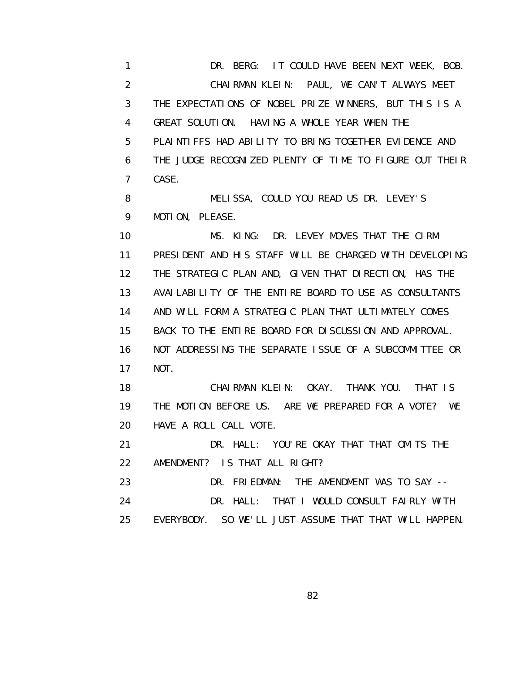1 DR. BERG: IT COULD HAVE BEEN NEXT WEEK, BOB. 2 CHAIRMAN KLEIN: PAUL, WE CAN'T ALWAYS MEET 3 THE EXPECTATIONS OF NOBEL PRIZE WINNERS, BUT THIS IS A 4 GREAT SOLUTION. HAVING A WHOLE YEAR WHEN THE 5 PLAINTIFFS HAD ABILITY TO BRING TOGETHER EVIDENCE AND 6 THE JUDGE RECOGNIZED PLENTY OF TIME TO FIGURE OUT THEIR 7 CASE.

 8 MELISSA, COULD YOU READ US DR. LEVEY'S 9 MOTION, PLEASE.

 10 MS. KING: DR. LEVEY MOVES THAT THE CIRM 11 PRESIDENT AND HIS STAFF WILL BE CHARGED WITH DEVELOPING 12 THE STRATEGIC PLAN AND, GIVEN THAT DIRECTION, HAS THE 13 AVAILABILITY OF THE ENTIRE BOARD TO USE AS CONSULTANTS 14 AND WILL FORM A STRATEGIC PLAN THAT ULTIMATELY COMES 15 BACK TO THE ENTIRE BOARD FOR DISCUSSION AND APPROVAL. 16 NOT ADDRESSING THE SEPARATE ISSUE OF A SUBCOMMITTEE OR 17 NOT.

 18 CHAIRMAN KLEIN: OKAY. THANK YOU. THAT IS 19 THE MOTION BEFORE US. ARE WE PREPARED FOR A VOTE? WE 20 HAVE A ROLL CALL VOTE.

 21 DR. HALL: YOU'RE OKAY THAT THAT OMITS THE 22 AMENDMENT? IS THAT ALL RIGHT?

 23 DR. FRIEDMAN: THE AMENDMENT WAS TO SAY -- 24 DR. HALL: THAT I WOULD CONSULT FAIRLY WITH 25 EVERYBODY. SO WE'LL JUST ASSUME THAT THAT WILL HAPPEN.

<u>82 and 2014 and 2014 and 2014 and 2014 and 2014 and 2014 and 2014 and 2014 and 2014 and 2014 and 2014 and 201</u>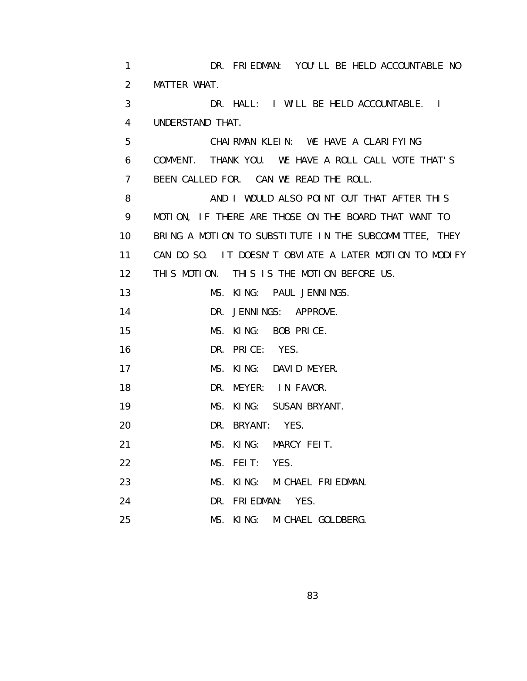1 DR. FRIEDMAN: YOU'LL BE HELD ACCOUNTABLE NO 2 MATTER WHAT. 3 DR. HALL: I WILL BE HELD ACCOUNTABLE. I 4 UNDERSTAND THAT. 5 CHAIRMAN KLEIN: WE HAVE A CLARIFYING 6 COMMENT. THANK YOU. WE HAVE A ROLL CALL VOTE THAT'S 7 BEEN CALLED FOR. CAN WE READ THE ROLL. 8 AND I WOULD ALSO POINT OUT THAT AFTER THIS 9 MOTION, IF THERE ARE THOSE ON THE BOARD THAT WANT TO 10 BRING A MOTION TO SUBSTITUTE IN THE SUBCOMMITTEE, THEY 11 CAN DO SO. IT DOESN'T OBVIATE A LATER MOTION TO MODIFY 12 THIS MOTION. THIS IS THE MOTION BEFORE US. 13 MS. KING: PAUL JENNINGS. 14 DR. JENNINGS: APPROVE. 15 MS. KING: BOB PRICE. 16 DR. PRICE: YES. 17 MS. KING: DAVID MEYER. 18 DR. MEYER: IN FAVOR. 19 MS. KING: SUSAN BRYANT. 20 DR. BRYANT: YES. 21 MS. KING: MARCY FEIT. 22 MS. FEIT: YES. 23 MS. KING: MICHAEL FRIEDMAN. 24 DR. FRIEDMAN: YES. 25 MS. KING: MICHAEL GOLDBERG.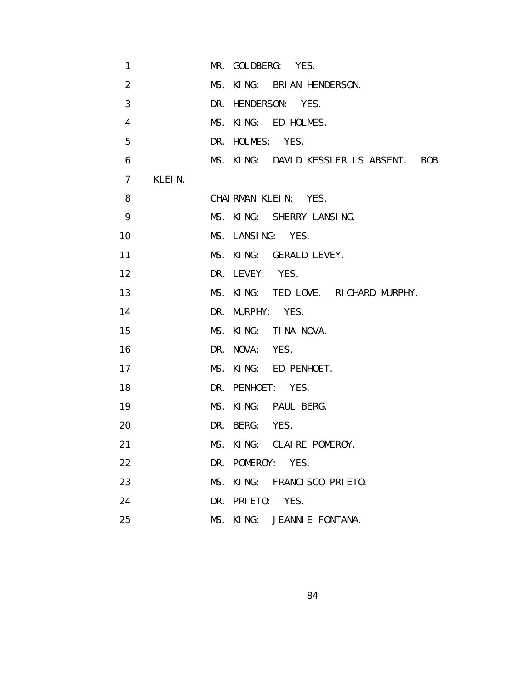| 1              |        | MR. GOLDBERG: YES.                     |
|----------------|--------|----------------------------------------|
| $\overline{2}$ |        | MS. KING: BRIAN HENDERSON.             |
| 3              |        | DR. HENDERSON: YES.                    |
| 4              |        | MS. KING: ED HOLMES.                   |
| 5              |        | DR. HOLMES: YES.                       |
| 6              |        | MS. KING: DAVID KESSLER IS ABSENT. BOB |
| $\overline{7}$ | KLEIN. |                                        |
| 8              |        | CHAIRMAN KLEIN: YES.                   |
| 9              |        | MS. KING: SHERRY LANSING.              |
| 10             |        | MS. LANSING: YES.                      |
| 11             |        | MS. KING: GERALD LEVEY.                |
| 12             |        | DR. LEVEY: YES.                        |
| 13             |        | MS. KING: TED LOVE. RICHARD MURPHY.    |
| 14             |        | DR. MURPHY: YES.                       |
| 15             |        | MS. KING: TINA NOVA.                   |
| 16             |        | DR. NOVA: YES.                         |
| 17             |        | MS. KING: ED PENHOET.                  |
| 18             |        | DR. PENHOET: YES.                      |
| 19             |        | MS. KING: PAUL BERG.                   |
| 20             |        | DR. BERG: YES.                         |
| 21             |        | MS. KING: CLAIRE POMEROY.              |
| 22             |        | DR. POMEROY: YES.                      |
| 23             |        | MS. KING: FRANCISCO PRIETO.            |
| 24             |        | DR. PRIETO: YES.                       |
| 25             |        | MS. KING: JEANNIE FONTANA.             |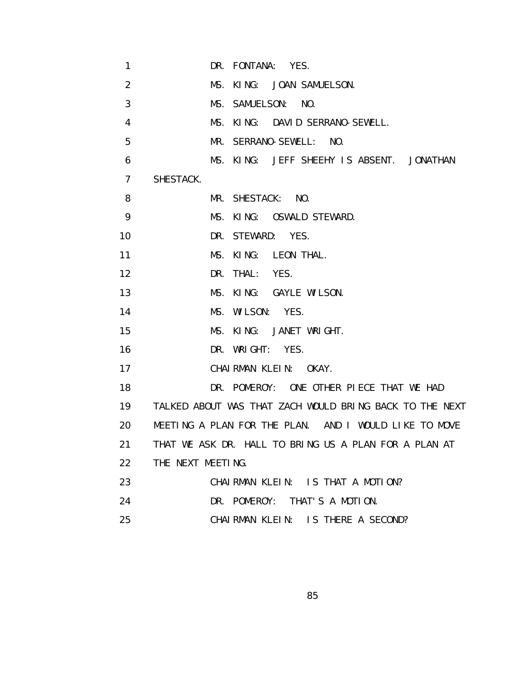| $\mathbf{1}$   | DR. FONTANA: YES.                                       |
|----------------|---------------------------------------------------------|
| 2              | MS. KING: JOAN SAMUELSON.                               |
| 3              | MS. SAMUELSON: NO.                                      |
| 4              | MS. KING: DAVID SERRANO-SEWELL.                         |
| 5              | MR. SERRANO-SEWELL: NO.                                 |
| 6              | MS. KING: JEFF SHEEHY IS ABSENT. JONATHAN               |
| $\overline{7}$ | SHESTACK.                                               |
| 8              | MR. SHESTACK: NO.                                       |
| 9              | MS. KING: OSWALD STEWARD.                               |
| 10             | DR. STEWARD: YES.                                       |
| 11             | MS. KING: LEON THAL.                                    |
| 12             | DR. THAL:<br>YES.                                       |
| 13             | MS. KING: GAYLE WILSON.                                 |
| 14             | MS. WILSON: YES.                                        |
| 15             | MS. KING: JANET WRIGHT.                                 |
| 16             | DR. WRIGHT: YES.                                        |
| 17             | CHAIRMAN KLEIN: OKAY.                                   |
| 18             | DR. POMEROY: ONE OTHER PIECE THAT WE HAD                |
| 19             | TALKED ABOUT WAS THAT ZACH WOULD BRING BACK TO THE NEXT |
| 20             | MEETING A PLAN FOR THE PLAN. AND I WOULD LIKE TO MOVE   |
| 21             | THAT WE ASK DR. HALL TO BRING US A PLAN FOR A PLAN AT   |
| 22             | THE NEXT MEETING.                                       |
| 23             | CHAIRMAN KLEIN: IS THAT A MOTION?                       |
| 24             | DR. POMEROY: THAT'S A MOTION.                           |
| 25             | CHAIRMAN KLEIN: IS THERE A SECOND?                      |

<u>85 and 200 million and 200 million and 200 million and 200 million and 200 million and 200 million and 200 mi</u>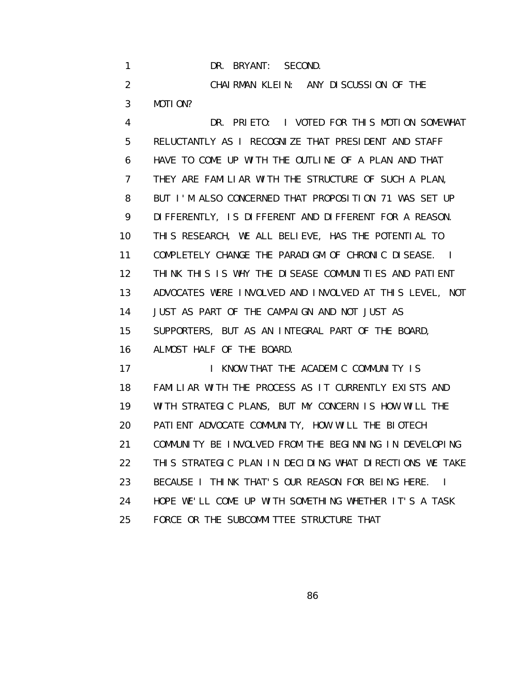|               | DR. BRYANT: SECOND.                                  |
|---------------|------------------------------------------------------|
| $\mathcal{P}$ | CHAIRMAN KLEIN: ANY DISCUSSION OF THE                |
| 3             | MOTION?                                              |
| 4             | DR. PRIETO: I VOTED FOR THIS MOTION SOMEWHAT         |
| 5             | RELUCTANTLY AS I RECOGNIZE THAT PRESIDENT AND STAFF  |
| 6             | HAVE TO COME UP WITH THE OUTLINE OF A PLAN AND THAT  |
|               | THEY ARE FAMILIAR WITH THE STRUCTURE OF SUCH A PLAN, |

 8 BUT I'M ALSO CONCERNED THAT PROPOSITION 71 WAS SET UP 9 DIFFERENTLY, IS DIFFERENT AND DIFFERENT FOR A REASON. 10 THIS RESEARCH, WE ALL BELIEVE, HAS THE POTENTIAL TO 11 COMPLETELY CHANGE THE PARADIGM OF CHRONIC DISEASE. I 12 THINK THIS IS WHY THE DISEASE COMMUNITIES AND PATIENT 13 ADVOCATES WERE INVOLVED AND INVOLVED AT THIS LEVEL, NOT 14 JUST AS PART OF THE CAMPAIGN AND NOT JUST AS 15 SUPPORTERS, BUT AS AN INTEGRAL PART OF THE BOARD,

16 ALMOST HALF OF THE BOARD.

17 I KNOW THAT THE ACADEMIC COMMUNITY IS 18 FAMILIAR WITH THE PROCESS AS IT CURRENTLY EXISTS AND 19 WITH STRATEGIC PLANS, BUT MY CONCERN IS HOW WILL THE 20 PATIENT ADVOCATE COMMUNITY, HOW WILL THE BIOTECH 21 COMMUNITY BE INVOLVED FROM THE BEGINNING IN DEVELOPING 22 THIS STRATEGIC PLAN IN DECIDING WHAT DIRECTIONS WE TAKE 23 BECAUSE I THINK THAT'S OUR REASON FOR BEING HERE. I 24 HOPE WE'LL COME UP WITH SOMETHING WHETHER IT'S A TASK 25 FORCE OR THE SUBCOMMITTEE STRUCTURE THAT

<u>86 and 2008 and 2008 and 2008 and 2008 and 2008 and 2008 and 2008 and 2008 and 2008 and 2008 and 2008 and 200</u>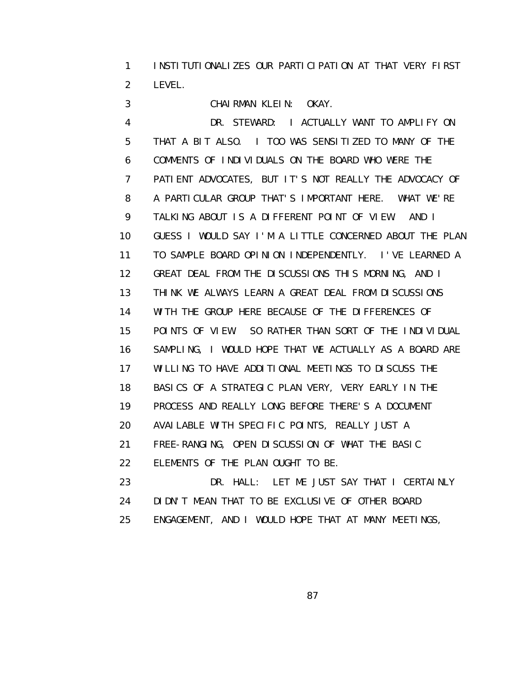1 INSTITUTIONALIZES OUR PARTICIPATION AT THAT VERY FIRST 2 LEVEL.

3 CHAIRMAN KLEIN: OKAY.

 4 DR. STEWARD: I ACTUALLY WANT TO AMPLIFY ON 5 THAT A BIT ALSO. I TOO WAS SENSITIZED TO MANY OF THE 6 COMMENTS OF INDIVIDUALS ON THE BOARD WHO WERE THE 7 PATIENT ADVOCATES, BUT IT'S NOT REALLY THE ADVOCACY OF 8 A PARTICULAR GROUP THAT'S IMPORTANT HERE. WHAT WE'RE 9 TALKING ABOUT IS A DIFFERENT POINT OF VIEW. AND I 10 GUESS I WOULD SAY I'M A LITTLE CONCERNED ABOUT THE PLAN 11 TO SAMPLE BOARD OPINION INDEPENDENTLY. I'VE LEARNED A 12 GREAT DEAL FROM THE DISCUSSIONS THIS MORNING, AND I 13 THINK WE ALWAYS LEARN A GREAT DEAL FROM DISCUSSIONS 14 WITH THE GROUP HERE BECAUSE OF THE DIFFERENCES OF 15 POINTS OF VIEW. SO RATHER THAN SORT OF THE INDIVIDUAL 16 SAMPLING, I WOULD HOPE THAT WE ACTUALLY AS A BOARD ARE 17 WILLING TO HAVE ADDITIONAL MEETINGS TO DISCUSS THE 18 BASICS OF A STRATEGIC PLAN VERY, VERY EARLY IN THE 19 PROCESS AND REALLY LONG BEFORE THERE'S A DOCUMENT 20 AVAILABLE WITH SPECIFIC POINTS, REALLY JUST A 21 FREE-RANGING, OPEN DISCUSSION OF WHAT THE BASIC 22 ELEMENTS OF THE PLAN OUGHT TO BE. 23 DR. HALL: LET ME JUST SAY THAT I CERTAINLY 24 DIDN'T MEAN THAT TO BE EXCLUSIVE OF OTHER BOARD

25 ENGAGEMENT, AND I WOULD HOPE THAT AT MANY MEETINGS,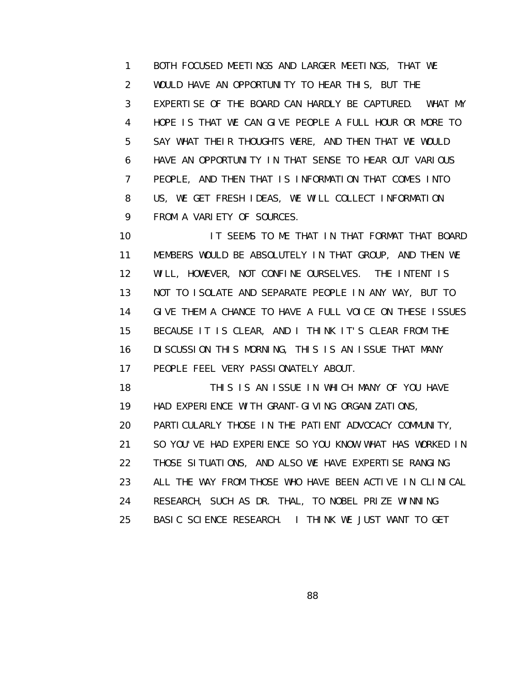1 BOTH FOCUSED MEETINGS AND LARGER MEETINGS, THAT WE 2 WOULD HAVE AN OPPORTUNITY TO HEAR THIS, BUT THE 3 EXPERTISE OF THE BOARD CAN HARDLY BE CAPTURED. WHAT MY 4 HOPE IS THAT WE CAN GIVE PEOPLE A FULL HOUR OR MORE TO 5 SAY WHAT THEIR THOUGHTS WERE, AND THEN THAT WE WOULD 6 HAVE AN OPPORTUNITY IN THAT SENSE TO HEAR OUT VARIOUS 7 PEOPLE, AND THEN THAT IS INFORMATION THAT COMES INTO 8 US, WE GET FRESH IDEAS, WE WILL COLLECT INFORMATION 9 FROM A VARIETY OF SOURCES.

 10 IT SEEMS TO ME THAT IN THAT FORMAT THAT BOARD 11 MEMBERS WOULD BE ABSOLUTELY IN THAT GROUP, AND THEN WE 12 WILL, HOWEVER, NOT CONFINE OURSELVES. THE INTENT IS 13 NOT TO ISOLATE AND SEPARATE PEOPLE IN ANY WAY, BUT TO 14 GIVE THEM A CHANCE TO HAVE A FULL VOICE ON THESE ISSUES 15 BECAUSE IT IS CLEAR, AND I THINK IT'S CLEAR FROM THE 16 DISCUSSION THIS MORNING, THIS IS AN ISSUE THAT MANY 17 PEOPLE FEEL VERY PASSIONATELY ABOUT.

 18 THIS IS AN ISSUE IN WHICH MANY OF YOU HAVE 19 HAD EXPERIENCE WITH GRANT-GIVING ORGANIZATIONS, 20 PARTICULARLY THOSE IN THE PATIENT ADVOCACY COMMUNITY, 21 SO YOU'VE HAD EXPERIENCE SO YOU KNOW WHAT HAS WORKED IN 22 THOSE SITUATIONS, AND ALSO WE HAVE EXPERTISE RANGING 23 ALL THE WAY FROM THOSE WHO HAVE BEEN ACTIVE IN CLINICAL 24 RESEARCH, SUCH AS DR. THAL, TO NOBEL PRIZE WINNING 25 BASIC SCIENCE RESEARCH. I THINK WE JUST WANT TO GET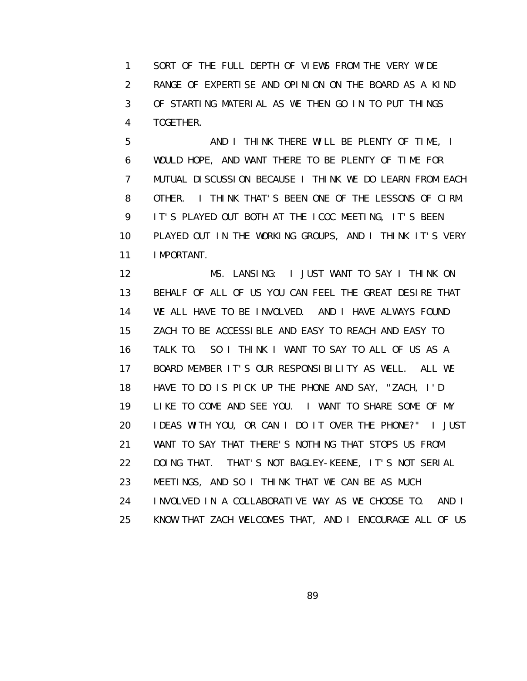1 SORT OF THE FULL DEPTH OF VIEWS FROM THE VERY WIDE 2 RANGE OF EXPERTISE AND OPINION ON THE BOARD AS A KIND 3 OF STARTING MATERIAL AS WE THEN GO IN TO PUT THINGS 4 TOGETHER.

 5 AND I THINK THERE WILL BE PLENTY OF TIME, I 6 WOULD HOPE, AND WANT THERE TO BE PLENTY OF TIME FOR 7 MUTUAL DISCUSSION BECAUSE I THINK WE DO LEARN FROM EACH 8 OTHER. I THINK THAT'S BEEN ONE OF THE LESSONS OF CIRM. 9 IT'S PLAYED OUT BOTH AT THE ICOC MEETING, IT'S BEEN 10 PLAYED OUT IN THE WORKING GROUPS, AND I THINK IT'S VERY 11 IMPORTANT.

 12 MS. LANSING: I JUST WANT TO SAY I THINK ON 13 BEHALF OF ALL OF US YOU CAN FEEL THE GREAT DESIRE THAT 14 WE ALL HAVE TO BE INVOLVED. AND I HAVE ALWAYS FOUND 15 ZACH TO BE ACCESSIBLE AND EASY TO REACH AND EASY TO 16 TALK TO. SO I THINK I WANT TO SAY TO ALL OF US AS A 17 BOARD MEMBER IT'S OUR RESPONSIBILITY AS WELL. ALL WE 18 HAVE TO DO IS PICK UP THE PHONE AND SAY, "ZACH, I'D 19 LIKE TO COME AND SEE YOU. I WANT TO SHARE SOME OF MY 20 IDEAS WITH YOU, OR CAN I DO IT OVER THE PHONE?" I JUST 21 WANT TO SAY THAT THERE'S NOTHING THAT STOPS US FROM 22 DOING THAT. THAT'S NOT BAGLEY-KEENE, IT'S NOT SERIAL 23 MEETINGS, AND SO I THINK THAT WE CAN BE AS MUCH 24 INVOLVED IN A COLLABORATIVE WAY AS WE CHOOSE TO. AND I 25 KNOW THAT ZACH WELCOMES THAT, AND I ENCOURAGE ALL OF US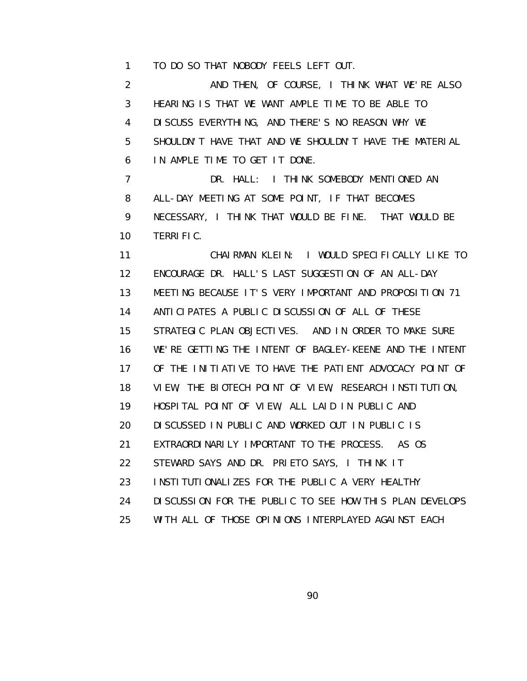1 TO DO SO THAT NOBODY FEELS LEFT OUT.

 2 AND THEN, OF COURSE, I THINK WHAT WE'RE ALSO 3 HEARING IS THAT WE WANT AMPLE TIME TO BE ABLE TO 4 DISCUSS EVERYTHING, AND THERE'S NO REASON WHY WE 5 SHOULDN'T HAVE THAT AND WE SHOULDN'T HAVE THE MATERIAL 6 IN AMPLE TIME TO GET IT DONE. 7 DR. HALL: I THINK SOMEBODY MENTIONED AN 8 ALL-DAY MEETING AT SOME POINT, IF THAT BECOMES 9 NECESSARY, I THINK THAT WOULD BE FINE. THAT WOULD BE 10 TERRIFIC. 11 CHAIRMAN KLEIN: I WOULD SPECIFICALLY LIKE TO 12 ENCOURAGE DR. HALL'S LAST SUGGESTION OF AN ALL-DAY 13 MEETING BECAUSE IT'S VERY IMPORTANT AND PROPOSITION 71 14 ANTICIPATES A PUBLIC DISCUSSION OF ALL OF THESE 15 STRATEGIC PLAN OBJECTIVES. AND IN ORDER TO MAKE SURE 16 WE'RE GETTING THE INTENT OF BAGLEY-KEENE AND THE INTENT 17 OF THE INITIATIVE TO HAVE THE PATIENT ADVOCACY POINT OF 18 VIEW, THE BIOTECH POINT OF VIEW, RESEARCH INSTITUTION, 19 HOSPITAL POINT OF VIEW, ALL LAID IN PUBLIC AND 20 DISCUSSED IN PUBLIC AND WORKED OUT IN PUBLIC IS 21 EXTRAORDINARILY IMPORTANT TO THE PROCESS. AS OS 22 STEWARD SAYS AND DR. PRIETO SAYS, I THINK IT 23 INSTITUTIONALIZES FOR THE PUBLIC A VERY HEALTHY 24 DISCUSSION FOR THE PUBLIC TO SEE HOW THIS PLAN DEVELOPS 25 WITH ALL OF THOSE OPINIONS INTERPLAYED AGAINST EACH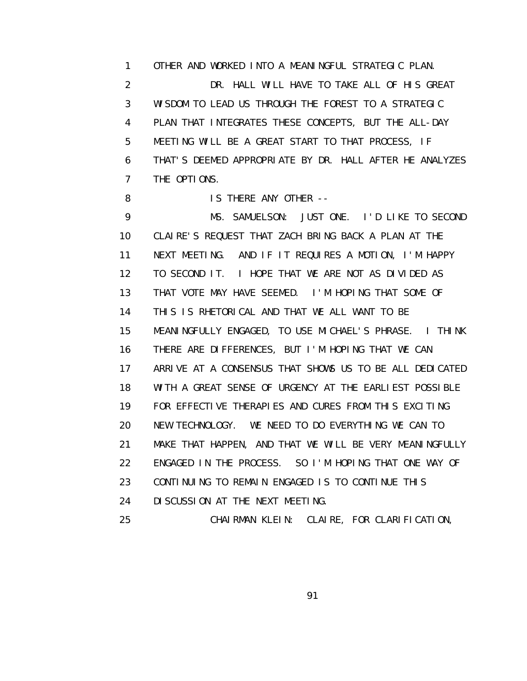1 OTHER AND WORKED INTO A MEANINGFUL STRATEGIC PLAN. 2 DR. HALL WILL HAVE TO TAKE ALL OF HIS GREAT 3 WISDOM TO LEAD US THROUGH THE FOREST TO A STRATEGIC 4 PLAN THAT INTEGRATES THESE CONCEPTS, BUT THE ALL-DAY 5 MEETING WILL BE A GREAT START TO THAT PROCESS, IF 6 THAT'S DEEMED APPROPRIATE BY DR. HALL AFTER HE ANALYZES 7 THE OPTIONS.

8 IS THERE ANY OTHER --

 9 MS. SAMUELSON: JUST ONE. I'D LIKE TO SECOND 10 CLAIRE'S REQUEST THAT ZACH BRING BACK A PLAN AT THE 11 NEXT MEETING. AND IF IT REQUIRES A MOTION, I'M HAPPY 12 TO SECOND IT. I HOPE THAT WE ARE NOT AS DIVIDED AS 13 THAT VOTE MAY HAVE SEEMED. I'M HOPING THAT SOME OF 14 THIS IS RHETORICAL AND THAT WE ALL WANT TO BE 15 MEANINGFULLY ENGAGED, TO USE MICHAEL'S PHRASE. I THINK 16 THERE ARE DIFFERENCES, BUT I'M HOPING THAT WE CAN 17 ARRIVE AT A CONSENSUS THAT SHOWS US TO BE ALL DEDICATED 18 WITH A GREAT SENSE OF URGENCY AT THE EARLIEST POSSIBLE 19 FOR EFFECTIVE THERAPIES AND CURES FROM THIS EXCITING 20 NEW TECHNOLOGY. WE NEED TO DO EVERYTHING WE CAN TO 21 MAKE THAT HAPPEN, AND THAT WE WILL BE VERY MEANINGFULLY 22 ENGAGED IN THE PROCESS. SO I'M HOPING THAT ONE WAY OF 23 CONTINUING TO REMAIN ENGAGED IS TO CONTINUE THIS 24 DISCUSSION AT THE NEXT MEETING.

25 CHAIRMAN KLEIN: CLAIRE, FOR CLARIFICATION,

<u>91 - Johann Stein, amerikan pengaran pengaran pengaran pengaran pengaran pengaran pengaran pengaran pengaran</u>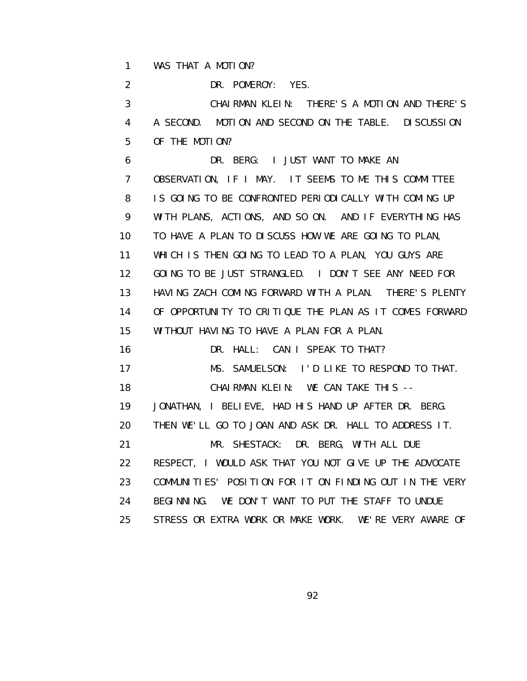1 WAS THAT A MOTION?

2 DR. POMEROY: YES.

 3 CHAIRMAN KLEIN: THERE'S A MOTION AND THERE'S 4 A SECOND. MOTION AND SECOND ON THE TABLE. DISCUSSION 5 OF THE MOTION?

 6 DR. BERG: I JUST WANT TO MAKE AN 7 OBSERVATION, IF I MAY. IT SEEMS TO ME THIS COMMITTEE 8 IS GOING TO BE CONFRONTED PERIODICALLY WITH COMING UP 9 WITH PLANS, ACTIONS, AND SO ON. AND IF EVERYTHING HAS 10 TO HAVE A PLAN TO DISCUSS HOW WE ARE GOING TO PLAN, 11 WHICH IS THEN GOING TO LEAD TO A PLAN, YOU GUYS ARE 12 GOING TO BE JUST STRANGLED. I DON'T SEE ANY NEED FOR 13 HAVING ZACH COMING FORWARD WITH A PLAN. THERE'S PLENTY 14 OF OPPORTUNITY TO CRITIQUE THE PLAN AS IT COMES FORWARD 15 WITHOUT HAVING TO HAVE A PLAN FOR A PLAN. 16 DR. HALL: CAN I SPEAK TO THAT?

 17 MS. SAMUELSON: I'D LIKE TO RESPOND TO THAT. 18 CHAIRMAN KLEIN: WE CAN TAKE THIS -- 19 JONATHAN, I BELIEVE, HAD HIS HAND UP AFTER DR. BERG. 20 THEN WE'LL GO TO JOAN AND ASK DR. HALL TO ADDRESS IT. 21 MR. SHESTACK: DR. BERG, WITH ALL DUE 22 RESPECT, I WOULD ASK THAT YOU NOT GIVE UP THE ADVOCATE 23 COMMUNITIES' POSITION FOR IT ON FINDING OUT IN THE VERY 24 BEGINNING. WE DON'T WANT TO PUT THE STAFF TO UNDUE

25 STRESS OR EXTRA WORK OR MAKE WORK. WE'RE VERY AWARE OF

<u>92 and 2011 and 2012 and 2014 and 2014 and 2014 and 2014 and 2014 and 2014 and 2014 and 2014 and 2014 and 201</u>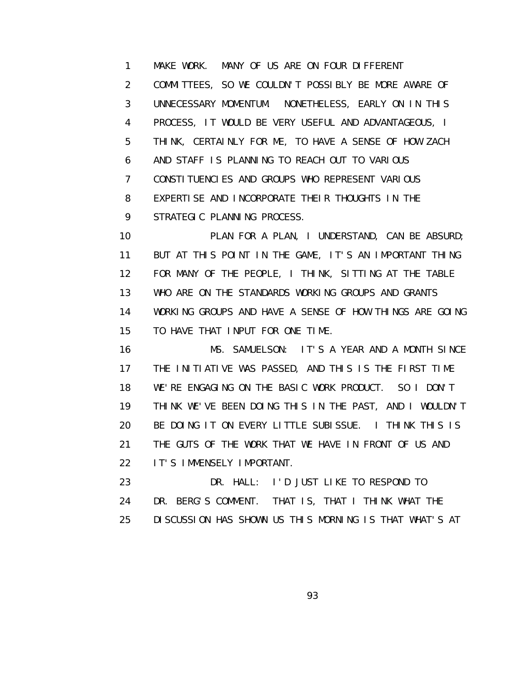1 MAKE WORK. MANY OF US ARE ON FOUR DIFFERENT 2 COMMITTEES, SO WE COULDN'T POSSIBLY BE MORE AWARE OF 3 UNNECESSARY MOMENTUM. NONETHELESS, EARLY ON IN THIS 4 PROCESS, IT WOULD BE VERY USEFUL AND ADVANTAGEOUS, I 5 THINK, CERTAINLY FOR ME, TO HAVE A SENSE OF HOW ZACH 6 AND STAFF IS PLANNING TO REACH OUT TO VARIOUS 7 CONSTITUENCIES AND GROUPS WHO REPRESENT VARIOUS 8 EXPERTISE AND INCORPORATE THEIR THOUGHTS IN THE 9 STRATEGIC PLANNING PROCESS.

 10 PLAN FOR A PLAN, I UNDERSTAND, CAN BE ABSURD; 11 BUT AT THIS POINT IN THE GAME, IT'S AN IMPORTANT THING 12 FOR MANY OF THE PEOPLE, I THINK, SITTING AT THE TABLE 13 WHO ARE ON THE STANDARDS WORKING GROUPS AND GRANTS 14 WORKING GROUPS AND HAVE A SENSE OF HOW THINGS ARE GOING 15 TO HAVE THAT INPUT FOR ONE TIME.

 16 MS. SAMUELSON: IT'S A YEAR AND A MONTH SINCE 17 THE INITIATIVE WAS PASSED, AND THIS IS THE FIRST TIME 18 WE'RE ENGAGING ON THE BASIC WORK PRODUCT. SO I DON'T 19 THINK WE'VE BEEN DOING THIS IN THE PAST, AND I WOULDN'T 20 BE DOING IT ON EVERY LITTLE SUBISSUE. I THINK THIS IS 21 THE GUTS OF THE WORK THAT WE HAVE IN FRONT OF US AND 22 IT'S IMMENSELY IMPORTANT.

 23 DR. HALL: I'D JUST LIKE TO RESPOND TO 24 DR. BERG'S COMMENT. THAT IS, THAT I THINK WHAT THE 25 DISCUSSION HAS SHOWN US THIS MORNING IS THAT WHAT'S AT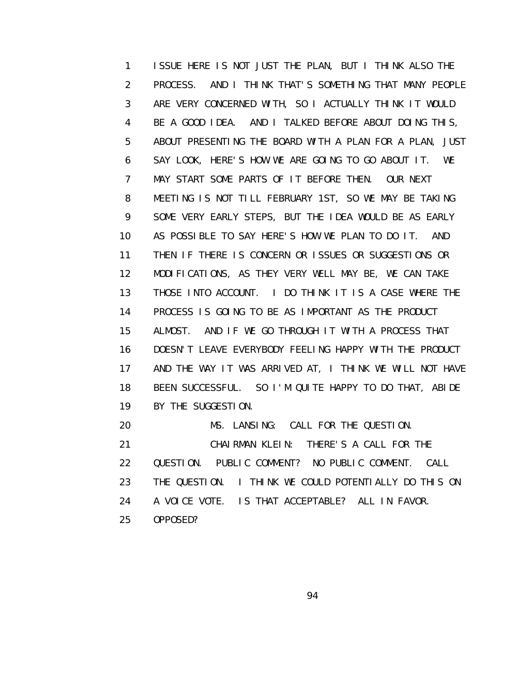1 ISSUE HERE IS NOT JUST THE PLAN, BUT I THINK ALSO THE 2 PROCESS. AND I THINK THAT'S SOMETHING THAT MANY PEOPLE 3 ARE VERY CONCERNED WITH, SO I ACTUALLY THINK IT WOULD 4 BE A GOOD IDEA. AND I TALKED BEFORE ABOUT DOING THIS, 5 ABOUT PRESENTING THE BOARD WITH A PLAN FOR A PLAN, JUST 6 SAY LOOK, HERE'S HOW WE ARE GOING TO GO ABOUT IT. WE 7 MAY START SOME PARTS OF IT BEFORE THEN. OUR NEXT 8 MEETING IS NOT TILL FEBRUARY 1ST, SO WE MAY BE TAKING 9 SOME VERY EARLY STEPS, BUT THE IDEA WOULD BE AS EARLY 10 AS POSSIBLE TO SAY HERE'S HOW WE PLAN TO DO IT. AND 11 THEN IF THERE IS CONCERN OR ISSUES OR SUGGESTIONS OR 12 MODIFICATIONS, AS THEY VERY WELL MAY BE, WE CAN TAKE 13 THOSE INTO ACCOUNT. I DO THINK IT IS A CASE WHERE THE 14 PROCESS IS GOING TO BE AS IMPORTANT AS THE PRODUCT 15 ALMOST. AND IF WE GO THROUGH IT WITH A PROCESS THAT 16 DOESN'T LEAVE EVERYBODY FEELING HAPPY WITH THE PRODUCT 17 AND THE WAY IT WAS ARRIVED AT, I THINK WE WILL NOT HAVE 18 BEEN SUCCESSFUL. SO I'M QUITE HAPPY TO DO THAT, ABIDE 19 BY THE SUGGESTION. 20 MS. LANSING: CALL FOR THE QUESTION. 21 CHAIRMAN KLEIN: THERE'S A CALL FOR THE

- 22 QUESTION. PUBLIC COMMENT? NO PUBLIC COMMENT. CALL
- 23 THE QUESTION. I THINK WE COULD POTENTIALLY DO THIS ON
- 24 A VOICE VOTE. IS THAT ACCEPTABLE? ALL IN FAVOR.
- 25 OPPOSED?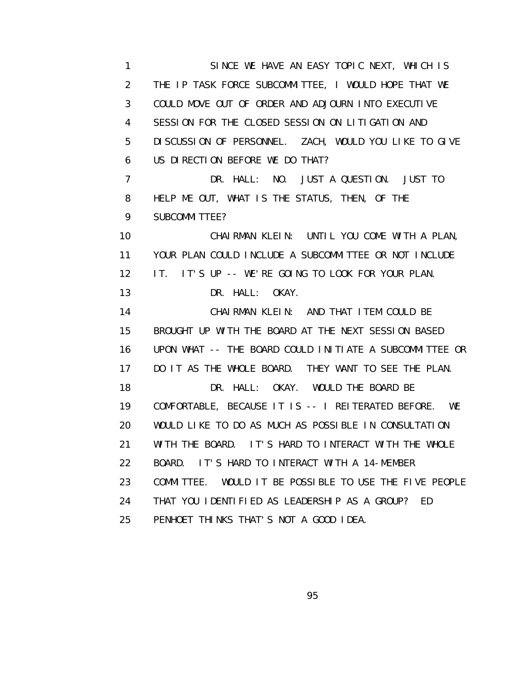1 SINCE WE HAVE AN EASY TOPIC NEXT, WHICH IS 2 THE IP TASK FORCE SUBCOMMITTEE, I WOULD HOPE THAT WE 3 COULD MOVE OUT OF ORDER AND ADJOURN INTO EXECUTIVE 4 SESSION FOR THE CLOSED SESSION ON LITIGATION AND 5 DISCUSSION OF PERSONNEL. ZACH, WOULD YOU LIKE TO GIVE 6 US DIRECTION BEFORE WE DO THAT? 7 DR. HALL: NO. JUST A QUESTION. JUST TO 8 HELP ME OUT, WHAT IS THE STATUS, THEN, OF THE 9 SUBCOMMITTEE? 10 CHAIRMAN KLEIN: UNTIL YOU COME WITH A PLAN, 11 YOUR PLAN COULD INCLUDE A SUBCOMMITTEE OR NOT INCLUDE 12 IT. IT'S UP -- WE'RE GOING TO LOOK FOR YOUR PLAN. 13 DR. HALL: OKAY. 14 CHAIRMAN KLEIN: AND THAT ITEM COULD BE 15 BROUGHT UP WITH THE BOARD AT THE NEXT SESSION BASED 16 UPON WHAT -- THE BOARD COULD INITIATE A SUBCOMMITTEE OR 17 DO IT AS THE WHOLE BOARD. THEY WANT TO SEE THE PLAN. 18 DR. HALL: OKAY. WOULD THE BOARD BE 19 COMFORTABLE, BECAUSE IT IS -- I REITERATED BEFORE. WE 20 WOULD LIKE TO DO AS MUCH AS POSSIBLE IN CONSULTATION 21 WITH THE BOARD. IT'S HARD TO INTERACT WITH THE WHOLE 22 BOARD. IT'S HARD TO INTERACT WITH A 14-MEMBER 23 COMMITTEE. WOULD IT BE POSSIBLE TO USE THE FIVE PEOPLE 24 THAT YOU IDENTIFIED AS LEADERSHIP AS A GROUP? ED 25 PENHOET THINKS THAT'S NOT A GOOD IDEA.

<u>95 and the state of the state of the state of the state of the state of the state of the state of the state of the state of the state of the state of the state of the state of the state of the state of the state of the st</u>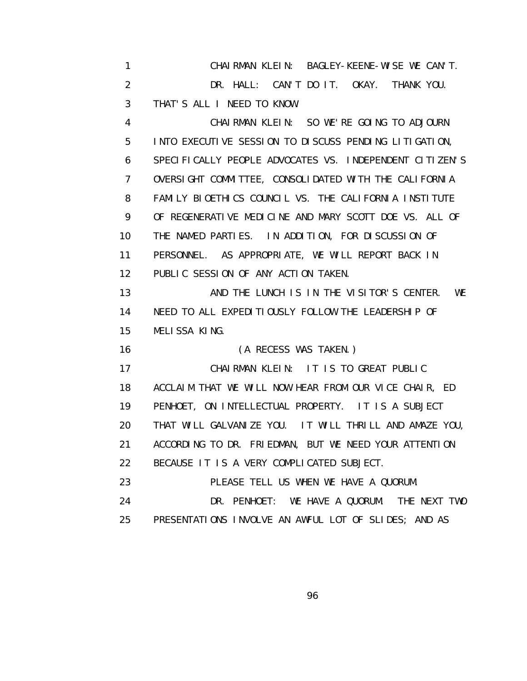1 CHAIRMAN KLEIN: BAGLEY-KEENE-WISE WE CAN'T. 2 DR. HALL: CAN'T DO IT. OKAY. THANK YOU. 3 THAT'S ALL I NEED TO KNOW. 4 CHAIRMAN KLEIN: SO WE'RE GOING TO ADJOURN 5 INTO EXECUTIVE SESSION TO DISCUSS PENDING LITIGATION, 6 SPECIFICALLY PEOPLE ADVOCATES VS. INDEPENDENT CITIZEN'S 7 OVERSIGHT COMMITTEE, CONSOLIDATED WITH THE CALIFORNIA 8 FAMILY BIOETHICS COUNCIL VS. THE CALIFORNIA INSTITUTE 9 OF REGENERATIVE MEDICINE AND MARY SCOTT DOE VS. ALL OF 10 THE NAMED PARTIES. IN ADDITION, FOR DISCUSSION OF 11 PERSONNEL. AS APPROPRIATE, WE WILL REPORT BACK IN 12 PUBLIC SESSION OF ANY ACTION TAKEN. 13 **AND THE LUNCH IS IN THE VISITOR'S CENTER.** WE 14 NEED TO ALL EXPEDITIOUSLY FOLLOW THE LEADERSHIP OF 15 MELISSA KING. 16 (A RECESS WAS TAKEN.) 17 CHAIRMAN KLEIN: IT IS TO GREAT PUBLIC 18 ACCLAIM THAT WE WILL NOW HEAR FROM OUR VICE CHAIR, ED 19 PENHOET, ON INTELLECTUAL PROPERTY. IT IS A SUBJECT 20 THAT WILL GALVANIZE YOU. IT WILL THRILL AND AMAZE YOU, 21 ACCORDING TO DR. FRIEDMAN, BUT WE NEED YOUR ATTENTION 22 BECAUSE IT IS A VERY COMPLICATED SUBJECT. 23 PLEASE TELL US WHEN WE HAVE A QUORUM. 24 DR. PENHOET: WE HAVE A QUORUM. THE NEXT TWO 25 PRESENTATIONS INVOLVE AN AWFUL LOT OF SLIDES; AND AS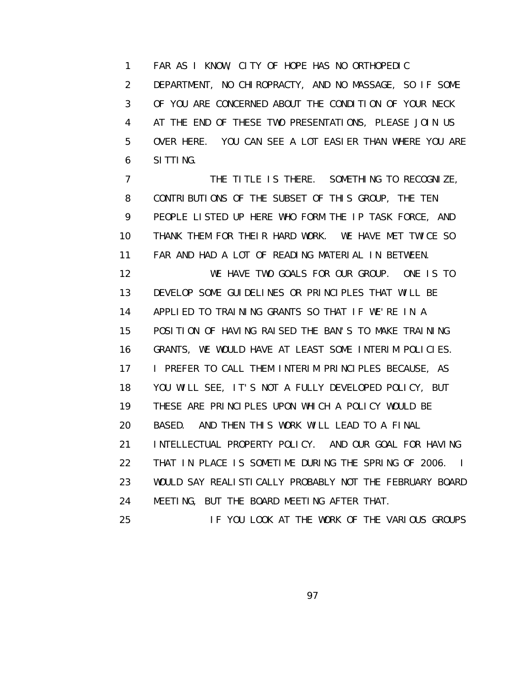1 FAR AS I KNOW, CITY OF HOPE HAS NO ORTHOPEDIC 2 DEPARTMENT, NO CHIROPRACTY, AND NO MASSAGE, SO IF SOME 3 OF YOU ARE CONCERNED ABOUT THE CONDITION OF YOUR NECK 4 AT THE END OF THESE TWO PRESENTATIONS, PLEASE JOIN US 5 OVER HERE. YOU CAN SEE A LOT EASIER THAN WHERE YOU ARE 6 SITTING.

7 THE TITLE IS THERE. SOMETHING TO RECOGNIZE, 8 CONTRIBUTIONS OF THE SUBSET OF THIS GROUP, THE TEN 9 PEOPLE LISTED UP HERE WHO FORM THE IP TASK FORCE, AND 10 THANK THEM FOR THEIR HARD WORK. WE HAVE MET TWICE SO 11 FAR AND HAD A LOT OF READING MATERIAL IN BETWEEN.

 12 WE HAVE TWO GOALS FOR OUR GROUP. ONE IS TO 13 DEVELOP SOME GUIDELINES OR PRINCIPLES THAT WILL BE 14 APPLIED TO TRAINING GRANTS SO THAT IF WE'RE IN A 15 POSITION OF HAVING RAISED THE BAN'S TO MAKE TRAINING 16 GRANTS, WE WOULD HAVE AT LEAST SOME INTERIM POLICIES. 17 I PREFER TO CALL THEM INTERIM PRINCIPLES BECAUSE, AS 18 YOU WILL SEE, IT'S NOT A FULLY DEVELOPED POLICY, BUT 19 THESE ARE PRINCIPLES UPON WHICH A POLICY WOULD BE 20 BASED. AND THEN THIS WORK WILL LEAD TO A FINAL 21 INTELLECTUAL PROPERTY POLICY. AND OUR GOAL FOR HAVING 22 THAT IN PLACE IS SOMETIME DURING THE SPRING OF 2006. I 23 WOULD SAY REALISTICALLY PROBABLY NOT THE FEBRUARY BOARD 24 MEETING, BUT THE BOARD MEETING AFTER THAT.

25 IF YOU LOOK AT THE WORK OF THE VARIOUS GROUPS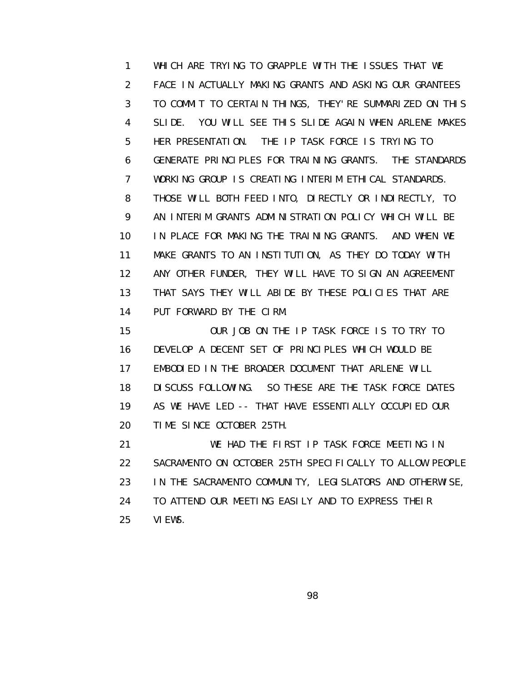1 WHICH ARE TRYING TO GRAPPLE WITH THE ISSUES THAT WE 2 FACE IN ACTUALLY MAKING GRANTS AND ASKING OUR GRANTEES 3 TO COMMIT TO CERTAIN THINGS, THEY'RE SUMMARIZED ON THIS 4 SLIDE. YOU WILL SEE THIS SLIDE AGAIN WHEN ARLENE MAKES 5 HER PRESENTATION. THE IP TASK FORCE IS TRYING TO 6 GENERATE PRINCIPLES FOR TRAINING GRANTS. THE STANDARDS 7 WORKING GROUP IS CREATING INTERIM ETHICAL STANDARDS. 8 THOSE WILL BOTH FEED INTO, DIRECTLY OR INDIRECTLY, TO 9 AN INTERIM GRANTS ADMINISTRATION POLICY WHICH WILL BE 10 IN PLACE FOR MAKING THE TRAINING GRANTS. AND WHEN WE 11 MAKE GRANTS TO AN INSTITUTION, AS THEY DO TODAY WITH 12 ANY OTHER FUNDER, THEY WILL HAVE TO SIGN AN AGREEMENT 13 THAT SAYS THEY WILL ABIDE BY THESE POLICIES THAT ARE 14 PUT FORWARD BY THE CIRM.

 15 OUR JOB ON THE IP TASK FORCE IS TO TRY TO 16 DEVELOP A DECENT SET OF PRINCIPLES WHICH WOULD BE 17 EMBODIED IN THE BROADER DOCUMENT THAT ARLENE WILL 18 DISCUSS FOLLOWING. SO THESE ARE THE TASK FORCE DATES 19 AS WE HAVE LED -- THAT HAVE ESSENTIALLY OCCUPIED OUR 20 TIME SINCE OCTOBER 25TH.

 21 WE HAD THE FIRST IP TASK FORCE MEETING IN 22 SACRAMENTO ON OCTOBER 25TH SPECIFICALLY TO ALLOW PEOPLE 23 IN THE SACRAMENTO COMMUNITY, LEGISLATORS AND OTHERWISE, 24 TO ATTEND OUR MEETING EASILY AND TO EXPRESS THEIR 25 VIEWS.

e de la construction de la construction de la construction de la construction de la construction de la constru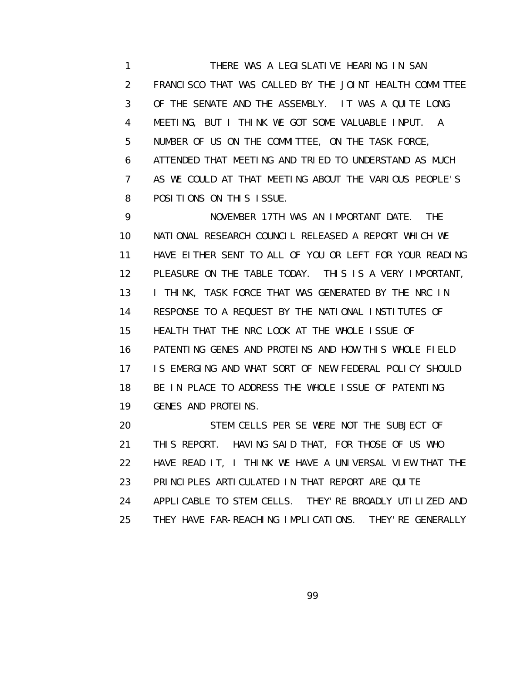1 THERE WAS A LEGISLATIVE HEARING IN SAN 2 FRANCISCO THAT WAS CALLED BY THE JOINT HEALTH COMMITTEE 3 OF THE SENATE AND THE ASSEMBLY. IT WAS A QUITE LONG 4 MEETING, BUT I THINK WE GOT SOME VALUABLE INPUT. A 5 NUMBER OF US ON THE COMMITTEE, ON THE TASK FORCE, 6 ATTENDED THAT MEETING AND TRIED TO UNDERSTAND AS MUCH 7 AS WE COULD AT THAT MEETING ABOUT THE VARIOUS PEOPLE'S 8 POSITIONS ON THIS ISSUE.

 9 NOVEMBER 17TH WAS AN IMPORTANT DATE. THE 10 NATIONAL RESEARCH COUNCIL RELEASED A REPORT WHICH WE 11 HAVE EITHER SENT TO ALL OF YOU OR LEFT FOR YOUR READING 12 PLEASURE ON THE TABLE TODAY. THIS IS A VERY IMPORTANT, 13 I THINK, TASK FORCE THAT WAS GENERATED BY THE NRC IN 14 RESPONSE TO A REQUEST BY THE NATIONAL INSTITUTES OF 15 HEALTH THAT THE NRC LOOK AT THE WHOLE ISSUE OF 16 PATENTING GENES AND PROTEINS AND HOW THIS WHOLE FIELD 17 IS EMERGING AND WHAT SORT OF NEW FEDERAL POLICY SHOULD 18 BE IN PLACE TO ADDRESS THE WHOLE ISSUE OF PATENTING 19 GENES AND PROTEINS.

 20 STEM CELLS PER SE WERE NOT THE SUBJECT OF 21 THIS REPORT. HAVING SAID THAT, FOR THOSE OF US WHO 22 HAVE READ IT, I THINK WE HAVE A UNIVERSAL VIEW THAT THE 23 PRINCIPLES ARTICULATED IN THAT REPORT ARE QUITE 24 APPLICABLE TO STEM CELLS. THEY'RE BROADLY UTILIZED AND 25 THEY HAVE FAR-REACHING IMPLICATIONS. THEY'RE GENERALLY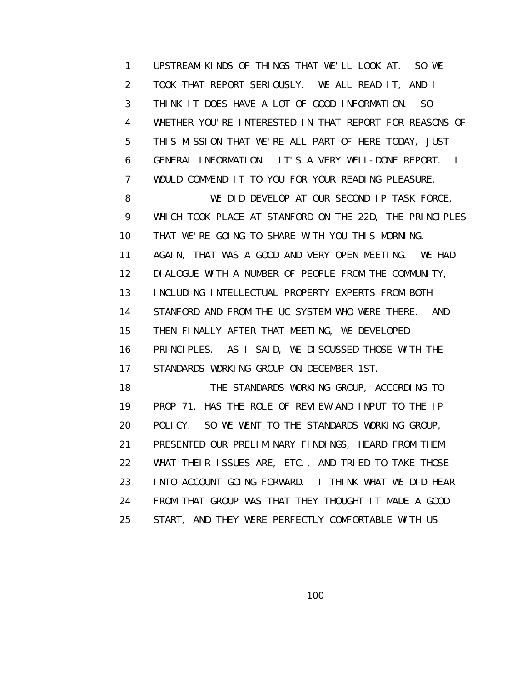1 UPSTREAM KINDS OF THINGS THAT WE'LL LOOK AT. SO WE 2 TOOK THAT REPORT SERIOUSLY. WE ALL READ IT, AND I 3 THINK IT DOES HAVE A LOT OF GOOD INFORMATION. SO 4 WHETHER YOU'RE INTERESTED IN THAT REPORT FOR REASONS OF 5 THIS MISSION THAT WE'RE ALL PART OF HERE TODAY, JUST 6 GENERAL INFORMATION. IT'S A VERY WELL-DONE REPORT. I 7 WOULD COMMEND IT TO YOU FOR YOUR READING PLEASURE. 8 WE DID DEVELOP AT OUR SECOND IP TASK FORCE, 9 WHICH TOOK PLACE AT STANFORD ON THE 22D, THE PRINCIPLES 10 THAT WE'RE GOING TO SHARE WITH YOU THIS MORNING. 11 AGAIN, THAT WAS A GOOD AND VERY OPEN MEETING. WE HAD 12 DIALOGUE WITH A NUMBER OF PEOPLE FROM THE COMMUNITY, 13 INCLUDING INTELLECTUAL PROPERTY EXPERTS FROM BOTH 14 STANFORD AND FROM THE UC SYSTEM WHO WERE THERE. AND 15 THEN FINALLY AFTER THAT MEETING, WE DEVELOPED 16 PRINCIPLES. AS I SAID, WE DISCUSSED THOSE WITH THE 17 STANDARDS WORKING GROUP ON DECEMBER 1ST. 18 THE STANDARDS WORKING GROUP, ACCORDING TO 19 PROP 71, HAS THE ROLE OF REVIEW AND INPUT TO THE IP 20 POLICY. SO WE WENT TO THE STANDARDS WORKING GROUP, 21 PRESENTED OUR PRELIMINARY FINDINGS, HEARD FROM THEM 22 WHAT THEIR ISSUES ARE, ETC., AND TRIED TO TAKE THOSE

 23 INTO ACCOUNT GOING FORWARD. I THINK WHAT WE DID HEAR 24 FROM THAT GROUP WAS THAT THEY THOUGHT IT MADE A GOOD 25 START, AND THEY WERE PERFECTLY COMFORTABLE WITH US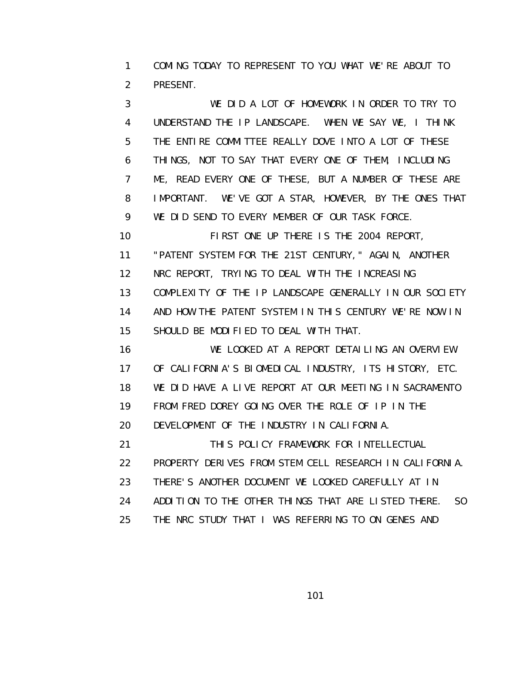1 COMING TODAY TO REPRESENT TO YOU WHAT WE'RE ABOUT TO 2 PRESENT.

 3 WE DID A LOT OF HOMEWORK IN ORDER TO TRY TO 4 UNDERSTAND THE IP LANDSCAPE. WHEN WE SAY WE, I THINK 5 THE ENTIRE COMMITTEE REALLY DOVE INTO A LOT OF THESE 6 THINGS, NOT TO SAY THAT EVERY ONE OF THEM, INCLUDING 7 ME, READ EVERY ONE OF THESE, BUT A NUMBER OF THESE ARE 8 IMPORTANT. WE'VE GOT A STAR, HOWEVER, BY THE ONES THAT 9 WE DID SEND TO EVERY MEMBER OF OUR TASK FORCE.

 10 FIRST ONE UP THERE IS THE 2004 REPORT, 11 "PATENT SYSTEM FOR THE 21ST CENTURY," AGAIN, ANOTHER 12 NRC REPORT, TRYING TO DEAL WITH THE INCREASING 13 COMPLEXITY OF THE IP LANDSCAPE GENERALLY IN OUR SOCIETY 14 AND HOW THE PATENT SYSTEM IN THIS CENTURY WE'RE NOW IN 15 SHOULD BE MODIFIED TO DEAL WITH THAT.

 16 WE LOOKED AT A REPORT DETAILING AN OVERVIEW 17 OF CALIFORNIA'S BIOMEDICAL INDUSTRY, ITS HISTORY, ETC. 18 WE DID HAVE A LIVE REPORT AT OUR MEETING IN SACRAMENTO 19 FROM FRED DOREY GOING OVER THE ROLE OF IP IN THE 20 DEVELOPMENT OF THE INDUSTRY IN CALIFORNIA. 21 THIS POLICY FRAMEWORK FOR INTELLECTUAL

 22 PROPERTY DERIVES FROM STEM CELL RESEARCH IN CALIFORNIA. 23 THERE'S ANOTHER DOCUMENT WE LOOKED CAREFULLY AT IN 24 ADDITION TO THE OTHER THINGS THAT ARE LISTED THERE. SO

25 THE NRC STUDY THAT I WAS REFERRING TO ON GENES AND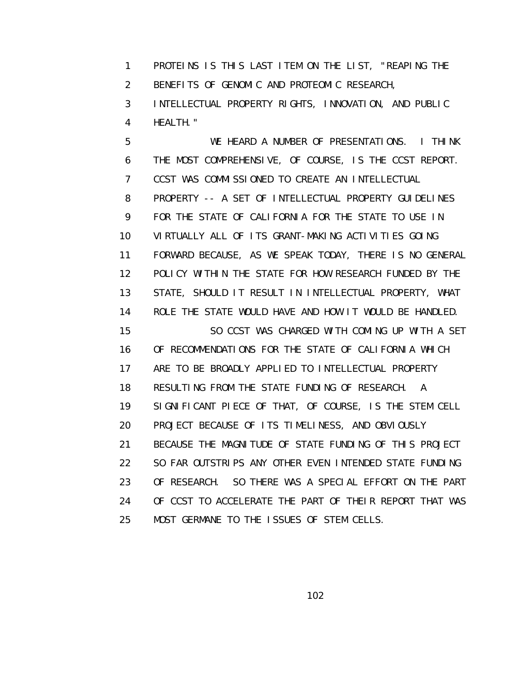1 PROTEINS IS THIS LAST ITEM ON THE LIST, "REAPING THE 2 BENEFITS OF GENOMIC AND PROTEOMIC RESEARCH,

 3 INTELLECTUAL PROPERTY RIGHTS, INNOVATION, AND PUBLIC 4 HEALTH."

 5 WE HEARD A NUMBER OF PRESENTATIONS. I THINK 6 THE MOST COMPREHENSIVE, OF COURSE, IS THE CCST REPORT. 7 CCST WAS COMMISSIONED TO CREATE AN INTELLECTUAL 8 PROPERTY -- A SET OF INTELLECTUAL PROPERTY GUIDELINES 9 FOR THE STATE OF CALIFORNIA FOR THE STATE TO USE IN 10 VIRTUALLY ALL OF ITS GRANT-MAKING ACTIVITIES GOING 11 FORWARD BECAUSE, AS WE SPEAK TODAY, THERE IS NO GENERAL 12 POLICY WITHIN THE STATE FOR HOW RESEARCH FUNDED BY THE 13 STATE, SHOULD IT RESULT IN INTELLECTUAL PROPERTY, WHAT 14 ROLE THE STATE WOULD HAVE AND HOW IT WOULD BE HANDLED. 15 SO CCST WAS CHARGED WITH COMING UP WITH A SET 16 OF RECOMMENDATIONS FOR THE STATE OF CALIFORNIA WHICH 17 ARE TO BE BROADLY APPLIED TO INTELLECTUAL PROPERTY 18 RESULTING FROM THE STATE FUNDING OF RESEARCH. A 19 SIGNIFICANT PIECE OF THAT, OF COURSE, IS THE STEM CELL 20 PROJECT BECAUSE OF ITS TIMELINESS, AND OBVIOUSLY 21 BECAUSE THE MAGNITUDE OF STATE FUNDING OF THIS PROJECT 22 SO FAR OUTSTRIPS ANY OTHER EVEN INTENDED STATE FUNDING 23 OF RESEARCH. SO THERE WAS A SPECIAL EFFORT ON THE PART 24 OF CCST TO ACCELERATE THE PART OF THEIR REPORT THAT WAS 25 MOST GERMANE TO THE ISSUES OF STEM CELLS.

<u>102 and 2010 and 2010 and 2010 and 2010 and 2010 and 2010 and 2010 and 2010 and 2010 and 2010 and 2010 and 20</u>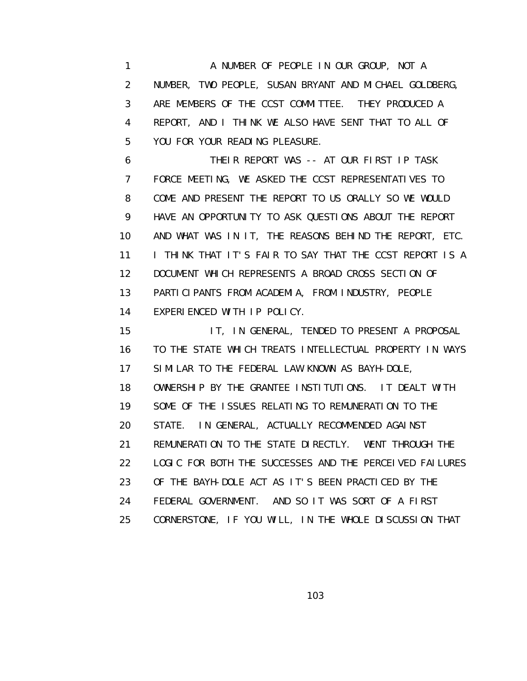1 A NUMBER OF PEOPLE IN OUR GROUP, NOT A 2 NUMBER, TWO PEOPLE, SUSAN BRYANT AND MICHAEL GOLDBERG, 3 ARE MEMBERS OF THE CCST COMMITTEE. THEY PRODUCED A 4 REPORT, AND I THINK WE ALSO HAVE SENT THAT TO ALL OF 5 YOU FOR YOUR READING PLEASURE.

 6 THEIR REPORT WAS -- AT OUR FIRST IP TASK 7 FORCE MEETING, WE ASKED THE CCST REPRESENTATIVES TO 8 COME AND PRESENT THE REPORT TO US ORALLY SO WE WOULD 9 HAVE AN OPPORTUNITY TO ASK QUESTIONS ABOUT THE REPORT 10 AND WHAT WAS IN IT, THE REASONS BEHIND THE REPORT, ETC. 11 I THINK THAT IT'S FAIR TO SAY THAT THE CCST REPORT IS A 12 DOCUMENT WHICH REPRESENTS A BROAD CROSS SECTION OF 13 PARTICIPANTS FROM ACADEMIA, FROM INDUSTRY, PEOPLE 14 EXPERIENCED WITH IP POLICY.

 15 IT, IN GENERAL, TENDED TO PRESENT A PROPOSAL 16 TO THE STATE WHICH TREATS INTELLECTUAL PROPERTY IN WAYS 17 SIMILAR TO THE FEDERAL LAW KNOWN AS BAYH-DOLE, 18 OWNERSHIP BY THE GRANTEE INSTITUTIONS. IT DEALT WITH 19 SOME OF THE ISSUES RELATING TO REMUNERATION TO THE 20 STATE. IN GENERAL, ACTUALLY RECOMMENDED AGAINST 21 REMUNERATION TO THE STATE DIRECTLY. WENT THROUGH THE 22 LOGIC FOR BOTH THE SUCCESSES AND THE PERCEIVED FAILURES 23 OF THE BAYH-DOLE ACT AS IT'S BEEN PRACTICED BY THE 24 FEDERAL GOVERNMENT. AND SO IT WAS SORT OF A FIRST 25 CORNERSTONE, IF YOU WILL, IN THE WHOLE DISCUSSION THAT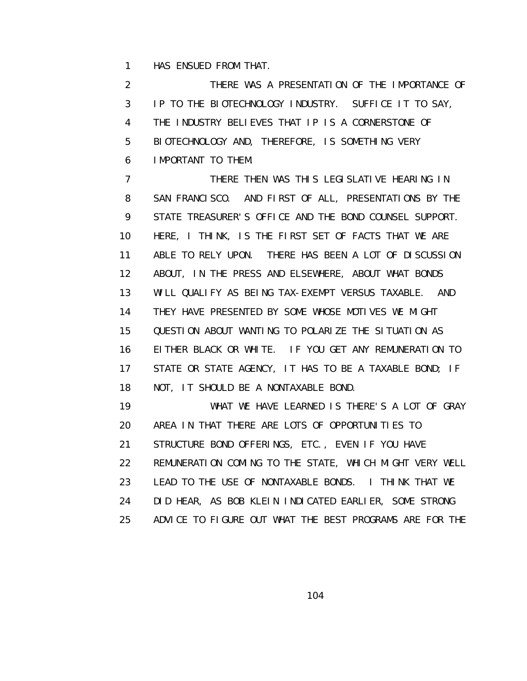1 HAS ENSUED FROM THAT.

 2 THERE WAS A PRESENTATION OF THE IMPORTANCE OF 3 IP TO THE BIOTECHNOLOGY INDUSTRY. SUFFICE IT TO SAY, 4 THE INDUSTRY BELIEVES THAT IP IS A CORNERSTONE OF 5 BIOTECHNOLOGY AND, THEREFORE, IS SOMETHING VERY 6 IMPORTANT TO THEM.

 7 THERE THEN WAS THIS LEGISLATIVE HEARING IN 8 SAN FRANCISCO. AND FIRST OF ALL, PRESENTATIONS BY THE 9 STATE TREASURER'S OFFICE AND THE BOND COUNSEL SUPPORT. 10 HERE, I THINK, IS THE FIRST SET OF FACTS THAT WE ARE 11 ABLE TO RELY UPON. THERE HAS BEEN A LOT OF DISCUSSION 12 ABOUT, IN THE PRESS AND ELSEWHERE, ABOUT WHAT BONDS 13 WILL QUALIFY AS BEING TAX-EXEMPT VERSUS TAXABLE. AND 14 THEY HAVE PRESENTED BY SOME WHOSE MOTIVES WE MIGHT 15 QUESTION ABOUT WANTING TO POLARIZE THE SITUATION AS 16 EITHER BLACK OR WHITE. IF YOU GET ANY REMUNERATION TO 17 STATE OR STATE AGENCY, IT HAS TO BE A TAXABLE BOND; IF 18 NOT, IT SHOULD BE A NONTAXABLE BOND. 19 WHAT WE HAVE LEARNED IS THERE'S A LOT OF GRAY

 20 AREA IN THAT THERE ARE LOTS OF OPPORTUNITIES TO 21 STRUCTURE BOND OFFERINGS, ETC., EVEN IF YOU HAVE 22 REMUNERATION COMING TO THE STATE, WHICH MIGHT VERY WELL 23 LEAD TO THE USE OF NONTAXABLE BONDS. I THINK THAT WE 24 DID HEAR, AS BOB KLEIN INDICATED EARLIER, SOME STRONG

25 ADVICE TO FIGURE OUT WHAT THE BEST PROGRAMS ARE FOR THE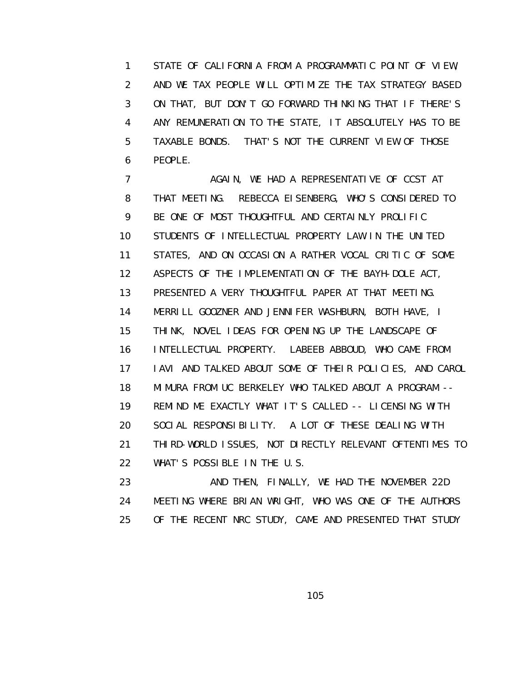1 STATE OF CALIFORNIA FROM A PROGRAMMATIC POINT OF VIEW, 2 AND WE TAX PEOPLE WILL OPTIMIZE THE TAX STRATEGY BASED 3 ON THAT, BUT DON'T GO FORWARD THINKING THAT IF THERE'S 4 ANY REMUNERATION TO THE STATE, IT ABSOLUTELY HAS TO BE 5 TAXABLE BONDS. THAT'S NOT THE CURRENT VIEW OF THOSE 6 PEOPLE.

7 AGAIN, WE HAD A REPRESENTATIVE OF CCST AT 8 THAT MEETING. REBECCA EISENBERG, WHO'S CONSIDERED TO 9 BE ONE OF MOST THOUGHTFUL AND CERTAINLY PROLIFIC 10 STUDENTS OF INTELLECTUAL PROPERTY LAW IN THE UNITED 11 STATES, AND ON OCCASION A RATHER VOCAL CRITIC OF SOME 12 ASPECTS OF THE IMPLEMENTATION OF THE BAYH-DOLE ACT, 13 PRESENTED A VERY THOUGHTFUL PAPER AT THAT MEETING. 14 MERRILL GOOZNER AND JENNIFER WASHBURN, BOTH HAVE, I 15 THINK, NOVEL IDEAS FOR OPENING UP THE LANDSCAPE OF 16 INTELLECTUAL PROPERTY. LABEEB ABBOUD, WHO CAME FROM 17 IAVI AND TALKED ABOUT SOME OF THEIR POLICIES, AND CAROL 18 MIMURA FROM UC BERKELEY WHO TALKED ABOUT A PROGRAM -- 19 REMIND ME EXACTLY WHAT IT'S CALLED -- LICENSING WITH 20 SOCIAL RESPONSIBILITY. A LOT OF THESE DEALING WITH 21 THIRD-WORLD ISSUES, NOT DIRECTLY RELEVANT OFTENTIMES TO 22 WHAT'S POSSIBLE IN THE U.S.

23 AND THEN, FINALLY, WE HAD THE NOVEMBER 22D 24 MEETING WHERE BRIAN WRIGHT, WHO WAS ONE OF THE AUTHORS 25 OF THE RECENT NRC STUDY, CAME AND PRESENTED THAT STUDY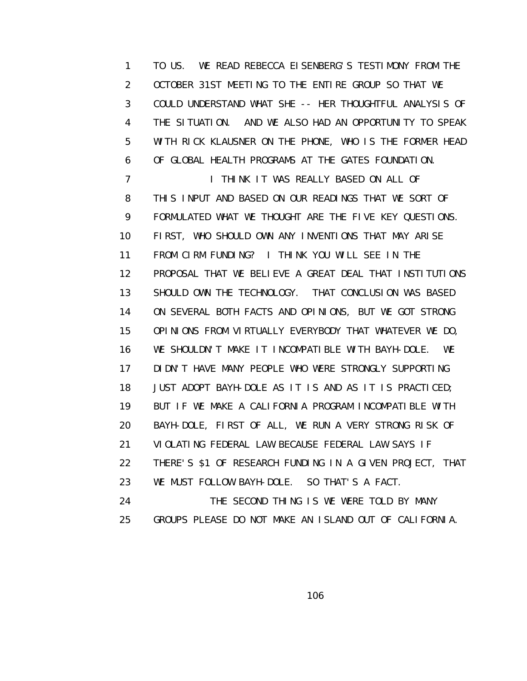1 TO US. WE READ REBECCA EISENBERG'S TESTIMONY FROM THE 2 OCTOBER 31ST MEETING TO THE ENTIRE GROUP SO THAT WE 3 COULD UNDERSTAND WHAT SHE -- HER THOUGHTFUL ANALYSIS OF 4 THE SITUATION. AND WE ALSO HAD AN OPPORTUNITY TO SPEAK 5 WITH RICK KLAUSNER ON THE PHONE, WHO IS THE FORMER HEAD 6 OF GLOBAL HEALTH PROGRAMS AT THE GATES FOUNDATION. **7** I THINK IT WAS REALLY BASED ON ALL OF 8 THIS INPUT AND BASED ON OUR READINGS THAT WE SORT OF 9 FORMULATED WHAT WE THOUGHT ARE THE FIVE KEY QUESTIONS. 10 FIRST, WHO SHOULD OWN ANY INVENTIONS THAT MAY ARISE 11 FROM CIRM FUNDING? I THINK YOU WILL SEE IN THE 12 PROPOSAL THAT WE BELIEVE A GREAT DEAL THAT INSTITUTIONS 13 SHOULD OWN THE TECHNOLOGY. THAT CONCLUSION WAS BASED 14 ON SEVERAL BOTH FACTS AND OPINIONS, BUT WE GOT STRONG 15 OPINIONS FROM VIRTUALLY EVERYBODY THAT WHATEVER WE DO, 16 WE SHOULDN'T MAKE IT INCOMPATIBLE WITH BAYH-DOLE. WE 17 DIDN'T HAVE MANY PEOPLE WHO WERE STRONGLY SUPPORTING 18 JUST ADOPT BAYH-DOLE AS IT IS AND AS IT IS PRACTICED; 19 BUT IF WE MAKE A CALIFORNIA PROGRAM INCOMPATIBLE WITH 20 BAYH-DOLE, FIRST OF ALL, WE RUN A VERY STRONG RISK OF 21 VIOLATING FEDERAL LAW BECAUSE FEDERAL LAW SAYS IF 22 THERE'S \$1 OF RESEARCH FUNDING IN A GIVEN PROJECT, THAT 23 WE MUST FOLLOW BAYH-DOLE. SO THAT'S A FACT.

24 THE SECOND THING IS WE WERE TOLD BY MANY 25 GROUPS PLEASE DO NOT MAKE AN ISLAND OUT OF CALIFORNIA.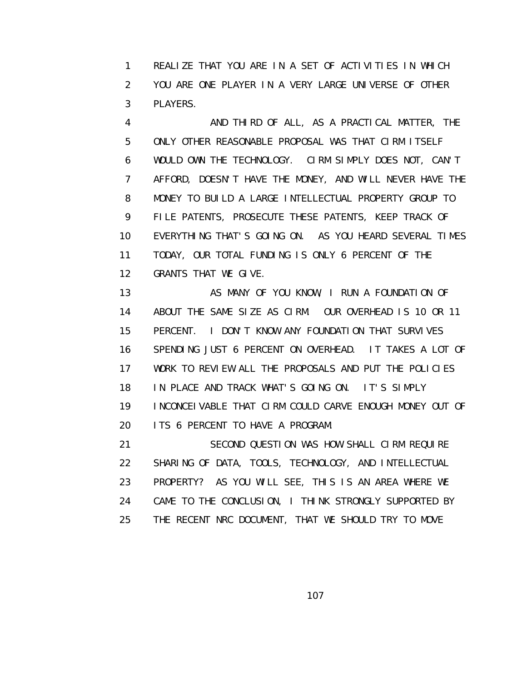1 REALIZE THAT YOU ARE IN A SET OF ACTIVITIES IN WHICH 2 YOU ARE ONE PLAYER IN A VERY LARGE UNIVERSE OF OTHER 3 PLAYERS.

 4 AND THIRD OF ALL, AS A PRACTICAL MATTER, THE 5 ONLY OTHER REASONABLE PROPOSAL WAS THAT CIRM ITSELF 6 WOULD OWN THE TECHNOLOGY. CIRM SIMPLY DOES NOT, CAN'T 7 AFFORD, DOESN'T HAVE THE MONEY, AND WILL NEVER HAVE THE 8 MONEY TO BUILD A LARGE INTELLECTUAL PROPERTY GROUP TO 9 FILE PATENTS, PROSECUTE THESE PATENTS, KEEP TRACK OF 10 EVERYTHING THAT'S GOING ON. AS YOU HEARD SEVERAL TIMES 11 TODAY, OUR TOTAL FUNDING IS ONLY 6 PERCENT OF THE 12 GRANTS THAT WE GIVE.

13 **AS MANY OF YOU KNOW, I RUN A FOUNDATION OF**  14 ABOUT THE SAME SIZE AS CIRM. OUR OVERHEAD IS 10 OR 11 15 PERCENT. I DON'T KNOW ANY FOUNDATION THAT SURVIVES 16 SPENDING JUST 6 PERCENT ON OVERHEAD. IT TAKES A LOT OF 17 WORK TO REVIEW ALL THE PROPOSALS AND PUT THE POLICIES 18 IN PLACE AND TRACK WHAT'S GOING ON. IT'S SIMPLY 19 INCONCEIVABLE THAT CIRM COULD CARVE ENOUGH MONEY OUT OF 20 ITS 6 PERCENT TO HAVE A PROGRAM.

 21 SECOND QUESTION WAS HOW SHALL CIRM REQUIRE 22 SHARING OF DATA, TOOLS, TECHNOLOGY, AND INTELLECTUAL 23 PROPERTY? AS YOU WILL SEE, THIS IS AN AREA WHERE WE 24 CAME TO THE CONCLUSION, I THINK STRONGLY SUPPORTED BY 25 THE RECENT NRC DOCUMENT, THAT WE SHOULD TRY TO MOVE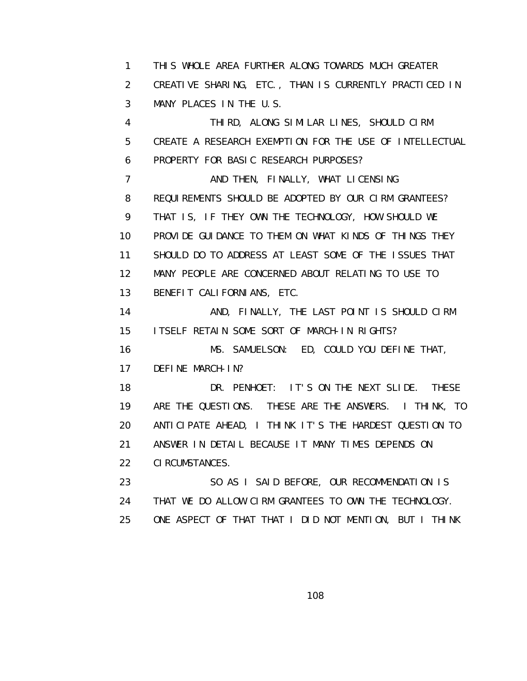1 THIS WHOLE AREA FURTHER ALONG TOWARDS MUCH GREATER 2 CREATIVE SHARING, ETC., THAN IS CURRENTLY PRACTICED IN 3 MANY PLACES IN THE U.S. 4 THIRD, ALONG SIMILAR LINES, SHOULD CIRM 5 CREATE A RESEARCH EXEMPTION FOR THE USE OF INTELLECTUAL 6 PROPERTY FOR BASIC RESEARCH PURPOSES? 7 AND THEN, FINALLY, WHAT LICENSING 8 REQUIREMENTS SHOULD BE ADOPTED BY OUR CIRM GRANTEES? 9 THAT IS, IF THEY OWN THE TECHNOLOGY, HOW SHOULD WE 10 PROVIDE GUIDANCE TO THEM ON WHAT KINDS OF THINGS THEY 11 SHOULD DO TO ADDRESS AT LEAST SOME OF THE ISSUES THAT 12 MANY PEOPLE ARE CONCERNED ABOUT RELATING TO USE TO 13 BENEFIT CALIFORNIANS, ETC. 14 AND, FINALLY, THE LAST POINT IS SHOULD CIRM 15 ITSELF RETAIN SOME SORT OF MARCH-IN RIGHTS? 16 MS. SAMUELSON: ED, COULD YOU DEFINE THAT, 17 DEFINE MARCH-IN? 18 DR. PENHOET: IT'S ON THE NEXT SLIDE. THESE 19 ARE THE QUESTIONS. THESE ARE THE ANSWERS. I THINK, TO 20 ANTICIPATE AHEAD, I THINK IT'S THE HARDEST QUESTION TO 21 ANSWER IN DETAIL BECAUSE IT MANY TIMES DEPENDS ON 22 CIRCUMSTANCES. 23 SO AS I SAID BEFORE, OUR RECOMMENDATION IS 24 THAT WE DO ALLOW CIRM GRANTEES TO OWN THE TECHNOLOGY. 25 ONE ASPECT OF THAT THAT I DID NOT MENTION, BUT I THINK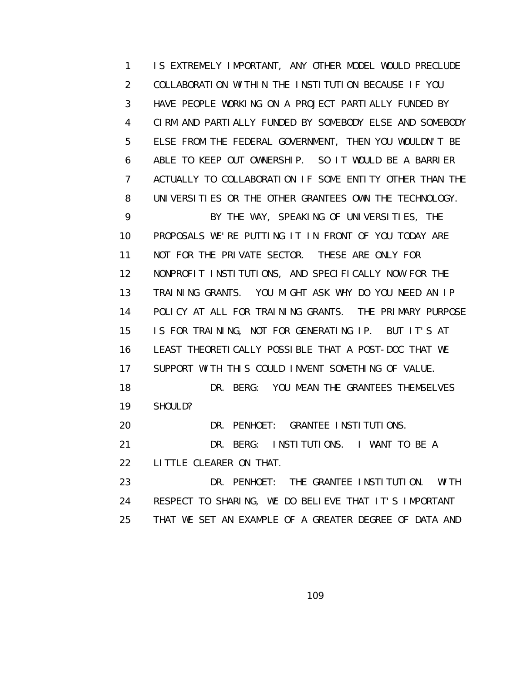1 IS EXTREMELY IMPORTANT, ANY OTHER MODEL WOULD PRECLUDE 2 COLLABORATION WITHIN THE INSTITUTION BECAUSE IF YOU 3 HAVE PEOPLE WORKING ON A PROJECT PARTIALLY FUNDED BY 4 CIRM AND PARTIALLY FUNDED BY SOMEBODY ELSE AND SOMEBODY 5 ELSE FROM THE FEDERAL GOVERNMENT, THEN YOU WOULDN'T BE 6 ABLE TO KEEP OUT OWNERSHIP. SO IT WOULD BE A BARRIER 7 ACTUALLY TO COLLABORATION IF SOME ENTITY OTHER THAN THE 8 UNIVERSITIES OR THE OTHER GRANTEES OWN THE TECHNOLOGY. 9 BY THE WAY, SPEAKING OF UNIVERSITIES, THE 10 PROPOSALS WE'RE PUTTING IT IN FRONT OF YOU TODAY ARE 11 NOT FOR THE PRIVATE SECTOR. THESE ARE ONLY FOR 12 NONPROFIT INSTITUTIONS, AND SPECIFICALLY NOW FOR THE 13 TRAINING GRANTS. YOU MIGHT ASK WHY DO YOU NEED AN IP 14 POLICY AT ALL FOR TRAINING GRANTS. THE PRIMARY PURPOSE 15 IS FOR TRAINING, NOT FOR GENERATING IP. BUT IT'S AT 16 LEAST THEORETICALLY POSSIBLE THAT A POST-DOC THAT WE 17 SUPPORT WITH THIS COULD INVENT SOMETHING OF VALUE. 18 DR. BERG: YOU MEAN THE GRANTEES THEMSELVES 19 SHOULD? 20 DR. PENHOET: GRANTEE INSTITUTIONS. 21 DR. BERG: INSTITUTIONS. I WANT TO BE A

22 LITTLE CLEARER ON THAT.

 23 DR. PENHOET: THE GRANTEE INSTITUTION. WITH 24 RESPECT TO SHARING, WE DO BELIEVE THAT IT'S IMPORTANT 25 THAT WE SET AN EXAMPLE OF A GREATER DEGREE OF DATA AND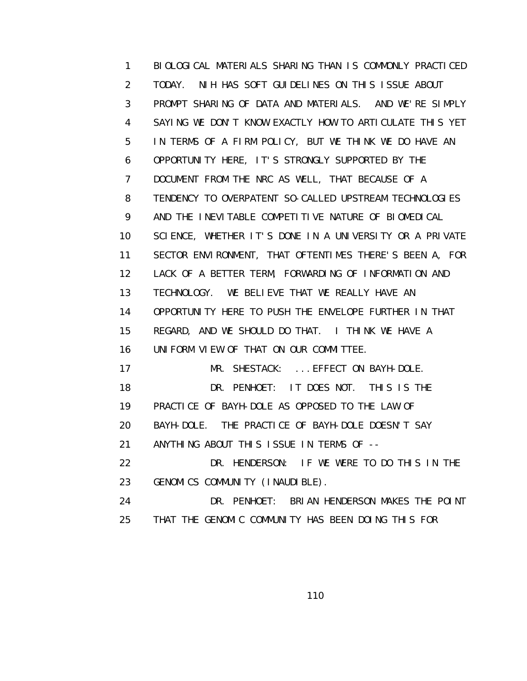1 BIOLOGICAL MATERIALS SHARING THAN IS COMMONLY PRACTICED 2 TODAY. NIH HAS SOFT GUIDELINES ON THIS ISSUE ABOUT 3 PROMPT SHARING OF DATA AND MATERIALS. AND WE'RE SIMPLY 4 SAYING WE DON'T KNOW EXACTLY HOW TO ARTICULATE THIS YET 5 IN TERMS OF A FIRM POLICY, BUT WE THINK WE DO HAVE AN 6 OPPORTUNITY HERE, IT'S STRONGLY SUPPORTED BY THE 7 DOCUMENT FROM THE NRC AS WELL, THAT BECAUSE OF A 8 TENDENCY TO OVERPATENT SO-CALLED UPSTREAM TECHNOLOGIES 9 AND THE INEVITABLE COMPETITIVE NATURE OF BIOMEDICAL 10 SCIENCE, WHETHER IT'S DONE IN A UNIVERSITY OR A PRIVATE 11 SECTOR ENVIRONMENT, THAT OFTENTIMES THERE'S BEEN A, FOR 12 LACK OF A BETTER TERM, FORWARDING OF INFORMATION AND 13 TECHNOLOGY. WE BELIEVE THAT WE REALLY HAVE AN 14 OPPORTUNITY HERE TO PUSH THE ENVELOPE FURTHER IN THAT 15 REGARD, AND WE SHOULD DO THAT. I THINK WE HAVE A 16 UNIFORM VIEW OF THAT ON OUR COMMITTEE. 17 MR. SHESTACK: ... EFFECT ON BAYH-DOLE. 18 DR. PENHOET: IT DOES NOT. THIS IS THE 19 PRACTICE OF BAYH-DOLE AS OPPOSED TO THE LAW OF 20 BAYH-DOLE. THE PRACTICE OF BAYH-DOLE DOESN'T SAY 21 ANYTHING ABOUT THIS ISSUE IN TERMS OF -- 22 DR. HENDERSON: IF WE WERE TO DO THIS IN THE 23 GENOMICS COMMUNITY (INAUDIBLE). 24 DR. PENHOET: BRIAN HENDERSON MAKES THE POINT 25 THAT THE GENOMIC COMMUNITY HAS BEEN DOING THIS FOR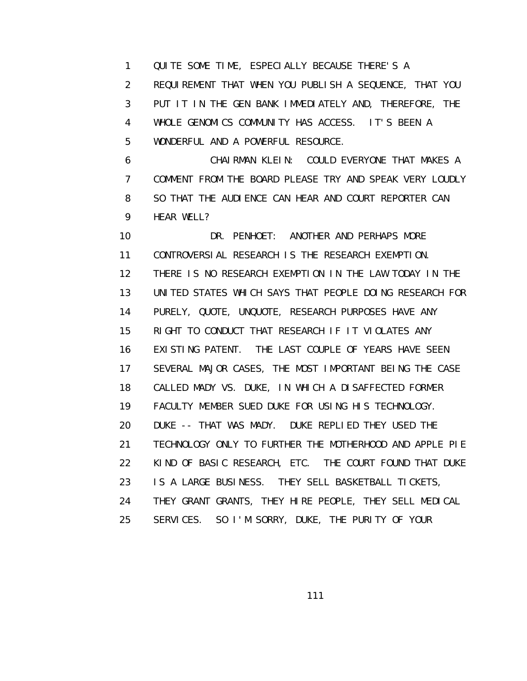1 QUITE SOME TIME, ESPECIALLY BECAUSE THERE'S A 2 REQUIREMENT THAT WHEN YOU PUBLISH A SEQUENCE, THAT YOU 3 PUT IT IN THE GEN BANK IMMEDIATELY AND, THEREFORE, THE 4 WHOLE GENOMICS COMMUNITY HAS ACCESS. IT'S BEEN A 5 WONDERFUL AND A POWERFUL RESOURCE.

 6 CHAIRMAN KLEIN: COULD EVERYONE THAT MAKES A 7 COMMENT FROM THE BOARD PLEASE TRY AND SPEAK VERY LOUDLY 8 SO THAT THE AUDIENCE CAN HEAR AND COURT REPORTER CAN 9 HEAR WELL?

 10 DR. PENHOET: ANOTHER AND PERHAPS MORE 11 CONTROVERSIAL RESEARCH IS THE RESEARCH EXEMPTION. 12 THERE IS NO RESEARCH EXEMPTION IN THE LAW TODAY IN THE 13 UNITED STATES WHICH SAYS THAT PEOPLE DOING RESEARCH FOR 14 PURELY, QUOTE, UNQUOTE, RESEARCH PURPOSES HAVE ANY 15 RIGHT TO CONDUCT THAT RESEARCH IF IT VIOLATES ANY 16 EXISTING PATENT. THE LAST COUPLE OF YEARS HAVE SEEN 17 SEVERAL MAJOR CASES, THE MOST IMPORTANT BEING THE CASE 18 CALLED MADY VS. DUKE, IN WHICH A DISAFFECTED FORMER 19 FACULTY MEMBER SUED DUKE FOR USING HIS TECHNOLOGY. 20 DUKE -- THAT WAS MADY. DUKE REPLIED THEY USED THE 21 TECHNOLOGY ONLY TO FURTHER THE MOTHERHOOD AND APPLE PIE 22 KIND OF BASIC RESEARCH, ETC. THE COURT FOUND THAT DUKE 23 IS A LARGE BUSINESS. THEY SELL BASKETBALL TICKETS, 24 THEY GRANT GRANTS, THEY HIRE PEOPLE, THEY SELL MEDICAL 25 SERVICES. SO I'M SORRY, DUKE, THE PURITY OF YOUR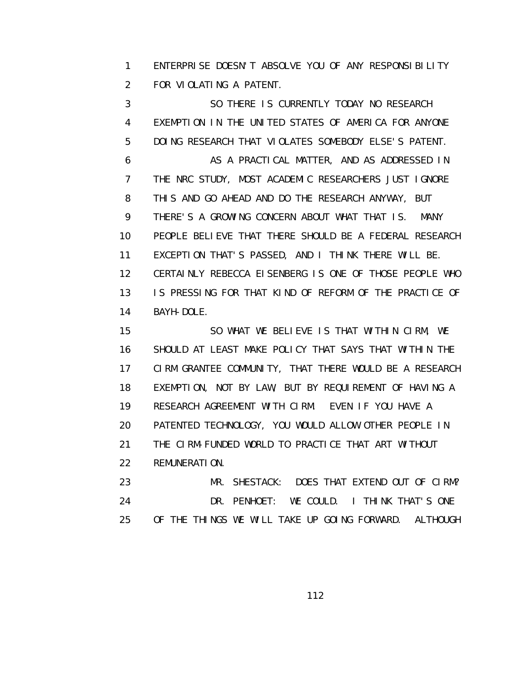1 ENTERPRISE DOESN'T ABSOLVE YOU OF ANY RESPONSIBILITY 2 FOR VIOLATING A PATENT.

 3 SO THERE IS CURRENTLY TODAY NO RESEARCH 4 EXEMPTION IN THE UNITED STATES OF AMERICA FOR ANYONE 5 DOING RESEARCH THAT VIOLATES SOMEBODY ELSE'S PATENT. 6 AS A PRACTICAL MATTER, AND AS ADDRESSED IN 7 THE NRC STUDY, MOST ACADEMIC RESEARCHERS JUST IGNORE 8 THIS AND GO AHEAD AND DO THE RESEARCH ANYWAY, BUT 9 THERE'S A GROWING CONCERN ABOUT WHAT THAT IS. MANY 10 PEOPLE BELIEVE THAT THERE SHOULD BE A FEDERAL RESEARCH 11 EXCEPTION THAT'S PASSED, AND I THINK THERE WILL BE. 12 CERTAINLY REBECCA EISENBERG IS ONE OF THOSE PEOPLE WHO 13 IS PRESSING FOR THAT KIND OF REFORM OF THE PRACTICE OF 14 BAYH-DOLE.

 15 SO WHAT WE BELIEVE IS THAT WITHIN CIRM, WE 16 SHOULD AT LEAST MAKE POLICY THAT SAYS THAT WITHIN THE 17 CIRM GRANTEE COMMUNITY, THAT THERE WOULD BE A RESEARCH 18 EXEMPTION, NOT BY LAW, BUT BY REQUIREMENT OF HAVING A 19 RESEARCH AGREEMENT WITH CIRM. EVEN IF YOU HAVE A 20 PATENTED TECHNOLOGY, YOU WOULD ALLOW OTHER PEOPLE IN 21 THE CIRM-FUNDED WORLD TO PRACTICE THAT ART WITHOUT 22 REMUNERATION. 23 MR. SHESTACK: DOES THAT EXTEND OUT OF CIRM?

 24 DR. PENHOET: WE COULD. I THINK THAT'S ONE 25 OF THE THINGS WE WILL TAKE UP GOING FORWARD. ALTHOUGH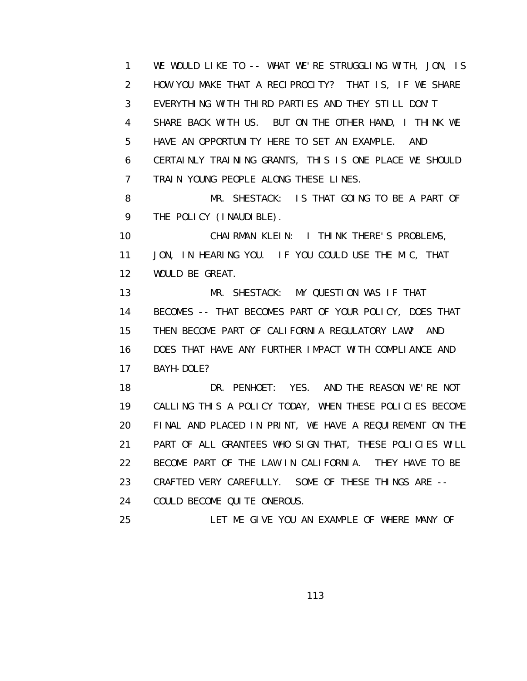1 WE WOULD LIKE TO -- WHAT WE'RE STRUGGLING WITH, JON, IS 2 HOW YOU MAKE THAT A RECIPROCITY? THAT IS, IF WE SHARE 3 EVERYTHING WITH THIRD PARTIES AND THEY STILL DON'T 4 SHARE BACK WITH US. BUT ON THE OTHER HAND, I THINK WE 5 HAVE AN OPPORTUNITY HERE TO SET AN EXAMPLE. AND 6 CERTAINLY TRAINING GRANTS, THIS IS ONE PLACE WE SHOULD 7 TRAIN YOUNG PEOPLE ALONG THESE LINES. 8 MR. SHESTACK: IS THAT GOING TO BE A PART OF 9 THE POLICY (INAUDIBLE). 10 CHAIRMAN KLEIN: I THINK THERE'S PROBLEMS, 11 JON, IN HEARING YOU. IF YOU COULD USE THE MIC, THAT 12 WOULD BE GREAT. 13 MR. SHESTACK: MY QUESTION WAS IF THAT

 14 BECOMES -- THAT BECOMES PART OF YOUR POLICY, DOES THAT 15 THEN BECOME PART OF CALIFORNIA REGULATORY LAW? AND 16 DOES THAT HAVE ANY FURTHER IMPACT WITH COMPLIANCE AND 17 BAYH-DOLE?

 18 DR. PENHOET: YES. AND THE REASON WE'RE NOT 19 CALLING THIS A POLICY TODAY, WHEN THESE POLICIES BECOME 20 FINAL AND PLACED IN PRINT, WE HAVE A REQUIREMENT ON THE 21 PART OF ALL GRANTEES WHO SIGN THAT, THESE POLICIES WILL 22 BECOME PART OF THE LAW IN CALIFORNIA. THEY HAVE TO BE 23 CRAFTED VERY CAREFULLY. SOME OF THESE THINGS ARE -- 24 COULD BECOME QUITE ONEROUS.

25 LET ME GIVE YOU AN EXAMPLE OF WHERE MANY OF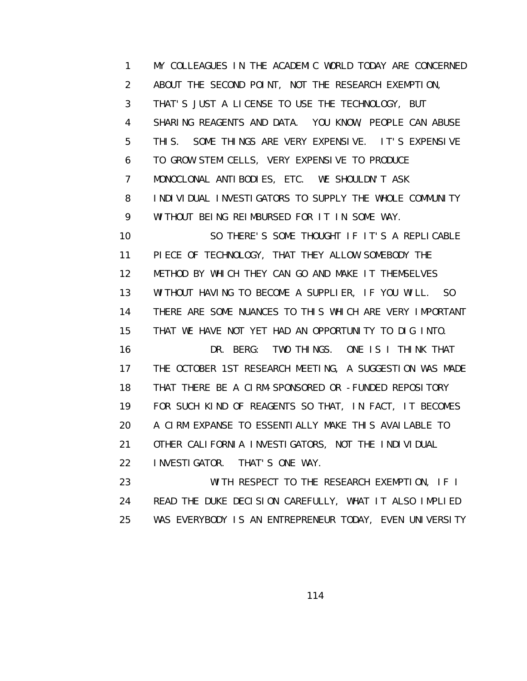1 MY COLLEAGUES IN THE ACADEMIC WORLD TODAY ARE CONCERNED 2 ABOUT THE SECOND POINT, NOT THE RESEARCH EXEMPTION, 3 THAT'S JUST A LICENSE TO USE THE TECHNOLOGY, BUT 4 SHARING REAGENTS AND DATA. YOU KNOW, PEOPLE CAN ABUSE 5 THIS. SOME THINGS ARE VERY EXPENSIVE. IT'S EXPENSIVE 6 TO GROW STEM CELLS, VERY EXPENSIVE TO PRODUCE 7 MONOCLONAL ANTIBODIES, ETC. WE SHOULDN'T ASK 8 INDIVIDUAL INVESTIGATORS TO SUPPLY THE WHOLE COMMUNITY 9 WITHOUT BEING REIMBURSED FOR IT IN SOME WAY. 10 SO THERE'S SOME THOUGHT IF IT'S A REPLICABLE 11 PIECE OF TECHNOLOGY, THAT THEY ALLOW SOMEBODY THE 12 METHOD BY WHICH THEY CAN GO AND MAKE IT THEMSELVES 13 WITHOUT HAVING TO BECOME A SUPPLIER, IF YOU WILL. SO 14 THERE ARE SOME NUANCES TO THIS WHICH ARE VERY IMPORTANT 15 THAT WE HAVE NOT YET HAD AN OPPORTUNITY TO DIG INTO. 16 DR. BERG: TWO THINGS. ONE IS I THINK THAT 17 THE OCTOBER 1ST RESEARCH MEETING, A SUGGESTION WAS MADE 18 THAT THERE BE A CIRM-SPONSORED OR -FUNDED REPOSITORY 19 FOR SUCH KIND OF REAGENTS SO THAT, IN FACT, IT BECOMES 20 A CIRM EXPANSE TO ESSENTIALLY MAKE THIS AVAILABLE TO 21 OTHER CALIFORNIA INVESTIGATORS, NOT THE INDIVIDUAL 22 INVESTIGATOR. THAT'S ONE WAY. 23 WITH RESPECT TO THE RESEARCH EXEMPTION, IF I 24 READ THE DUKE DECISION CAREFULLY, WHAT IT ALSO IMPLIED

25 WAS EVERYBODY IS AN ENTREPRENEUR TODAY, EVEN UNIVERSITY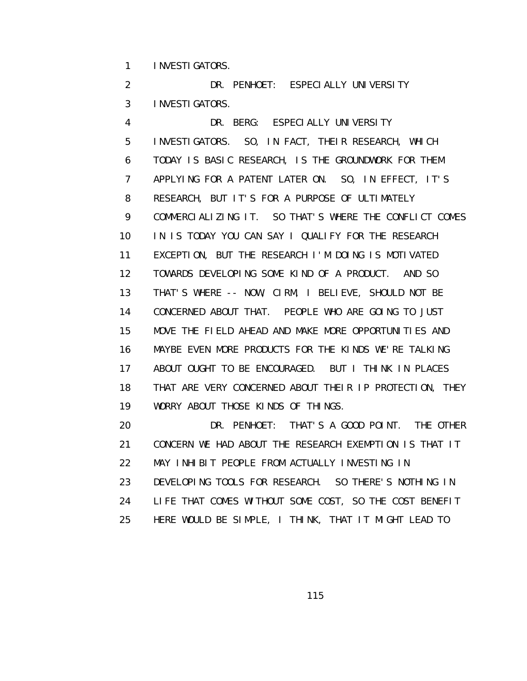1 INVESTIGATORS.

2 DR. PENHOET: ESPECIALLY UNIVERSITY 3 INVESTIGATORS.

 4 DR. BERG: ESPECIALLY UNIVERSITY 5 INVESTIGATORS. SO, IN FACT, THEIR RESEARCH, WHICH 6 TODAY IS BASIC RESEARCH, IS THE GROUNDWORK FOR THEM 7 APPLYING FOR A PATENT LATER ON. SO, IN EFFECT, IT'S 8 RESEARCH, BUT IT'S FOR A PURPOSE OF ULTIMATELY 9 COMMERCIALIZING IT. SO THAT'S WHERE THE CONFLICT COMES 10 IN IS TODAY YOU CAN SAY I QUALIFY FOR THE RESEARCH 11 EXCEPTION, BUT THE RESEARCH I'M DOING IS MOTIVATED 12 TOWARDS DEVELOPING SOME KIND OF A PRODUCT. AND SO 13 THAT'S WHERE -- NOW, CIRM, I BELIEVE, SHOULD NOT BE 14 CONCERNED ABOUT THAT. PEOPLE WHO ARE GOING TO JUST 15 MOVE THE FIELD AHEAD AND MAKE MORE OPPORTUNITIES AND 16 MAYBE EVEN MORE PRODUCTS FOR THE KINDS WE'RE TALKING 17 ABOUT OUGHT TO BE ENCOURAGED. BUT I THINK IN PLACES 18 THAT ARE VERY CONCERNED ABOUT THEIR IP PROTECTION, THEY 19 WORRY ABOUT THOSE KINDS OF THINGS.

 20 DR. PENHOET: THAT'S A GOOD POINT. THE OTHER 21 CONCERN WE HAD ABOUT THE RESEARCH EXEMPTION IS THAT IT 22 MAY INHIBIT PEOPLE FROM ACTUALLY INVESTING IN 23 DEVELOPING TOOLS FOR RESEARCH. SO THERE'S NOTHING IN 24 LIFE THAT COMES WITHOUT SOME COST, SO THE COST BENEFIT 25 HERE WOULD BE SIMPLE, I THINK, THAT IT MIGHT LEAD TO

<u>115 - Andrea Stein, Amerikaansk politiker (</u>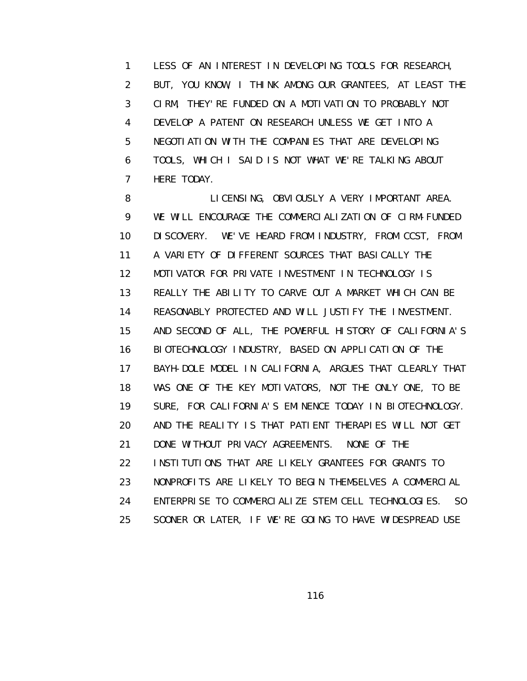1 LESS OF AN INTEREST IN DEVELOPING TOOLS FOR RESEARCH, 2 BUT, YOU KNOW, I THINK AMONG OUR GRANTEES, AT LEAST THE 3 CIRM, THEY'RE FUNDED ON A MOTIVATION TO PROBABLY NOT 4 DEVELOP A PATENT ON RESEARCH UNLESS WE GET INTO A 5 NEGOTIATION WITH THE COMPANIES THAT ARE DEVELOPING 6 TOOLS, WHICH I SAID IS NOT WHAT WE'RE TALKING ABOUT 7 HERE TODAY.

 8 LICENSING, OBVIOUSLY A VERY IMPORTANT AREA. 9 WE WILL ENCOURAGE THE COMMERCIALIZATION OF CIRM-FUNDED 10 DISCOVERY. WE'VE HEARD FROM INDUSTRY, FROM CCST, FROM 11 A VARIETY OF DIFFERENT SOURCES THAT BASICALLY THE 12 MOTIVATOR FOR PRIVATE INVESTMENT IN TECHNOLOGY IS 13 REALLY THE ABILITY TO CARVE OUT A MARKET WHICH CAN BE 14 REASONABLY PROTECTED AND WILL JUSTIFY THE INVESTMENT. 15 AND SECOND OF ALL, THE POWERFUL HISTORY OF CALIFORNIA'S 16 BIOTECHNOLOGY INDUSTRY, BASED ON APPLICATION OF THE 17 BAYH-DOLE MODEL IN CALIFORNIA, ARGUES THAT CLEARLY THAT 18 WAS ONE OF THE KEY MOTIVATORS, NOT THE ONLY ONE, TO BE 19 SURE, FOR CALIFORNIA'S EMINENCE TODAY IN BIOTECHNOLOGY. 20 AND THE REALITY IS THAT PATIENT THERAPIES WILL NOT GET 21 DONE WITHOUT PRIVACY AGREEMENTS. NONE OF THE 22 INSTITUTIONS THAT ARE LIKELY GRANTEES FOR GRANTS TO 23 NONPROFITS ARE LIKELY TO BEGIN THEMSELVES A COMMERCIAL 24 ENTERPRISE TO COMMERCIALIZE STEM CELL TECHNOLOGIES. SO 25 SOONER OR LATER, IF WE'RE GOING TO HAVE WIDESPREAD USE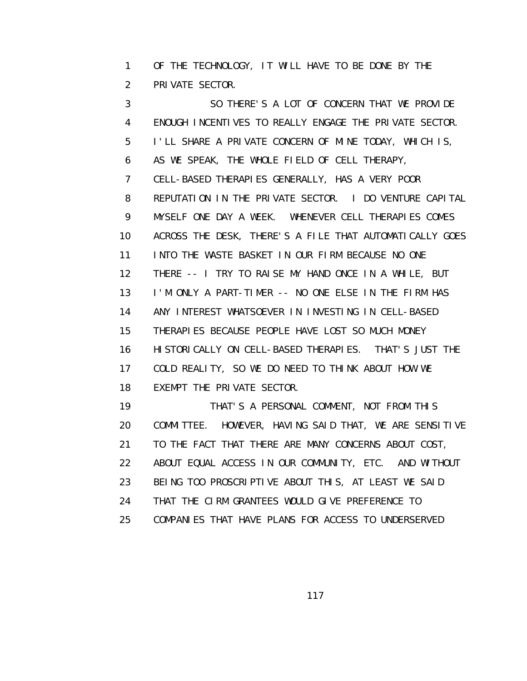1 OF THE TECHNOLOGY, IT WILL HAVE TO BE DONE BY THE 2 PRIVATE SECTOR.

 3 SO THERE'S A LOT OF CONCERN THAT WE PROVIDE 4 ENOUGH INCENTIVES TO REALLY ENGAGE THE PRIVATE SECTOR. 5 I'LL SHARE A PRIVATE CONCERN OF MINE TODAY, WHICH IS, 6 AS WE SPEAK, THE WHOLE FIELD OF CELL THERAPY, 7 CELL-BASED THERAPIES GENERALLY, HAS A VERY POOR 8 REPUTATION IN THE PRIVATE SECTOR. I DO VENTURE CAPITAL 9 MYSELF ONE DAY A WEEK. WHENEVER CELL THERAPIES COMES 10 ACROSS THE DESK, THERE'S A FILE THAT AUTOMATICALLY GOES 11 INTO THE WASTE BASKET IN OUR FIRM BECAUSE NO ONE 12 THERE -- I TRY TO RAISE MY HAND ONCE IN A WHILE, BUT 13 I'M ONLY A PART-TIMER -- NO ONE ELSE IN THE FIRM HAS 14 ANY INTEREST WHATSOEVER IN INVESTING IN CELL-BASED 15 THERAPIES BECAUSE PEOPLE HAVE LOST SO MUCH MONEY 16 HISTORICALLY ON CELL-BASED THERAPIES. THAT'S JUST THE 17 COLD REALITY, SO WE DO NEED TO THINK ABOUT HOW WE 18 EXEMPT THE PRIVATE SECTOR. 19 THAT'S A PERSONAL COMMENT, NOT FROM THIS 20 COMMITTEE. HOWEVER, HAVING SAID THAT, WE ARE SENSITIVE 21 TO THE FACT THAT THERE ARE MANY CONCERNS ABOUT COST,

22 ABOUT EQUAL ACCESS IN OUR COMMUNITY, ETC. AND WITHOUT

23 BEING TOO PROSCRIPTIVE ABOUT THIS, AT LEAST WE SAID

24 THAT THE CIRM GRANTEES WOULD GIVE PREFERENCE TO

25 COMPANIES THAT HAVE PLANS FOR ACCESS TO UNDERSERVED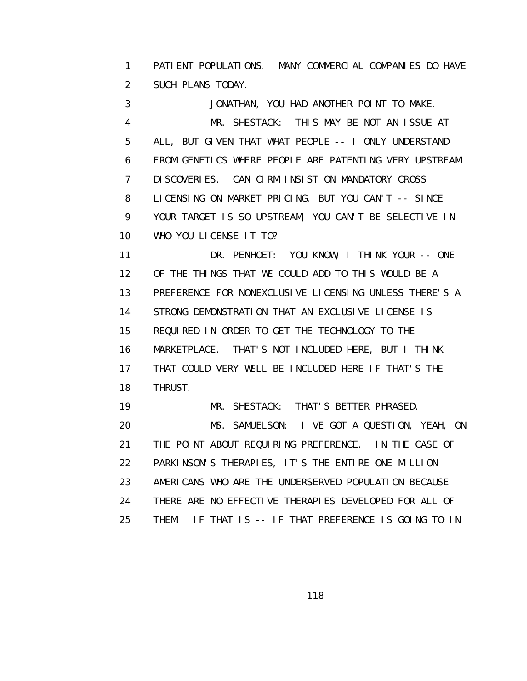1 PATIENT POPULATIONS. MANY COMMERCIAL COMPANIES DO HAVE 2 SUCH PLANS TODAY.

 3 JONATHAN, YOU HAD ANOTHER POINT TO MAKE. 4 MR. SHESTACK: THIS MAY BE NOT AN ISSUE AT 5 ALL, BUT GIVEN THAT WHAT PEOPLE -- I ONLY UNDERSTAND 6 FROM GENETICS WHERE PEOPLE ARE PATENTING VERY UPSTREAM 7 DISCOVERIES. CAN CIRM INSIST ON MANDATORY CROSS 8 LICENSING ON MARKET PRICING, BUT YOU CAN'T -- SINCE 9 YOUR TARGET IS SO UPSTREAM, YOU CAN'T BE SELECTIVE IN 10 WHO YOU LICENSE IT TO?

 11 DR. PENHOET: YOU KNOW, I THINK YOUR -- ONE 12 OF THE THINGS THAT WE COULD ADD TO THIS WOULD BE A 13 PREFERENCE FOR NONEXCLUSIVE LICENSING UNLESS THERE'S A 14 STRONG DEMONSTRATION THAT AN EXCLUSIVE LICENSE IS 15 REQUIRED IN ORDER TO GET THE TECHNOLOGY TO THE 16 MARKETPLACE. THAT'S NOT INCLUDED HERE, BUT I THINK 17 THAT COULD VERY WELL BE INCLUDED HERE IF THAT'S THE 18 THRUST.

 19 MR. SHESTACK: THAT'S BETTER PHRASED. 20 MS. SAMUELSON: I'VE GOT A QUESTION, YEAH, ON 21 THE POINT ABOUT REQUIRING PREFERENCE. IN THE CASE OF 22 PARKINSON'S THERAPIES, IT'S THE ENTIRE ONE MILLION 23 AMERICANS WHO ARE THE UNDERSERVED POPULATION BECAUSE 24 THERE ARE NO EFFECTIVE THERAPIES DEVELOPED FOR ALL OF 25 THEM. IF THAT IS -- IF THAT PREFERENCE IS GOING TO IN

<u>118 - Andrea Stein, Amerikaansk politiker (</u>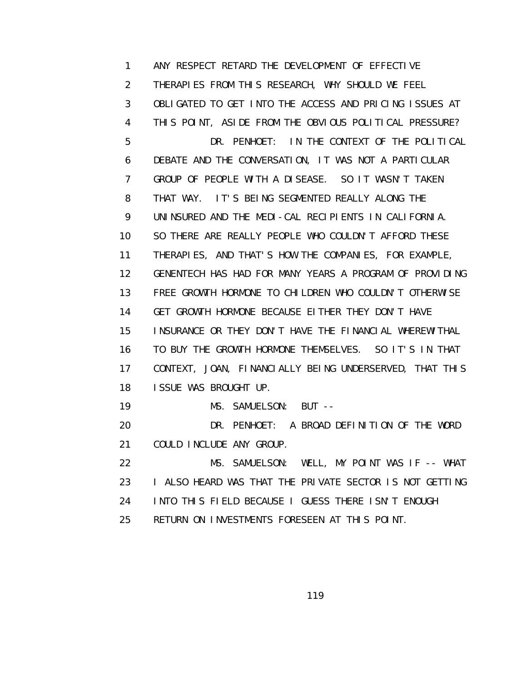1 ANY RESPECT RETARD THE DEVELOPMENT OF EFFECTIVE 2 THERAPIES FROM THIS RESEARCH, WHY SHOULD WE FEEL 3 OBLIGATED TO GET INTO THE ACCESS AND PRICING ISSUES AT 4 THIS POINT, ASIDE FROM THE OBVIOUS POLITICAL PRESSURE? 5 DR. PENHOET: IN THE CONTEXT OF THE POLITICAL 6 DEBATE AND THE CONVERSATION, IT WAS NOT A PARTICULAR 7 GROUP OF PEOPLE WITH A DISEASE. SO IT WASN'T TAKEN 8 THAT WAY. IT'S BEING SEGMENTED REALLY ALONG THE 9 UNINSURED AND THE MEDI-CAL RECIPIENTS IN CALIFORNIA. 10 SO THERE ARE REALLY PEOPLE WHO COULDN'T AFFORD THESE 11 THERAPIES, AND THAT'S HOW THE COMPANIES, FOR EXAMPLE, 12 GENENTECH HAS HAD FOR MANY YEARS A PROGRAM OF PROVIDING 13 FREE GROWTH HORMONE TO CHILDREN WHO COULDN'T OTHERWISE 14 GET GROWTH HORMONE BECAUSE EITHER THEY DON'T HAVE 15 INSURANCE OR THEY DON'T HAVE THE FINANCIAL WHEREWITHAL 16 TO BUY THE GROWTH HORMONE THEMSELVES. SO IT'S IN THAT 17 CONTEXT, JOAN, FINANCIALLY BEING UNDERSERVED, THAT THIS 18 ISSUE WAS BROUGHT UP. 19 MS. SAMUELSON: BUT -- 20 DR. PENHOET: A BROAD DEFINITION OF THE WORD 21 COULD INCLUDE ANY GROUP. 22 MS. SAMUELSON: WELL, MY POINT WAS IF -- WHAT 23 **I ALSO HEARD WAS THAT THE PRIVATE SECTOR IS NOT GETTING**  24 INTO THIS FIELD BECAUSE I GUESS THERE ISN'T ENOUGH 25 RETURN ON INVESTMENTS FORESEEN AT THIS POINT.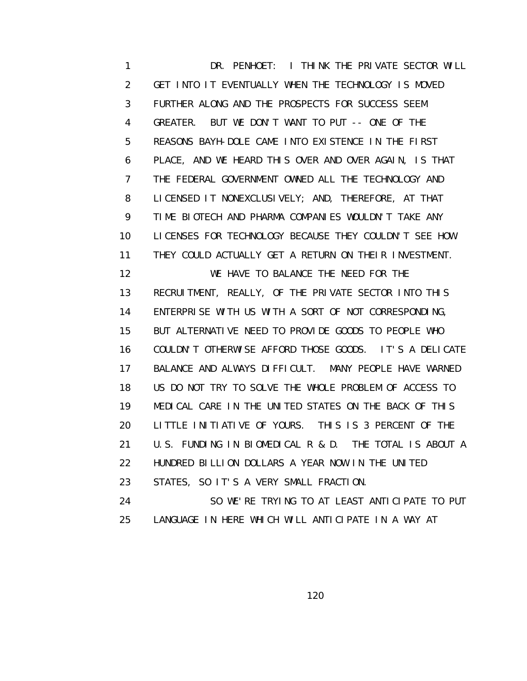1 DR. PENHOET: I THINK THE PRIVATE SECTOR WILL 2 GET INTO IT EVENTUALLY WHEN THE TECHNOLOGY IS MOVED 3 FURTHER ALONG AND THE PROSPECTS FOR SUCCESS SEEM 4 GREATER. BUT WE DON'T WANT TO PUT -- ONE OF THE 5 REASONS BAYH-DOLE CAME INTO EXISTENCE IN THE FIRST 6 PLACE, AND WE HEARD THIS OVER AND OVER AGAIN, IS THAT 7 THE FEDERAL GOVERNMENT OWNED ALL THE TECHNOLOGY AND 8 LICENSED IT NONEXCLUSIVELY; AND, THEREFORE, AT THAT 9 TIME BIOTECH AND PHARMA COMPANIES WOULDN'T TAKE ANY 10 LICENSES FOR TECHNOLOGY BECAUSE THEY COULDN'T SEE HOW 11 THEY COULD ACTUALLY GET A RETURN ON THEIR INVESTMENT. 12 WE HAVE TO BALANCE THE NEED FOR THE 13 RECRUITMENT, REALLY, OF THE PRIVATE SECTOR INTO THIS 14 ENTERPRISE WITH US WITH A SORT OF NOT CORRESPONDING, 15 BUT ALTERNATIVE NEED TO PROVIDE GOODS TO PEOPLE WHO 16 COULDN'T OTHERWISE AFFORD THOSE GOODS. IT'S A DELICATE 17 BALANCE AND ALWAYS DIFFICULT. MANY PEOPLE HAVE WARNED 18 US DO NOT TRY TO SOLVE THE WHOLE PROBLEM OF ACCESS TO 19 MEDICAL CARE IN THE UNITED STATES ON THE BACK OF THIS 20 LITTLE INITIATIVE OF YOURS. THIS IS 3 PERCENT OF THE 21 U.S. FUNDING IN BIOMEDICAL R & D. THE TOTAL IS ABOUT A 22 HUNDRED BILLION DOLLARS A YEAR NOW IN THE UNITED 23 STATES, SO IT'S A VERY SMALL FRACTION. 24 SO WE'RE TRYING TO AT LEAST ANTICIPATE TO PUT

25 LANGUAGE IN HERE WHICH WILL ANTICIPATE IN A WAY AT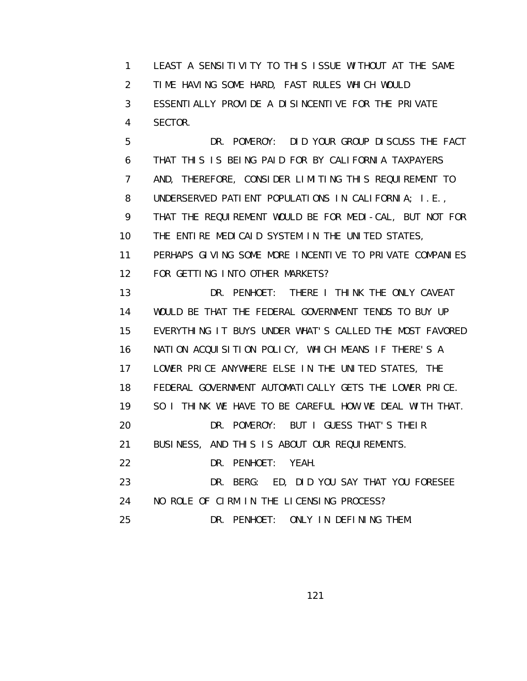1 LEAST A SENSITIVITY TO THIS ISSUE WITHOUT AT THE SAME 2 TIME HAVING SOME HARD, FAST RULES WHICH WOULD 3 ESSENTIALLY PROVIDE A DISINCENTIVE FOR THE PRIVATE 4 SECTOR. 5 DR. POMEROY: DID YOUR GROUP DISCUSS THE FACT

 6 THAT THIS IS BEING PAID FOR BY CALIFORNIA TAXPAYERS 7 AND, THEREFORE, CONSIDER LIMITING THIS REQUIREMENT TO 8 UNDERSERVED PATIENT POPULATIONS IN CALIFORNIA; I.E., 9 THAT THE REQUIREMENT WOULD BE FOR MEDI-CAL, BUT NOT FOR 10 THE ENTIRE MEDICAID SYSTEM IN THE UNITED STATES, 11 PERHAPS GIVING SOME MORE INCENTIVE TO PRIVATE COMPANIES 12 FOR GETTING INTO OTHER MARKETS? 13 DR. PENHOET: THERE I THINK THE ONLY CAVEAT 14 WOULD BE THAT THE FEDERAL GOVERNMENT TENDS TO BUY UP 15 EVERYTHING IT BUYS UNDER WHAT'S CALLED THE MOST FAVORED

16 NATION ACQUISITION POLICY, WHICH MEANS IF THERE'S A

17 LOWER PRICE ANYWHERE ELSE IN THE UNITED STATES, THE

18 FEDERAL GOVERNMENT AUTOMATICALLY GETS THE LOWER PRICE.

19 SO I THINK WE HAVE TO BE CAREFUL HOW WE DEAL WITH THAT.

20 DR. POMEROY: BUT I GUESS THAT'S THEIR

21 BUSINESS, AND THIS IS ABOUT OUR REQUIREMENTS.

22 DR. PENHOET: YEAH.

 23 DR. BERG: ED, DID YOU SAY THAT YOU FORESEE 24 NO ROLE OF CIRM IN THE LICENSING PROCESS?

25 DR. PENHOET: ONLY IN DEFINING THEM.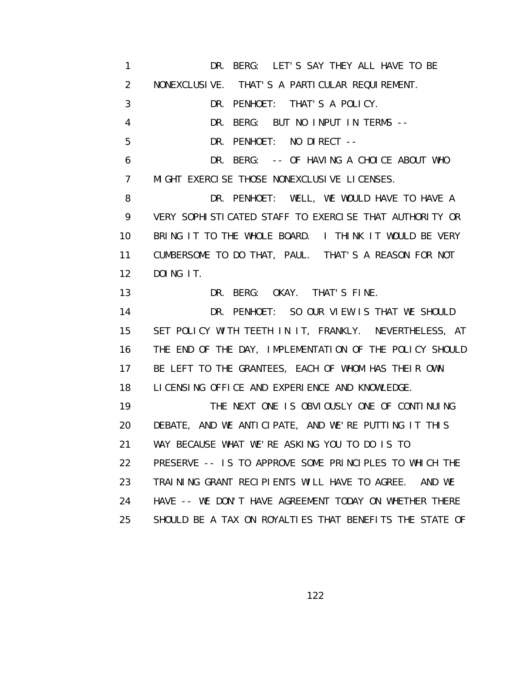1 DR. BERG: LET'S SAY THEY ALL HAVE TO BE 2 NONEXCLUSIVE. THAT'S A PARTICULAR REQUIREMENT. 3 DR. PENHOET: THAT'S A POLICY. 4 DR. BERG: BUT NO INPUT IN TERMS -- 5 DR. PENHOET: NO DIRECT -- 6 DR. BERG: -- OF HAVING A CHOICE ABOUT WHO 7 MIGHT EXERCISE THOSE NONEXCLUSIVE LICENSES. 8 DR. PENHOET: WELL, WE WOULD HAVE TO HAVE A 9 VERY SOPHISTICATED STAFF TO EXERCISE THAT AUTHORITY OR 10 BRING IT TO THE WHOLE BOARD. I THINK IT WOULD BE VERY 11 CUMBERSOME TO DO THAT, PAUL. THAT'S A REASON FOR NOT 12 DOING IT. 13 DR. BERG: OKAY. THAT'S FINE. 14 DR. PENHOET: SO OUR VIEW IS THAT WE SHOULD 15 SET POLICY WITH TEETH IN IT, FRANKLY. NEVERTHELESS, AT 16 THE END OF THE DAY, IMPLEMENTATION OF THE POLICY SHOULD 17 BE LEFT TO THE GRANTEES, EACH OF WHOM HAS THEIR OWN 18 LICENSING OFFICE AND EXPERIENCE AND KNOWLEDGE. 19 THE NEXT ONE IS OBVIOUSLY ONE OF CONTINUING 20 DEBATE, AND WE ANTICIPATE, AND WE'RE PUTTING IT THIS 21 WAY BECAUSE WHAT WE'RE ASKING YOU TO DO IS TO 22 PRESERVE -- IS TO APPROVE SOME PRINCIPLES TO WHICH THE 23 TRAINING GRANT RECIPIENTS WILL HAVE TO AGREE. AND WE 24 HAVE -- WE DON'T HAVE AGREEMENT TODAY ON WHETHER THERE 25 SHOULD BE A TAX ON ROYALTIES THAT BENEFITS THE STATE OF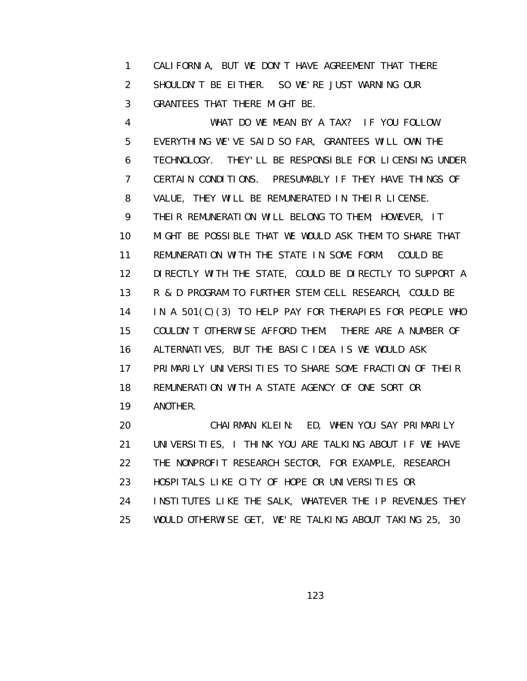1 CALIFORNIA, BUT WE DON'T HAVE AGREEMENT THAT THERE 2 SHOULDN'T BE EITHER. SO WE'RE JUST WARNING OUR 3 GRANTEES THAT THERE MIGHT BE.

 4 WHAT DO WE MEAN BY A TAX? IF YOU FOLLOW 5 EVERYTHING WE'VE SAID SO FAR, GRANTEES WILL OWN THE 6 TECHNOLOGY. THEY'LL BE RESPONSIBLE FOR LICENSING UNDER 7 CERTAIN CONDITIONS. PRESUMABLY IF THEY HAVE THINGS OF 8 VALUE, THEY WILL BE REMUNERATED IN THEIR LICENSE. 9 THEIR REMUNERATION WILL BELONG TO THEM; HOWEVER, IT 10 MIGHT BE POSSIBLE THAT WE WOULD ASK THEM TO SHARE THAT 11 REMUNERATION WITH THE STATE IN SOME FORM. COULD BE 12 DIRECTLY WITH THE STATE, COULD BE DIRECTLY TO SUPPORT A 13 R & D PROGRAM TO FURTHER STEM CELL RESEARCH, COULD BE 14 IN A 501(C)(3) TO HELP PAY FOR THERAPIES FOR PEOPLE WHO 15 COULDN'T OTHERWISE AFFORD THEM. THERE ARE A NUMBER OF 16 ALTERNATIVES, BUT THE BASIC IDEA IS WE WOULD ASK 17 PRIMARILY UNIVERSITIES TO SHARE SOME FRACTION OF THEIR 18 REMUNERATION WITH A STATE AGENCY OF ONE SORT OR 19 ANOTHER.

 20 CHAIRMAN KLEIN: ED, WHEN YOU SAY PRIMARILY 21 UNIVERSITIES, I THINK YOU ARE TALKING ABOUT IF WE HAVE 22 THE NONPROFIT RESEARCH SECTOR, FOR EXAMPLE, RESEARCH 23 HOSPITALS LIKE CITY OF HOPE OR UNIVERSITIES OR 24 INSTITUTES LIKE THE SALK, WHATEVER THE IP REVENUES THEY 25 WOULD OTHERWISE GET, WE'RE TALKING ABOUT TAKING 25, 30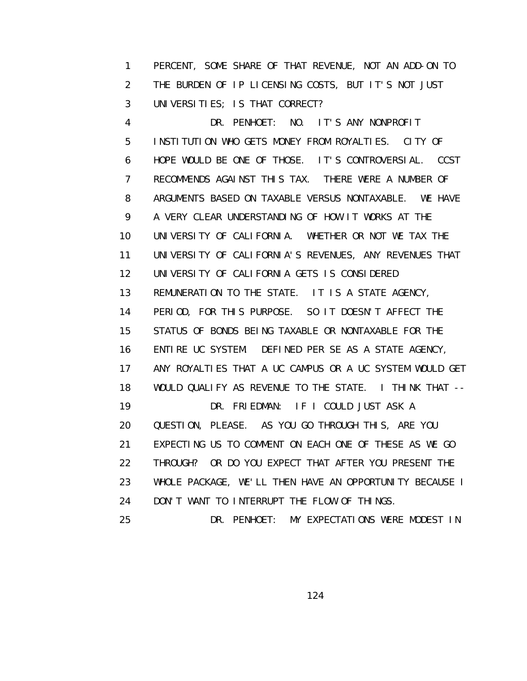1 PERCENT, SOME SHARE OF THAT REVENUE, NOT AN ADD-ON TO 2 THE BURDEN OF IP LICENSING COSTS, BUT IT'S NOT JUST 3 UNIVERSITIES; IS THAT CORRECT?

 4 DR. PENHOET: NO. IT'S ANY NONPROFIT 5 INSTITUTION WHO GETS MONEY FROM ROYALTIES. CITY OF 6 HOPE WOULD BE ONE OF THOSE. IT'S CONTROVERSIAL. CCST 7 RECOMMENDS AGAINST THIS TAX. THERE WERE A NUMBER OF 8 ARGUMENTS BASED ON TAXABLE VERSUS NONTAXABLE. WE HAVE 9 A VERY CLEAR UNDERSTANDING OF HOW IT WORKS AT THE 10 UNIVERSITY OF CALIFORNIA. WHETHER OR NOT WE TAX THE 11 UNIVERSITY OF CALIFORNIA'S REVENUES, ANY REVENUES THAT 12 UNIVERSITY OF CALIFORNIA GETS IS CONSIDERED 13 REMUNERATION TO THE STATE. IT IS A STATE AGENCY, 14 PERIOD, FOR THIS PURPOSE. SO IT DOESN'T AFFECT THE 15 STATUS OF BONDS BEING TAXABLE OR NONTAXABLE FOR THE 16 ENTIRE UC SYSTEM. DEFINED PER SE AS A STATE AGENCY, 17 ANY ROYALTIES THAT A UC CAMPUS OR A UC SYSTEM WOULD GET 18 WOULD QUALIFY AS REVENUE TO THE STATE. I THINK THAT -- 19 DR. FRIEDMAN: IF I COULD JUST ASK A 20 QUESTION, PLEASE. AS YOU GO THROUGH THIS, ARE YOU 21 EXPECTING US TO COMMENT ON EACH ONE OF THESE AS WE GO 22 THROUGH? OR DO YOU EXPECT THAT AFTER YOU PRESENT THE 23 WHOLE PACKAGE, WE'LL THEN HAVE AN OPPORTUNITY BECAUSE I 24 DON'T WANT TO INTERRUPT THE FLOW OF THINGS. 25 DR. PENHOET: MY EXPECTATIONS WERE MODEST IN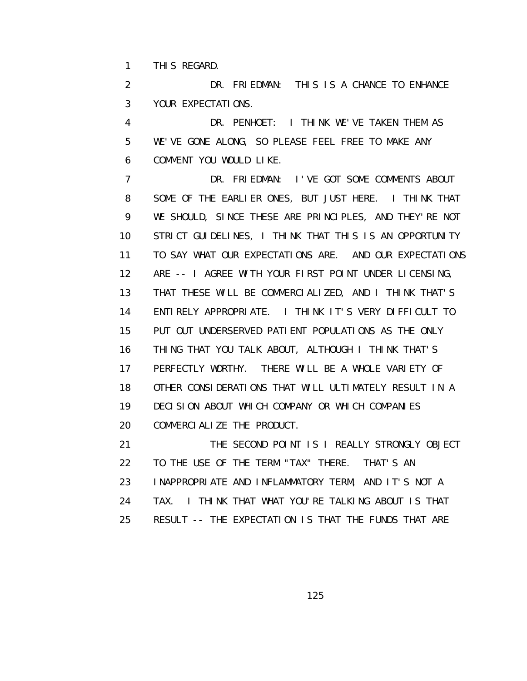1 THIS REGARD.

 2 DR. FRIEDMAN: THIS IS A CHANCE TO ENHANCE 3 YOUR EXPECTATIONS.

 4 DR. PENHOET: I THINK WE'VE TAKEN THEM AS 5 WE'VE GONE ALONG, SO PLEASE FEEL FREE TO MAKE ANY 6 COMMENT YOU WOULD LIKE.

 7 DR. FRIEDMAN: I'VE GOT SOME COMMENTS ABOUT 8 SOME OF THE EARLIER ONES, BUT JUST HERE. I THINK THAT 9 WE SHOULD, SINCE THESE ARE PRINCIPLES, AND THEY'RE NOT 10 STRICT GUIDELINES, I THINK THAT THIS IS AN OPPORTUNITY 11 TO SAY WHAT OUR EXPECTATIONS ARE. AND OUR EXPECTATIONS 12 ARE -- I AGREE WITH YOUR FIRST POINT UNDER LICENSING, 13 THAT THESE WILL BE COMMERCIALIZED, AND I THINK THAT'S 14 ENTIRELY APPROPRIATE. I THINK IT'S VERY DIFFICULT TO 15 PUT OUT UNDERSERVED PATIENT POPULATIONS AS THE ONLY 16 THING THAT YOU TALK ABOUT, ALTHOUGH I THINK THAT'S 17 PERFECTLY WORTHY. THERE WILL BE A WHOLE VARIETY OF 18 OTHER CONSIDERATIONS THAT WILL ULTIMATELY RESULT IN A 19 DECISION ABOUT WHICH COMPANY OR WHICH COMPANIES 20 COMMERCIALIZE THE PRODUCT.

 21 THE SECOND POINT IS I REALLY STRONGLY OBJECT 22 TO THE USE OF THE TERM "TAX" THERE. THAT'S AN 23 INAPPROPRIATE AND INFLAMMATORY TERM, AND IT'S NOT A 24 TAX. I THINK THAT WHAT YOU'RE TALKING ABOUT IS THAT 25 RESULT -- THE EXPECTATION IS THAT THE FUNDS THAT ARE

<u>125 - Johann Stein, Amerikaansk politiker (</u>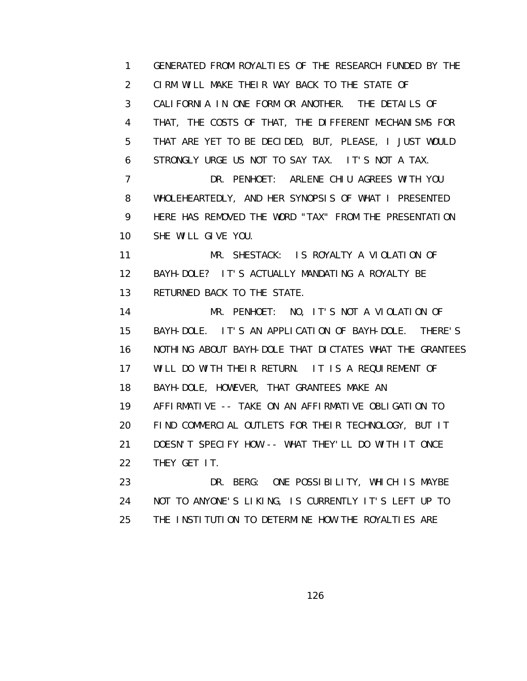1 GENERATED FROM ROYALTIES OF THE RESEARCH FUNDED BY THE 2 CIRM WILL MAKE THEIR WAY BACK TO THE STATE OF 3 CALIFORNIA IN ONE FORM OR ANOTHER. THE DETAILS OF 4 THAT, THE COSTS OF THAT, THE DIFFERENT MECHANISMS FOR 5 THAT ARE YET TO BE DECIDED, BUT, PLEASE, I JUST WOULD 6 STRONGLY URGE US NOT TO SAY TAX. IT'S NOT A TAX. 7 DR. PENHOET: ARLENE CHIU AGREES WITH YOU 8 WHOLEHEARTEDLY, AND HER SYNOPSIS OF WHAT I PRESENTED 9 HERE HAS REMOVED THE WORD "TAX" FROM THE PRESENTATION 10 SHE WILL GIVE YOU. 11 MR. SHESTACK: IS ROYALTY A VIOLATION OF 12 BAYH-DOLE? IT'S ACTUALLY MANDATING A ROYALTY BE 13 RETURNED BACK TO THE STATE. 14 MR. PENHOET: NO, IT'S NOT A VIOLATION OF 15 BAYH-DOLE. IT'S AN APPLICATION OF BAYH-DOLE. THERE'S 16 NOTHING ABOUT BAYH-DOLE THAT DICTATES WHAT THE GRANTEES 17 WILL DO WITH THEIR RETURN. IT IS A REQUIREMENT OF 18 BAYH-DOLE, HOWEVER, THAT GRANTEES MAKE AN 19 AFFIRMATIVE -- TAKE ON AN AFFIRMATIVE OBLIGATION TO 20 FIND COMMERCIAL OUTLETS FOR THEIR TECHNOLOGY, BUT IT 21 DOESN'T SPECIFY HOW -- WHAT THEY'LL DO WITH IT ONCE 22 THEY GET IT. 23 DR. BERG: ONE POSSIBILITY, WHICH IS MAYBE 24 NOT TO ANYONE'S LIKING, IS CURRENTLY IT'S LEFT UP TO 25 THE INSTITUTION TO DETERMINE HOW THE ROYALTIES ARE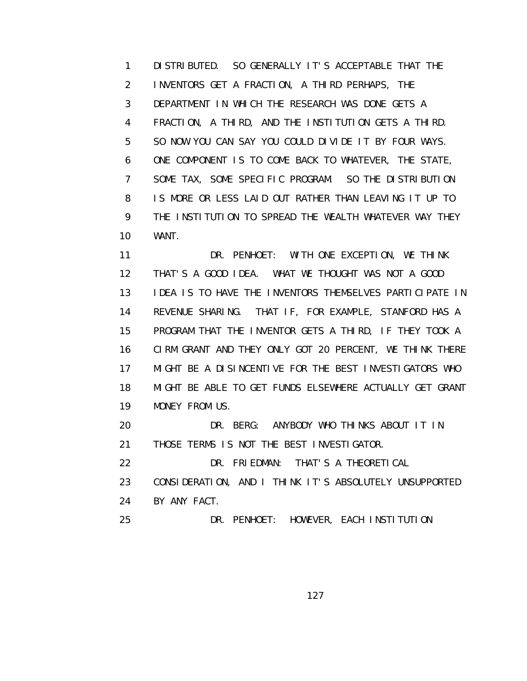1 DISTRIBUTED. SO GENERALLY IT'S ACCEPTABLE THAT THE 2 INVENTORS GET A FRACTION, A THIRD PERHAPS, THE 3 DEPARTMENT IN WHICH THE RESEARCH WAS DONE GETS A 4 FRACTION, A THIRD, AND THE INSTITUTION GETS A THIRD. 5 SO NOW YOU CAN SAY YOU COULD DIVIDE IT BY FOUR WAYS. 6 ONE COMPONENT IS TO COME BACK TO WHATEVER, THE STATE, 7 SOME TAX, SOME SPECIFIC PROGRAM. SO THE DISTRIBUTION 8 IS MORE OR LESS LAID OUT RATHER THAN LEAVING IT UP TO 9 THE INSTITUTION TO SPREAD THE WEALTH WHATEVER WAY THEY 10 WANT.

 11 DR. PENHOET: WITH ONE EXCEPTION, WE THINK 12 THAT'S A GOOD IDEA. WHAT WE THOUGHT WAS NOT A GOOD 13 IDEA IS TO HAVE THE INVENTORS THEMSELVES PARTICIPATE IN 14 REVENUE SHARING. THAT IF, FOR EXAMPLE, STANFORD HAS A 15 PROGRAM THAT THE INVENTOR GETS A THIRD, IF THEY TOOK A 16 CIRM GRANT AND THEY ONLY GOT 20 PERCENT, WE THINK THERE 17 MIGHT BE A DISINCENTIVE FOR THE BEST INVESTIGATORS WHO 18 MIGHT BE ABLE TO GET FUNDS ELSEWHERE ACTUALLY GET GRANT 19 MONEY FROM US.

 20 DR. BERG: ANYBODY WHO THINKS ABOUT IT IN 21 THOSE TERMS IS NOT THE BEST INVESTIGATOR.

22 DR. FRIEDMAN: THAT'S A THEORETICAL

 23 CONSIDERATION, AND I THINK IT'S ABSOLUTELY UNSUPPORTED 24 BY ANY FACT.

25 DR. PENHOET: HOWEVER, EACH INSTITUTION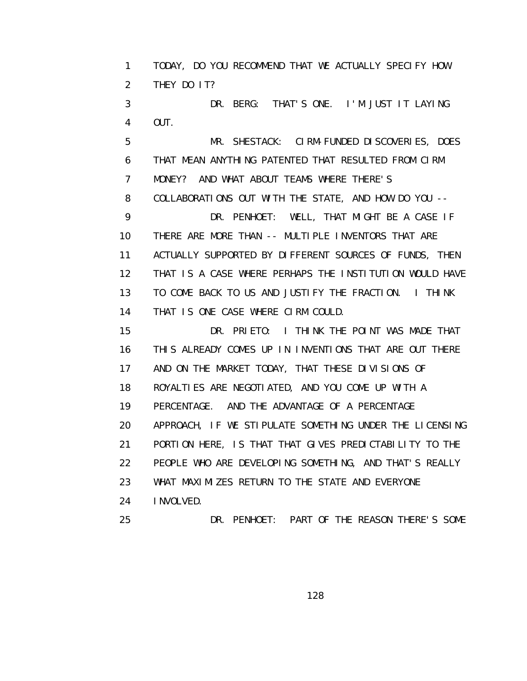1 TODAY, DO YOU RECOMMEND THAT WE ACTUALLY SPECIFY HOW 2 THEY DO IT? 3 DR. BERG: THAT'S ONE. I'M JUST IT LAYING 4 OUT. 5 MR. SHESTACK: CIRM-FUNDED DISCOVERIES, DOES 6 THAT MEAN ANYTHING PATENTED THAT RESULTED FROM CIRM 7 MONEY? AND WHAT ABOUT TEAMS WHERE THERE'S 8 COLLABORATIONS OUT WITH THE STATE, AND HOW DO YOU -- 9 DR. PENHOET: WELL, THAT MIGHT BE A CASE IF 10 THERE ARE MORE THAN -- MULTIPLE INVENTORS THAT ARE 11 ACTUALLY SUPPORTED BY DIFFERENT SOURCES OF FUNDS, THEN 12 THAT IS A CASE WHERE PERHAPS THE INSTITUTION WOULD HAVE 13 TO COME BACK TO US AND JUSTIFY THE FRACTION. I THINK 14 THAT IS ONE CASE WHERE CIRM COULD. 15 DR. PRIETO: I THINK THE POINT WAS MADE THAT 16 THIS ALREADY COMES UP IN INVENTIONS THAT ARE OUT THERE 17 AND ON THE MARKET TODAY, THAT THESE DIVISIONS OF 18 ROYALTIES ARE NEGOTIATED, AND YOU COME UP WITH A 19 PERCENTAGE. AND THE ADVANTAGE OF A PERCENTAGE 20 APPROACH, IF WE STIPULATE SOMETHING UNDER THE LICENSING 21 PORTION HERE, IS THAT THAT GIVES PREDICTABILITY TO THE 22 PEOPLE WHO ARE DEVELOPING SOMETHING, AND THAT'S REALLY 23 WHAT MAXIMIZES RETURN TO THE STATE AND EVERYONE 24 INVOLVED. 25 DR. PENHOET: PART OF THE REASON THERE'S SOME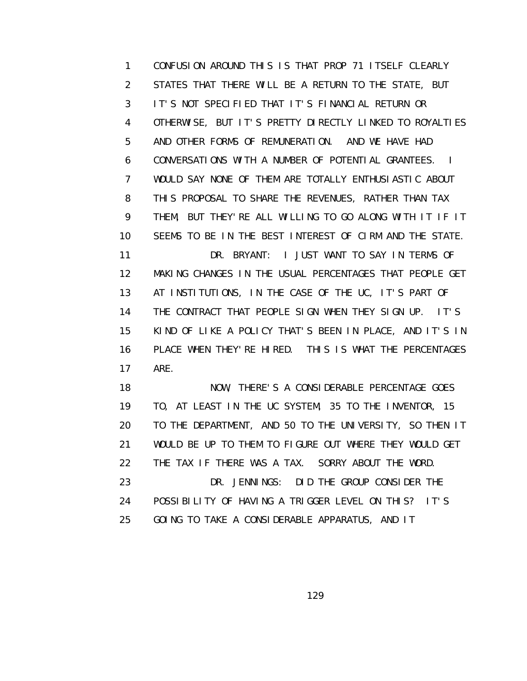1 CONFUSION AROUND THIS IS THAT PROP 71 ITSELF CLEARLY 2 STATES THAT THERE WILL BE A RETURN TO THE STATE, BUT 3 IT'S NOT SPECIFIED THAT IT'S FINANCIAL RETURN OR 4 OTHERWISE, BUT IT'S PRETTY DIRECTLY LINKED TO ROYALTIES 5 AND OTHER FORMS OF REMUNERATION. AND WE HAVE HAD 6 CONVERSATIONS WITH A NUMBER OF POTENTIAL GRANTEES. I 7 WOULD SAY NONE OF THEM ARE TOTALLY ENTHUSIASTIC ABOUT 8 THIS PROPOSAL TO SHARE THE REVENUES, RATHER THAN TAX 9 THEM, BUT THEY'RE ALL WILLING TO GO ALONG WITH IT IF IT 10 SEEMS TO BE IN THE BEST INTEREST OF CIRM AND THE STATE. 11 DR. BRYANT: I JUST WANT TO SAY IN TERMS OF 12 MAKING CHANGES IN THE USUAL PERCENTAGES THAT PEOPLE GET 13 AT INSTITUTIONS, IN THE CASE OF THE UC, IT'S PART OF 14 THE CONTRACT THAT PEOPLE SIGN WHEN THEY SIGN UP. IT'S 15 KIND OF LIKE A POLICY THAT'S BEEN IN PLACE, AND IT'S IN 16 PLACE WHEN THEY'RE HIRED. THIS IS WHAT THE PERCENTAGES 17 ARE.

 18 NOW, THERE'S A CONSIDERABLE PERCENTAGE GOES 19 TO, AT LEAST IN THE UC SYSTEM, 35 TO THE INVENTOR, 15 20 TO THE DEPARTMENT, AND 50 TO THE UNIVERSITY, SO THEN IT 21 WOULD BE UP TO THEM TO FIGURE OUT WHERE THEY WOULD GET 22 THE TAX IF THERE WAS A TAX. SORRY ABOUT THE WORD. 23 DR. JENNINGS: DID THE GROUP CONSIDER THE 24 POSSIBILITY OF HAVING A TRIGGER LEVEL ON THIS? IT'S 25 GOING TO TAKE A CONSIDERABLE APPARATUS, AND IT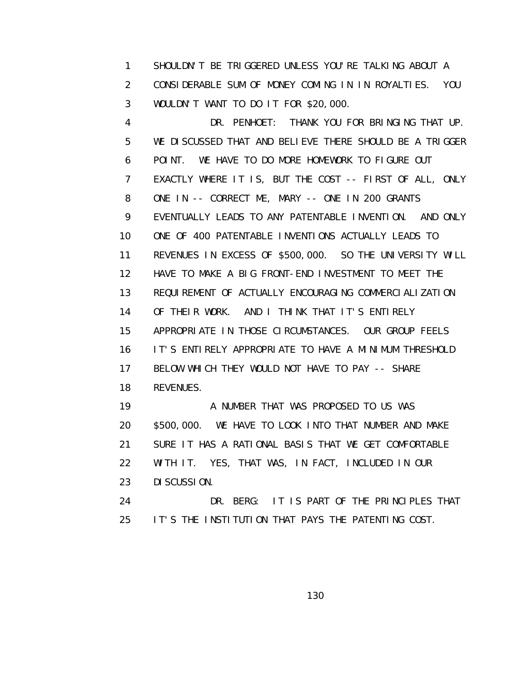1 SHOULDN'T BE TRIGGERED UNLESS YOU'RE TALKING ABOUT A 2 CONSIDERABLE SUM OF MONEY COMING IN IN ROYALTIES. YOU 3 WOULDN'T WANT TO DO IT FOR \$20,000.

 4 DR. PENHOET: THANK YOU FOR BRINGING THAT UP. 5 WE DISCUSSED THAT AND BELIEVE THERE SHOULD BE A TRIGGER 6 POINT. WE HAVE TO DO MORE HOMEWORK TO FIGURE OUT 7 EXACTLY WHERE IT IS, BUT THE COST -- FIRST OF ALL, ONLY 8 ONE IN -- CORRECT ME, MARY -- ONE IN 200 GRANTS 9 EVENTUALLY LEADS TO ANY PATENTABLE INVENTION. AND ONLY 10 ONE OF 400 PATENTABLE INVENTIONS ACTUALLY LEADS TO 11 REVENUES IN EXCESS OF \$500,000. SO THE UNIVERSITY WILL 12 HAVE TO MAKE A BIG FRONT-END INVESTMENT TO MEET THE 13 REQUIREMENT OF ACTUALLY ENCOURAGING COMMERCIALIZATION 14 OF THEIR WORK. AND I THINK THAT IT'S ENTIRELY 15 APPROPRIATE IN THOSE CIRCUMSTANCES. OUR GROUP FEELS 16 IT'S ENTIRELY APPROPRIATE TO HAVE A MINIMUM THRESHOLD 17 BELOW WHICH THEY WOULD NOT HAVE TO PAY -- SHARE 18 REVENUES. 19 A NUMBER THAT WAS PROPOSED TO US WAS 20 \$500,000. WE HAVE TO LOOK INTO THAT NUMBER AND MAKE 21 SURE IT HAS A RATIONAL BASIS THAT WE GET COMFORTABLE 22 WITH IT. YES, THAT WAS, IN FACT, INCLUDED IN OUR 23 DISCUSSION.

 24 DR. BERG: IT IS PART OF THE PRINCIPLES THAT 25 IT'S THE INSTITUTION THAT PAYS THE PATENTING COST.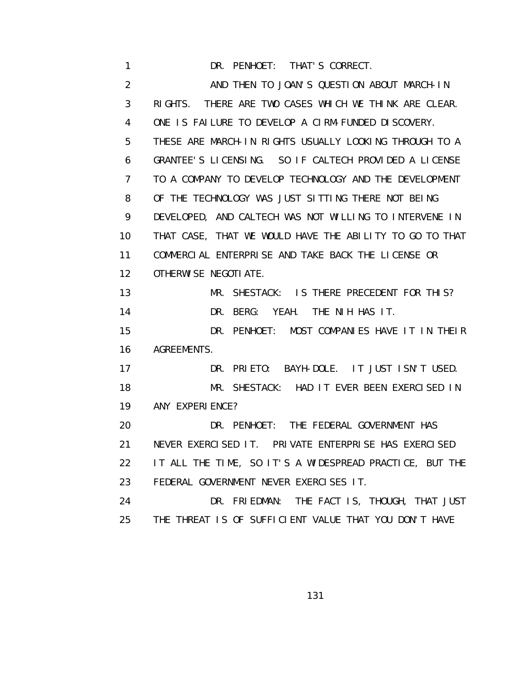1 DR. PENHOET: THAT'S CORRECT. 2 AND THEN TO JOAN'S QUESTION ABOUT MARCH-IN 3 RIGHTS. THERE ARE TWO CASES WHICH WE THINK ARE CLEAR. 4 ONE IS FAILURE TO DEVELOP A CIRM-FUNDED DISCOVERY. 5 THESE ARE MARCH-IN RIGHTS USUALLY LOOKING THROUGH TO A 6 GRANTEE'S LICENSING. SO IF CALTECH PROVIDED A LICENSE 7 TO A COMPANY TO DEVELOP TECHNOLOGY AND THE DEVELOPMENT 8 OF THE TECHNOLOGY WAS JUST SITTING THERE NOT BEING 9 DEVELOPED, AND CALTECH WAS NOT WILLING TO INTERVENE IN 10 THAT CASE, THAT WE WOULD HAVE THE ABILITY TO GO TO THAT 11 COMMERCIAL ENTERPRISE AND TAKE BACK THE LICENSE OR 12 OTHERWISE NEGOTIATE. 13 MR. SHESTACK: IS THERE PRECEDENT FOR THIS? 14 DR. BERG: YEAH. THE NIH HAS IT. 15 DR. PENHOET: MOST COMPANIES HAVE IT IN THEIR 16 AGREEMENTS. 17 DR. PRIETO: BAYH-DOLE. IT JUST ISN'T USED. 18 MR. SHESTACK: HAD IT EVER BEEN EXERCISED IN 19 ANY EXPERIENCE? 20 DR. PENHOET: THE FEDERAL GOVERNMENT HAS 21 NEVER EXERCISED IT. PRIVATE ENTERPRISE HAS EXERCISED 22 IT ALL THE TIME, SO IT'S A WIDESPREAD PRACTICE, BUT THE 23 FEDERAL GOVERNMENT NEVER EXERCISES IT. 24 DR. FRIEDMAN: THE FACT IS, THOUGH, THAT JUST 25 THE THREAT IS OF SUFFICIENT VALUE THAT YOU DON'T HAVE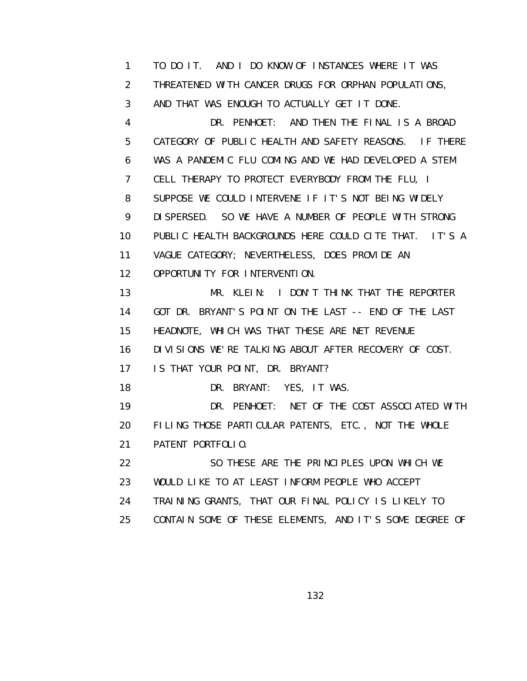1 TO DO IT. AND I DO KNOW OF INSTANCES WHERE IT WAS 2 THREATENED WITH CANCER DRUGS FOR ORPHAN POPULATIONS, 3 AND THAT WAS ENOUGH TO ACTUALLY GET IT DONE. 4 DR. PENHOET: AND THEN THE FINAL IS A BROAD 5 CATEGORY OF PUBLIC HEALTH AND SAFETY REASONS. IF THERE 6 WAS A PANDEMIC FLU COMING AND WE HAD DEVELOPED A STEM 7 CELL THERAPY TO PROTECT EVERYBODY FROM THE FLU, I 8 SUPPOSE WE COULD INTERVENE IF IT'S NOT BEING WIDELY 9 DISPERSED. SO WE HAVE A NUMBER OF PEOPLE WITH STRONG 10 PUBLIC HEALTH BACKGROUNDS HERE COULD CITE THAT. IT'S A 11 VAGUE CATEGORY; NEVERTHELESS, DOES PROVIDE AN 12 OPPORTUNITY FOR INTERVENTION. 13 MR. KLEIN: I DON'T THINK THAT THE REPORTER 14 GOT DR. BRYANT'S POINT ON THE LAST -- END OF THE LAST 15 HEADNOTE, WHICH WAS THAT THESE ARE NET REVENUE 16 DIVISIONS WE'RE TALKING ABOUT AFTER RECOVERY OF COST. 17 IS THAT YOUR POINT, DR. BRYANT? 18 DR. BRYANT: YES, IT WAS. 19 DR. PENHOET: NET OF THE COST ASSOCIATED WITH 20 FILING THOSE PARTICULAR PATENTS, ETC., NOT THE WHOLE 21 PATENT PORTFOLIO. 22 SO THESE ARE THE PRINCIPLES UPON WHICH WE 23 WOULD LIKE TO AT LEAST INFORM PEOPLE WHO ACCEPT 24 TRAINING GRANTS, THAT OUR FINAL POLICY IS LIKELY TO 25 CONTAIN SOME OF THESE ELEMENTS, AND IT'S SOME DEGREE OF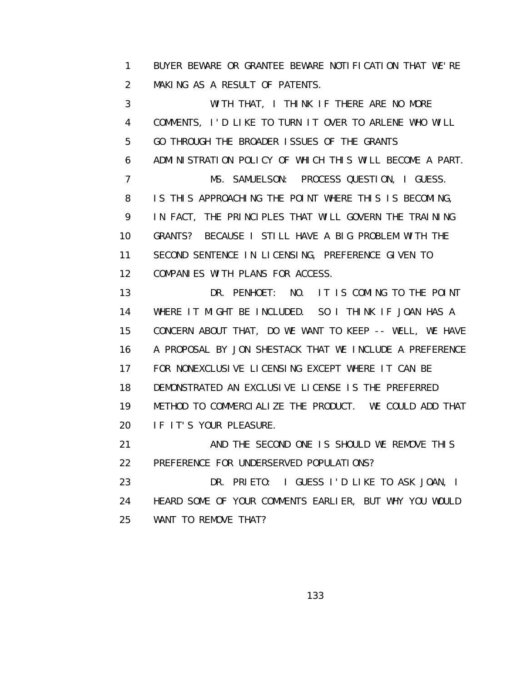1 BUYER BEWARE OR GRANTEE BEWARE NOTIFICATION THAT WE'RE 2 MAKING AS A RESULT OF PATENTS.

 3 WITH THAT, I THINK IF THERE ARE NO MORE 4 COMMENTS, I'D LIKE TO TURN IT OVER TO ARLENE WHO WILL 5 GO THROUGH THE BROADER ISSUES OF THE GRANTS 6 ADMINISTRATION POLICY OF WHICH THIS WILL BECOME A PART. 7 MS. SAMUELSON: PROCESS QUESTION, I GUESS. 8 IS THIS APPROACHING THE POINT WHERE THIS IS BECOMING, 9 IN FACT, THE PRINCIPLES THAT WILL GOVERN THE TRAINING 10 GRANTS? BECAUSE I STILL HAVE A BIG PROBLEM WITH THE 11 SECOND SENTENCE IN LICENSING, PREFERENCE GIVEN TO 12 COMPANIES WITH PLANS FOR ACCESS.

 13 DR. PENHOET: NO. IT IS COMING TO THE POINT 14 WHERE IT MIGHT BE INCLUDED. SO I THINK IF JOAN HAS A 15 CONCERN ABOUT THAT, DO WE WANT TO KEEP -- WELL, WE HAVE 16 A PROPOSAL BY JON SHESTACK THAT WE INCLUDE A PREFERENCE 17 FOR NONEXCLUSIVE LICENSING EXCEPT WHERE IT CAN BE 18 DEMONSTRATED AN EXCLUSIVE LICENSE IS THE PREFERRED 19 METHOD TO COMMERCIALIZE THE PRODUCT. WE COULD ADD THAT 20 IF IT'S YOUR PLEASURE.

 21 AND THE SECOND ONE IS SHOULD WE REMOVE THIS 22 PREFERENCE FOR UNDERSERVED POPULATIONS?

 23 DR. PRIETO: I GUESS I'D LIKE TO ASK JOAN, I 24 HEARD SOME OF YOUR COMMENTS EARLIER, BUT WHY YOU WOULD 25 WANT TO REMOVE THAT?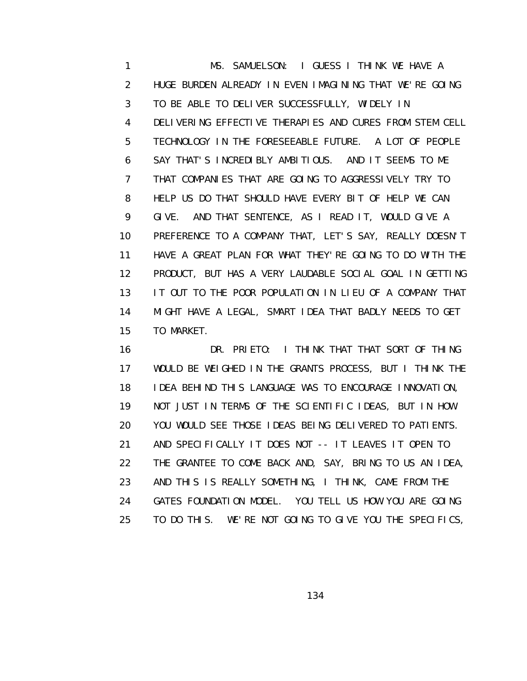1 MS. SAMUELSON: I GUESS I THINK WE HAVE A 2 HUGE BURDEN ALREADY IN EVEN IMAGINING THAT WE'RE GOING 3 TO BE ABLE TO DELIVER SUCCESSFULLY, WIDELY IN 4 DELIVERING EFFECTIVE THERAPIES AND CURES FROM STEM CELL 5 TECHNOLOGY IN THE FORESEEABLE FUTURE. A LOT OF PEOPLE 6 SAY THAT'S INCREDIBLY AMBITIOUS. AND IT SEEMS TO ME 7 THAT COMPANIES THAT ARE GOING TO AGGRESSIVELY TRY TO 8 HELP US DO THAT SHOULD HAVE EVERY BIT OF HELP WE CAN 9 GIVE. AND THAT SENTENCE, AS I READ IT, WOULD GIVE A 10 PREFERENCE TO A COMPANY THAT, LET'S SAY, REALLY DOESN'T 11 HAVE A GREAT PLAN FOR WHAT THEY'RE GOING TO DO WITH THE 12 PRODUCT, BUT HAS A VERY LAUDABLE SOCIAL GOAL IN GETTING 13 IT OUT TO THE POOR POPULATION IN LIEU OF A COMPANY THAT 14 MIGHT HAVE A LEGAL, SMART IDEA THAT BADLY NEEDS TO GET 15 TO MARKET.

 16 DR. PRIETO: I THINK THAT THAT SORT OF THING 17 WOULD BE WEIGHED IN THE GRANTS PROCESS, BUT I THINK THE 18 IDEA BEHIND THIS LANGUAGE WAS TO ENCOURAGE INNOVATION, 19 NOT JUST IN TERMS OF THE SCIENTIFIC IDEAS, BUT IN HOW 20 YOU WOULD SEE THOSE IDEAS BEING DELIVERED TO PATIENTS. 21 AND SPECIFICALLY IT DOES NOT -- IT LEAVES IT OPEN TO 22 THE GRANTEE TO COME BACK AND, SAY, BRING TO US AN IDEA, 23 AND THIS IS REALLY SOMETHING, I THINK, CAME FROM THE 24 GATES FOUNDATION MODEL. YOU TELL US HOW YOU ARE GOING 25 TO DO THIS. WE'RE NOT GOING TO GIVE YOU THE SPECIFICS,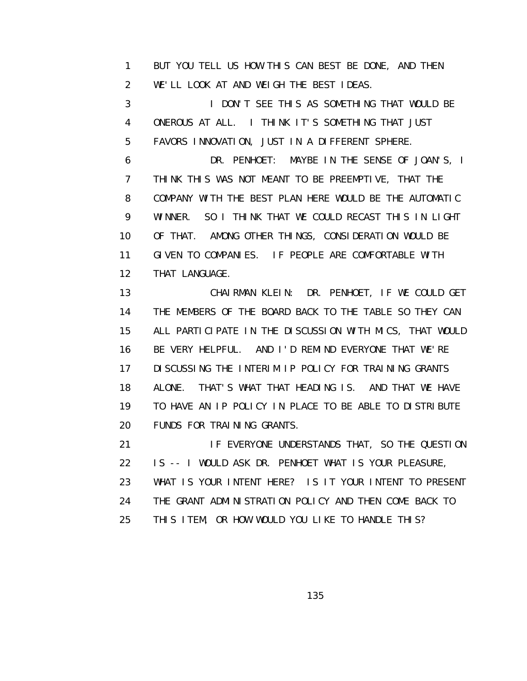1 BUT YOU TELL US HOW THIS CAN BEST BE DONE, AND THEN 2 WE'LL LOOK AT AND WEIGH THE BEST IDEAS.

 3 I DON'T SEE THIS AS SOMETHING THAT WOULD BE 4 ONEROUS AT ALL. I THINK IT'S SOMETHING THAT JUST 5 FAVORS INNOVATION, JUST IN A DIFFERENT SPHERE.

 6 DR. PENHOET: MAYBE IN THE SENSE OF JOAN'S, I 7 THINK THIS WAS NOT MEANT TO BE PREEMPTIVE, THAT THE 8 COMPANY WITH THE BEST PLAN HERE WOULD BE THE AUTOMATIC 9 WINNER. SO I THINK THAT WE COULD RECAST THIS IN LIGHT 10 OF THAT. AMONG OTHER THINGS, CONSIDERATION WOULD BE 11 GIVEN TO COMPANIES. IF PEOPLE ARE COMFORTABLE WITH 12 THAT LANGUAGE.

 13 CHAIRMAN KLEIN: DR. PENHOET, IF WE COULD GET 14 THE MEMBERS OF THE BOARD BACK TO THE TABLE SO THEY CAN 15 ALL PARTICIPATE IN THE DISCUSSION WITH MICS, THAT WOULD 16 BE VERY HELPFUL. AND I'D REMIND EVERYONE THAT WE'RE 17 DI SCUSSING THE INTERIM IP POLICY FOR TRAINING GRANTS 18 ALONE. THAT'S WHAT THAT HEADING IS. AND THAT WE HAVE 19 TO HAVE AN IP POLICY IN PLACE TO BE ABLE TO DISTRIBUTE 20 FUNDS FOR TRAINING GRANTS.

 21 IF EVERYONE UNDERSTANDS THAT, SO THE QUESTION 22 IS -- I WOULD ASK DR. PENHOET WHAT IS YOUR PLEASURE, 23 WHAT IS YOUR INTENT HERE? IS IT YOUR INTENT TO PRESENT 24 THE GRANT ADMINISTRATION POLICY AND THEN COME BACK TO 25 THIS ITEM, OR HOW WOULD YOU LIKE TO HANDLE THIS?

<u>135 - Andrea Stein, Amerikaansk politiker (</u>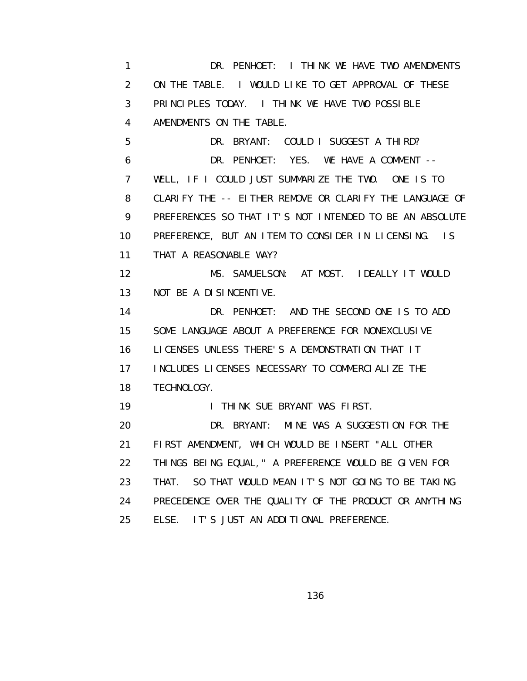1 DR. PENHOET: I THINK WE HAVE TWO AMENDMENTS 2 ON THE TABLE. I WOULD LIKE TO GET APPROVAL OF THESE 3 PRINCIPLES TODAY. I THINK WE HAVE TWO POSSIBLE 4 AMENDMENTS ON THE TABLE. 5 DR. BRYANT: COULD I SUGGEST A THIRD? 6 DR. PENHOET: YES. WE HAVE A COMMENT -- 7 WELL, IF I COULD JUST SUMMARIZE THE TWO. ONE IS TO 8 CLARIFY THE -- EITHER REMOVE OR CLARIFY THE LANGUAGE OF 9 PREFERENCES SO THAT IT'S NOT INTENDED TO BE AN ABSOLUTE 10 PREFERENCE, BUT AN ITEM TO CONSIDER IN LICENSING. IS 11 THAT A REASONABLE WAY? 12 MS. SAMUELSON: AT MOST. IDEALLY IT WOULD 13 NOT BE A DISINCENTIVE. 14 DR. PENHOET: AND THE SECOND ONE IS TO ADD 15 SOME LANGUAGE ABOUT A PREFERENCE FOR NONEXCLUSIVE 16 LICENSES UNLESS THERE'S A DEMONSTRATION THAT IT 17 INCLUDES LICENSES NECESSARY TO COMMERCIALIZE THE 18 TECHNOLOGY. 19 **I THINK SUE BRYANT WAS FIRST.**  20 DR. BRYANT: MINE WAS A SUGGESTION FOR THE 21 FIRST AMENDMENT, WHICH WOULD BE INSERT "ALL OTHER 22 THINGS BEING EQUAL," A PREFERENCE WOULD BE GIVEN FOR 23 THAT. SO THAT WOULD MEAN IT'S NOT GOING TO BE TAKING 24 PRECEDENCE OVER THE QUALITY OF THE PRODUCT OR ANYTHING 25 ELSE. IT'S JUST AN ADDITIONAL PREFERENCE.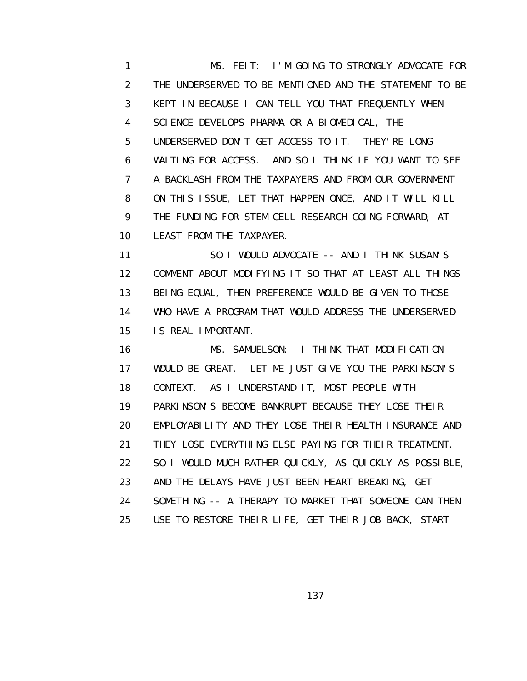1 MS. FEIT: I'M GOING TO STRONGLY ADVOCATE FOR 2 THE UNDERSERVED TO BE MENTIONED AND THE STATEMENT TO BE 3 KEPT IN BECAUSE I CAN TELL YOU THAT FREQUENTLY WHEN 4 SCIENCE DEVELOPS PHARMA OR A BIOMEDICAL, THE 5 UNDERSERVED DON'T GET ACCESS TO IT. THEY'RE LONG 6 WAITING FOR ACCESS. AND SO I THINK IF YOU WANT TO SEE 7 A BACKLASH FROM THE TAXPAYERS AND FROM OUR GOVERNMENT 8 ON THIS ISSUE, LET THAT HAPPEN ONCE, AND IT WILL KILL 9 THE FUNDING FOR STEM CELL RESEARCH GOING FORWARD, AT 10 LEAST FROM THE TAXPAYER.

11 SO I WOULD ADVOCATE -- AND I THINK SUSAN'S 12 COMMENT ABOUT MODIFYING IT SO THAT AT LEAST ALL THINGS 13 BEING EQUAL, THEN PREFERENCE WOULD BE GIVEN TO THOSE 14 WHO HAVE A PROGRAM THAT WOULD ADDRESS THE UNDERSERVED 15 IS REAL IMPORTANT.

 16 MS. SAMUELSON: I THINK THAT MODIFICATION 17 WOULD BE GREAT. LET ME JUST GIVE YOU THE PARKINSON'S 18 CONTEXT. AS I UNDERSTAND IT, MOST PEOPLE WITH 19 PARKINSON'S BECOME BANKRUPT BECAUSE THEY LOSE THEIR 20 EMPLOYABILITY AND THEY LOSE THEIR HEALTH INSURANCE AND 21 THEY LOSE EVERYTHING ELSE PAYING FOR THEIR TREATMENT. 22 SO I WOULD MUCH RATHER QUICKLY, AS QUICKLY AS POSSIBLE, 23 AND THE DELAYS HAVE JUST BEEN HEART BREAKING, GET 24 SOMETHING -- A THERAPY TO MARKET THAT SOMEONE CAN THEN 25 USE TO RESTORE THEIR LIFE, GET THEIR JOB BACK, START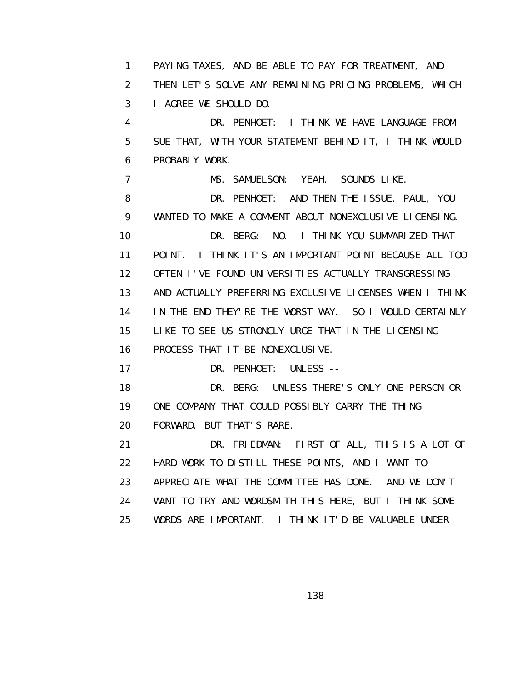1 PAYING TAXES, AND BE ABLE TO PAY FOR TREATMENT, AND 2 THEN LET'S SOLVE ANY REMAINING PRICING PROBLEMS, WHICH 3 I AGREE WE SHOULD DO. 4 DR. PENHOET: I THINK WE HAVE LANGUAGE FROM 5 SUE THAT, WITH YOUR STATEMENT BEHIND IT, I THINK WOULD 6 PROBABLY WORK. 7 MS. SAMUELSON: YEAH. SOUNDS LIKE. 8 DR. PENHOET: AND THEN THE ISSUE, PAUL, YOU 9 WANTED TO MAKE A COMMENT ABOUT NONEXCLUSIVE LICENSING. 10 DR. BERG: NO. I THINK YOU SUMMARIZED THAT 11 POINT. I THINK IT'S AN IMPORTANT POINT BECAUSE ALL TOO 12 OFTEN I'VE FOUND UNIVERSITIES ACTUALLY TRANSGRESSING 13 AND ACTUALLY PREFERRING EXCLUSIVE LICENSES WHEN I THINK 14 IN THE END THEY'RE THE WORST WAY. SO I WOULD CERTAINLY 15 LIKE TO SEE US STRONGLY URGE THAT IN THE LICENSING 16 PROCESS THAT IT BE NONEXCLUSIVE. 17 DR. PENHOET: UNLESS -- 18 DR. BERG: UNLESS THERE'S ONLY ONE PERSON OR 19 ONE COMPANY THAT COULD POSSIBLY CARRY THE THING 20 FORWARD, BUT THAT'S RARE. 21 DR. FRIEDMAN: FIRST OF ALL, THIS IS A LOT OF 22 HARD WORK TO DISTILL THESE POINTS, AND I WANT TO 23 APPRECIATE WHAT THE COMMITTEE HAS DONE. AND WE DON'T 24 WANT TO TRY AND WORDSMITH THIS HERE, BUT I THINK SOME 25 WORDS ARE IMPORTANT. I THINK IT'D BE VALUABLE UNDER

<u>138 - Andrea Stein, amerikan ing kabupatèn Ing Pangalang Barat Barat Barat Barat Barat Barat Barat Barat Bara</u>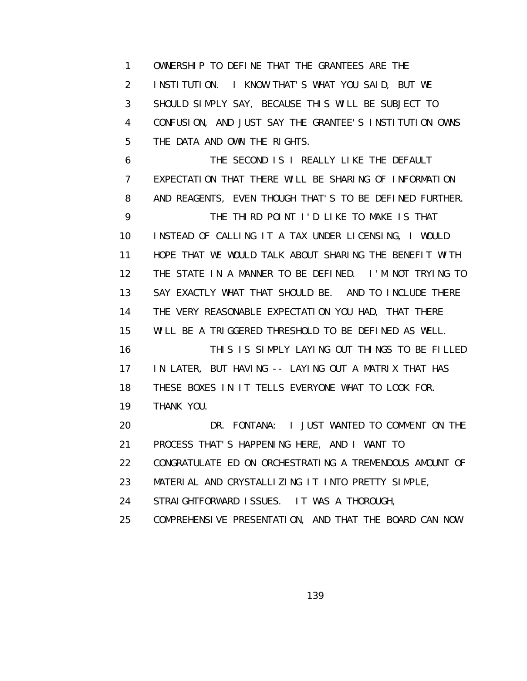1 OWNERSHIP TO DEFINE THAT THE GRANTEES ARE THE 2 INSTITUTION. I KNOW THAT'S WHAT YOU SAID, BUT WE 3 SHOULD SIMPLY SAY, BECAUSE THIS WILL BE SUBJECT TO 4 CONFUSION, AND JUST SAY THE GRANTEE'S INSTITUTION OWNS 5 THE DATA AND OWN THE RIGHTS.

 6 THE SECOND IS I REALLY LIKE THE DEFAULT 7 EXPECTATION THAT THERE WILL BE SHARING OF INFORMATION 8 AND REAGENTS, EVEN THOUGH THAT'S TO BE DEFINED FURTHER. 9 THE THIRD POINT I'D LIKE TO MAKE IS THAT 10 INSTEAD OF CALLING IT A TAX UNDER LICENSING, I WOULD 11 HOPE THAT WE WOULD TALK ABOUT SHARING THE BENEFIT WITH 12 THE STATE IN A MANNER TO BE DEFINED. I'M NOT TRYING TO 13 SAY EXACTLY WHAT THAT SHOULD BE. AND TO INCLUDE THERE 14 THE VERY REASONABLE EXPECTATION YOU HAD, THAT THERE 15 WILL BE A TRIGGERED THRESHOLD TO BE DEFINED AS WELL. 16 THIS IS SIMPLY LAYING OUT THINGS TO BE FILLED 17 IN LATER, BUT HAVING -- LAYING OUT A MATRIX THAT HAS 18 THESE BOXES IN IT TELLS EVERYONE WHAT TO LOOK FOR. 19 THANK YOU. 20 DR. FONTANA: I JUST WANTED TO COMMENT ON THE 21 PROCESS THAT'S HAPPENING HERE, AND I WANT TO 22 CONGRATULATE ED ON ORCHESTRATING A TREMENDOUS AMOUNT OF 23 MATERIAL AND CRYSTALLIZING IT INTO PRETTY SIMPLE,

24 STRAIGHTFORWARD ISSUES. IT WAS A THOROUGH,

25 COMPREHENSIVE PRESENTATION, AND THAT THE BOARD CAN NOW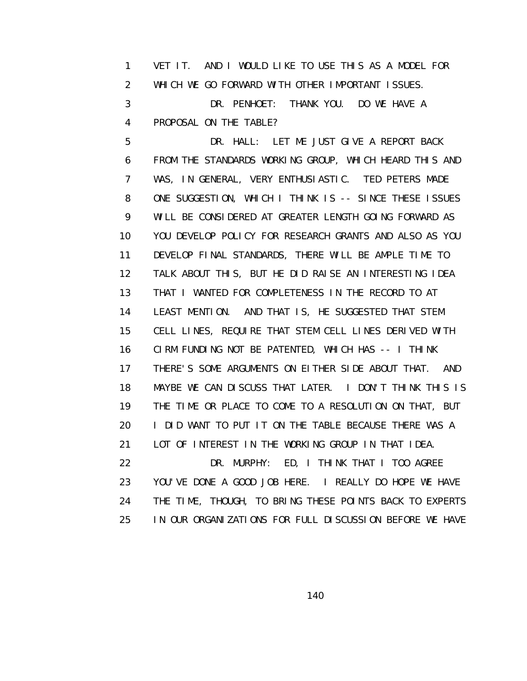1 VET IT. AND I WOULD LIKE TO USE THIS AS A MODEL FOR 2 WHICH WE GO FORWARD WITH OTHER IMPORTANT ISSUES. 3 DR. PENHOET: THANK YOU. DO WE HAVE A 4 PROPOSAL ON THE TABLE?

 5 DR. HALL: LET ME JUST GIVE A REPORT BACK 6 FROM THE STANDARDS WORKING GROUP, WHICH HEARD THIS AND 7 WAS, IN GENERAL, VERY ENTHUSIASTIC. TED PETERS MADE 8 ONE SUGGESTION, WHICH I THINK IS -- SINCE THESE ISSUES 9 WILL BE CONSIDERED AT GREATER LENGTH GOING FORWARD AS 10 YOU DEVELOP POLICY FOR RESEARCH GRANTS AND ALSO AS YOU 11 DEVELOP FINAL STANDARDS, THERE WILL BE AMPLE TIME TO 12 TALK ABOUT THIS, BUT HE DID RAISE AN INTERESTING IDEA 13 THAT I WANTED FOR COMPLETENESS IN THE RECORD TO AT 14 LEAST MENTION. AND THAT IS, HE SUGGESTED THAT STEM 15 CELL LINES, REQUIRE THAT STEM CELL LINES DERIVED WITH 16 CIRM FUNDING NOT BE PATENTED, WHICH HAS -- I THINK 17 THERE'S SOME ARGUMENTS ON EITHER SIDE ABOUT THAT. AND 18 MAYBE WE CAN DISCUSS THAT LATER. I DON'T THINK THIS IS 19 THE TIME OR PLACE TO COME TO A RESOLUTION ON THAT, BUT 20 I DID WANT TO PUT IT ON THE TABLE BECAUSE THERE WAS A 21 LOT OF INTEREST IN THE WORKING GROUP IN THAT IDEA. 22 DR. MURPHY: ED, I THINK THAT I TOO AGREE 23 YOU'VE DONE A GOOD JOB HERE. I REALLY DO HOPE WE HAVE 24 THE TIME, THOUGH, TO BRING THESE POINTS BACK TO EXPERTS

140

25 IN OUR ORGANIZATIONS FOR FULL DISCUSSION BEFORE WE HAVE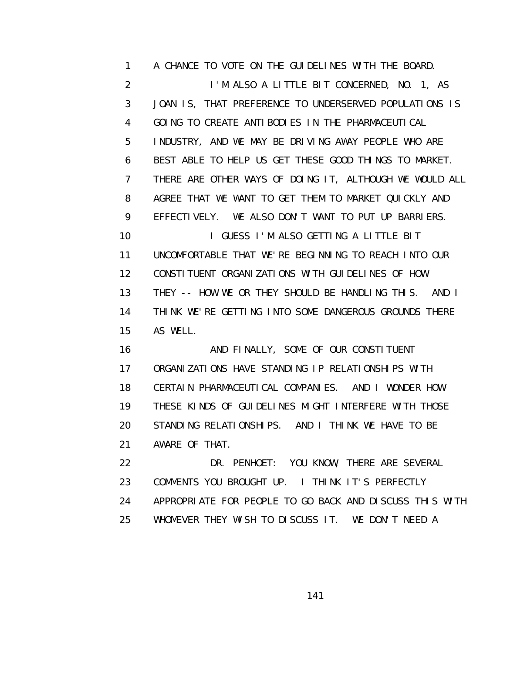1 A CHANCE TO VOTE ON THE GUIDELINES WITH THE BOARD. 2 I'M ALSO A LITTLE BIT CONCERNED, NO. 1, AS 3 JOAN IS, THAT PREFERENCE TO UNDERSERVED POPULATIONS IS 4 GOING TO CREATE ANTIBODIES IN THE PHARMACEUTICAL 5 INDUSTRY, AND WE MAY BE DRIVING AWAY PEOPLE WHO ARE 6 BEST ABLE TO HELP US GET THESE GOOD THINGS TO MARKET. 7 THERE ARE OTHER WAYS OF DOING IT, ALTHOUGH WE WOULD ALL 8 AGREE THAT WE WANT TO GET THEM TO MARKET QUICKLY AND 9 EFFECTIVELY. WE ALSO DON'T WANT TO PUT UP BARRIERS. 10 **I GUESS I'M ALSO GETTING A LITTLE BIT**  11 UNCOMFORTABLE THAT WE'RE BEGINNING TO REACH INTO OUR 12 CONSTITUENT ORGANIZATIONS WITH GUIDELINES OF HOW 13 THEY -- HOW WE OR THEY SHOULD BE HANDLING THIS. AND I 14 THINK WE'RE GETTING INTO SOME DANGEROUS GROUNDS THERE 15 AS WELL. 16 AND FINALLY, SOME OF OUR CONSTITUENT 17 ORGANIZATIONS HAVE STANDING IP RELATIONSHIPS WITH 18 CERTAIN PHARMACEUTICAL COMPANIES. AND I WONDER HOW 19 THESE KINDS OF GUIDELINES MIGHT INTERFERE WITH THOSE 20 STANDING RELATIONSHIPS. AND I THINK WE HAVE TO BE 21 AWARE OF THAT. 22 DR. PENHOET: YOU KNOW, THERE ARE SEVERAL

 23 COMMENTS YOU BROUGHT UP. I THINK IT'S PERFECTLY 24 APPROPRIATE FOR PEOPLE TO GO BACK AND DISCUSS THIS WITH 25 WHOMEVER THEY WISH TO DISCUSS IT. WE DON'T NEED A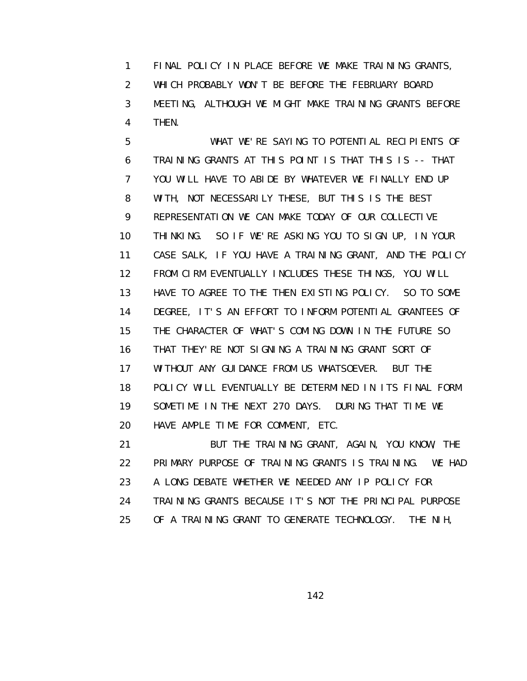1 FINAL POLICY IN PLACE BEFORE WE MAKE TRAINING GRANTS, 2 WHICH PROBABLY WON'T BE BEFORE THE FEBRUARY BOARD 3 MEETING, ALTHOUGH WE MIGHT MAKE TRAINING GRANTS BEFORE 4 THEN.

 5 WHAT WE'RE SAYING TO POTENTIAL RECIPIENTS OF 6 TRAINING GRANTS AT THIS POINT IS THAT THIS IS -- THAT 7 YOU WILL HAVE TO ABIDE BY WHATEVER WE FINALLY END UP 8 WITH, NOT NECESSARILY THESE, BUT THIS IS THE BEST 9 REPRESENTATION WE CAN MAKE TODAY OF OUR COLLECTIVE 10 THINKING. SO IF WE'RE ASKING YOU TO SIGN UP, IN YOUR 11 CASE SALK, IF YOU HAVE A TRAINING GRANT, AND THE POLICY 12 FROM CIRM EVENTUALLY INCLUDES THESE THINGS, YOU WILL 13 HAVE TO AGREE TO THE THEN EXISTING POLICY. SO TO SOME 14 DEGREE, IT'S AN EFFORT TO INFORM POTENTIAL GRANTEES OF 15 THE CHARACTER OF WHAT'S COMING DOWN IN THE FUTURE SO 16 THAT THEY'RE NOT SIGNING A TRAINING GRANT SORT OF 17 WITHOUT ANY GUIDANCE FROM US WHATSOEVER. BUT THE 18 POLICY WILL EVENTUALLY BE DETERMINED IN ITS FINAL FORM 19 SOMETIME IN THE NEXT 270 DAYS. DURING THAT TIME WE 20 HAVE AMPLE TIME FOR COMMENT, ETC.

 21 BUT THE TRAINING GRANT, AGAIN, YOU KNOW, THE 22 PRIMARY PURPOSE OF TRAINING GRANTS IS TRAINING. WE HAD 23 A LONG DEBATE WHETHER WE NEEDED ANY IP POLICY FOR 24 TRAINING GRANTS BECAUSE IT'S NOT THE PRINCIPAL PURPOSE 25 OF A TRAINING GRANT TO GENERATE TECHNOLOGY. THE NIH,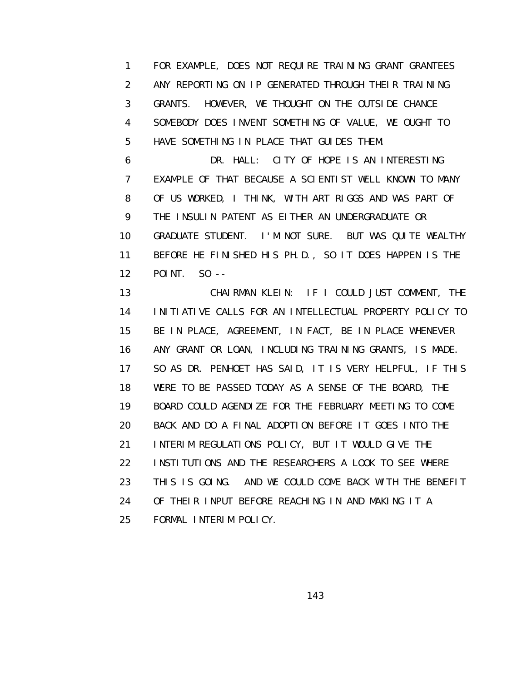1 FOR EXAMPLE, DOES NOT REQUIRE TRAINING GRANT GRANTEES 2 ANY REPORTING ON IP GENERATED THROUGH THEIR TRAINING 3 GRANTS. HOWEVER, WE THOUGHT ON THE OUTSIDE CHANCE 4 SOMEBODY DOES INVENT SOMETHING OF VALUE, WE OUGHT TO 5 HAVE SOMETHING IN PLACE THAT GUIDES THEM.

 6 DR. HALL: CITY OF HOPE IS AN INTERESTING 7 EXAMPLE OF THAT BECAUSE A SCIENTIST WELL KNOWN TO MANY 8 OF US WORKED, I THINK, WITH ART RIGGS AND WAS PART OF 9 THE INSULIN PATENT AS EITHER AN UNDERGRADUATE OR 10 GRADUATE STUDENT. I'M NOT SURE. BUT WAS QUITE WEALTHY 11 BEFORE HE FINISHED HIS PH.D., SO IT DOES HAPPEN IS THE 12 POINT. SO --

 13 CHAIRMAN KLEIN: IF I COULD JUST COMMENT, THE 14 INITIATIVE CALLS FOR AN INTELLECTUAL PROPERTY POLICY TO 15 BE IN PLACE, AGREEMENT, IN FACT, BE IN PLACE WHENEVER 16 ANY GRANT OR LOAN, INCLUDING TRAINING GRANTS, IS MADE. 17 SO AS DR. PENHOET HAS SAID, IT IS VERY HELPFUL, IF THIS 18 WERE TO BE PASSED TODAY AS A SENSE OF THE BOARD, THE 19 BOARD COULD AGENDIZE FOR THE FEBRUARY MEETING TO COME 20 BACK AND DO A FINAL ADOPTION BEFORE IT GOES INTO THE 21 INTERIM REGULATIONS POLICY, BUT IT WOULD GIVE THE 22 INSTITUTIONS AND THE RESEARCHERS A LOOK TO SEE WHERE 23 THIS IS GOING. AND WE COULD COME BACK WITH THE BENEFIT 24 OF THEIR INPUT BEFORE REACHING IN AND MAKING IT A 25 FORMAL INTERIM POLICY.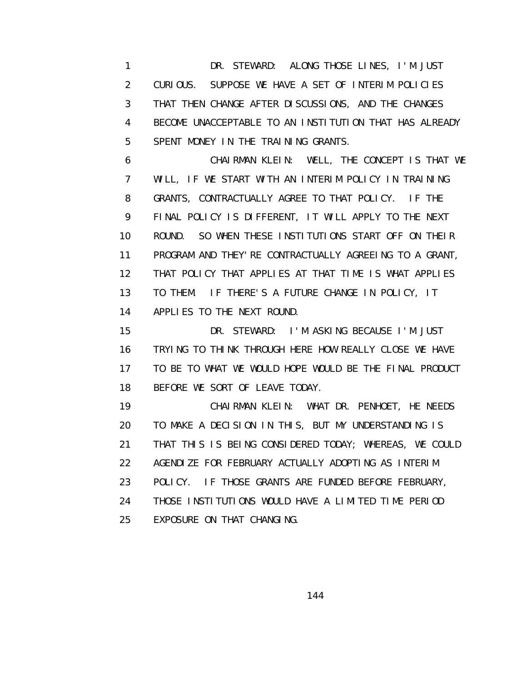1 DR. STEWARD: ALONG THOSE LINES, I'M JUST 2 CURIOUS. SUPPOSE WE HAVE A SET OF INTERIM POLICIES 3 THAT THEN CHANGE AFTER DISCUSSIONS, AND THE CHANGES 4 BECOME UNACCEPTABLE TO AN INSTITUTION THAT HAS ALREADY 5 SPENT MONEY IN THE TRAINING GRANTS.

 6 CHAIRMAN KLEIN: WELL, THE CONCEPT IS THAT WE 7 WILL, IF WE START WITH AN INTERIM POLICY IN TRAINING 8 GRANTS, CONTRACTUALLY AGREE TO THAT POLICY. IF THE 9 FINAL POLICY IS DIFFERENT, IT WILL APPLY TO THE NEXT 10 ROUND. SO WHEN THESE INSTITUTIONS START OFF ON THEIR 11 PROGRAM AND THEY'RE CONTRACTUALLY AGREEING TO A GRANT, 12 THAT POLICY THAT APPLIES AT THAT TIME IS WHAT APPLIES 13 TO THEM. IF THERE'S A FUTURE CHANGE IN POLICY, IT 14 APPLIES TO THE NEXT ROUND.

 15 DR. STEWARD: I'M ASKING BECAUSE I'M JUST 16 TRYING TO THINK THROUGH HERE HOW REALLY CLOSE WE HAVE 17 TO BE TO WHAT WE WOULD HOPE WOULD BE THE FINAL PRODUCT 18 BEFORE WE SORT OF LEAVE TODAY.

 19 CHAIRMAN KLEIN: WHAT DR. PENHOET, HE NEEDS 20 TO MAKE A DECISION IN THIS, BUT MY UNDERSTANDING IS 21 THAT THIS IS BEING CONSIDERED TODAY; WHEREAS, WE COULD 22 AGENDIZE FOR FEBRUARY ACTUALLY ADOPTING AS INTERIM 23 POLICY. IF THOSE GRANTS ARE FUNDED BEFORE FEBRUARY, 24 THOSE INSTITUTIONS WOULD HAVE A LIMITED TIME PERIOD 25 EXPOSURE ON THAT CHANGING.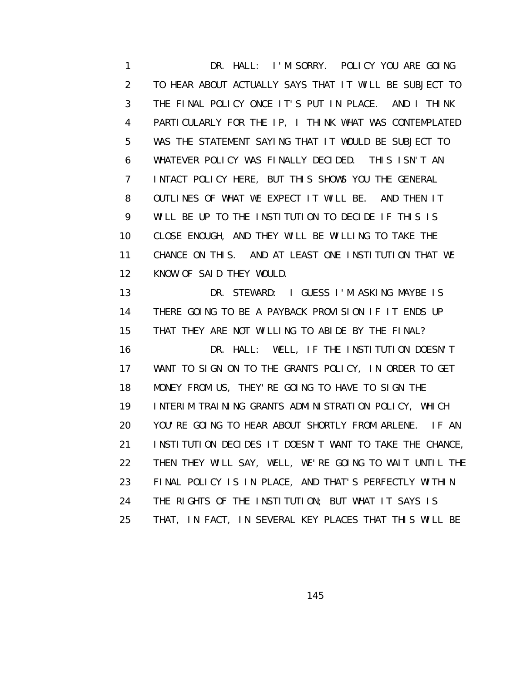1 DR. HALL: I'M SORRY. POLICY YOU ARE GOING 2 TO HEAR ABOUT ACTUALLY SAYS THAT IT WILL BE SUBJECT TO 3 THE FINAL POLICY ONCE IT'S PUT IN PLACE. AND I THINK 4 PARTICULARLY FOR THE IP, I THINK WHAT WAS CONTEMPLATED 5 WAS THE STATEMENT SAYING THAT IT WOULD BE SUBJECT TO 6 WHATEVER POLICY WAS FINALLY DECIDED. THIS ISN'T AN 7 INTACT POLICY HERE, BUT THIS SHOWS YOU THE GENERAL 8 OUTLINES OF WHAT WE EXPECT IT WILL BE. AND THEN IT 9 WILL BE UP TO THE INSTITUTION TO DECIDE IF THIS IS 10 CLOSE ENOUGH, AND THEY WILL BE WILLING TO TAKE THE 11 CHANCE ON THIS. AND AT LEAST ONE INSTITUTION THAT WE 12 KNOW OF SAID THEY WOULD. 13 DR. STEWARD: I GUESS I'M ASKING MAYBE IS 14 THERE GOING TO BE A PAYBACK PROVISION IF IT ENDS UP 15 THAT THEY ARE NOT WILLING TO ABIDE BY THE FINAL? 16 DR. HALL: WELL, IF THE INSTITUTION DOESN'T 17 WANT TO SIGN ON TO THE GRANTS POLICY, IN ORDER TO GET 18 MONEY FROM US, THEY'RE GOING TO HAVE TO SIGN THE

 19 INTERIM TRAINING GRANTS ADMINISTRATION POLICY, WHICH 20 YOU'RE GOING TO HEAR ABOUT SHORTLY FROM ARLENE. IF AN 21 INSTITUTION DECIDES IT DOESN'T WANT TO TAKE THE CHANCE, 22 THEN THEY WILL SAY, WELL, WE'RE GOING TO WAIT UNTIL THE 23 FINAL POLICY IS IN PLACE, AND THAT'S PERFECTLY WITHIN 24 THE RIGHTS OF THE INSTITUTION; BUT WHAT IT SAYS IS 25 THAT, IN FACT, IN SEVERAL KEY PLACES THAT THIS WILL BE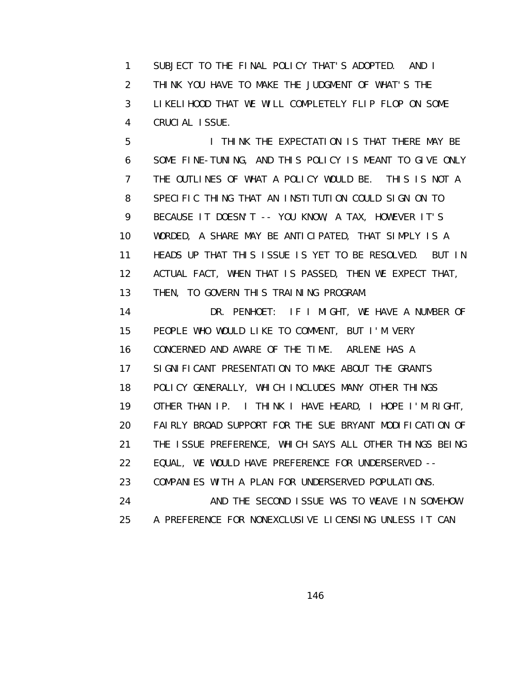1 SUBJECT TO THE FINAL POLICY THAT'S ADOPTED. AND I 2 THINK YOU HAVE TO MAKE THE JUDGMENT OF WHAT'S THE 3 LIKELIHOOD THAT WE WILL COMPLETELY FLIP FLOP ON SOME 4 CRUCIAL ISSUE.

 5 I THINK THE EXPECTATION IS THAT THERE MAY BE 6 SOME FINE-TUNING, AND THIS POLICY IS MEANT TO GIVE ONLY 7 THE OUTLINES OF WHAT A POLICY WOULD BE. THIS IS NOT A 8 SPECIFIC THING THAT AN INSTITUTION COULD SIGN ON TO 9 BECAUSE IT DOESN'T -- YOU KNOW, A TAX, HOWEVER IT'S 10 WORDED, A SHARE MAY BE ANTICIPATED, THAT SIMPLY IS A 11 HEADS UP THAT THIS ISSUE IS YET TO BE RESOLVED. BUT IN 12 ACTUAL FACT, WHEN THAT IS PASSED, THEN WE EXPECT THAT, 13 THEN, TO GOVERN THIS TRAINING PROGRAM.

 14 DR. PENHOET: IF I MIGHT, WE HAVE A NUMBER OF 15 PEOPLE WHO WOULD LIKE TO COMMENT, BUT I'M VERY 16 CONCERNED AND AWARE OF THE TIME. ARLENE HAS A 17 SIGNIFICANT PRESENTATION TO MAKE ABOUT THE GRANTS 18 POLICY GENERALLY, WHICH INCLUDES MANY OTHER THINGS 19 OTHER THAN IP. I THINK I HAVE HEARD, I HOPE I'M RIGHT, 20 FAIRLY BROAD SUPPORT FOR THE SUE BRYANT MODIFICATION OF 21 THE ISSUE PREFERENCE, WHICH SAYS ALL OTHER THINGS BEING 22 EQUAL, WE WOULD HAVE PREFERENCE FOR UNDERSERVED -- 23 COMPANIES WITH A PLAN FOR UNDERSERVED POPULATIONS. 24 AND THE SECOND ISSUE WAS TO WEAVE IN SOMEHOW

25 A PREFERENCE FOR NONEXCLUSIVE LICENSING UNLESS IT CAN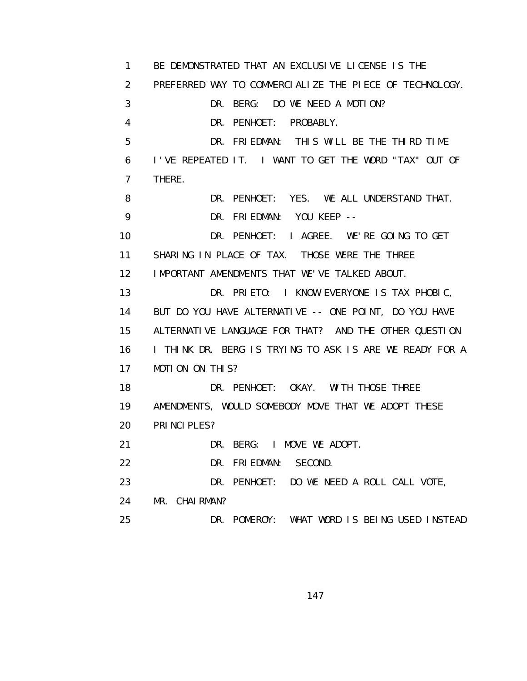1 BE DEMONSTRATED THAT AN EXCLUSIVE LICENSE IS THE 2 PREFERRED WAY TO COMMERCIALIZE THE PIECE OF TECHNOLOGY. 3 DR. BERG: DO WE NEED A MOTION? 4 DR. PENHOET: PROBABLY. 5 DR. FRIEDMAN: THIS WILL BE THE THIRD TIME 6 I'VE REPEATED IT. I WANT TO GET THE WORD "TAX" OUT OF 7 THERE. 8 DR. PENHOET: YES. WE ALL UNDERSTAND THAT. 9 DR. FRIEDMAN: YOU KEEP -- 10 DR. PENHOET: I AGREE. WE'RE GOING TO GET 11 SHARING IN PLACE OF TAX. THOSE WERE THE THREE 12 IMPORTANT AMENDMENTS THAT WE'VE TALKED ABOUT. 13 DR. PRIETO: I KNOW EVERYONE IS TAX PHOBIC, 14 BUT DO YOU HAVE ALTERNATIVE -- ONE POINT, DO YOU HAVE 15 ALTERNATIVE LANGUAGE FOR THAT? AND THE OTHER QUESTION 16 I THINK DR. BERG IS TRYING TO ASK IS ARE WE READY FOR A 17 MOTION ON THIS? 18 DR. PENHOET: OKAY. WITH THOSE THREE 19 AMENDMENTS, WOULD SOMEBODY MOVE THAT WE ADOPT THESE 20 PRINCIPLES? 21 DR. BERG: I MOVE WE ADOPT. 22 DR. FRIEDMAN: SECOND. 23 DR. PENHOET: DO WE NEED A ROLL CALL VOTE, 24 MR. CHAIRMAN? 25 DR. POMEROY: WHAT WORD IS BEING USED INSTEAD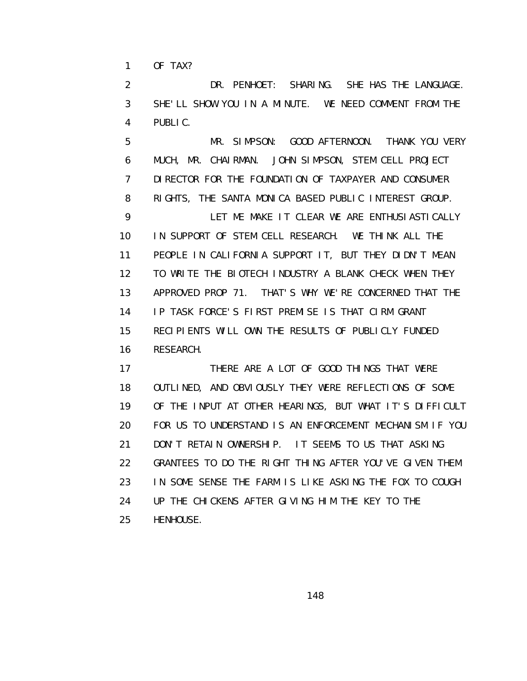1 OF TAX?

 2 DR. PENHOET: SHARING. SHE HAS THE LANGUAGE. 3 SHE'LL SHOW YOU IN A MINUTE. WE NEED COMMENT FROM THE 4 PUBLIC.

 5 MR. SIMPSON: GOOD AFTERNOON. THANK YOU VERY 6 MUCH, MR. CHAIRMAN. JOHN SIMPSON, STEM CELL PROJECT 7 DIRECTOR FOR THE FOUNDATION OF TAXPAYER AND CONSUMER 8 RIGHTS, THE SANTA MONICA BASED PUBLIC INTEREST GROUP. 9 LET ME MAKE IT CLEAR WE ARE ENTHUSIASTICALLY 10 IN SUPPORT OF STEM CELL RESEARCH. WE THINK ALL THE 11 PEOPLE IN CALIFORNIA SUPPORT IT, BUT THEY DIDN'T MEAN 12 TO WRITE THE BIOTECH INDUSTRY A BLANK CHECK WHEN THEY 13 APPROVED PROP 71. THAT'S WHY WE'RE CONCERNED THAT THE 14 IP TASK FORCE'S FIRST PREMISE IS THAT CIRM GRANT 15 RECIPIENTS WILL OWN THE RESULTS OF PUBLICLY FUNDED 16 RESEARCH.

17 THERE ARE A LOT OF GOOD THINGS THAT WERE 18 OUTLINED, AND OBVIOUSLY THEY WERE REFLECTIONS OF SOME 19 OF THE INPUT AT OTHER HEARINGS, BUT WHAT IT'S DIFFICULT 20 FOR US TO UNDERSTAND IS AN ENFORCEMENT MECHANISM IF YOU 21 DON'T RETAIN OWNERSHIP. IT SEEMS TO US THAT ASKING 22 GRANTEES TO DO THE RIGHT THING AFTER YOU'VE GIVEN THEM 23 IN SOME SENSE THE FARM IS LIKE ASKING THE FOX TO COUGH 24 UP THE CHICKENS AFTER GIVING HIM THE KEY TO THE 25 HENHOUSE.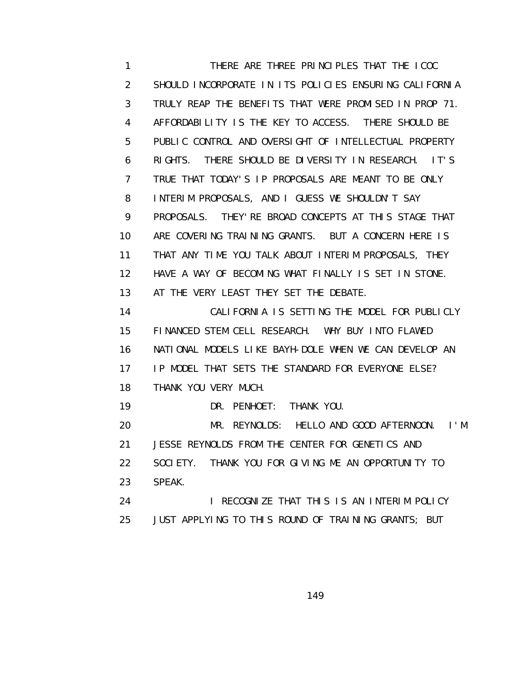1 THERE ARE THREE PRINCIPLES THAT THE ICOC 2 SHOULD INCORPORATE IN ITS POLICIES ENSURING CALIFORNIA 3 TRULY REAP THE BENEFITS THAT WERE PROMISED IN PROP 71. 4 AFFORDABILITY IS THE KEY TO ACCESS. THERE SHOULD BE 5 PUBLIC CONTROL AND OVERSIGHT OF INTELLECTUAL PROPERTY 6 RIGHTS. THERE SHOULD BE DIVERSITY IN RESEARCH. IT'S 7 TRUE THAT TODAY'S IP PROPOSALS ARE MEANT TO BE ONLY 8 INTERIM PROPOSALS, AND I GUESS WE SHOULDN'T SAY 9 PROPOSALS. THEY'RE BROAD CONCEPTS AT THIS STAGE THAT 10 ARE COVERING TRAINING GRANTS. BUT A CONCERN HERE IS 11 THAT ANY TIME YOU TALK ABOUT INTERIM PROPOSALS, THEY 12 HAVE A WAY OF BECOMING WHAT FINALLY IS SET IN STONE. 13 AT THE VERY LEAST THEY SET THE DEBATE. 14 CALIFORNIA IS SETTING THE MODEL FOR PUBLICLY 15 FINANCED STEM CELL RESEARCH. WHY BUY INTO FLAWED 16 NATIONAL MODELS LIKE BAYH-DOLE WHEN WE CAN DEVELOP AN 17 IP MODEL THAT SETS THE STANDARD FOR EVERYONE ELSE? 18 THANK YOU VERY MUCH. 19 DR. PENHOET: THANK YOU. 20 MR. REYNOLDS: HELLO AND GOOD AFTERNOON. I'M 21 JESSE REYNOLDS FROM THE CENTER FOR GENETICS AND 22 SOCIETY. THANK YOU FOR GIVING ME AN OPPORTUNITY TO 23 SPEAK. 24 **I RECOGNIZE THAT THIS IS AN INTERIM POLICY** 25 JUST APPLYING TO THIS ROUND OF TRAINING GRANTS; BUT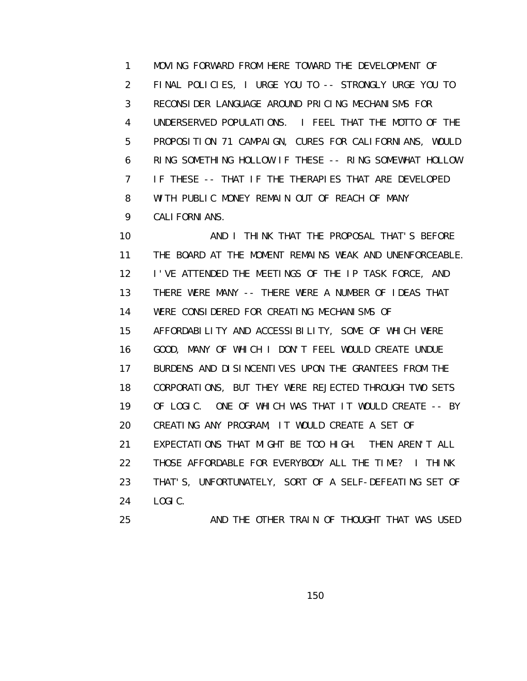1 MOVING FORWARD FROM HERE TOWARD THE DEVELOPMENT OF 2 FINAL POLICIES, I URGE YOU TO -- STRONGLY URGE YOU TO 3 RECONSIDER LANGUAGE AROUND PRICING MECHANISMS FOR 4 UNDERSERVED POPULATIONS. I FEEL THAT THE MOTTO OF THE 5 PROPOSITION 71 CAMPAIGN, CURES FOR CALIFORNIANS, WOULD 6 RING SOMETHING HOLLOW IF THESE -- RING SOMEWHAT HOLLOW 7 IF THESE -- THAT IF THE THERAPIES THAT ARE DEVELOPED 8 WITH PUBLIC MONEY REMAIN OUT OF REACH OF MANY 9 CALIFORNIANS.

 10 AND I THINK THAT THE PROPOSAL THAT'S BEFORE 11 THE BOARD AT THE MOMENT REMAINS WEAK AND UNENFORCEABLE. 12 I'VE ATTENDED THE MEETINGS OF THE IP TASK FORCE, AND 13 THERE WERE MANY -- THERE WERE A NUMBER OF IDEAS THAT 14 WERE CONSIDERED FOR CREATING MECHANISMS OF 15 AFFORDABILITY AND ACCESSIBILITY, SOME OF WHICH WERE 16 GOOD, MANY OF WHICH I DON'T FEEL WOULD CREATE UNDUE 17 BURDENS AND DISINCENTIVES UPON THE GRANTEES FROM THE 18 CORPORATIONS, BUT THEY WERE REJECTED THROUGH TWO SETS 19 OF LOGIC. ONE OF WHICH WAS THAT IT WOULD CREATE -- BY 20 CREATING ANY PROGRAM, IT WOULD CREATE A SET OF 21 EXPECTATIONS THAT MIGHT BE TOO HIGH. THEN AREN'T ALL 22 THOSE AFFORDABLE FOR EVERYBODY ALL THE TIME? I THINK 23 THAT'S, UNFORTUNATELY, SORT OF A SELF-DEFEATING SET OF 24 LOGIC. 25 AND THE OTHER TRAIN OF THOUGHT THAT WAS USED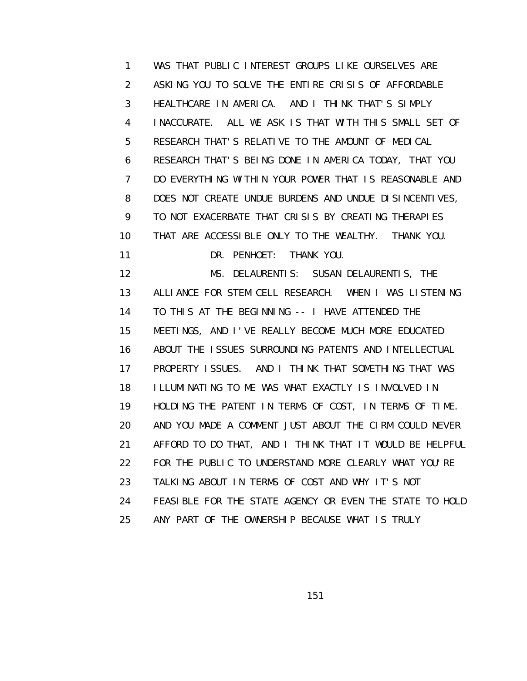1 WAS THAT PUBLIC INTEREST GROUPS LIKE OURSELVES ARE 2 ASKING YOU TO SOLVE THE ENTIRE CRISIS OF AFFORDABLE 3 HEALTHCARE IN AMERICA. AND I THINK THAT'S SIMPLY 4 INACCURATE. ALL WE ASK IS THAT WITH THIS SMALL SET OF 5 RESEARCH THAT'S RELATIVE TO THE AMOUNT OF MEDICAL 6 RESEARCH THAT'S BEING DONE IN AMERICA TODAY, THAT YOU 7 DO EVERYTHING WITHIN YOUR POWER THAT IS REASONABLE AND 8 DOES NOT CREATE UNDUE BURDENS AND UNDUE DISINCENTIVES, 9 TO NOT EXACERBATE THAT CRISIS BY CREATING THERAPIES 10 THAT ARE ACCESSIBLE ONLY TO THE WEALTHY. THANK YOU. 11 DR. PENHOET: THANK YOU. 12 MS. DELAURENTIS: SUSAN DELAURENTIS, THE 13 ALLIANCE FOR STEM CELL RESEARCH. WHEN I WAS LISTENING 14 TO THIS AT THE BEGINNING -- I HAVE ATTENDED THE 15 MEETINGS, AND I'VE REALLY BECOME MUCH MORE EDUCATED 16 ABOUT THE ISSUES SURROUNDING PATENTS AND INTELLECTUAL 17 PROPERTY ISSUES. AND I THINK THAT SOMETHING THAT WAS 18 ILLUMINATING TO ME WAS WHAT EXACTLY IS INVOLVED IN 19 HOLDING THE PATENT IN TERMS OF COST, IN TERMS OF TIME. 20 AND YOU MADE A COMMENT JUST ABOUT THE CIRM COULD NEVER 21 AFFORD TO DO THAT, AND I THINK THAT IT WOULD BE HELPFUL 22 FOR THE PUBLIC TO UNDERSTAND MORE CLEARLY WHAT YOU'RE 23 TALKING ABOUT IN TERMS OF COST AND WHY IT'S NOT 24 FEASIBLE FOR THE STATE AGENCY OR EVEN THE STATE TO HOLD 25 ANY PART OF THE OWNERSHIP BECAUSE WHAT IS TRULY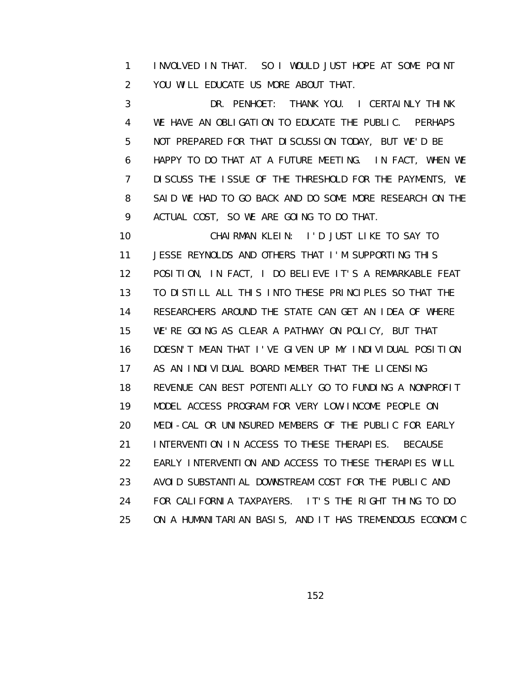1 INVOLVED IN THAT. SO I WOULD JUST HOPE AT SOME POINT 2 YOU WILL EDUCATE US MORE ABOUT THAT.

 3 DR. PENHOET: THANK YOU. I CERTAINLY THINK 4 WE HAVE AN OBLIGATION TO EDUCATE THE PUBLIC. PERHAPS 5 NOT PREPARED FOR THAT DISCUSSION TODAY, BUT WE'D BE 6 HAPPY TO DO THAT AT A FUTURE MEETING. IN FACT, WHEN WE 7 DISCUSS THE ISSUE OF THE THRESHOLD FOR THE PAYMENTS, WE 8 SAID WE HAD TO GO BACK AND DO SOME MORE RESEARCH ON THE 9 ACTUAL COST, SO WE ARE GOING TO DO THAT.

 10 CHAIRMAN KLEIN: I'D JUST LIKE TO SAY TO 11 JESSE REYNOLDS AND OTHERS THAT I'M SUPPORTING THIS 12 POSITION, IN FACT, I DO BELIEVE IT'S A REMARKABLE FEAT 13 TO DISTILL ALL THIS INTO THESE PRINCIPLES SO THAT THE 14 RESEARCHERS AROUND THE STATE CAN GET AN IDEA OF WHERE 15 WE'RE GOING AS CLEAR A PATHWAY ON POLICY, BUT THAT 16 DOESN'T MEAN THAT I'VE GIVEN UP MY INDIVIDUAL POSITION 17 AS AN INDIVIDUAL BOARD MEMBER THAT THE LICENSING 18 REVENUE CAN BEST POTENTIALLY GO TO FUNDING A NONPROFIT 19 MODEL ACCESS PROGRAM FOR VERY LOW-INCOME PEOPLE ON 20 MEDI-CAL OR UNINSURED MEMBERS OF THE PUBLIC FOR EARLY 21 INTERVENTION IN ACCESS TO THESE THERAPIES. BECAUSE 22 EARLY INTERVENTION AND ACCESS TO THESE THERAPIES WILL 23 AVOID SUBSTANTIAL DOWNSTREAM COST FOR THE PUBLIC AND 24 FOR CALIFORNIA TAXPAYERS. IT'S THE RIGHT THING TO DO 25 ON A HUMANITARIAN BASIS, AND IT HAS TREMENDOUS ECONOMIC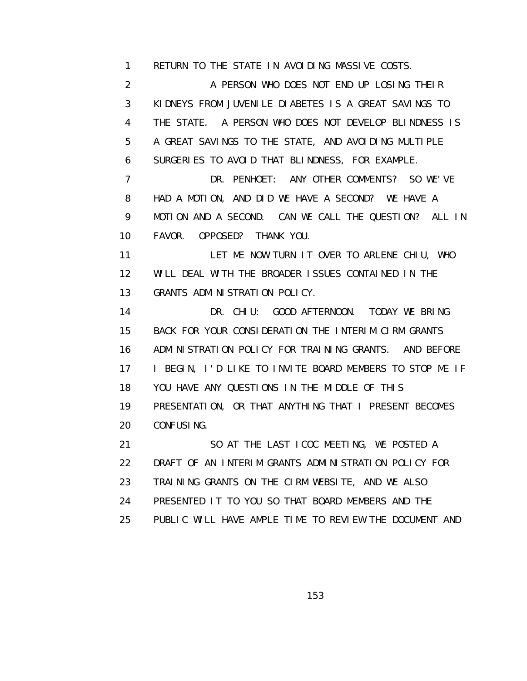1 RETURN TO THE STATE IN AVOIDING MASSIVE COSTS.

2 A PERSON WHO DOES NOT END UP LOSING THEIR 3 KIDNEYS FROM JUVENILE DIABETES IS A GREAT SAVINGS TO 4 THE STATE. A PERSON WHO DOES NOT DEVELOP BLINDNESS IS 5 A GREAT SAVINGS TO THE STATE, AND AVOIDING MULTIPLE 6 SURGERIES TO AVOID THAT BLINDNESS, FOR EXAMPLE. 7 DR. PENHOET: ANY OTHER COMMENTS? SO WE'VE 8 HAD A MOTION, AND DID WE HAVE A SECOND? WE HAVE A 9 MOTION AND A SECOND. CAN WE CALL THE QUESTION? ALL IN 10 FAVOR. OPPOSED? THANK YOU.

 11 LET ME NOW TURN IT OVER TO ARLENE CHIU, WHO 12 WILL DEAL WITH THE BROADER ISSUES CONTAINED IN THE 13 GRANTS ADMINISTRATION POLICY.

 14 DR. CHIU: GOOD AFTERNOON. TODAY WE BRING 15 BACK FOR YOUR CONSIDERATION THE INTERIM CIRM GRANTS 16 ADMINISTRATION POLICY FOR TRAINING GRANTS. AND BEFORE 17 I BEGIN, I'D LIKE TO INVITE BOARD MEMBERS TO STOP ME IF 18 YOU HAVE ANY QUESTIONS IN THE MIDDLE OF THIS 19 PRESENTATION, OR THAT ANYTHING THAT I PRESENT BECOMES 20 CONFUSING.

 21 SO AT THE LAST ICOC MEETING, WE POSTED A 22 DRAFT OF AN INTERIM GRANTS ADMINISTRATION POLICY FOR 23 TRAINING GRANTS ON THE CIRM WEBSITE, AND WE ALSO 24 PRESENTED IT TO YOU SO THAT BOARD MEMBERS AND THE 25 PUBLIC WILL HAVE AMPLE TIME TO REVIEW THE DOCUMENT AND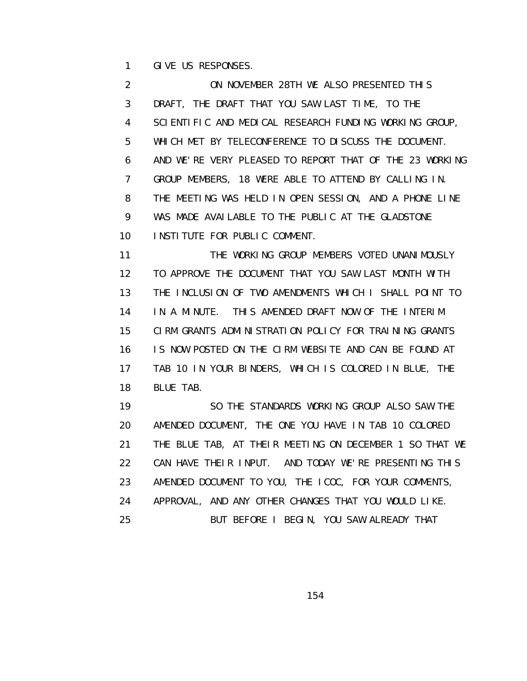1 GIVE US RESPONSES.

 2 ON NOVEMBER 28TH WE ALSO PRESENTED THIS 3 DRAFT, THE DRAFT THAT YOU SAW LAST TIME, TO THE 4 SCIENTIFIC AND MEDICAL RESEARCH FUNDING WORKING GROUP, 5 WHICH MET BY TELECONFERENCE TO DISCUSS THE DOCUMENT. 6 AND WE'RE VERY PLEASED TO REPORT THAT OF THE 23 WORKING 7 GROUP MEMBERS, 18 WERE ABLE TO ATTEND BY CALLING IN. 8 THE MEETING WAS HELD IN OPEN SESSION, AND A PHONE LINE 9 WAS MADE AVAILABLE TO THE PUBLIC AT THE GLADSTONE 10 INSTITUTE FOR PUBLIC COMMENT.

11 THE WORKING GROUP MEMBERS VOTED UNANIMOUSLY 12 TO APPROVE THE DOCUMENT THAT YOU SAW LAST MONTH WITH 13 THE INCLUSION OF TWO AMENDMENTS WHICH I SHALL POINT TO 14 IN A MINUTE. THIS AMENDED DRAFT NOW OF THE INTERIM 15 CIRM GRANTS ADMINISTRATION POLICY FOR TRAINING GRANTS 16 IS NOW POSTED ON THE CIRM WEBSITE AND CAN BE FOUND AT 17 TAB 10 IN YOUR BINDERS, WHICH IS COLORED IN BLUE, THE 18 BLUE TAB.

 19 SO THE STANDARDS WORKING GROUP ALSO SAW THE 20 AMENDED DOCUMENT, THE ONE YOU HAVE IN TAB 10 COLORED 21 THE BLUE TAB, AT THEIR MEETING ON DECEMBER 1 SO THAT WE 22 CAN HAVE THEIR INPUT. AND TODAY WE'RE PRESENTING THIS 23 AMENDED DOCUMENT TO YOU, THE ICOC, FOR YOUR COMMENTS, 24 APPROVAL, AND ANY OTHER CHANGES THAT YOU WOULD LIKE. 25 BUT BEFORE I BEGIN, YOU SAW ALREADY THAT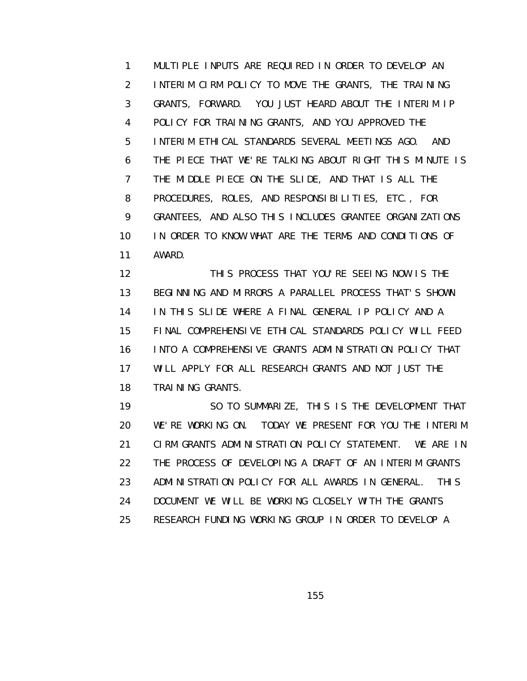1 MULTIPLE INPUTS ARE REQUIRED IN ORDER TO DEVELOP AN 2 INTERIM CIRM POLICY TO MOVE THE GRANTS, THE TRAINING 3 GRANTS, FORWARD. YOU JUST HEARD ABOUT THE INTERIM IP 4 POLICY FOR TRAINING GRANTS, AND YOU APPROVED THE 5 INTERIM ETHICAL STANDARDS SEVERAL MEETINGS AGO. AND 6 THE PIECE THAT WE'RE TALKING ABOUT RIGHT THIS MINUTE IS 7 THE MIDDLE PIECE ON THE SLIDE, AND THAT IS ALL THE 8 PROCEDURES, ROLES, AND RESPONSIBILITIES, ETC., FOR 9 GRANTEES, AND ALSO THIS INCLUDES GRANTEE ORGANIZATIONS 10 IN ORDER TO KNOW WHAT ARE THE TERMS AND CONDITIONS OF 11 AWARD.

 12 THIS PROCESS THAT YOU'RE SEEING NOW IS THE 13 BEGINNING AND MIRRORS A PARALLEL PROCESS THAT'S SHOWN 14 IN THIS SLIDE WHERE A FINAL GENERAL IP POLICY AND A 15 FINAL COMPREHENSIVE ETHICAL STANDARDS POLICY WILL FEED 16 INTO A COMPREHENSIVE GRANTS ADMINISTRATION POLICY THAT 17 WILL APPLY FOR ALL RESEARCH GRANTS AND NOT JUST THE 18 TRAINING GRANTS.

19 SO TO SUMMARIZE, THIS IS THE DEVELOPMENT THAT 20 WE'RE WORKING ON. TODAY WE PRESENT FOR YOU THE INTERIM 21 CIRM GRANTS ADMINISTRATION POLICY STATEMENT. WE ARE IN 22 THE PROCESS OF DEVELOPING A DRAFT OF AN INTERIM GRANTS 23 ADMINISTRATION POLICY FOR ALL AWARDS IN GENERAL. THIS 24 DOCUMENT WE WILL BE WORKING CLOSELY WITH THE GRANTS 25 RESEARCH FUNDING WORKING GROUP IN ORDER TO DEVELOP A

<u>155 - Andrea Statister, Amerikaansk politiker (</u>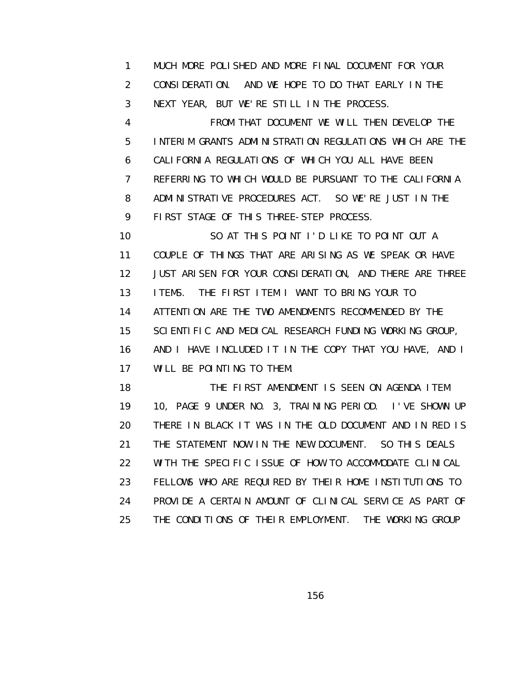1 MUCH MORE POLISHED AND MORE FINAL DOCUMENT FOR YOUR 2 CONSIDERATION. AND WE HOPE TO DO THAT EARLY IN THE 3 NEXT YEAR, BUT WE'RE STILL IN THE PROCESS.

 4 FROM THAT DOCUMENT WE WILL THEN DEVELOP THE 5 INTERIM GRANTS ADMINISTRATION REGULATIONS WHICH ARE THE 6 CALIFORNIA REGULATIONS OF WHICH YOU ALL HAVE BEEN 7 REFERRING TO WHICH WOULD BE PURSUANT TO THE CALIFORNIA 8 ADMINISTRATIVE PROCEDURES ACT. SO WE'RE JUST IN THE 9 FIRST STAGE OF THIS THREE-STEP PROCESS.

 10 SO AT THIS POINT I'D LIKE TO POINT OUT A 11 COUPLE OF THINGS THAT ARE ARISING AS WE SPEAK OR HAVE 12 JUST ARISEN FOR YOUR CONSIDERATION, AND THERE ARE THREE 13 ITEMS. THE FIRST ITEM I WANT TO BRING YOUR TO 14 ATTENTION ARE THE TWO AMENDMENTS RECOMMENDED BY THE 15 SCIENTIFIC AND MEDICAL RESEARCH FUNDING WORKING GROUP, 16 AND I HAVE INCLUDED IT IN THE COPY THAT YOU HAVE, AND I 17 WILL BE POINTING TO THEM.

18 THE FIRST AMENDMENT IS SEEN ON AGENDA ITEM 19 10, PAGE 9 UNDER NO. 3, TRAINING PERIOD. I'VE SHOWN UP 20 THERE IN BLACK IT WAS IN THE OLD DOCUMENT AND IN RED IS 21 THE STATEMENT NOW IN THE NEW DOCUMENT. SO THIS DEALS 22 WITH THE SPECIFIC ISSUE OF HOW TO ACCOMMODATE CLINICAL 23 FELLOWS WHO ARE REQUIRED BY THEIR HOME INSTITUTIONS TO 24 PROVIDE A CERTAIN AMOUNT OF CLINICAL SERVICE AS PART OF 25 THE CONDITIONS OF THEIR EMPLOYMENT. THE WORKING GROUP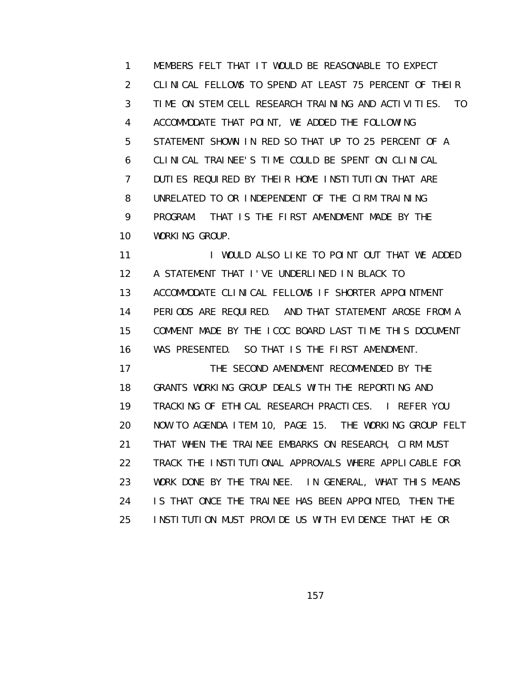1 MEMBERS FELT THAT IT WOULD BE REASONABLE TO EXPECT 2 CLINICAL FELLOWS TO SPEND AT LEAST 75 PERCENT OF THEIR 3 TIME ON STEM CELL RESEARCH TRAINING AND ACTIVITIES. TO 4 ACCOMMODATE THAT POINT, WE ADDED THE FOLLOWING 5 STATEMENT SHOWN IN RED SO THAT UP TO 25 PERCENT OF A 6 CLINICAL TRAINEE'S TIME COULD BE SPENT ON CLINICAL 7 DUTIES REQUIRED BY THEIR HOME INSTITUTION THAT ARE 8 UNRELATED TO OR INDEPENDENT OF THE CIRM TRAINING 9 PROGRAM. THAT IS THE FIRST AMENDMENT MADE BY THE 10 WORKING GROUP.

11 I WOULD ALSO LIKE TO POINT OUT THAT WE ADDED 12 A STATEMENT THAT I'VE UNDERLINED IN BLACK TO 13 ACCOMMODATE CLINICAL FELLOWS IF SHORTER APPOINTMENT 14 PERIODS ARE REQUIRED. AND THAT STATEMENT AROSE FROM A 15 COMMENT MADE BY THE ICOC BOARD LAST TIME THIS DOCUMENT 16 WAS PRESENTED. SO THAT IS THE FIRST AMENDMENT. 17 THE SECOND AMENDMENT RECOMMENDED BY THE 18 GRANTS WORKING GROUP DEALS WITH THE REPORTING AND 19 TRACKING OF ETHICAL RESEARCH PRACTICES. I REFER YOU 20 NOW TO AGENDA ITEM 10, PAGE 15. THE WORKING GROUP FELT 21 THAT WHEN THE TRAINEE EMBARKS ON RESEARCH, CIRM MUST 22 TRACK THE INSTITUTIONAL APPROVALS WHERE APPLICABLE FOR 23 WORK DONE BY THE TRAINEE. IN GENERAL, WHAT THIS MEANS 24 IS THAT ONCE THE TRAINEE HAS BEEN APPOINTED, THEN THE 25 INSTITUTION MUST PROVIDE US WITH EVIDENCE THAT HE OR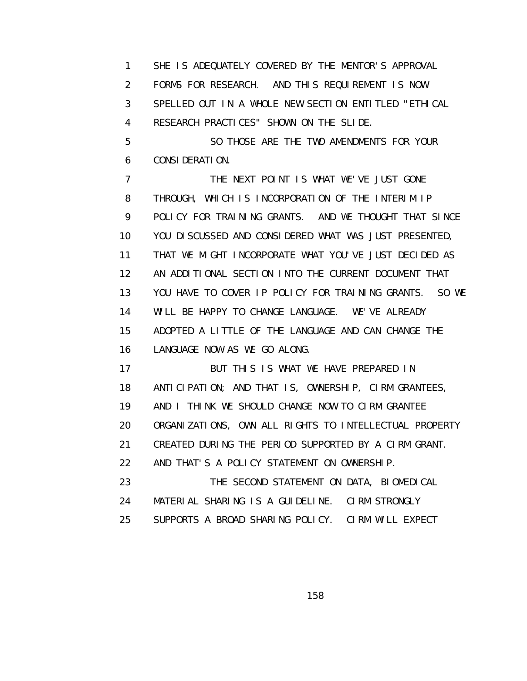1 SHE IS ADEQUATELY COVERED BY THE MENTOR'S APPROVAL 2 FORMS FOR RESEARCH. AND THIS REQUIREMENT IS NOW 3 SPELLED OUT IN A WHOLE NEW SECTION ENTITLED "ETHICAL 4 RESEARCH PRACTICES" SHOWN ON THE SLIDE. 5 SO THOSE ARE THE TWO AMENDMENTS FOR YOUR 6 CONSIDERATION. 7 THE NEXT POINT IS WHAT WE'VE JUST GONE 8 THROUGH, WHICH IS INCORPORATION OF THE INTERIM IP 9 POLICY FOR TRAINING GRANTS. AND WE THOUGHT THAT SINCE 10 YOU DISCUSSED AND CONSIDERED WHAT WAS JUST PRESENTED, 11 THAT WE MIGHT INCORPORATE WHAT YOU'VE JUST DECIDED AS 12 AN ADDITIONAL SECTION INTO THE CURRENT DOCUMENT THAT 13 YOU HAVE TO COVER IP POLICY FOR TRAINING GRANTS. SO WE 14 WILL BE HAPPY TO CHANGE LANGUAGE. WE'VE ALREADY 15 ADOPTED A LITTLE OF THE LANGUAGE AND CAN CHANGE THE 16 LANGUAGE NOW AS WE GO ALONG. 17 BUT THIS IS WHAT WE HAVE PREPARED IN 18 ANTICIPATION; AND THAT IS, OWNERSHIP, CIRM GRANTEES, 19 AND I THINK WE SHOULD CHANGE NOW TO CIRM GRANTEE 20 ORGANIZATIONS, OWN ALL RIGHTS TO INTELLECTUAL PROPERTY 21 CREATED DURING THE PERIOD SUPPORTED BY A CIRM GRANT. 22 AND THAT'S A POLICY STATEMENT ON OWNERSHIP.

 23 THE SECOND STATEMENT ON DATA, BIOMEDICAL 24 MATERIAL SHARING IS A GUIDELINE. CIRM STRONGLY 25 SUPPORTS A BROAD SHARING POLICY. CIRM WILL EXPECT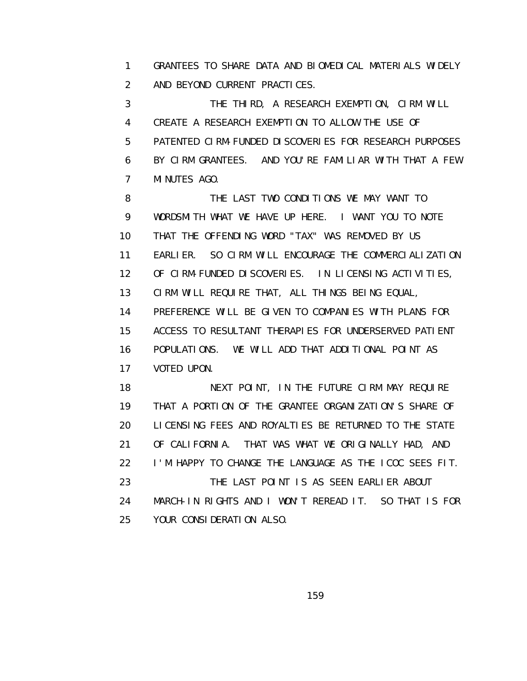1 GRANTEES TO SHARE DATA AND BIOMEDICAL MATERIALS WIDELY 2 AND BEYOND CURRENT PRACTICES.

 3 THE THIRD, A RESEARCH EXEMPTION, CIRM WILL 4 CREATE A RESEARCH EXEMPTION TO ALLOW THE USE OF 5 PATENTED CIRM-FUNDED DISCOVERIES FOR RESEARCH PURPOSES 6 BY CIRM GRANTEES. AND YOU'RE FAMILIAR WITH THAT A FEW 7 MINUTES AGO.

8 THE LAST TWO CONDITIONS WE MAY WANT TO 9 WORDSMITH WHAT WE HAVE UP HERE. I WANT YOU TO NOTE 10 THAT THE OFFENDING WORD "TAX" WAS REMOVED BY US 11 EARLIER. SO CIRM WILL ENCOURAGE THE COMMERCIALIZATION 12 OF CIRM-FUNDED DISCOVERIES. IN LICENSING ACTIVITIES, 13 CIRM WILL REQUIRE THAT, ALL THINGS BEING EQUAL, 14 PREFERENCE WILL BE GIVEN TO COMPANIES WITH PLANS FOR 15 ACCESS TO RESULTANT THERAPIES FOR UNDERSERVED PATIENT 16 POPULATIONS. WE WILL ADD THAT ADDITIONAL POINT AS 17 VOTED UPON. 18 NEXT POINT, IN THE FUTURE CIRM MAY REQUIRE

 19 THAT A PORTION OF THE GRANTEE ORGANIZATION'S SHARE OF 20 LICENSING FEES AND ROYALTIES BE RETURNED TO THE STATE 21 OF CALIFORNIA. THAT WAS WHAT WE ORIGINALLY HAD, AND 22 I'M HAPPY TO CHANGE THE LANGUAGE AS THE ICOC SEES FIT. 23 THE LAST POINT IS AS SEEN EARLIER ABOUT 24 MARCH-IN RIGHTS AND I WON'T REREAD IT. SO THAT IS FOR 25 YOUR CONSIDERATION ALSO.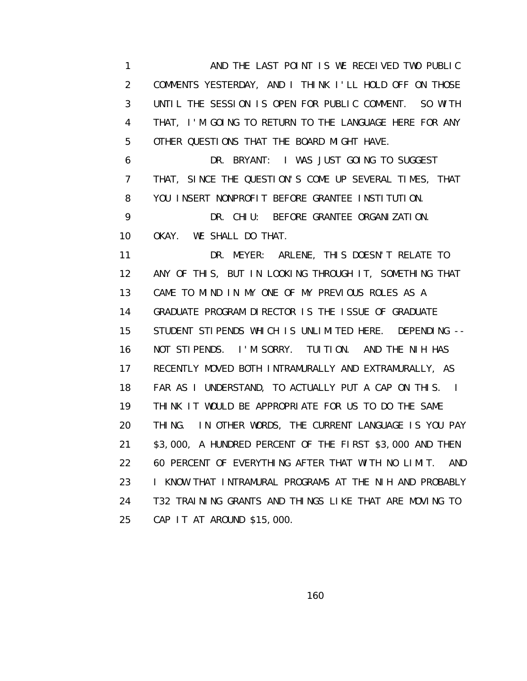1 AND THE LAST POINT IS WE RECEIVED TWO PUBLIC 2 COMMENTS YESTERDAY, AND I THINK I'LL HOLD OFF ON THOSE 3 UNTIL THE SESSION IS OPEN FOR PUBLIC COMMENT. SO WITH 4 THAT, I'M GOING TO RETURN TO THE LANGUAGE HERE FOR ANY 5 OTHER QUESTIONS THAT THE BOARD MIGHT HAVE.

 6 DR. BRYANT: I WAS JUST GOING TO SUGGEST 7 THAT, SINCE THE QUESTION'S COME UP SEVERAL TIMES, THAT 8 YOU INSERT NONPROFIT BEFORE GRANTEE INSTITUTION. 9 DR. CHIU: BEFORE GRANTEE ORGANIZATION. 10 OKAY. WE SHALL DO THAT.

 11 DR. MEYER: ARLENE, THIS DOESN'T RELATE TO 12 ANY OF THIS, BUT IN LOOKING THROUGH IT, SOMETHING THAT 13 CAME TO MIND IN MY ONE OF MY PREVIOUS ROLES AS A 14 GRADUATE PROGRAM DIRECTOR IS THE ISSUE OF GRADUATE 15 STUDENT STIPENDS WHICH IS UNLIMITED HERE. DEPENDING -- 16 NOT STIPENDS. I'M SORRY. TUITION. AND THE NIH HAS 17 RECENTLY MOVED BOTH INTRAMURALLY AND EXTRAMURALLY, AS 18 FAR AS I UNDERSTAND, TO ACTUALLY PUT A CAP ON THIS. I 19 THINK IT WOULD BE APPROPRIATE FOR US TO DO THE SAME 20 THING. IN OTHER WORDS, THE CURRENT LANGUAGE IS YOU PAY 21 \$3,000, A HUNDRED PERCENT OF THE FIRST \$3,000 AND THEN 22 60 PERCENT OF EVERYTHING AFTER THAT WITH NO LIMIT. AND 23 I KNOW THAT INTRAMURAL PROGRAMS AT THE NIH AND PROBABLY 24 T32 TRAINING GRANTS AND THINGS LIKE THAT ARE MOVING TO 25 CAP IT AT AROUND \$15,000.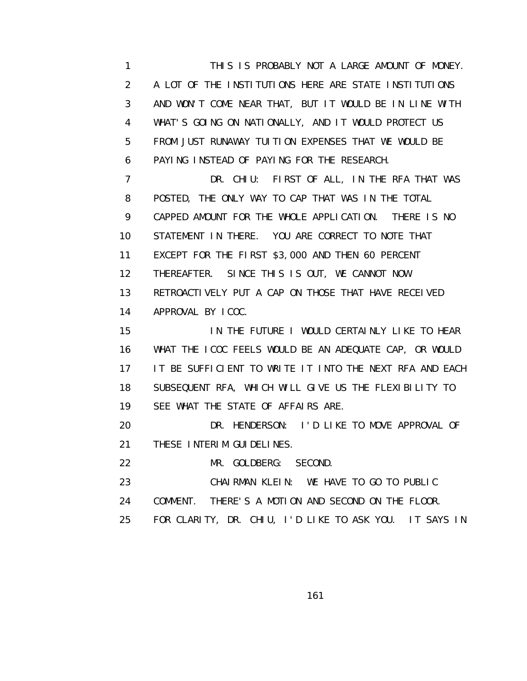1 THIS IS PROBABLY NOT A LARGE AMOUNT OF MONEY. 2 A LOT OF THE INSTITUTIONS HERE ARE STATE INSTITUTIONS 3 AND WON'T COME NEAR THAT, BUT IT WOULD BE IN LINE WITH 4 WHAT'S GOING ON NATIONALLY, AND IT WOULD PROTECT US 5 FROM JUST RUNAWAY TUITION EXPENSES THAT WE WOULD BE 6 PAYING INSTEAD OF PAYING FOR THE RESEARCH.

 7 DR. CHIU: FIRST OF ALL, IN THE RFA THAT WAS 8 POSTED, THE ONLY WAY TO CAP THAT WAS IN THE TOTAL 9 CAPPED AMOUNT FOR THE WHOLE APPLICATION. THERE IS NO 10 STATEMENT IN THERE. YOU ARE CORRECT TO NOTE THAT 11 EXCEPT FOR THE FIRST \$3,000 AND THEN 60 PERCENT 12 THEREAFTER. SINCE THIS IS OUT, WE CANNOT NOW 13 RETROACTIVELY PUT A CAP ON THOSE THAT HAVE RECEIVED 14 APPROVAL BY ICOC.

 15 IN THE FUTURE I WOULD CERTAINLY LIKE TO HEAR 16 WHAT THE ICOC FEELS WOULD BE AN ADEQUATE CAP, OR WOULD 17 IT BE SUFFICIENT TO WRITE IT INTO THE NEXT RFA AND EACH 18 SUBSEQUENT RFA, WHICH WILL GIVE US THE FLEXIBILITY TO 19 SEE WHAT THE STATE OF AFFAIRS ARE.

 20 DR. HENDERSON: I'D LIKE TO MOVE APPROVAL OF 21 THESE INTERIM GUIDELINES.

22 MR. GOLDBERG: SECOND.

23 CHAIRMAN KLEIN: WE HAVE TO GO TO PUBLIC

24 COMMENT. THERE'S A MOTION AND SECOND ON THE FLOOR.

25 FOR CLARITY, DR. CHIU, I'D LIKE TO ASK YOU. IT SAYS IN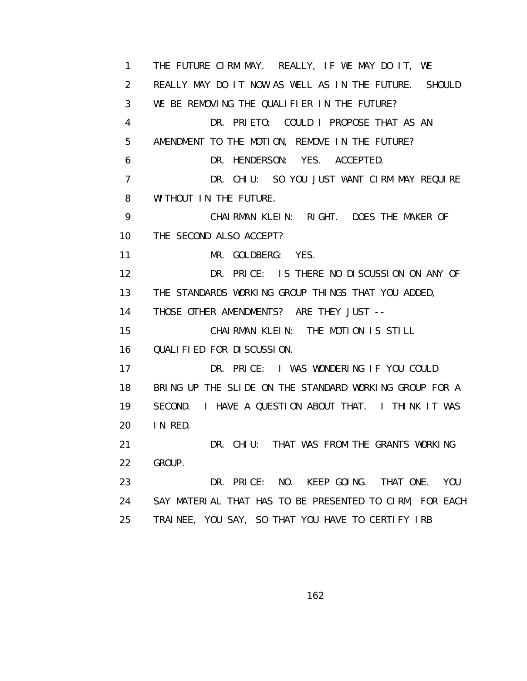1 THE FUTURE CIRM MAY. REALLY, IF WE MAY DO IT, WE 2 REALLY MAY DO IT NOW AS WELL AS IN THE FUTURE. SHOULD 3 WE BE REMOVING THE QUALIFIER IN THE FUTURE? 4 DR. PRIETO: COULD I PROPOSE THAT AS AN 5 AMENDMENT TO THE MOTION, REMOVE IN THE FUTURE? 6 DR. HENDERSON: YES. ACCEPTED. 7 DR. CHIU: SO YOU JUST WANT CIRM MAY REQUIRE 8 WITHOUT IN THE FUTURE. 9 CHAIRMAN KLEIN: RIGHT. DOES THE MAKER OF 10 THE SECOND ALSO ACCEPT? 11 MR. GOLDBERG: YES. 12 DR. PRICE: IS THERE NO DISCUSSION ON ANY OF 13 THE STANDARDS WORKING GROUP THINGS THAT YOU ADDED, 14 THOSE OTHER AMENDMENTS? ARE THEY JUST -- 15 CHAIRMAN KLEIN: THE MOTION IS STILL 16 QUALIFIED FOR DISCUSSION. 17 DR. PRICE: I WAS WONDERING IF YOU COULD 18 BRING UP THE SLIDE ON THE STANDARD WORKING GROUP FOR A 19 SECOND. I HAVE A QUESTION ABOUT THAT. I THINK IT WAS 20 IN RED. 21 DR. CHIU: THAT WAS FROM THE GRANTS WORKING 22 GROUP. 23 DR. PRICE: NO. KEEP GOING. THAT ONE. YOU 24 SAY MATERIAL THAT HAS TO BE PRESENTED TO CIRM, FOR EACH 25 TRAINEE, YOU SAY, SO THAT YOU HAVE TO CERTIFY IRB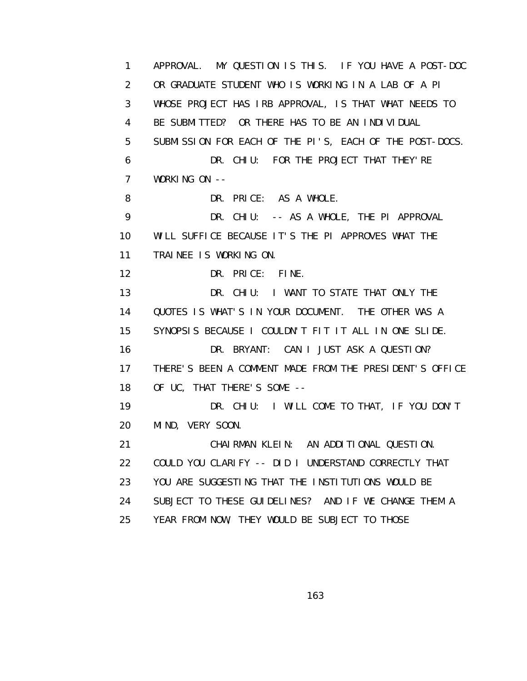1 APPROVAL. MY QUESTION IS THIS. IF YOU HAVE A POST-DOC 2 OR GRADUATE STUDENT WHO IS WORKING IN A LAB OF A PI 3 WHOSE PROJECT HAS IRB APPROVAL, IS THAT WHAT NEEDS TO 4 BE SUBMITTED? OR THERE HAS TO BE AN INDIVIDUAL 5 SUBMISSION FOR EACH OF THE PI'S, EACH OF THE POST-DOCS. 6 DR. CHIU: FOR THE PROJECT THAT THEY'RE 7 WORKING ON -- 8 DR. PRICE: AS A WHOLE. 9 DR. CHIU: -- AS A WHOLE, THE PI APPROVAL 10 WILL SUFFICE BECAUSE IT'S THE PI APPROVES WHAT THE 11 TRAINEE IS WORKING ON. 12 DR. PRICE: FINE. 13 DR. CHIU: I WANT TO STATE THAT ONLY THE 14 QUOTES IS WHAT'S IN YOUR DOCUMENT. THE OTHER WAS A 15 SYNOPSIS BECAUSE I COULDN'T FIT IT ALL IN ONE SLIDE. 16 DR. BRYANT: CAN I JUST ASK A QUESTION? 17 THERE'S BEEN A COMMENT MADE FROM THE PRESIDENT'S OFFICE 18 OF UC, THAT THERE'S SOME -- 19 DR. CHIU: I WILL COME TO THAT, IF YOU DON'T 20 MIND, VERY SOON. 21 CHAIRMAN KLEIN: AN ADDITIONAL QUESTION. 22 COULD YOU CLARIFY -- DID I UNDERSTAND CORRECTLY THAT 23 YOU ARE SUGGESTING THAT THE INSTITUTIONS WOULD BE 24 SUBJECT TO THESE GUIDELINES? AND IF WE CHANGE THEM A 25 YEAR FROM NOW, THEY WOULD BE SUBJECT TO THOSE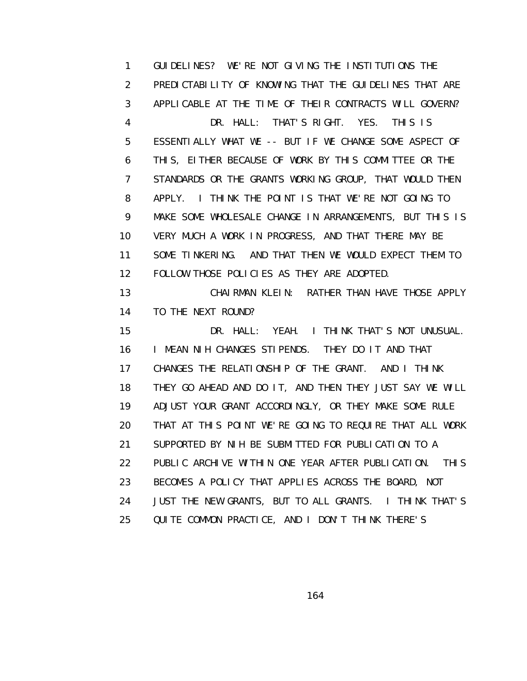1 GUIDELINES? WE'RE NOT GIVING THE INSTITUTIONS THE 2 PREDICTABILITY OF KNOWING THAT THE GUIDELINES THAT ARE 3 APPLICABLE AT THE TIME OF THEIR CONTRACTS WILL GOVERN? 4 DR. HALL: THAT'S RIGHT. YES. THIS IS 5 ESSENTIALLY WHAT WE -- BUT IF WE CHANGE SOME ASPECT OF 6 THIS, EITHER BECAUSE OF WORK BY THIS COMMITTEE OR THE 7 STANDARDS OR THE GRANTS WORKING GROUP, THAT WOULD THEN 8 APPLY. I THINK THE POINT IS THAT WE'RE NOT GOING TO 9 MAKE SOME WHOLESALE CHANGE IN ARRANGEMENTS, BUT THIS IS 10 VERY MUCH A WORK IN PROGRESS, AND THAT THERE MAY BE 11 SOME TINKERING. AND THAT THEN WE WOULD EXPECT THEM TO 12 FOLLOW THOSE POLICIES AS THEY ARE ADOPTED. 13 CHAIRMAN KLEIN: RATHER THAN HAVE THOSE APPLY 14 TO THE NEXT ROUND? 15 DR. HALL: YEAH. I THINK THAT'S NOT UNUSUAL. 16 I MEAN NIH CHANGES STIPENDS. THEY DO IT AND THAT 17 CHANGES THE RELATIONSHIP OF THE GRANT. AND I THINK 18 THEY GO AHEAD AND DO IT, AND THEN THEY JUST SAY WE WILL 19 ADJUST YOUR GRANT ACCORDINGLY, OR THEY MAKE SOME RULE 20 THAT AT THIS POINT WE'RE GOING TO REQUIRE THAT ALL WORK 21 SUPPORTED BY NIH BE SUBMITTED FOR PUBLICATION TO A 22 PUBLIC ARCHIVE WITHIN ONE YEAR AFTER PUBLICATION. THIS 23 BECOMES A POLICY THAT APPLIES ACROSS THE BOARD, NOT 24 JUST THE NEW GRANTS, BUT TO ALL GRANTS. I THINK THAT'S 25 QUITE COMMON PRACTICE, AND I DON'T THINK THERE'S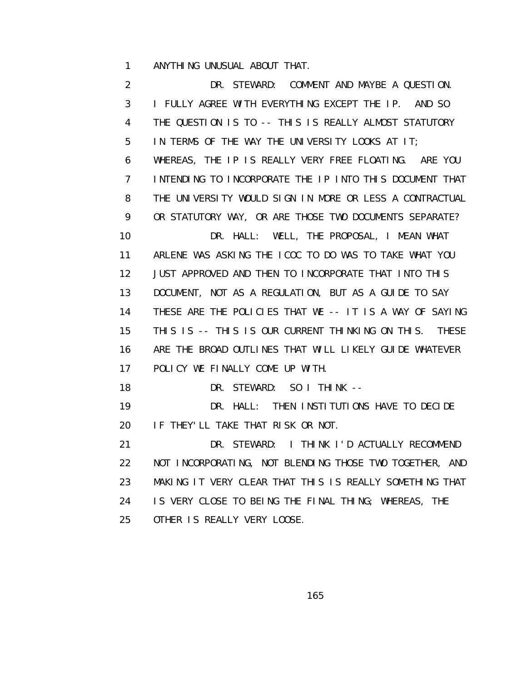1 ANYTHING UNUSUAL ABOUT THAT.

 2 DR. STEWARD: COMMENT AND MAYBE A QUESTION. 3 I FULLY AGREE WITH EVERYTHING EXCEPT THE IP. AND SO 4 THE QUESTION IS TO -- THIS IS REALLY ALMOST STATUTORY 5 IN TERMS OF THE WAY THE UNIVERSITY LOOKS AT IT; 6 WHEREAS, THE IP IS REALLY VERY FREE FLOATING. ARE YOU 7 INTENDING TO INCORPORATE THE IP INTO THIS DOCUMENT THAT 8 THE UNIVERSITY WOULD SIGN IN MORE OR LESS A CONTRACTUAL 9 OR STATUTORY WAY, OR ARE THOSE TWO DOCUMENTS SEPARATE? 10 DR. HALL: WELL, THE PROPOSAL, I MEAN WHAT 11 ARLENE WAS ASKING THE ICOC TO DO WAS TO TAKE WHAT YOU 12 JUST APPROVED AND THEN TO INCORPORATE THAT INTO THIS 13 DOCUMENT, NOT AS A REGULATION, BUT AS A GUIDE TO SAY 14 THESE ARE THE POLICIES THAT WE -- IT IS A WAY OF SAYING 15 THIS IS -- THIS IS OUR CURRENT THINKING ON THIS. THESE 16 ARE THE BROAD OUTLINES THAT WILL LIKELY GUIDE WHATEVER 17 POLICY WE FINALLY COME UP WITH. 18 DR. STEWARD: SO I THINK -- 19 DR. HALL: THEN INSTITUTIONS HAVE TO DECIDE 20 IF THEY'LL TAKE THAT RISK OR NOT. 21 DR. STEWARD: I THINK I'D ACTUALLY RECOMMEND 22 NOT INCORPORATING, NOT BLENDING THOSE TWO TOGETHER, AND 23 MAKING IT VERY CLEAR THAT THIS IS REALLY SOMETHING THAT 24 IS VERY CLOSE TO BEING THE FINAL THING; WHEREAS, THE 25 OTHER IS REALLY VERY LOOSE.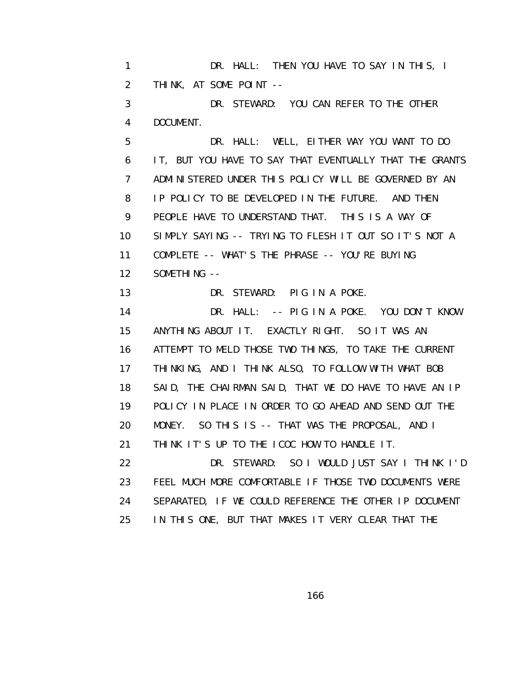1 DR. HALL: THEN YOU HAVE TO SAY IN THIS, I 2 THINK, AT SOME POINT -- 3 DR. STEWARD: YOU CAN REFER TO THE OTHER 4 DOCUMENT. 5 DR. HALL: WELL, EITHER WAY YOU WANT TO DO 6 IT, BUT YOU HAVE TO SAY THAT EVENTUALLY THAT THE GRANTS 7 ADMINISTERED UNDER THIS POLICY WILL BE GOVERNED BY AN 8 IP POLICY TO BE DEVELOPED IN THE FUTURE. AND THEN 9 PEOPLE HAVE TO UNDERSTAND THAT. THIS IS A WAY OF 10 SIMPLY SAYING -- TRYING TO FLESH IT OUT SO IT'S NOT A 11 COMPLETE -- WHAT'S THE PHRASE -- YOU'RE BUYING 12 SOMETHING -- 13 DR. STEWARD: PIG IN A POKE. 14 DR. HALL: -- PIG IN A POKE. YOU DON'T KNOW 15 ANYTHING ABOUT IT. EXACTLY RIGHT. SO IT WAS AN 16 ATTEMPT TO MELD THOSE TWO THINGS, TO TAKE THE CURRENT 17 THINKING, AND I THINK ALSO, TO FOLLOW WITH WHAT BOB 18 SAID, THE CHAIRMAN SAID, THAT WE DO HAVE TO HAVE AN IP 19 POLICY IN PLACE IN ORDER TO GO AHEAD AND SEND OUT THE 20 MONEY. SO THIS IS -- THAT WAS THE PROPOSAL, AND I 21 THINK IT'S UP TO THE ICOC HOW TO HANDLE IT. 22 DR. STEWARD: SO I WOULD JUST SAY I THINK I'D 23 FEEL MUCH MORE COMFORTABLE IF THOSE TWO DOCUMENTS WERE 24 SEPARATED, IF WE COULD REFERENCE THE OTHER IP DOCUMENT 25 IN THIS ONE, BUT THAT MAKES IT VERY CLEAR THAT THE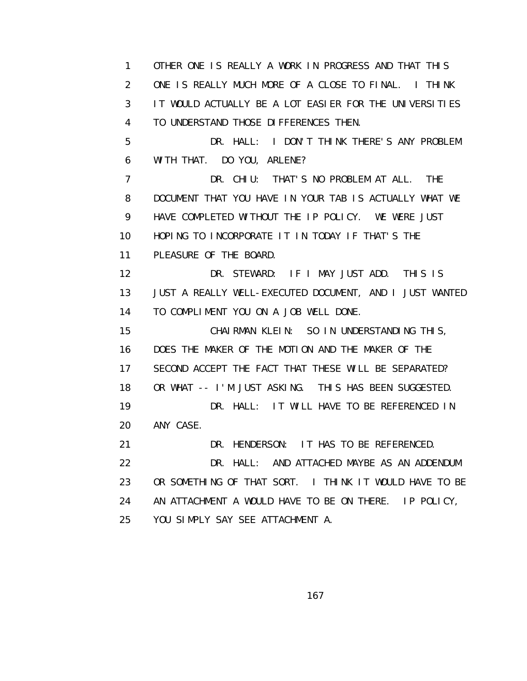1 OTHER ONE IS REALLY A WORK IN PROGRESS AND THAT THIS 2 ONE IS REALLY MUCH MORE OF A CLOSE TO FINAL. I THINK 3 IT WOULD ACTUALLY BE A LOT EASIER FOR THE UNIVERSITIES 4 TO UNDERSTAND THOSE DIFFERENCES THEN. 5 DR. HALL: I DON'T THINK THERE'S ANY PROBLEM 6 WITH THAT. DO YOU, ARLENE? 7 DR. CHIU: THAT'S NO PROBLEM AT ALL. THE 8 DOCUMENT THAT YOU HAVE IN YOUR TAB IS ACTUALLY WHAT WE 9 HAVE COMPLETED WITHOUT THE IP POLICY. WE WERE JUST 10 HOPING TO INCORPORATE IT IN TODAY IF THAT'S THE 11 PLEASURE OF THE BOARD. 12 DR. STEWARD: IF I MAY JUST ADD. THIS IS 13 JUST A REALLY WELL-EXECUTED DOCUMENT, AND I JUST WANTED 14 TO COMPLIMENT YOU ON A JOB WELL DONE. 15 CHAIRMAN KLEIN: SO IN UNDERSTANDING THIS, 16 DOES THE MAKER OF THE MOTION AND THE MAKER OF THE 17 SECOND ACCEPT THE FACT THAT THESE WILL BE SEPARATED? 18 OR WHAT -- I'M JUST ASKING. THIS HAS BEEN SUGGESTED. 19 DR. HALL: IT WILL HAVE TO BE REFERENCED IN 20 ANY CASE. 21 DR. HENDERSON: IT HAS TO BE REFERENCED. 22 DR. HALL: AND ATTACHED MAYBE AS AN ADDENDUM 23 OR SOMETHING OF THAT SORT. I THINK IT WOULD HAVE TO BE 24 AN ATTACHMENT A WOULD HAVE TO BE ON THERE. IP POLICY, 25 YOU SIMPLY SAY SEE ATTACHMENT A.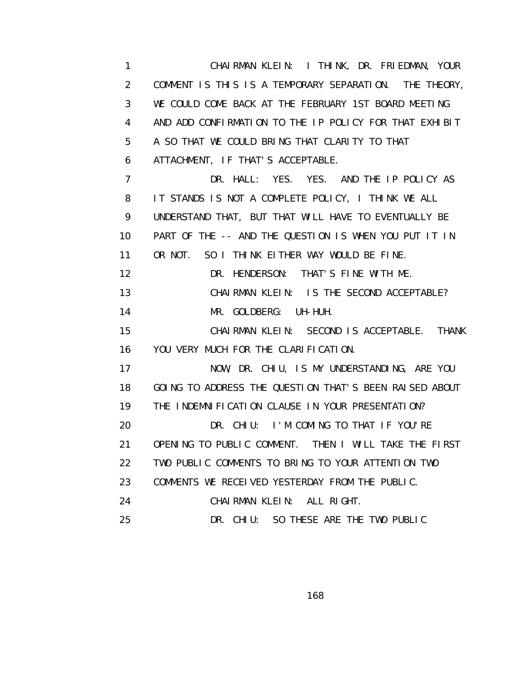1 CHAIRMAN KLEIN: I THINK, DR. FRIEDMAN, YOUR 2 COMMENT IS THIS IS A TEMPORARY SEPARATION. THE THEORY, 3 WE COULD COME BACK AT THE FEBRUARY 1ST BOARD MEETING 4 AND ADD CONFIRMATION TO THE IP POLICY FOR THAT EXHIBIT 5 A SO THAT WE COULD BRING THAT CLARITY TO THAT 6 ATTACHMENT, IF THAT'S ACCEPTABLE. 7 DR. HALL: YES. YES. AND THE IP POLICY AS 8 IT STANDS IS NOT A COMPLETE POLICY, I THINK WE ALL 9 UNDERSTAND THAT, BUT THAT WILL HAVE TO EVENTUALLY BE 10 PART OF THE -- AND THE QUESTION IS WHEN YOU PUT IT IN 11 OR NOT. SO I THINK EITHER WAY WOULD BE FINE. 12 DR. HENDERSON: THAT'S FINE WITH ME. 13 CHAIRMAN KLEIN: IS THE SECOND ACCEPTABLE? 14 MR. GOLDBERG: UH-HUH. 15 CHAIRMAN KLEIN: SECOND IS ACCEPTABLE. THANK 16 YOU VERY MUCH FOR THE CLARIFICATION. 17 NOW, DR. CHIU, IS MY UNDERSTANDING, ARE YOU 18 GOING TO ADDRESS THE QUESTION THAT'S BEEN RAISED ABOUT 19 THE INDEMNIFICATION CLAUSE IN YOUR PRESENTATION? 20 DR. CHIU: I'M COMING TO THAT IF YOU'RE 21 OPENING TO PUBLIC COMMENT. THEN I WILL TAKE THE FIRST 22 TWO PUBLIC COMMENTS TO BRING TO YOUR ATTENTION TWO 23 COMMENTS WE RECEIVED YESTERDAY FROM THE PUBLIC. 24 CHAIRMAN KLEIN: ALL RIGHT. 25 DR. CHIU: SO THESE ARE THE TWO PUBLIC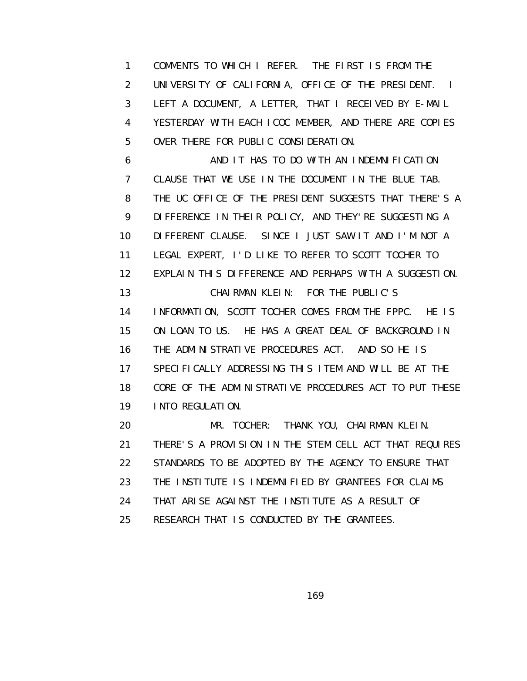1 COMMENTS TO WHICH I REFER. THE FIRST IS FROM THE 2 UNIVERSITY OF CALIFORNIA, OFFICE OF THE PRESIDENT. I 3 LEFT A DOCUMENT, A LETTER, THAT I RECEIVED BY E-MAIL 4 YESTERDAY WITH EACH ICOC MEMBER, AND THERE ARE COPIES 5 OVER THERE FOR PUBLIC CONSIDERATION.

 6 AND IT HAS TO DO WITH AN INDEMNIFICATION 7 CLAUSE THAT WE USE IN THE DOCUMENT IN THE BLUE TAB. 8 THE UC OFFICE OF THE PRESIDENT SUGGESTS THAT THERE'S A 9 DI FFERENCE IN THEIR POLICY, AND THEY'RE SUGGESTING A 10 DIFFERENT CLAUSE. SINCE I JUST SAW IT AND I'M NOT A 11 LEGAL EXPERT, I'D LIKE TO REFER TO SCOTT TOCHER TO 12 EXPLAIN THIS DIFFERENCE AND PERHAPS WITH A SUGGESTION. 13 CHAIRMAN KLEIN: FOR THE PUBLIC'S 14 INFORMATION, SCOTT TOCHER COMES FROM THE FPPC. HE IS 15 ON LOAN TO US. HE HAS A GREAT DEAL OF BACKGROUND IN 16 THE ADMINISTRATIVE PROCEDURES ACT. AND SO HE IS 17 SPECIFICALLY ADDRESSING THIS ITEM AND WILL BE AT THE 18 CORE OF THE ADMINISTRATIVE PROCEDURES ACT TO PUT THESE 19 INTO REGULATION.

 20 MR. TOCHER: THANK YOU, CHAIRMAN KLEIN. 21 THERE'S A PROVISION IN THE STEM CELL ACT THAT REQUIRES 22 STANDARDS TO BE ADOPTED BY THE AGENCY TO ENSURE THAT 23 THE INSTITUTE IS INDEMNIFIED BY GRANTEES FOR CLAIMS 24 THAT ARISE AGAINST THE INSTITUTE AS A RESULT OF 25 RESEARCH THAT IS CONDUCTED BY THE GRANTEES.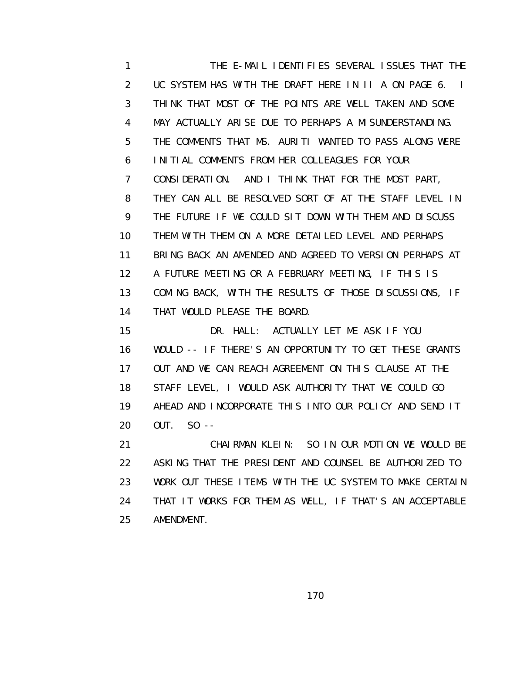1 THE E-MAIL IDENTIFIES SEVERAL ISSUES THAT THE 2 UC SYSTEM HAS WITH THE DRAFT HERE IN II A ON PAGE 6. I 3 THINK THAT MOST OF THE POINTS ARE WELL TAKEN AND SOME 4 MAY ACTUALLY ARISE DUE TO PERHAPS A MISUNDERSTANDING. 5 THE COMMENTS THAT MS. AURITI WANTED TO PASS ALONG WERE 6 INITIAL COMMENTS FROM HER COLLEAGUES FOR YOUR 7 CONSIDERATION. AND I THINK THAT FOR THE MOST PART, 8 THEY CAN ALL BE RESOLVED SORT OF AT THE STAFF LEVEL IN 9 THE FUTURE IF WE COULD SIT DOWN WITH THEM AND DISCUSS 10 THEM WITH THEM ON A MORE DETAILED LEVEL AND PERHAPS 11 BRING BACK AN AMENDED AND AGREED TO VERSION PERHAPS AT 12 A FUTURE MEETING OR A FEBRUARY MEETING, IF THIS IS 13 COMING BACK, WITH THE RESULTS OF THOSE DISCUSSIONS, IF 14 THAT WOULD PLEASE THE BOARD.

 15 DR. HALL: ACTUALLY LET ME ASK IF YOU 16 WOULD -- IF THERE'S AN OPPORTUNITY TO GET THESE GRANTS 17 OUT AND WE CAN REACH AGREEMENT ON THIS CLAUSE AT THE 18 STAFF LEVEL, I WOULD ASK AUTHORITY THAT WE COULD GO 19 AHEAD AND INCORPORATE THIS INTO OUR POLICY AND SEND IT 20 OUT. SO --

 21 CHAIRMAN KLEIN: SO IN OUR MOTION WE WOULD BE 22 ASKING THAT THE PRESIDENT AND COUNSEL BE AUTHORIZED TO 23 WORK OUT THESE ITEMS WITH THE UC SYSTEM TO MAKE CERTAIN 24 THAT IT WORKS FOR THEM AS WELL, IF THAT'S AN ACCEPTABLE 25 AMENDMENT.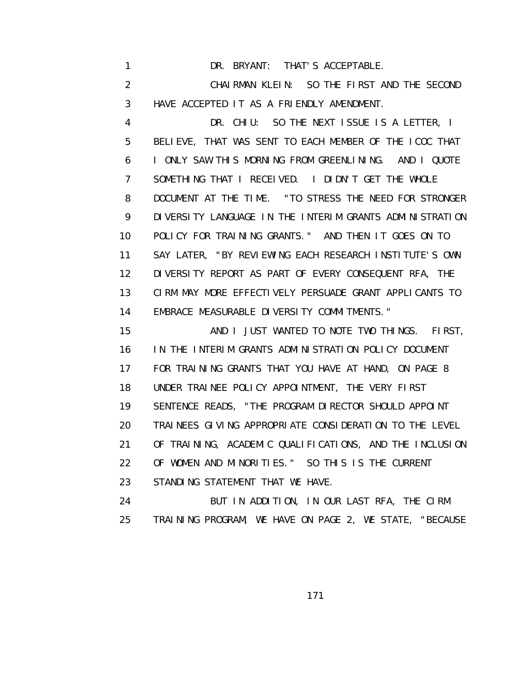1 DR. BRYANT: THAT'S ACCEPTABLE. 2 CHAIRMAN KLEIN: SO THE FIRST AND THE SECOND 3 HAVE ACCEPTED IT AS A FRIENDLY AMENDMENT.

 4 DR. CHIU: SO THE NEXT ISSUE IS A LETTER, I 5 BELIEVE, THAT WAS SENT TO EACH MEMBER OF THE ICOC THAT 6 I ONLY SAW THIS MORNING FROM GREENLINING. AND I QUOTE 7 SOMETHING THAT I RECEIVED. I DIDN'T GET THE WHOLE 8 DOCUMENT AT THE TIME. "TO STRESS THE NEED FOR STRONGER 9 DI VERSITY LANGUAGE IN THE INTERIM GRANTS ADMINISTRATION 10 POLICY FOR TRAINING GRANTS." AND THEN IT GOES ON TO 11 SAY LATER, "BY REVIEWING EACH RESEARCH INSTITUTE'S OWN 12 DIVERSITY REPORT AS PART OF EVERY CONSEQUENT RFA, THE 13 CIRM MAY MORE EFFECTIVELY PERSUADE GRANT APPLICANTS TO 14 EMBRACE MEASURABLE DIVERSITY COMMITMENTS."

 15 AND I JUST WANTED TO NOTE TWO THINGS. FIRST, 16 IN THE INTERIM GRANTS ADMINISTRATION POLICY DOCUMENT 17 FOR TRAINING GRANTS THAT YOU HAVE AT HAND, ON PAGE 8 18 UNDER TRAINEE POLICY APPOINTMENT, THE VERY FIRST 19 SENTENCE READS, "THE PROGRAM DIRECTOR SHOULD APPOINT 20 TRAINEES GIVING APPROPRIATE CONSIDERATION TO THE LEVEL 21 OF TRAINING, ACADEMIC QUALIFICATIONS, AND THE INCLUSION 22 OF WOMEN AND MINORITIES." SO THIS IS THE CURRENT 23 STANDING STATEMENT THAT WE HAVE.

 24 BUT IN ADDITION, IN OUR LAST RFA, THE CIRM 25 TRAINING PROGRAM, WE HAVE ON PAGE 2, WE STATE, "BECAUSE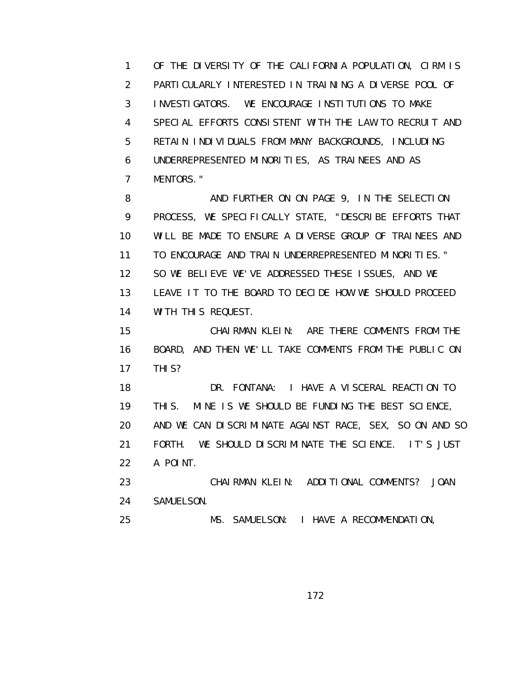1 OF THE DIVERSITY OF THE CALIFORNIA POPULATION, CIRM IS 2 PARTICULARLY INTERESTED IN TRAINING A DIVERSE POOL OF 3 INVESTIGATORS. WE ENCOURAGE INSTITUTIONS TO MAKE 4 SPECIAL EFFORTS CONSISTENT WITH THE LAW TO RECRUIT AND 5 RETAIN INDIVIDUALS FROM MANY BACKGROUNDS, INCLUDING 6 UNDERREPRESENTED MINORITIES, AS TRAINEES AND AS 7 MENTORS."

8 AND FURTHER ON ON PAGE 9, IN THE SELECTION 9 PROCESS, WE SPECIFICALLY STATE, "DESCRIBE EFFORTS THAT 10 WILL BE MADE TO ENSURE A DIVERSE GROUP OF TRAINEES AND 11 TO ENCOURAGE AND TRAIN UNDERREPRESENTED MINORITIES." 12 SO WE BELIEVE WE'VE ADDRESSED THESE ISSUES, AND WE 13 LEAVE IT TO THE BOARD TO DECIDE HOW WE SHOULD PROCEED 14 WITH THIS REQUEST.

 15 CHAIRMAN KLEIN: ARE THERE COMMENTS FROM THE 16 BOARD, AND THEN WE'LL TAKE COMMENTS FROM THE PUBLIC ON 17 THIS?

 18 DR. FONTANA: I HAVE A VISCERAL REACTION TO 19 THIS. MINE IS WE SHOULD BE FUNDING THE BEST SCIENCE, 20 AND WE CAN DISCRIMINATE AGAINST RACE, SEX, SO ON AND SO 21 FORTH. WE SHOULD DISCRIMINATE THE SCIENCE. IT'S JUST 22 A POINT. 23 CHAIRMAN KLEIN: ADDITIONAL COMMENTS? JOAN

24 SAMUELSON.

25 MS. SAMUELSON: I HAVE A RECOMMENDATION,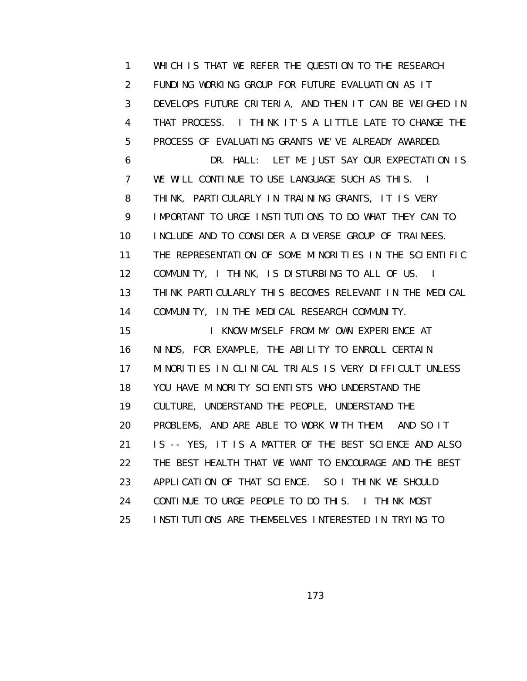1 WHICH IS THAT WE REFER THE QUESTION TO THE RESEARCH 2 FUNDING WORKING GROUP FOR FUTURE EVALUATION AS IT 3 DEVELOPS FUTURE CRITERIA, AND THEN IT CAN BE WEIGHED IN 4 THAT PROCESS. I THINK IT'S A LITTLE LATE TO CHANGE THE 5 PROCESS OF EVALUATING GRANTS WE'VE ALREADY AWARDED. 6 DR. HALL: LET ME JUST SAY OUR EXPECTATION IS 7 WE WILL CONTINUE TO USE LANGUAGE SUCH AS THIS. I 8 THINK, PARTICULARLY IN TRAINING GRANTS, IT IS VERY 9 IMPORTANT TO URGE INSTITUTIONS TO DO WHAT THEY CAN TO 10 INCLUDE AND TO CONSIDER A DIVERSE GROUP OF TRAINEES. 11 THE REPRESENTATION OF SOME MINORITIES IN THE SCIENTIFIC 12 COMMUNITY, I THINK, IS DISTURBING TO ALL OF US. I 13 THINK PARTICULARLY THIS BECOMES RELEVANT IN THE MEDICAL 14 COMMUNITY, IN THE MEDICAL RESEARCH COMMUNITY. 15 I KNOW MYSELF FROM MY OWN EXPERIENCE AT 16 NINDS, FOR EXAMPLE, THE ABILITY TO ENROLL CERTAIN 17 MINORITIES IN CLINICAL TRIALS IS VERY DIFFICULT UNLESS 18 YOU HAVE MINORITY SCIENTISTS WHO UNDERSTAND THE 19 CULTURE, UNDERSTAND THE PEOPLE, UNDERSTAND THE 20 PROBLEMS, AND ARE ABLE TO WORK WITH THEM. AND SO IT 21 IS -- YES, IT IS A MATTER OF THE BEST SCIENCE AND ALSO 22 THE BEST HEALTH THAT WE WANT TO ENCOURAGE AND THE BEST 23 APPLICATION OF THAT SCIENCE. SO I THINK WE SHOULD 24 CONTINUE TO URGE PEOPLE TO DO THIS. I THINK MOST 25 INSTITUTIONS ARE THEMSELVES INTERESTED IN TRYING TO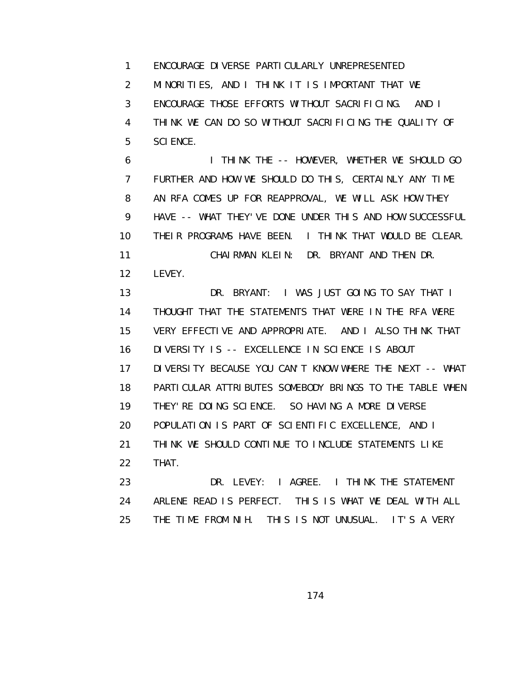1 ENCOURAGE DIVERSE PARTICULARLY UNREPRESENTED 2 MINORITIES, AND I THINK IT IS IMPORTANT THAT WE 3 ENCOURAGE THOSE EFFORTS WITHOUT SACRIFICING. AND I 4 THINK WE CAN DO SO WITHOUT SACRIFICING THE QUALITY OF 5 SCIENCE.

 6 I THINK THE -- HOWEVER, WHETHER WE SHOULD GO 7 FURTHER AND HOW WE SHOULD DO THIS, CERTAINLY ANY TIME 8 AN RFA COMES UP FOR REAPPROVAL, WE WILL ASK HOW THEY 9 HAVE -- WHAT THEY'VE DONE UNDER THIS AND HOW SUCCESSFUL 10 THEIR PROGRAMS HAVE BEEN. I THINK THAT WOULD BE CLEAR. 11 CHAIRMAN KLEIN: DR. BRYANT AND THEN DR. 12 LEVEY.

 13 DR. BRYANT: I WAS JUST GOING TO SAY THAT I 14 THOUGHT THAT THE STATEMENTS THAT WERE IN THE RFA WERE 15 VERY EFFECTIVE AND APPROPRIATE. AND I ALSO THINK THAT 16 DIVERSITY IS -- EXCELLENCE IN SCIENCE IS ABOUT 17 DIVERSITY BECAUSE YOU CAN'T KNOW WHERE THE NEXT -- WHAT 18 PARTICULAR ATTRIBUTES SOMEBODY BRINGS TO THE TABLE WHEN 19 THEY'RE DOING SCIENCE. SO HAVING A MORE DIVERSE 20 POPULATION IS PART OF SCIENTIFIC EXCELLENCE, AND I 21 THINK WE SHOULD CONTINUE TO INCLUDE STATEMENTS LIKE 22 THAT.

23 DR. LEVEY: I AGREE. I THINK THE STATEMENT 24 ARLENE READ IS PERFECT. THIS IS WHAT WE DEAL WITH ALL 25 THE TIME FROM NIH. THIS IS NOT UNUSUAL. IT'S A VERY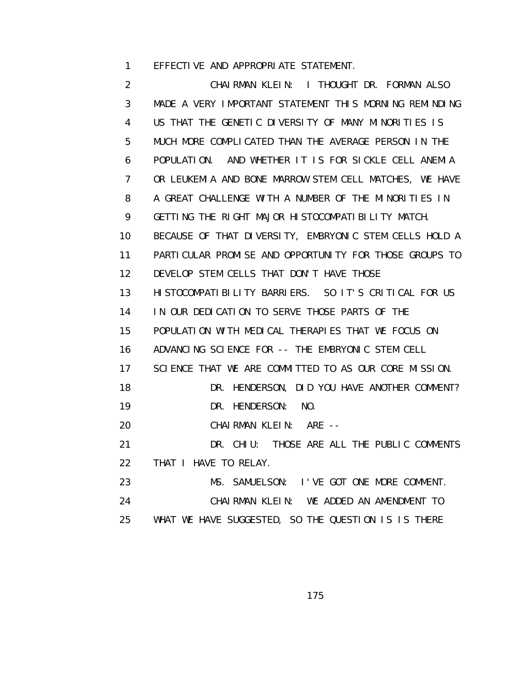1 EFFECTIVE AND APPROPRIATE STATEMENT.

 2 CHAIRMAN KLEIN: I THOUGHT DR. FORMAN ALSO 3 MADE A VERY IMPORTANT STATEMENT THIS MORNING REMINDING 4 US THAT THE GENETIC DIVERSITY OF MANY MINORITIES IS 5 MUCH MORE COMPLICATED THAN THE AVERAGE PERSON IN THE 6 POPULATION. AND WHETHER IT IS FOR SICKLE CELL ANEMIA 7 OR LEUKEMIA AND BONE MARROW STEM CELL MATCHES, WE HAVE 8 A GREAT CHALLENGE WITH A NUMBER OF THE MINORITIES IN 9 GETTING THE RIGHT MAJOR HISTOCOMPATIBILITY MATCH. 10 BECAUSE OF THAT DIVERSITY, EMBRYONIC STEM CELLS HOLD A 11 PARTICULAR PROMISE AND OPPORTUNITY FOR THOSE GROUPS TO 12 DEVELOP STEM CELLS THAT DON'T HAVE THOSE 13 HISTOCOMPATIBILITY BARRIERS. SO IT'S CRITICAL FOR US 14 IN OUR DEDICATION TO SERVE THOSE PARTS OF THE 15 POPULATION WITH MEDICAL THERAPIES THAT WE FOCUS ON 16 ADVANCING SCIENCE FOR -- THE EMBRYONIC STEM CELL 17 SCIENCE THAT WE ARE COMMITTED TO AS OUR CORE MISSION. 18 DR. HENDERSON, DID YOU HAVE ANOTHER COMMENT? 19 DR. HENDERSON: NO. 20 CHAIRMAN KLEIN: ARE -- 21 DR. CHIU: THOSE ARE ALL THE PUBLIC COMMENTS 22 THAT I HAVE TO RELAY. 23 MS. SAMUELSON: I'VE GOT ONE MORE COMMENT. 24 CHAIRMAN KLEIN: WE ADDED AN AMENDMENT TO 25 WHAT WE HAVE SUGGESTED, SO THE QUESTION IS IS THERE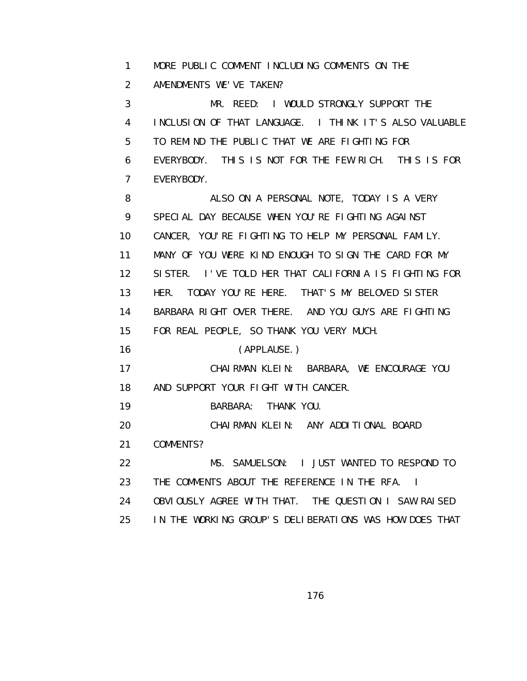1 MORE PUBLIC COMMENT INCLUDING COMMENTS ON THE

2 AMENDMENTS WE'VE TAKEN?

 3 MR. REED: I WOULD STRONGLY SUPPORT THE 4 INCLUSION OF THAT LANGUAGE. I THINK IT'S ALSO VALUABLE 5 TO REMIND THE PUBLIC THAT WE ARE FIGHTING FOR 6 EVERYBODY. THIS IS NOT FOR THE FEW RICH. THIS IS FOR 7 EVERYBODY.

 8 ALSO ON A PERSONAL NOTE, TODAY IS A VERY 9 SPECIAL DAY BECAUSE WHEN YOU'RE FIGHTING AGAINST 10 CANCER, YOU'RE FIGHTING TO HELP MY PERSONAL FAMILY. 11 MANY OF YOU WERE KIND ENOUGH TO SIGN THE CARD FOR MY 12 SISTER. I'VE TOLD HER THAT CALIFORNIA IS FIGHTING FOR 13 HER. TODAY YOU'RE HERE. THAT'S MY BELOVED SISTER 14 BARBARA RIGHT OVER THERE. AND YOU GUYS ARE FIGHTING 15 FOR REAL PEOPLE, SO THANK YOU VERY MUCH.

16 (APPLAUSE.)

 17 CHAIRMAN KLEIN: BARBARA, WE ENCOURAGE YOU 18 AND SUPPORT YOUR FIGHT WITH CANCER.

- 19 BARBARA: THANK YOU.
- 20 CHAIRMAN KLEIN: ANY ADDITIONAL BOARD
- 21 COMMENTS?

 22 MS. SAMUELSON: I JUST WANTED TO RESPOND TO 23 THE COMMENTS ABOUT THE REFERENCE IN THE RFA. I

- 24 OBVIOUSLY AGREE WITH THAT. THE QUESTION I SAW RAISED
- 25 IN THE WORKING GROUP'S DELIBERATIONS WAS HOW DOES THAT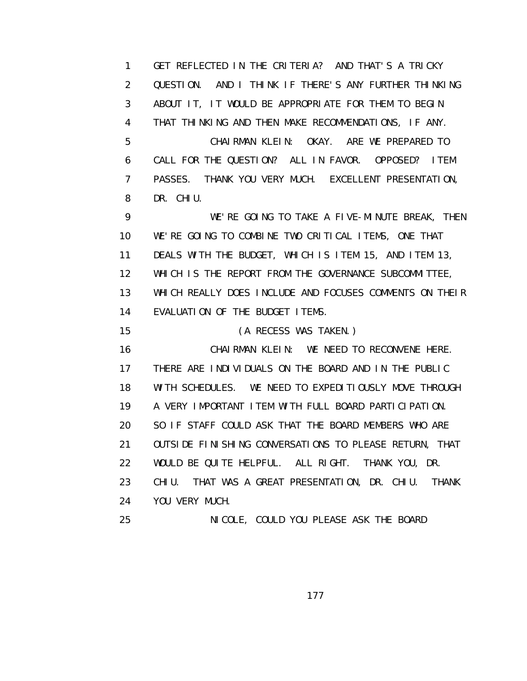1 GET REFLECTED IN THE CRITERIA? AND THAT'S A TRICKY 2 QUESTION. AND I THINK IF THERE'S ANY FURTHER THINKING 3 ABOUT IT, IT WOULD BE APPROPRIATE FOR THEM TO BEGIN 4 THAT THINKING AND THEN MAKE RECOMMENDATIONS, IF ANY. 5 CHAIRMAN KLEIN: OKAY. ARE WE PREPARED TO 6 CALL FOR THE QUESTION? ALL IN FAVOR. OPPOSED? ITEM 7 PASSES. THANK YOU VERY MUCH. EXCELLENT PRESENTATION, 8 DR. CHIU. 9 WE'RE GOING TO TAKE A FIVE-MINUTE BREAK, THEN 10 WE'RE GOING TO COMBINE TWO CRITICAL ITEMS, ONE THAT 11 DEALS WITH THE BUDGET, WHICH IS ITEM 15, AND ITEM 13, 12 WHICH IS THE REPORT FROM THE GOVERNANCE SUBCOMMITTEE, 13 WHICH REALLY DOES INCLUDE AND FOCUSES COMMENTS ON THEIR 14 EVALUATION OF THE BUDGET ITEMS. 15 (A RECESS WAS TAKEN.) 16 CHAIRMAN KLEIN: WE NEED TO RECONVENE HERE. 17 THERE ARE INDIVIDUALS ON THE BOARD AND IN THE PUBLIC 18 WITH SCHEDULES. WE NEED TO EXPEDITIOUSLY MOVE THROUGH 19 A VERY IMPORTANT ITEM WITH FULL BOARD PARTICIPATION. 20 SO IF STAFF COULD ASK THAT THE BOARD MEMBERS WHO ARE

 21 OUTSIDE FINISHING CONVERSATIONS TO PLEASE RETURN, THAT 22 WOULD BE QUITE HELPFUL. ALL RIGHT. THANK YOU, DR. 23 CHIU. THAT WAS A GREAT PRESENTATION, DR. CHIU. THANK 24 YOU VERY MUCH.

25 NICOLE, COULD YOU PLEASE ASK THE BOARD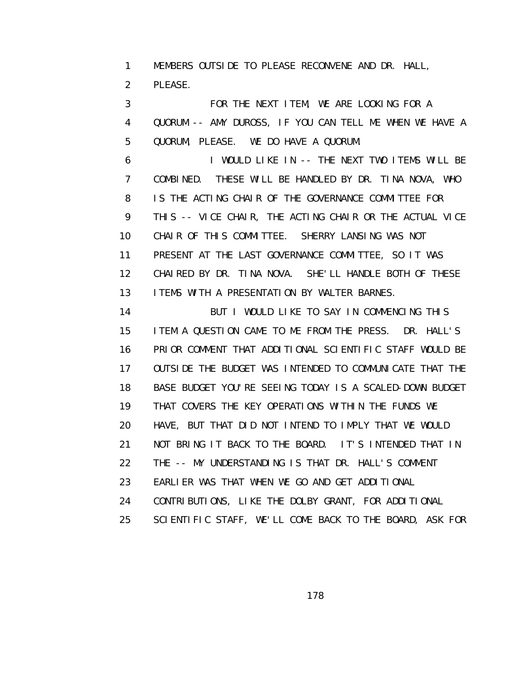1 MEMBERS OUTSIDE TO PLEASE RECONVENE AND DR. HALL, 2 PLEASE.

 3 FOR THE NEXT ITEM, WE ARE LOOKING FOR A 4 QUORUM -- AMY DUROSS, IF YOU CAN TELL ME WHEN WE HAVE A 5 QUORUM, PLEASE. WE DO HAVE A QUORUM.

 6 I WOULD LIKE IN -- THE NEXT TWO ITEMS WILL BE 7 COMBINED. THESE WILL BE HANDLED BY DR. TINA NOVA, WHO 8 IS THE ACTING CHAIR OF THE GOVERNANCE COMMITTEE FOR 9 THIS -- VICE CHAIR, THE ACTING CHAIR OR THE ACTUAL VICE 10 CHAIR OF THIS COMMITTEE. SHERRY LANSING WAS NOT 11 PRESENT AT THE LAST GOVERNANCE COMMITTEE, SO IT WAS 12 CHAIRED BY DR. TINA NOVA. SHE'LL HANDLE BOTH OF THESE 13 ITEMS WITH A PRESENTATION BY WALTER BARNES.

14 BUT I WOULD LIKE TO SAY IN COMMENCING THIS 15 ITEM A QUESTION CAME TO ME FROM THE PRESS. DR. HALL'S 16 PRIOR COMMENT THAT ADDITIONAL SCIENTIFIC STAFF WOULD BE 17 OUTSIDE THE BUDGET WAS INTENDED TO COMMUNICATE THAT THE 18 BASE BUDGET YOU'RE SEEING TODAY IS A SCALED-DOWN BUDGET 19 THAT COVERS THE KEY OPERATIONS WITHIN THE FUNDS WE 20 HAVE, BUT THAT DID NOT INTEND TO IMPLY THAT WE WOULD 21 NOT BRING IT BACK TO THE BOARD. IT'S INTENDED THAT IN 22 THE -- MY UNDERSTANDING IS THAT DR. HALL'S COMMENT 23 EARLIER WAS THAT WHEN WE GO AND GET ADDITIONAL 24 CONTRIBUTIONS, LIKE THE DOLBY GRANT, FOR ADDITIONAL

25 SCIENTIFIC STAFF, WE'LL COME BACK TO THE BOARD, ASK FOR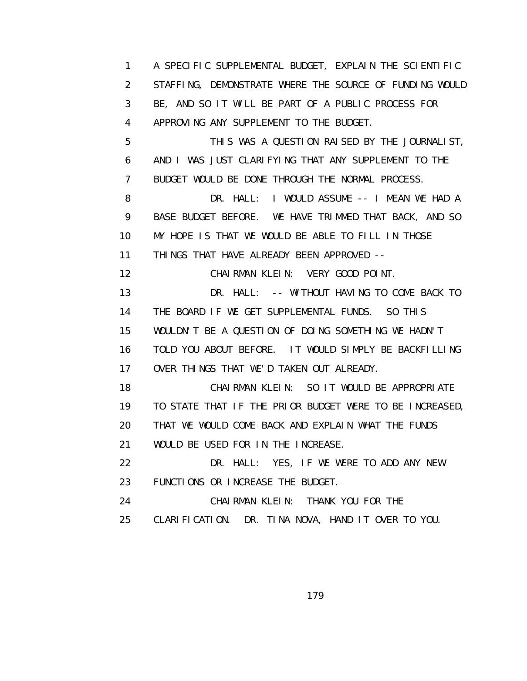1 A SPECIFIC SUPPLEMENTAL BUDGET, EXPLAIN THE SCIENTIFIC 2 STAFFING, DEMONSTRATE WHERE THE SOURCE OF FUNDING WOULD 3 BE, AND SO IT WILL BE PART OF A PUBLIC PROCESS FOR 4 APPROVING ANY SUPPLEMENT TO THE BUDGET. 5 THIS WAS A QUESTION RAISED BY THE JOURNALIST, 6 AND I WAS JUST CLARIFYING THAT ANY SUPPLEMENT TO THE 7 BUDGET WOULD BE DONE THROUGH THE NORMAL PROCESS. 8 DR. HALL: I WOULD ASSUME -- I MEAN WE HAD A 9 BASE BUDGET BEFORE. WE HAVE TRIMMED THAT BACK, AND SO 10 MY HOPE IS THAT WE WOULD BE ABLE TO FILL IN THOSE 11 THINGS THAT HAVE ALREADY BEEN APPROVED -- 12 CHAIRMAN KLEIN: VERY GOOD POINT. 13 DR. HALL: -- WITHOUT HAVING TO COME BACK TO 14 THE BOARD IF WE GET SUPPLEMENTAL FUNDS. SO THIS 15 WOULDN'T BE A QUESTION OF DOING SOMETHING WE HADN'T 16 TOLD YOU ABOUT BEFORE. IT WOULD SIMPLY BE BACKFILLING 17 OVER THINGS THAT WE'D TAKEN OUT ALREADY. 18 CHAIRMAN KLEIN: SO IT WOULD BE APPROPRIATE 19 TO STATE THAT IF THE PRIOR BUDGET WERE TO BE INCREASED, 20 THAT WE WOULD COME BACK AND EXPLAIN WHAT THE FUNDS 21 WOULD BE USED FOR IN THE INCREASE. 22 DR. HALL: YES, IF WE WERE TO ADD ANY NEW 23 FUNCTIONS OR INCREASE THE BUDGET. 24 CHAIRMAN KLEIN: THANK YOU FOR THE 25 CLARIFICATION. DR. TINA NOVA, HAND IT OVER TO YOU.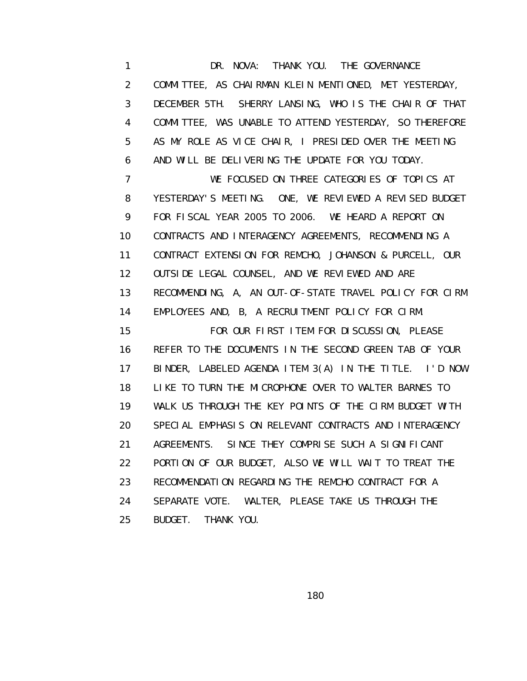1 DR. NOVA: THANK YOU. THE GOVERNANCE 2 COMMITTEE, AS CHAIRMAN KLEIN MENTIONED, MET YESTERDAY, 3 DECEMBER 5TH. SHERRY LANSING, WHO IS THE CHAIR OF THAT 4 COMMITTEE, WAS UNABLE TO ATTEND YESTERDAY, SO THEREFORE 5 AS MY ROLE AS VICE CHAIR, I PRESIDED OVER THE MEETING 6 AND WILL BE DELIVERING THE UPDATE FOR YOU TODAY. 7 WE FOCUSED ON THREE CATEGORIES OF TOPICS AT 8 YESTERDAY'S MEETING. ONE, WE REVIEWED A REVISED BUDGET 9 FOR FISCAL YEAR 2005 TO 2006. WE HEARD A REPORT ON 10 CONTRACTS AND INTERAGENCY AGREEMENTS, RECOMMENDING A 11 CONTRACT EXTENSION FOR REMCHO, JOHANSON & PURCELL, OUR 12 OUTSIDE LEGAL COUNSEL, AND WE REVIEWED AND ARE 13 RECOMMENDING, A, AN OUT-OF-STATE TRAVEL POLICY FOR CIRM 14 EMPLOYEES AND, B, A RECRUITMENT POLICY FOR CIRM. 15 FOR OUR FIRST ITEM FOR DISCUSSION, PLEASE 16 REFER TO THE DOCUMENTS IN THE SECOND GREEN TAB OF YOUR 17 BINDER, LABELED AGENDA ITEM 3(A) IN THE TITLE. I'D NOW 18 LIKE TO TURN THE MICROPHONE OVER TO WALTER BARNES TO 19 WALK US THROUGH THE KEY POINTS OF THE CIRM BUDGET WITH 20 SPECIAL EMPHASIS ON RELEVANT CONTRACTS AND INTERAGENCY 21 AGREEMENTS. SINCE THEY COMPRISE SUCH A SIGNIFICANT 22 PORTION OF OUR BUDGET, ALSO WE WILL WAIT TO TREAT THE 23 RECOMMENDATION REGARDING THE REMCHO CONTRACT FOR A 24 SEPARATE VOTE. WALTER, PLEASE TAKE US THROUGH THE 25 BUDGET. THANK YOU.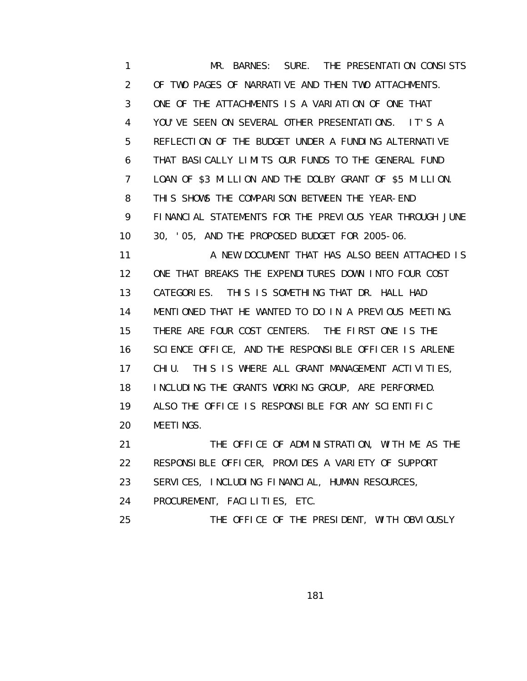1 MR. BARNES: SURE. THE PRESENTATION CONSISTS 2 OF TWO PAGES OF NARRATIVE AND THEN TWO ATTACHMENTS. 3 ONE OF THE ATTACHMENTS IS A VARIATION OF ONE THAT 4 YOU'VE SEEN ON SEVERAL OTHER PRESENTATIONS. IT'S A 5 REFLECTION OF THE BUDGET UNDER A FUNDING ALTERNATIVE 6 THAT BASICALLY LIMITS OUR FUNDS TO THE GENERAL FUND 7 LOAN OF \$3 MILLION AND THE DOLBY GRANT OF \$5 MILLION. 8 THIS SHOWS THE COMPARISON BETWEEN THE YEAR-END 9 FINANCIAL STATEMENTS FOR THE PREVIOUS YEAR THROUGH JUNE 10 30, '05, AND THE PROPOSED BUDGET FOR 2005-06. 11 **A NEW DOCUMENT THAT HAS ALSO BEEN ATTACHED IS**  12 ONE THAT BREAKS THE EXPENDITURES DOWN INTO FOUR COST 13 CATEGORIES. THIS IS SOMETHING THAT DR. HALL HAD 14 MENTIONED THAT HE WANTED TO DO IN A PREVIOUS MEETING. 15 THERE ARE FOUR COST CENTERS. THE FIRST ONE IS THE 16 SCIENCE OFFICE, AND THE RESPONSIBLE OFFICER IS ARLENE 17 CHIU. THIS IS WHERE ALL GRANT MANAGEMENT ACTIVITIES, 18 INCLUDING THE GRANTS WORKING GROUP, ARE PERFORMED. 19 ALSO THE OFFICE IS RESPONSIBLE FOR ANY SCIENTIFIC 20 MEETINGS. 21 THE OFFICE OF ADMINISTRATION, WITH ME AS THE 22 RESPONSIBLE OFFICER, PROVIDES A VARIETY OF SUPPORT 23 SERVICES, INCLUDING FINANCIAL, HUMAN RESOURCES,

24 PROCUREMENT, FACILITIES, ETC.

25 THE OFFICE OF THE PRESIDENT, WITH OBVIOUSLY

the contract of the contract of the contract of the contract of the contract of the contract of the contract o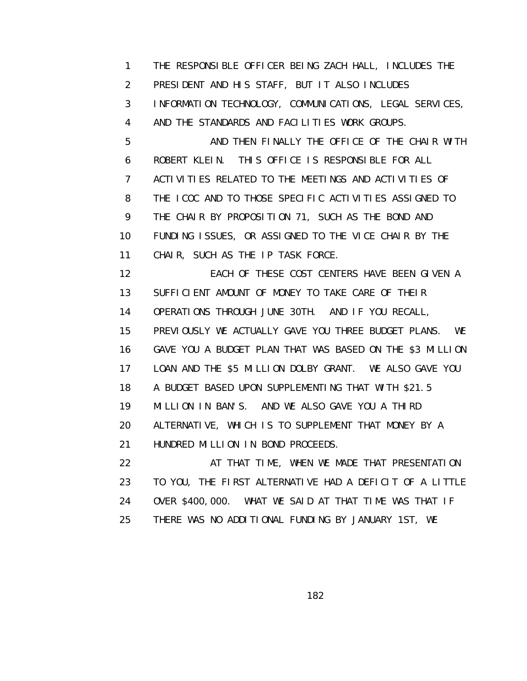1 THE RESPONSIBLE OFFICER BEING ZACH HALL, INCLUDES THE 2 PRESIDENT AND HIS STAFF, BUT IT ALSO INCLUDES 3 INFORMATION TECHNOLOGY, COMMUNICATIONS, LEGAL SERVICES, 4 AND THE STANDARDS AND FACILITIES WORK GROUPS. 5 AND THEN FINALLY THE OFFICE OF THE CHAIR WITH 6 ROBERT KLEIN. THIS OFFICE IS RESPONSIBLE FOR ALL 7 ACTIVITIES RELATED TO THE MEETINGS AND ACTIVITIES OF 8 THE ICOC AND TO THOSE SPECIFIC ACTIVITIES ASSIGNED TO 9 THE CHAIR BY PROPOSITION 71, SUCH AS THE BOND AND 10 FUNDING ISSUES, OR ASSIGNED TO THE VICE CHAIR BY THE 11 CHAIR, SUCH AS THE IP TASK FORCE. 12 EACH OF THESE COST CENTERS HAVE BEEN GIVEN A 13 SUFFICIENT AMOUNT OF MONEY TO TAKE CARE OF THEIR 14 OPERATIONS THROUGH JUNE 30TH. AND IF YOU RECALL, 15 PREVIOUSLY WE ACTUALLY GAVE YOU THREE BUDGET PLANS. WE 16 GAVE YOU A BUDGET PLAN THAT WAS BASED ON THE \$3 MILLION 17 LOAN AND THE \$5 MILLION DOLBY GRANT. WE ALSO GAVE YOU 18 A BUDGET BASED UPON SUPPLEMENTING THAT WITH \$21.5 19 MILLION IN BAN'S. AND WE ALSO GAVE YOU A THIRD 20 ALTERNATIVE, WHICH IS TO SUPPLEMENT THAT MONEY BY A 21 HUNDRED MILLION IN BOND PROCEEDS. 22 AT THAT TIME, WHEN WE MADE THAT PRESENTATION 23 TO YOU, THE FIRST ALTERNATIVE HAD A DEFICIT OF A LITTLE 24 OVER \$400,000. WHAT WE SAID AT THAT TIME WAS THAT IF

25 THERE WAS NO ADDITIONAL FUNDING BY JANUARY 1ST, WE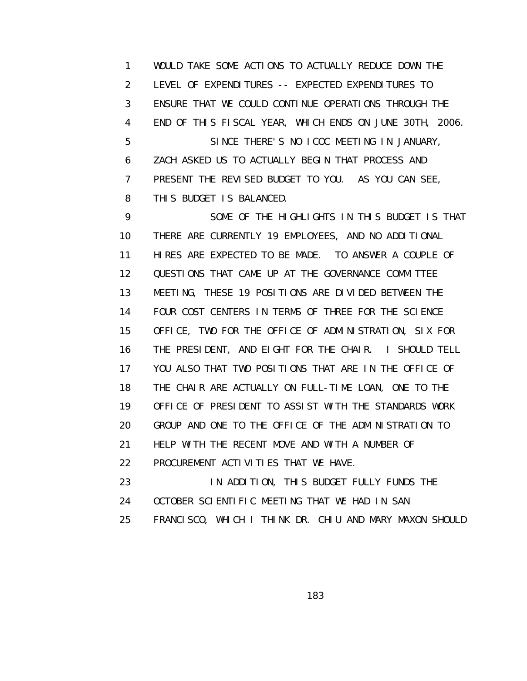1 WOULD TAKE SOME ACTIONS TO ACTUALLY REDUCE DOWN THE 2 LEVEL OF EXPENDITURES -- EXPECTED EXPENDITURES TO 3 ENSURE THAT WE COULD CONTINUE OPERATIONS THROUGH THE 4 END OF THIS FISCAL YEAR, WHICH ENDS ON JUNE 30TH, 2006. 5 SINCE THERE'S NO ICOC MEETING IN JANUARY, 6 ZACH ASKED US TO ACTUALLY BEGIN THAT PROCESS AND 7 PRESENT THE REVISED BUDGET TO YOU. AS YOU CAN SEE, 8 THIS BUDGET IS BALANCED.

 9 SOME OF THE HIGHLIGHTS IN THIS BUDGET IS THAT 10 THERE ARE CURRENTLY 19 EMPLOYEES, AND NO ADDITIONAL 11 HIRES ARE EXPECTED TO BE MADE. TO ANSWER A COUPLE OF 12 QUESTIONS THAT CAME UP AT THE GOVERNANCE COMMITTEE 13 MEETING, THESE 19 POSITIONS ARE DIVIDED BETWEEN THE 14 FOUR COST CENTERS IN TERMS OF THREE FOR THE SCIENCE 15 OFFICE, TWO FOR THE OFFICE OF ADMINISTRATION, SIX FOR 16 THE PRESIDENT, AND EIGHT FOR THE CHAIR. I SHOULD TELL 17 YOU ALSO THAT TWO POSITIONS THAT ARE IN THE OFFICE OF 18 THE CHAIR ARE ACTUALLY ON FULL-TIME LOAN, ONE TO THE 19 OFFICE OF PRESIDENT TO ASSIST WITH THE STANDARDS WORK 20 GROUP AND ONE TO THE OFFICE OF THE ADMINISTRATION TO 21 HELP WITH THE RECENT MOVE AND WITH A NUMBER OF 22 PROCUREMENT ACTIVITIES THAT WE HAVE. 23 **IN ADDITION, THIS BUDGET FULLY FUNDS THE** 24 OCTOBER SCIENTIFIC MEETING THAT WE HAD IN SAN

25 FRANCISCO, WHICH I THINK DR. CHIU AND MARY MAXON SHOULD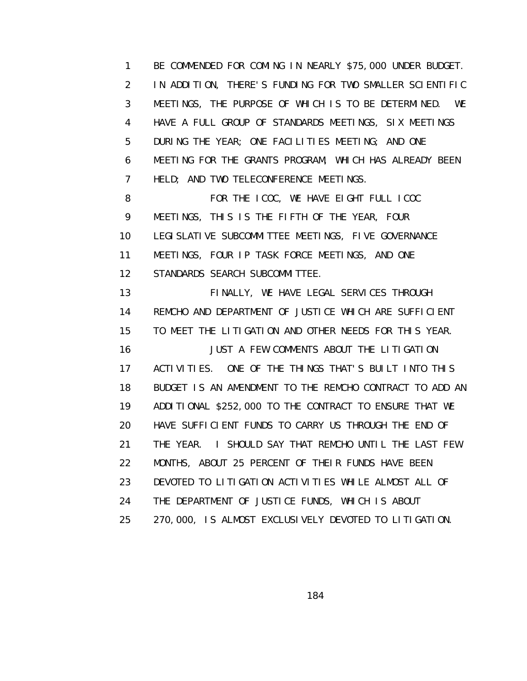1 BE COMMENDED FOR COMING IN NEARLY \$75,000 UNDER BUDGET. 2 IN ADDITION, THERE'S FUNDING FOR TWO SMALLER SCIENTIFIC 3 MEETINGS, THE PURPOSE OF WHICH IS TO BE DETERMINED. WE 4 HAVE A FULL GROUP OF STANDARDS MEETINGS, SIX MEETINGS 5 DURING THE YEAR; ONE FACILITIES MEETING; AND ONE 6 MEETING FOR THE GRANTS PROGRAM, WHICH HAS ALREADY BEEN 7 HELD; AND TWO TELECONFERENCE MEETINGS.

 8 FOR THE ICOC, WE HAVE EIGHT FULL ICOC 9 MEETINGS, THIS IS THE FIFTH OF THE YEAR, FOUR 10 LEGISLATIVE SUBCOMMITTEE MEETINGS, FIVE GOVERNANCE 11 MEETINGS, FOUR IP TASK FORCE MEETINGS, AND ONE 12 STANDARDS SEARCH SUBCOMMITTEE.

 13 FINALLY, WE HAVE LEGAL SERVICES THROUGH 14 REMCHO AND DEPARTMENT OF JUSTICE WHICH ARE SUFFICIENT 15 TO MEET THE LITIGATION AND OTHER NEEDS FOR THIS YEAR. 16 JUST A FEW COMMENTS ABOUT THE LITIGATION 17 ACTIVITIES. ONE OF THE THINGS THAT'S BUILT INTO THIS 18 BUDGET IS AN AMENDMENT TO THE REMCHO CONTRACT TO ADD AN 19 ADDITIONAL \$252,000 TO THE CONTRACT TO ENSURE THAT WE 20 HAVE SUFFICIENT FUNDS TO CARRY US THROUGH THE END OF 21 THE YEAR. I SHOULD SAY THAT REMCHO UNTIL THE LAST FEW 22 MONTHS, ABOUT 25 PERCENT OF THEIR FUNDS HAVE BEEN 23 DEVOTED TO LITIGATION ACTIVITIES WHILE ALMOST ALL OF 24 THE DEPARTMENT OF JUSTICE FUNDS, WHICH IS ABOUT 25 270,000, IS ALMOST EXCLUSIVELY DEVOTED TO LITIGATION.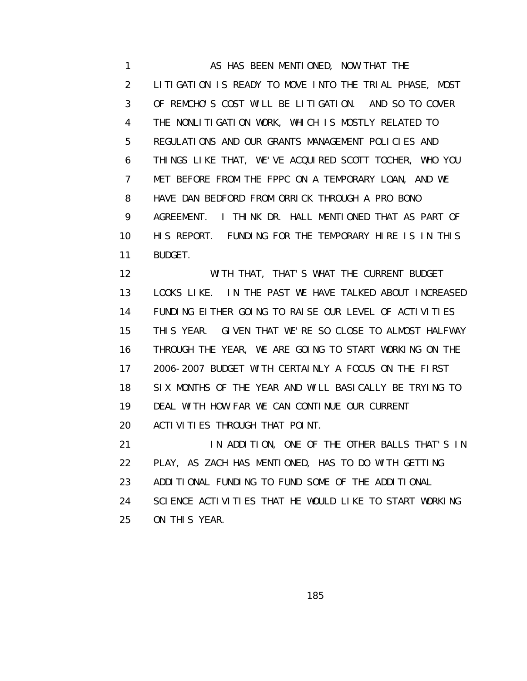1 AS HAS BEEN MENTIONED, NOW THAT THE 2 LITIGATION IS READY TO MOVE INTO THE TRIAL PHASE, MOST 3 OF REMCHO'S COST WILL BE LITIGATION. AND SO TO COVER 4 THE NONLITIGATION WORK, WHICH IS MOSTLY RELATED TO 5 REGULATIONS AND OUR GRANTS MANAGEMENT POLICIES AND 6 THINGS LIKE THAT, WE'VE ACQUIRED SCOTT TOCHER, WHO YOU 7 MET BEFORE FROM THE FPPC ON A TEMPORARY LOAN, AND WE 8 HAVE DAN BEDFORD FROM ORRICK THROUGH A PRO BONO 9 AGREEMENT. I THINK DR. HALL MENTIONED THAT AS PART OF 10 HIS REPORT. FUNDING FOR THE TEMPORARY HIRE IS IN THIS 11 BUDGET.

 12 WITH THAT, THAT'S WHAT THE CURRENT BUDGET 13 LOOKS LIKE. IN THE PAST WE HAVE TALKED ABOUT INCREASED 14 FUNDING EITHER GOING TO RAISE OUR LEVEL OF ACTIVITIES 15 THIS YEAR. GIVEN THAT WE'RE SO CLOSE TO ALMOST HALFWAY 16 THROUGH THE YEAR, WE ARE GOING TO START WORKING ON THE 17 2006-2007 BUDGET WITH CERTAINLY A FOCUS ON THE FIRST 18 SIX MONTHS OF THE YEAR AND WILL BASICALLY BE TRYING TO 19 DEAL WITH HOW FAR WE CAN CONTINUE OUR CURRENT 20 ACTIVITIES THROUGH THAT POINT.

 21 IN ADDITION, ONE OF THE OTHER BALLS THAT'S IN 22 PLAY, AS ZACH HAS MENTIONED, HAS TO DO WITH GETTING 23 ADDITIONAL FUNDING TO FUND SOME OF THE ADDITIONAL 24 SCIENCE ACTIVITIES THAT HE WOULD LIKE TO START WORKING 25 ON THIS YEAR.

<u>185 - Johann Stein, Amerikaansk politiker (</u>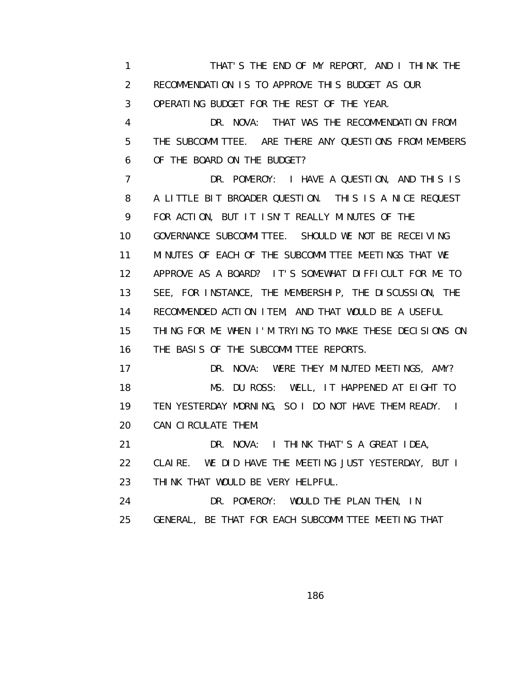1 THAT'S THE END OF MY REPORT, AND I THINK THE 2 RECOMMENDATION IS TO APPROVE THIS BUDGET AS OUR 3 OPERATING BUDGET FOR THE REST OF THE YEAR. 4 DR. NOVA: THAT WAS THE RECOMMENDATION FROM 5 THE SUBCOMMITTEE. ARE THERE ANY QUESTIONS FROM MEMBERS 6 OF THE BOARD ON THE BUDGET? 7 DR. POMEROY: I HAVE A QUESTION, AND THIS IS 8 A LITTLE BIT BROADER QUESTION. THIS IS A NICE REQUEST 9 FOR ACTION, BUT IT ISN'T REALLY MINUTES OF THE 10 GOVERNANCE SUBCOMMITTEE. SHOULD WE NOT BE RECEIVING 11 MINUTES OF EACH OF THE SUBCOMMITTEE MEETINGS THAT WE 12 APPROVE AS A BOARD? IT'S SOMEWHAT DIFFICULT FOR ME TO 13 SEE, FOR INSTANCE, THE MEMBERSHIP, THE DISCUSSION, THE 14 RECOMMENDED ACTION ITEM, AND THAT WOULD BE A USEFUL 15 THING FOR ME WHEN I'M TRYING TO MAKE THESE DECISIONS ON 16 THE BASIS OF THE SUBCOMMITTEE REPORTS. 17 DR. NOVA: WERE THEY MINUTED MEETINGS, AMY? 18 MS. DU ROSS: WELL, IT HAPPENED AT EIGHT TO 19 TEN YESTERDAY MORNING, SO I DO NOT HAVE THEM READY. I 20 CAN CIRCULATE THEM. 21 DR. NOVA: I THINK THAT'S A GREAT IDEA, 22 CLAIRE. WE DID HAVE THE MEETING JUST YESTERDAY, BUT I 23 THINK THAT WOULD BE VERY HELPFUL. 24 DR. POMEROY: WOULD THE PLAN THEN, IN 25 GENERAL, BE THAT FOR EACH SUBCOMMITTEE MEETING THAT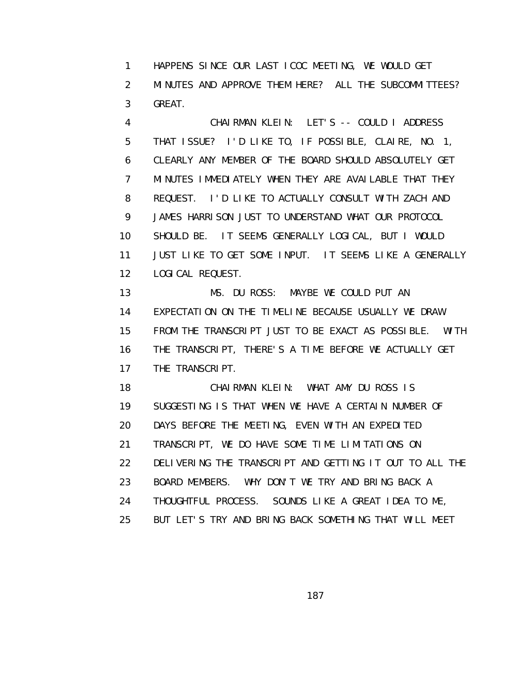1 HAPPENS SINCE OUR LAST ICOC MEETING, WE WOULD GET 2 MINUTES AND APPROVE THEM HERE? ALL THE SUBCOMMITTEES? 3 GREAT.

 4 CHAIRMAN KLEIN: LET'S -- COULD I ADDRESS 5 THAT ISSUE? I'D LIKE TO, IF POSSIBLE, CLAIRE, NO. 1, 6 CLEARLY ANY MEMBER OF THE BOARD SHOULD ABSOLUTELY GET 7 MINUTES IMMEDIATELY WHEN THEY ARE AVAILABLE THAT THEY 8 REQUEST. I'D LIKE TO ACTUALLY CONSULT WITH ZACH AND 9 JAMES HARRISON JUST TO UNDERSTAND WHAT OUR PROTOCOL 10 SHOULD BE. IT SEEMS GENERALLY LOGICAL, BUT I WOULD 11 JUST LIKE TO GET SOME INPUT. IT SEEMS LIKE A GENERALLY 12 LOGICAL REQUEST.

13 MS. DU ROSS: MAYBE WE COULD PUT AN 14 EXPECTATION ON THE TIMELINE BECAUSE USUALLY WE DRAW 15 FROM THE TRANSCRIPT JUST TO BE EXACT AS POSSIBLE. WITH 16 THE TRANSCRIPT, THERE'S A TIME BEFORE WE ACTUALLY GET 17 THE TRANSCRIPT.

 18 CHAIRMAN KLEIN: WHAT AMY DU ROSS IS 19 SUGGESTING IS THAT WHEN WE HAVE A CERTAIN NUMBER OF 20 DAYS BEFORE THE MEETING, EVEN WITH AN EXPEDITED 21 TRANSCRIPT, WE DO HAVE SOME TIME LIMITATIONS ON 22 DELIVERING THE TRANSCRIPT AND GETTING IT OUT TO ALL THE 23 BOARD MEMBERS. WHY DON'T WE TRY AND BRING BACK A 24 THOUGHTFUL PROCESS. SOUNDS LIKE A GREAT IDEA TO ME, 25 BUT LET'S TRY AND BRING BACK SOMETHING THAT WILL MEET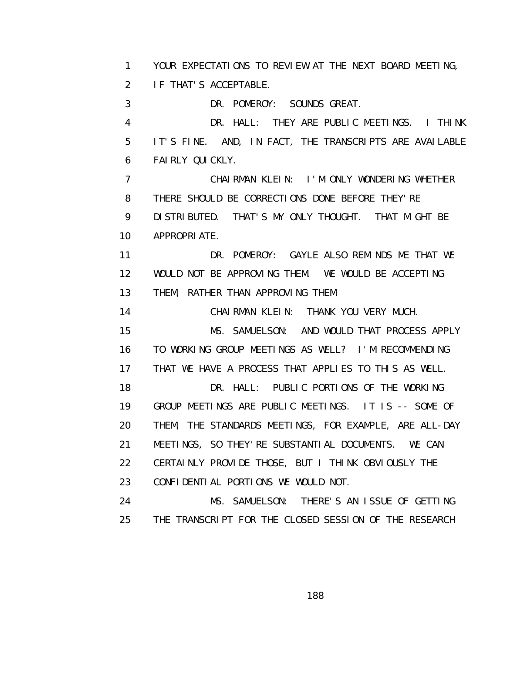1 YOUR EXPECTATIONS TO REVIEW AT THE NEXT BOARD MEETING, 2 IF THAT'S ACCEPTABLE.

3 DR. POMEROY: SOUNDS GREAT.

 4 DR. HALL: THEY ARE PUBLIC MEETINGS. I THINK 5 IT'S FINE. AND, IN FACT, THE TRANSCRIPTS ARE AVAILABLE 6 FAIRLY QUICKLY.

 7 CHAIRMAN KLEIN: I'M ONLY WONDERING WHETHER 8 THERE SHOULD BE CORRECTIONS DONE BEFORE THEY'RE 9 DISTRIBUTED. THAT'S MY ONLY THOUGHT. THAT MIGHT BE

10 APPROPRIATE.

 11 DR. POMEROY: GAYLE ALSO REMINDS ME THAT WE 12 WOULD NOT BE APPROVING THEM. WE WOULD BE ACCEPTING 13 THEM, RATHER THAN APPROVING THEM.

 14 CHAIRMAN KLEIN: THANK YOU VERY MUCH. 15 MS. SAMUELSON: AND WOULD THAT PROCESS APPLY 16 TO WORKING GROUP MEETINGS AS WELL? I'M RECOMMENDING 17 THAT WE HAVE A PROCESS THAT APPLIES TO THIS AS WELL. 18 DR. HALL: PUBLIC PORTIONS OF THE WORKING

 19 GROUP MEETINGS ARE PUBLIC MEETINGS. IT IS -- SOME OF 20 THEM, THE STANDARDS MEETINGS, FOR EXAMPLE, ARE ALL-DAY 21 MEETINGS, SO THEY'RE SUBSTANTIAL DOCUMENTS. WE CAN 22 CERTAINLY PROVIDE THOSE, BUT I THINK OBVIOUSLY THE 23 CONFIDENTIAL PORTIONS WE WOULD NOT.

 24 MS. SAMUELSON: THERE'S AN ISSUE OF GETTING 25 THE TRANSCRIPT FOR THE CLOSED SESSION OF THE RESEARCH

the contract of the contract of the contract of the contract of the contract of the contract of the contract o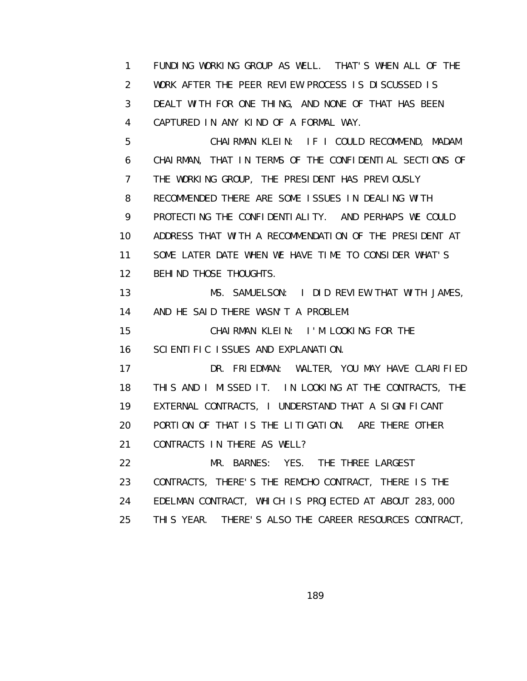1 FUNDING WORKING GROUP AS WELL. THAT'S WHEN ALL OF THE 2 WORK AFTER THE PEER REVIEW PROCESS IS DISCUSSED IS 3 DEALT WITH FOR ONE THING, AND NONE OF THAT HAS BEEN 4 CAPTURED IN ANY KIND OF A FORMAL WAY.

 5 CHAIRMAN KLEIN: IF I COULD RECOMMEND, MADAM 6 CHAIRMAN, THAT IN TERMS OF THE CONFIDENTIAL SECTIONS OF 7 THE WORKING GROUP, THE PRESIDENT HAS PREVIOUSLY 8 RECOMMENDED THERE ARE SOME ISSUES IN DEALING WITH 9 PROTECTING THE CONFIDENTIALITY. AND PERHAPS WE COULD 10 ADDRESS THAT WITH A RECOMMENDATION OF THE PRESIDENT AT 11 SOME LATER DATE WHEN WE HAVE TIME TO CONSIDER WHAT'S 12 BEHIND THOSE THOUGHTS.

 13 MS. SAMUELSON: I DID REVIEW THAT WITH JAMES, 14 AND HE SAID THERE WASN'T A PROBLEM.

 15 CHAIRMAN KLEIN: I'M LOOKING FOR THE 16 SCIENTIFIC ISSUES AND EXPLANATION.

 17 DR. FRIEDMAN: WALTER, YOU MAY HAVE CLARIFIED 18 THIS AND I MISSED IT. IN LOOKING AT THE CONTRACTS, THE 19 EXTERNAL CONTRACTS, I UNDERSTAND THAT A SIGNIFICANT 20 PORTION OF THAT IS THE LITIGATION. ARE THERE OTHER 21 CONTRACTS IN THERE AS WELL?

 22 MR. BARNES: YES. THE THREE LARGEST 23 CONTRACTS, THERE'S THE REMCHO CONTRACT, THERE IS THE 24 EDELMAN CONTRACT, WHICH IS PROJECTED AT ABOUT 283,000 25 THIS YEAR. THERE'S ALSO THE CAREER RESOURCES CONTRACT,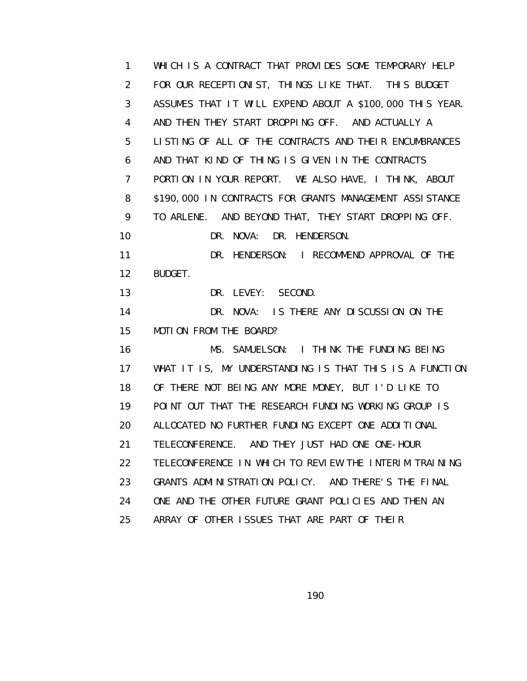1 WHICH IS A CONTRACT THAT PROVIDES SOME TEMPORARY HELP 2 FOR OUR RECEPTIONIST, THINGS LIKE THAT. THIS BUDGET 3 ASSUMES THAT IT WILL EXPEND ABOUT A \$100,000 THIS YEAR. 4 AND THEN THEY START DROPPING OFF. AND ACTUALLY A 5 LISTING OF ALL OF THE CONTRACTS AND THEIR ENCUMBRANCES 6 AND THAT KIND OF THING IS GIVEN IN THE CONTRACTS 7 PORTION IN YOUR REPORT. WE ALSO HAVE, I THINK, ABOUT 8 \$190,000 IN CONTRACTS FOR GRANTS MANAGEMENT ASSISTANCE 9 TO ARLENE. AND BEYOND THAT, THEY START DROPPING OFF. 10 DR. NOVA: DR. HENDERSON. 11 DR. HENDERSON: I RECOMMEND APPROVAL OF THE 12 BUDGET. 13 DR. LEVEY: SECOND. 14 DR. NOVA: IS THERE ANY DISCUSSION ON THE 15 MOTION FROM THE BOARD? 16 MS. SAMUELSON: I THINK THE FUNDING BEING 17 WHAT IT IS, MY UNDERSTANDING IS THAT THIS IS A FUNCTION 18 OF THERE NOT BEING ANY MORE MONEY, BUT I'D LIKE TO 19 POINT OUT THAT THE RESEARCH FUNDING WORKING GROUP IS 20 ALLOCATED NO FURTHER FUNDING EXCEPT ONE ADDITIONAL 21 TELECONFERENCE. AND THEY JUST HAD ONE ONE-HOUR 22 TELECONFERENCE IN WHICH TO REVIEW THE INTERIM TRAINING 23 GRANTS ADMINISTRATION POLICY. AND THERE'S THE FINAL 24 ONE AND THE OTHER FUTURE GRANT POLICIES AND THEN AN 25 ARRAY OF OTHER ISSUES THAT ARE PART OF THEIR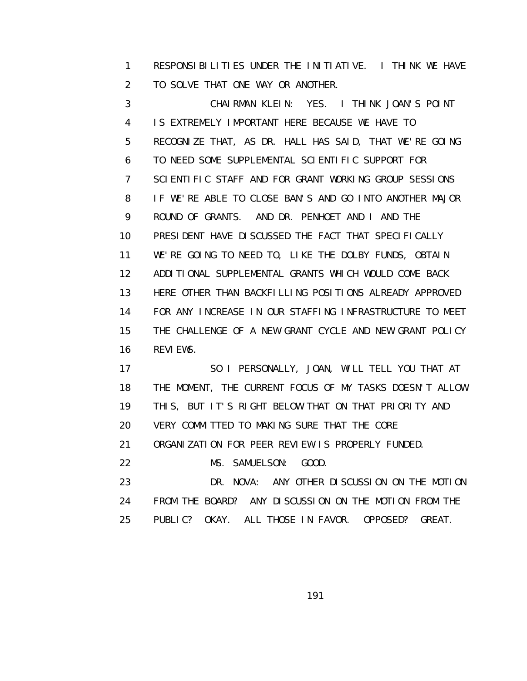1 RESPONSIBILITIES UNDER THE INITIATIVE. I THINK WE HAVE 2 TO SOLVE THAT ONE WAY OR ANOTHER.

 3 CHAIRMAN KLEIN: YES. I THINK JOAN'S POINT 4 IS EXTREMELY IMPORTANT HERE BECAUSE WE HAVE TO 5 RECOGNIZE THAT, AS DR. HALL HAS SAID, THAT WE'RE GOING 6 TO NEED SOME SUPPLEMENTAL SCIENTIFIC SUPPORT FOR 7 SCIENTIFIC STAFF AND FOR GRANT WORKING GROUP SESSIONS 8 IF WE'RE ABLE TO CLOSE BAN'S AND GO INTO ANOTHER MAJOR 9 ROUND OF GRANTS. AND DR. PENHOET AND I AND THE 10 PRESIDENT HAVE DISCUSSED THE FACT THAT SPECIFICALLY 11 WE'RE GOING TO NEED TO, LIKE THE DOLBY FUNDS, OBTAIN 12 ADDITIONAL SUPPLEMENTAL GRANTS WHICH WOULD COME BACK 13 HERE OTHER THAN BACKFILLING POSITIONS ALREADY APPROVED 14 FOR ANY INCREASE IN OUR STAFFING INFRASTRUCTURE TO MEET 15 THE CHALLENGE OF A NEW GRANT CYCLE AND NEW GRANT POLICY 16 REVIEWS.

 17 SO I PERSONALLY, JOAN, WILL TELL YOU THAT AT 18 THE MOMENT, THE CURRENT FOCUS OF MY TASKS DOESN'T ALLOW 19 THIS, BUT IT'S RIGHT BELOW THAT ON THAT PRIORITY AND 20 VERY COMMITTED TO MAKING SURE THAT THE CORE 21 ORGANIZATION FOR PEER REVIEW IS PROPERLY FUNDED. 22 MS. SAMUELSON: GOOD.

 23 DR. NOVA: ANY OTHER DISCUSSION ON THE MOTION 24 FROM THE BOARD? ANY DISCUSSION ON THE MOTION FROM THE 25 PUBLIC? OKAY. ALL THOSE IN FAVOR. OPPOSED? GREAT.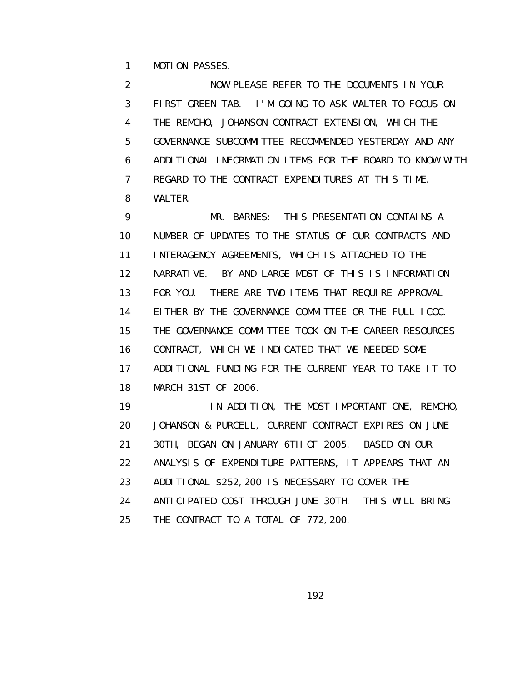1 MOTION PASSES.

 2 NOW PLEASE REFER TO THE DOCUMENTS IN YOUR 3 FIRST GREEN TAB. I'M GOING TO ASK WALTER TO FOCUS ON 4 THE REMCHO, JOHANSON CONTRACT EXTENSION, WHICH THE 5 GOVERNANCE SUBCOMMITTEE RECOMMENDED YESTERDAY AND ANY 6 ADDITIONAL INFORMATION ITEMS FOR THE BOARD TO KNOW WITH 7 REGARD TO THE CONTRACT EXPENDITURES AT THIS TIME. 8 WALTER.

 9 MR. BARNES: THIS PRESENTATION CONTAINS A 10 NUMBER OF UPDATES TO THE STATUS OF OUR CONTRACTS AND 11 INTERAGENCY AGREEMENTS, WHICH IS ATTACHED TO THE 12 NARRATIVE. BY AND LARGE MOST OF THIS IS INFORMATION 13 FOR YOU. THERE ARE TWO ITEMS THAT REQUIRE APPROVAL 14 EITHER BY THE GOVERNANCE COMMITTEE OR THE FULL ICOC. 15 THE GOVERNANCE COMMITTEE TOOK ON THE CAREER RESOURCES 16 CONTRACT, WHICH WE INDICATED THAT WE NEEDED SOME 17 ADDITIONAL FUNDING FOR THE CURRENT YEAR TO TAKE IT TO 18 MARCH 31ST OF 2006.

 19 IN ADDITION, THE MOST IMPORTANT ONE, REMCHO, 20 JOHANSON & PURCELL, CURRENT CONTRACT EXPIRES ON JUNE 21 30TH, BEGAN ON JANUARY 6TH OF 2005. BASED ON OUR 22 ANALYSIS OF EXPENDITURE PATTERNS, IT APPEARS THAT AN 23 ADDITIONAL \$252,200 IS NECESSARY TO COVER THE 24 ANTICIPATED COST THROUGH JUNE 30TH. THIS WILL BRING 25 THE CONTRACT TO A TOTAL OF 772,200.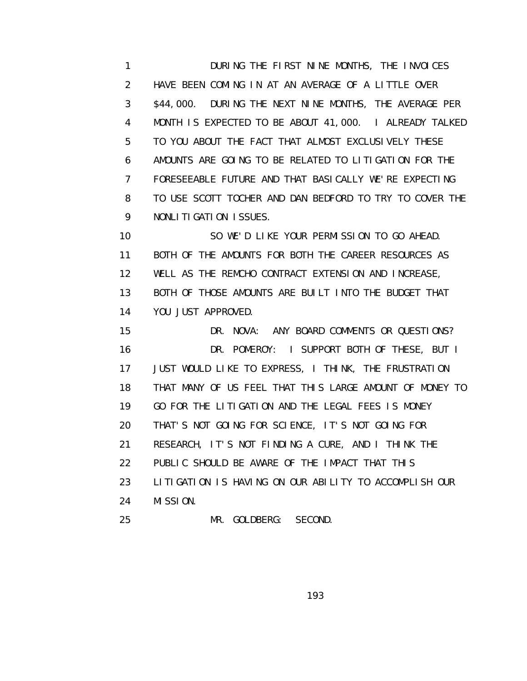1 **DURING THE FIRST NINE MONTHS, THE INVOICES**  2 HAVE BEEN COMING IN AT AN AVERAGE OF A LITTLE OVER 3 \$44,000. DURING THE NEXT NINE MONTHS, THE AVERAGE PER 4 MONTH IS EXPECTED TO BE ABOUT 41,000. I ALREADY TALKED 5 TO YOU ABOUT THE FACT THAT ALMOST EXCLUSIVELY THESE 6 AMOUNTS ARE GOING TO BE RELATED TO LITIGATION FOR THE 7 FORESEEABLE FUTURE AND THAT BASICALLY WE'RE EXPECTING 8 TO USE SCOTT TOCHER AND DAN BEDFORD TO TRY TO COVER THE 9 NONLITIGATION ISSUES.

 10 SO WE'D LIKE YOUR PERMISSION TO GO AHEAD. 11 BOTH OF THE AMOUNTS FOR BOTH THE CAREER RESOURCES AS 12 WELL AS THE REMCHO CONTRACT EXTENSION AND INCREASE, 13 BOTH OF THOSE AMOUNTS ARE BUILT INTO THE BUDGET THAT 14 YOU JUST APPROVED.

 15 DR. NOVA: ANY BOARD COMMENTS OR QUESTIONS? 16 DR. POMEROY: I SUPPORT BOTH OF THESE, BUT I 17 JUST WOULD LIKE TO EXPRESS, I THINK, THE FRUSTRATION 18 THAT MANY OF US FEEL THAT THIS LARGE AMOUNT OF MONEY TO 19 GO FOR THE LITIGATION AND THE LEGAL FEES IS MONEY 20 THAT'S NOT GOING FOR SCIENCE, IT'S NOT GOING FOR 21 RESEARCH, IT'S NOT FINDING A CURE, AND I THINK THE 22 PUBLIC SHOULD BE AWARE OF THE IMPACT THAT THIS 23 LITIGATION IS HAVING ON OUR ABILITY TO ACCOMPLISH OUR 24 MISSION. 25 MR. GOLDBERG: SECOND.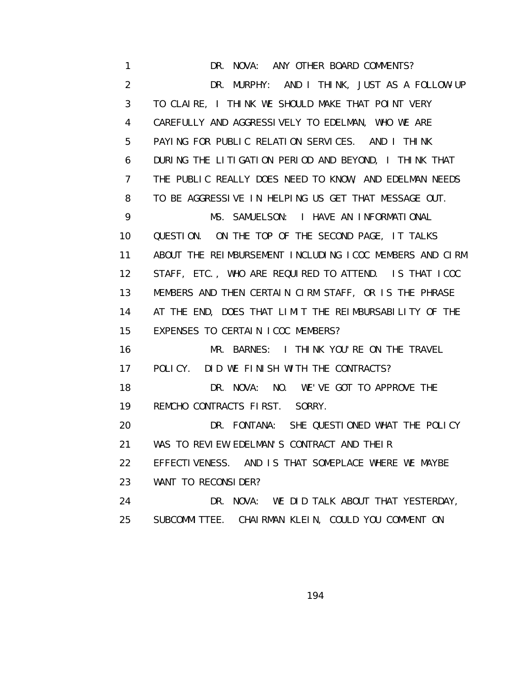1 DR. NOVA: ANY OTHER BOARD COMMENTS? 2 DR. MURPHY: AND I THINK, JUST AS A FOLLOW-UP 3 TO CLAIRE, I THINK WE SHOULD MAKE THAT POINT VERY 4 CAREFULLY AND AGGRESSIVELY TO EDELMAN, WHO WE ARE 5 PAYING FOR PUBLIC RELATION SERVICES. AND I THINK 6 DURING THE LITIGATION PERIOD AND BEYOND, I THINK THAT 7 THE PUBLIC REALLY DOES NEED TO KNOW, AND EDELMAN NEEDS 8 TO BE AGGRESSIVE IN HELPING US GET THAT MESSAGE OUT. 9 MS. SAMUELSON: I HAVE AN INFORMATIONAL 10 QUESTION. ON THE TOP OF THE SECOND PAGE, IT TALKS 11 ABOUT THE REIMBURSEMENT INCLUDING ICOC MEMBERS AND CIRM 12 STAFF, ETC., WHO ARE REQUIRED TO ATTEND. IS THAT ICOC 13 MEMBERS AND THEN CERTAIN CIRM STAFF, OR IS THE PHRASE 14 AT THE END, DOES THAT LIMIT THE REIMBURSABILITY OF THE 15 EXPENSES TO CERTAIN ICOC MEMBERS? 16 MR. BARNES: I THINK YOU'RE ON THE TRAVEL 17 POLICY. DID WE FINISH WITH THE CONTRACTS? 18 DR. NOVA: NO. WE'VE GOT TO APPROVE THE 19 REMCHO CONTRACTS FIRST. SORRY. 20 DR. FONTANA: SHE QUESTIONED WHAT THE POLICY 21 WAS TO REVIEW EDELMAN'S CONTRACT AND THEIR 22 EFFECTIVENESS. AND IS THAT SOMEPLACE WHERE WE MAYBE 23 WANT TO RECONSIDER? 24 DR. NOVA: WE DID TALK ABOUT THAT YESTERDAY, 25 SUBCOMMITTEE. CHAIRMAN KLEIN, COULD YOU COMMENT ON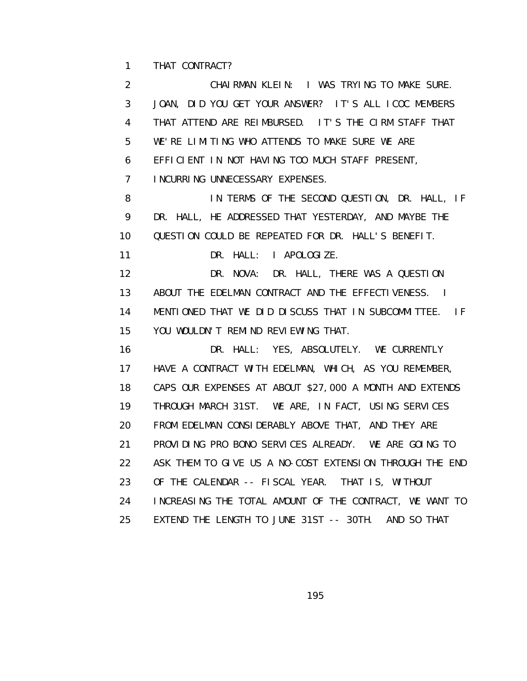1 THAT CONTRACT?

 2 CHAIRMAN KLEIN: I WAS TRYING TO MAKE SURE. 3 JOAN, DID YOU GET YOUR ANSWER? IT'S ALL ICOC MEMBERS 4 THAT ATTEND ARE REIMBURSED. IT'S THE CIRM STAFF THAT 5 WE'RE LIMITING WHO ATTENDS TO MAKE SURE WE ARE 6 EFFICIENT IN NOT HAVING TOO MUCH STAFF PRESENT, 7 INCURRING UNNECESSARY EXPENSES. 8 IN TERMS OF THE SECOND QUESTION, DR. HALL, IF 9 DR. HALL, HE ADDRESSED THAT YESTERDAY, AND MAYBE THE 10 QUESTION COULD BE REPEATED FOR DR. HALL'S BENEFIT. 11 DR. HALL: I APOLOGIZE. 12 DR. NOVA: DR. HALL, THERE WAS A QUESTION 13 ABOUT THE EDELMAN CONTRACT AND THE EFFECTIVENESS. I 14 MENTIONED THAT WE DID DISCUSS THAT IN SUBCOMMITTEE. IF 15 YOU WOULDN'T REMIND REVIEWING THAT. 16 DR. HALL: YES, ABSOLUTELY. WE CURRENTLY 17 HAVE A CONTRACT WITH EDELMAN, WHICH, AS YOU REMEMBER, 18 CAPS OUR EXPENSES AT ABOUT \$27,000 A MONTH AND EXTENDS 19 THROUGH MARCH 31ST. WE ARE, IN FACT, USING SERVICES 20 FROM EDELMAN CONSIDERABLY ABOVE THAT, AND THEY ARE 21 PROVIDING PRO BONO SERVICES ALREADY. WE ARE GOING TO 22 ASK THEM TO GIVE US A NO-COST EXTENSION THROUGH THE END 23 OF THE CALENDAR -- FISCAL YEAR. THAT IS, WITHOUT 24 INCREASING THE TOTAL AMOUNT OF THE CONTRACT, WE WANT TO 25 EXTEND THE LENGTH TO JUNE 31ST -- 30TH. AND SO THAT

the contract of the contract of the contract of the contract of the contract of the contract of the contract o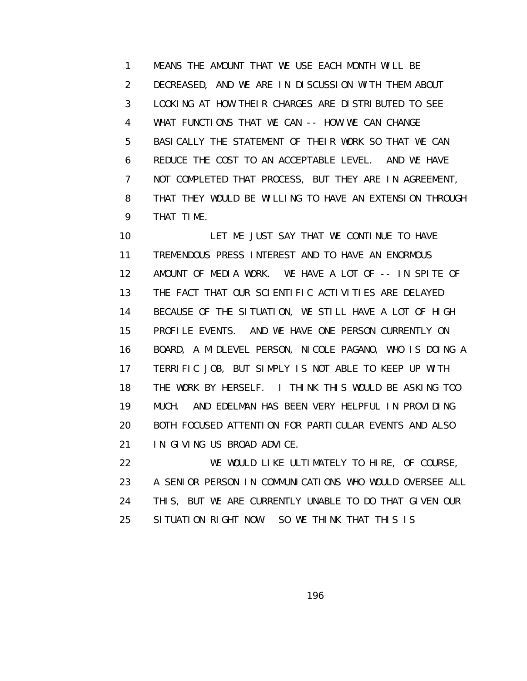1 MEANS THE AMOUNT THAT WE USE EACH MONTH WILL BE 2 DECREASED, AND WE ARE IN DISCUSSION WITH THEM ABOUT 3 LOOKING AT HOW THEIR CHARGES ARE DISTRIBUTED TO SEE 4 WHAT FUNCTIONS THAT WE CAN -- HOW WE CAN CHANGE 5 BASICALLY THE STATEMENT OF THEIR WORK SO THAT WE CAN 6 REDUCE THE COST TO AN ACCEPTABLE LEVEL. AND WE HAVE 7 NOT COMPLETED THAT PROCESS, BUT THEY ARE IN AGREEMENT, 8 THAT THEY WOULD BE WILLING TO HAVE AN EXTENSION THROUGH 9 THAT TIME.

 10 LET ME JUST SAY THAT WE CONTINUE TO HAVE 11 TREMENDOUS PRESS INTEREST AND TO HAVE AN ENORMOUS 12 AMOUNT OF MEDIA WORK. WE HAVE A LOT OF -- IN SPITE OF 13 THE FACT THAT OUR SCIENTIFIC ACTIVITIES ARE DELAYED 14 BECAUSE OF THE SITUATION, WE STILL HAVE A LOT OF HIGH 15 PROFILE EVENTS. AND WE HAVE ONE PERSON CURRENTLY ON 16 BOARD, A MIDLEVEL PERSON, NICOLE PAGANO, WHO IS DOING A 17 TERRIFIC JOB, BUT SIMPLY IS NOT ABLE TO KEEP UP WITH 18 THE WORK BY HERSELF. I THINK THIS WOULD BE ASKING TOO 19 MUCH. AND EDELMAN HAS BEEN VERY HELPFUL IN PROVIDING 20 BOTH FOCUSED ATTENTION FOR PARTICULAR EVENTS AND ALSO 21 IN GIVING US BROAD ADVICE.

 22 WE WOULD LIKE ULTIMATELY TO HIRE, OF COURSE, 23 A SENIOR PERSON IN COMMUNICATIONS WHO WOULD OVERSEE ALL 24 THIS, BUT WE ARE CURRENTLY UNABLE TO DO THAT GIVEN OUR 25 SITUATION RIGHT NOW. SO WE THINK THAT THIS IS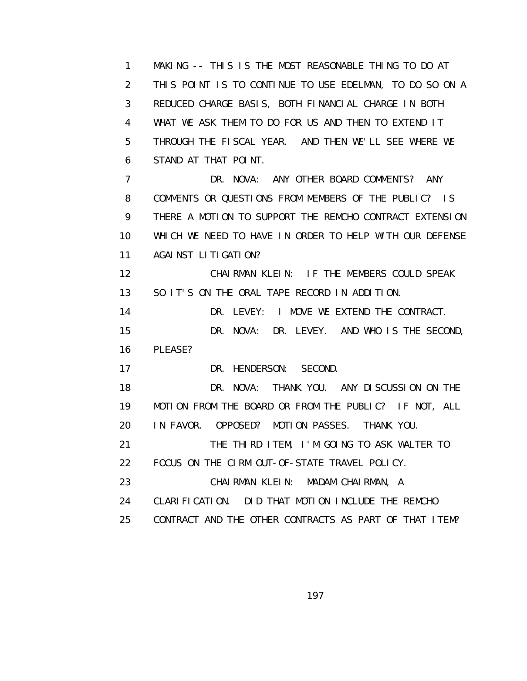1 MAKING -- THIS IS THE MOST REASONABLE THING TO DO AT 2 THIS POINT IS TO CONTINUE TO USE EDELMAN, TO DO SO ON A 3 REDUCED CHARGE BASIS, BOTH FINANCIAL CHARGE IN BOTH 4 WHAT WE ASK THEM TO DO FOR US AND THEN TO EXTEND IT 5 THROUGH THE FISCAL YEAR. AND THEN WE'LL SEE WHERE WE 6 STAND AT THAT POINT. 7 DR. NOVA: ANY OTHER BOARD COMMENTS? ANY 8 COMMENTS OR QUESTIONS FROM MEMBERS OF THE PUBLIC? IS 9 THERE A MOTION TO SUPPORT THE REMCHO CONTRACT EXTENSION 10 WHICH WE NEED TO HAVE IN ORDER TO HELP WITH OUR DEFENSE 11 AGAINST LITIGATION? 12 CHAIRMAN KLEIN: IF THE MEMBERS COULD SPEAK 13 SO IT'S ON THE ORAL TAPE RECORD IN ADDITION. 14 DR. LEVEY: I MOVE WE EXTEND THE CONTRACT. 15 DR. NOVA: DR. LEVEY. AND WHO IS THE SECOND, 16 PLEASE? 17 DR. HENDERSON: SECOND. 18 DR. NOVA: THANK YOU. ANY DISCUSSION ON THE 19 MOTION FROM THE BOARD OR FROM THE PUBLIC? IF NOT, ALL 20 IN FAVOR. OPPOSED? MOTION PASSES. THANK YOU. 21 THE THIRD ITEM, I'M GOING TO ASK WALTER TO 22 FOCUS ON THE CIRM OUT-OF-STATE TRAVEL POLICY. 23 CHAIRMAN KLEIN: MADAM CHAIRMAN, A 24 CLARIFICATION. DID THAT MOTION INCLUDE THE REMCHO 25 CONTRACT AND THE OTHER CONTRACTS AS PART OF THAT ITEM?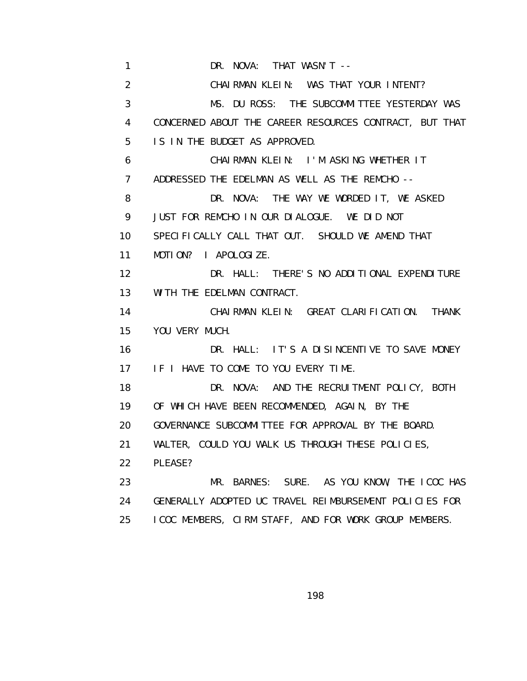1 DR. NOVA: THAT WASN'T -- 2 CHAIRMAN KLEIN: WAS THAT YOUR INTENT? 3 MS. DU ROSS: THE SUBCOMMITTEE YESTERDAY WAS 4 CONCERNED ABOUT THE CAREER RESOURCES CONTRACT, BUT THAT 5 IS IN THE BUDGET AS APPROVED. 6 CHAIRMAN KLEIN: I'M ASKING WHETHER IT 7 ADDRESSED THE EDELMAN AS WELL AS THE REMCHO -- 8 DR. NOVA: THE WAY WE WORDED IT, WE ASKED 9 JUST FOR REMCHO IN OUR DIALOGUE. WE DID NOT 10 SPECIFICALLY CALL THAT OUT. SHOULD WE AMEND THAT 11 MOTION? I APOLOGIZE. 12 DR. HALL: THERE'S NO ADDITIONAL EXPENDITURE 13 WITH THE EDELMAN CONTRACT. 14 CHAIRMAN KLEIN: GREAT CLARIFICATION. THANK 15 YOU VERY MUCH. 16 DR. HALL: IT'S A DISINCENTIVE TO SAVE MONEY 17 IF I HAVE TO COME TO YOU EVERY TIME. 18 DR. NOVA: AND THE RECRUITMENT POLICY, BOTH 19 OF WHICH HAVE BEEN RECOMMENDED, AGAIN, BY THE 20 GOVERNANCE SUBCOMMITTEE FOR APPROVAL BY THE BOARD. 21 WALTER, COULD YOU WALK US THROUGH THESE POLICIES, 22 PLEASE? 23 MR. BARNES: SURE. AS YOU KNOW, THE ICOC HAS 24 GENERALLY ADOPTED UC TRAVEL REIMBURSEMENT POLICIES FOR 25 ICOC MEMBERS, CIRM STAFF, AND FOR WORK GROUP MEMBERS.

the contract of the contract of the contract of the contract of the contract of the contract of the contract o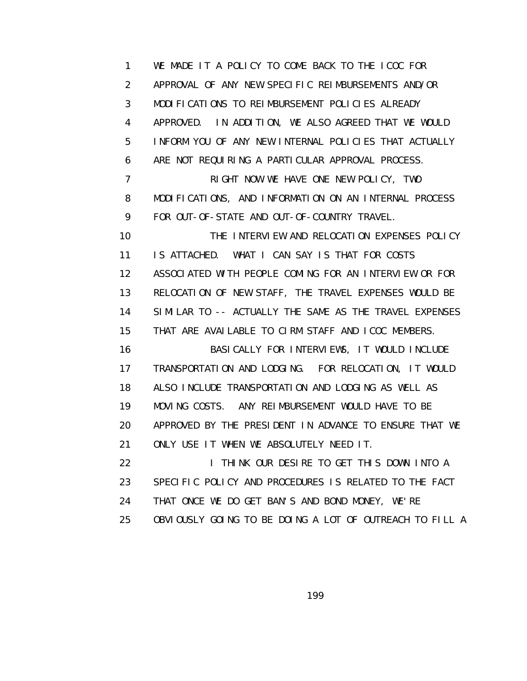1 WE MADE IT A POLICY TO COME BACK TO THE ICOC FOR 2 APPROVAL OF ANY NEW SPECIFIC REIMBURSEMENTS AND/OR 3 MODIFICATIONS TO REIMBURSEMENT POLICIES ALREADY 4 APPROVED. IN ADDITION, WE ALSO AGREED THAT WE WOULD 5 INFORM YOU OF ANY NEW INTERNAL POLICIES THAT ACTUALLY 6 ARE NOT REQUIRING A PARTICULAR APPROVAL PROCESS. 7 RIGHT NOW WE HAVE ONE NEW POLICY, TWO 8 MODIFICATIONS, AND INFORMATION ON AN INTERNAL PROCESS 9 FOR OUT-OF-STATE AND OUT-OF-COUNTRY TRAVEL. 10 THE INTERVIEW AND RELOCATION EXPENSES POLICY 11 IS ATTACHED. WHAT I CAN SAY IS THAT FOR COSTS 12 ASSOCIATED WITH PEOPLE COMING FOR AN INTERVIEW OR FOR 13 RELOCATION OF NEW STAFF, THE TRAVEL EXPENSES WOULD BE 14 SIMILAR TO -- ACTUALLY THE SAME AS THE TRAVEL EXPENSES 15 THAT ARE AVAILABLE TO CIRM STAFF AND ICOC MEMBERS. 16 BASICALLY FOR INTERVIEWS, IT WOULD INCLUDE 17 TRANSPORTATION AND LODGING. FOR RELOCATION, IT WOULD 18 ALSO INCLUDE TRANSPORTATION AND LODGING AS WELL AS 19 MOVING COSTS. ANY REIMBURSEMENT WOULD HAVE TO BE 20 APPROVED BY THE PRESIDENT IN ADVANCE TO ENSURE THAT WE 21 ONLY USE IT WHEN WE ABSOLUTELY NEED IT. 22 **I THINK OUR DESIRE TO GET THIS DOWN INTO A**  23 SPECIFIC POLICY AND PROCEDURES IS RELATED TO THE FACT 24 THAT ONCE WE DO GET BAN'S AND BOND MONEY, WE'RE 25 OBVIOUSLY GOING TO BE DOING A LOT OF OUTREACH TO FILL A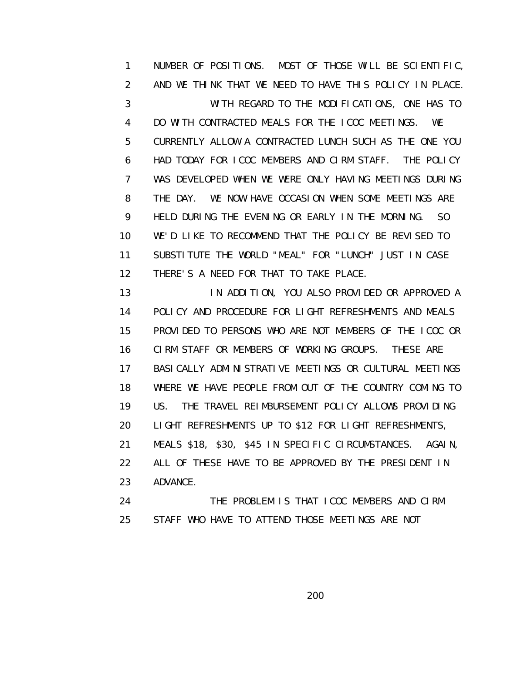1 NUMBER OF POSITIONS. MOST OF THOSE WILL BE SCIENTIFIC, 2 AND WE THINK THAT WE NEED TO HAVE THIS POLICY IN PLACE. 3 WITH REGARD TO THE MODIFICATIONS, ONE HAS TO 4 DO WITH CONTRACTED MEALS FOR THE ICOC MEETINGS. WE 5 CURRENTLY ALLOW A CONTRACTED LUNCH SUCH AS THE ONE YOU 6 HAD TODAY FOR ICOC MEMBERS AND CIRM STAFF. THE POLICY 7 WAS DEVELOPED WHEN WE WERE ONLY HAVING MEETINGS DURING 8 THE DAY. WE NOW HAVE OCCASION WHEN SOME MEETINGS ARE 9 HELD DURING THE EVENING OR EARLY IN THE MORNING. SO 10 WE'D LIKE TO RECOMMEND THAT THE POLICY BE REVISED TO 11 SUBSTITUTE THE WORLD "MEAL" FOR "LUNCH" JUST IN CASE 12 THERE'S A NEED FOR THAT TO TAKE PLACE.

 13 IN ADDITION, YOU ALSO PROVIDED OR APPROVED A 14 POLICY AND PROCEDURE FOR LIGHT REFRESHMENTS AND MEALS 15 PROVIDED TO PERSONS WHO ARE NOT MEMBERS OF THE ICOC OR 16 CIRM STAFF OR MEMBERS OF WORKING GROUPS. THESE ARE 17 BASI CALLY ADMINISTRATIVE MEETINGS OR CULTURAL MEETINGS 18 WHERE WE HAVE PEOPLE FROM OUT OF THE COUNTRY COMING TO 19 US. THE TRAVEL REIMBURSEMENT POLICY ALLOWS PROVIDING 20 LIGHT REFRESHMENTS UP TO \$12 FOR LIGHT REFRESHMENTS, 21 MEALS \$18, \$30, \$45 IN SPECIFIC CIRCUMSTANCES. AGAIN, 22 ALL OF THESE HAVE TO BE APPROVED BY THE PRESIDENT IN 23 ADVANCE. 24 THE PROBLEM IS THAT ICOC MEMBERS AND CIRM

25 STAFF WHO HAVE TO ATTEND THOSE MEETINGS ARE NOT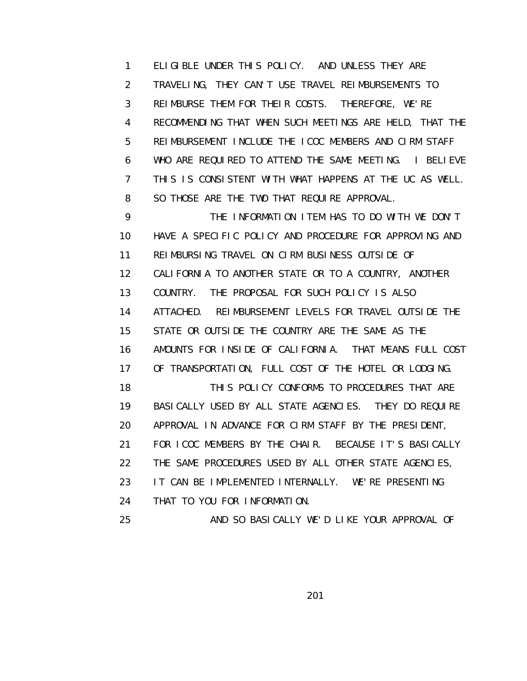1 ELIGIBLE UNDER THIS POLICY. AND UNLESS THEY ARE 2 TRAVELING, THEY CAN'T USE TRAVEL REIMBURSEMENTS TO 3 REIMBURSE THEM FOR THEIR COSTS. THEREFORE, WE'RE 4 RECOMMENDING THAT WHEN SUCH MEETINGS ARE HELD, THAT THE 5 REIMBURSEMENT INCLUDE THE ICOC MEMBERS AND CIRM STAFF 6 WHO ARE REQUIRED TO ATTEND THE SAME MEETING. I BELIEVE 7 THIS IS CONSISTENT WITH WHAT HAPPENS AT THE UC AS WELL. 8 SO THOSE ARE THE TWO THAT REQUIRE APPROVAL.

 9 THE INFORMATION ITEM HAS TO DO WITH WE DON'T 10 HAVE A SPECIFIC POLICY AND PROCEDURE FOR APPROVING AND 11 REIMBURSING TRAVEL ON CIRM BUSINESS OUTSIDE OF 12 CALIFORNIA TO ANOTHER STATE OR TO A COUNTRY, ANOTHER 13 COUNTRY. THE PROPOSAL FOR SUCH POLICY IS ALSO 14 ATTACHED. REIMBURSEMENT LEVELS FOR TRAVEL OUTSIDE THE 15 STATE OR OUTSIDE THE COUNTRY ARE THE SAME AS THE 16 AMOUNTS FOR INSIDE OF CALIFORNIA. THAT MEANS FULL COST 17 OF TRANSPORTATION, FULL COST OF THE HOTEL OR LODGING. 18 THIS POLICY CONFORMS TO PROCEDURES THAT ARE 19 BASICALLY USED BY ALL STATE AGENCIES. THEY DO REQUIRE 20 APPROVAL IN ADVANCE FOR CIRM STAFF BY THE PRESIDENT, 21 FOR ICOC MEMBERS BY THE CHAIR. BECAUSE IT'S BASICALLY 22 THE SAME PROCEDURES USED BY ALL OTHER STATE AGENCIES, 23 IT CAN BE IMPLEMENTED INTERNALLY. WE'RE PRESENTING 24 THAT TO YOU FOR INFORMATION. 25 AND SO BASICALLY WE'D LIKE YOUR APPROVAL OF

<u>2012 - 2013 - 2014 - 2014 - 2014 - 2014 - 2014 - 2014 - 2014 - 2014 - 2014 - 2014 - 2014 - 2014 - 2014 - 201</u>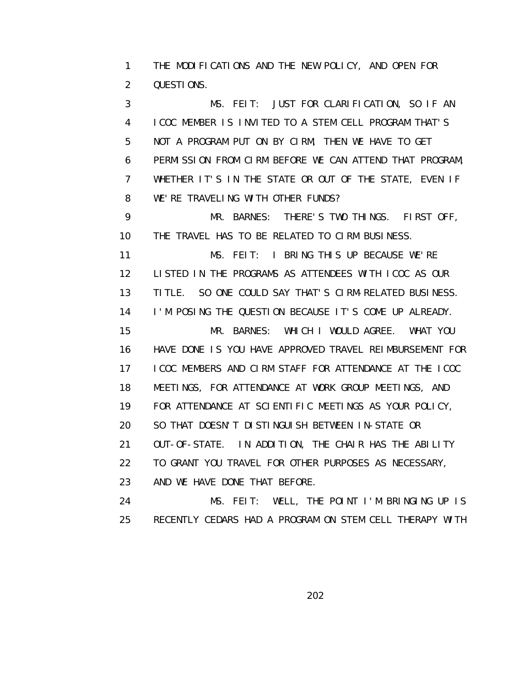1 THE MODIFICATIONS AND THE NEW POLICY, AND OPEN FOR 2 QUESTIONS.

 3 MS. FEIT: JUST FOR CLARIFICATION, SO IF AN 4 ICOC MEMBER IS INVITED TO A STEM CELL PROGRAM THAT'S 5 NOT A PROGRAM PUT ON BY CIRM, THEN WE HAVE TO GET 6 PERMISSION FROM CIRM BEFORE WE CAN ATTEND THAT PROGRAM, 7 WHETHER IT'S IN THE STATE OR OUT OF THE STATE, EVEN IF 8 WE'RE TRAVELING WITH OTHER FUNDS?

 9 MR. BARNES: THERE'S TWO THINGS. FIRST OFF, 10 THE TRAVEL HAS TO BE RELATED TO CIRM BUSINESS.

 11 MS. FEIT: I BRING THIS UP BECAUSE WE'RE 12 LISTED IN THE PROGRAMS AS ATTENDEES WITH ICOC AS OUR 13 TITLE. SO ONE COULD SAY THAT'S CIRM-RELATED BUSINESS. 14 I'M POSING THE QUESTION BECAUSE IT'S COME UP ALREADY. 15 MR. BARNES: WHICH I WOULD AGREE. WHAT YOU 16 HAVE DONE IS YOU HAVE APPROVED TRAVEL REIMBURSEMENT FOR 17 ICOC MEMBERS AND CIRM STAFF FOR ATTENDANCE AT THE ICOC 18 MEETINGS, FOR ATTENDANCE AT WORK GROUP MEETINGS, AND 19 FOR ATTENDANCE AT SCIENTIFIC MEETINGS AS YOUR POLICY, 20 SO THAT DOESN'T DISTINGUISH BETWEEN IN-STATE OR 21 OUT-OF-STATE. IN ADDITION, THE CHAIR HAS THE ABILITY 22 TO GRANT YOU TRAVEL FOR OTHER PURPOSES AS NECESSARY, 23 AND WE HAVE DONE THAT BEFORE. 24 MS. FEIT: WELL, THE POINT I'M BRINGING UP IS

25 RECENTLY CEDARS HAD A PROGRAM ON STEM CELL THERAPY WITH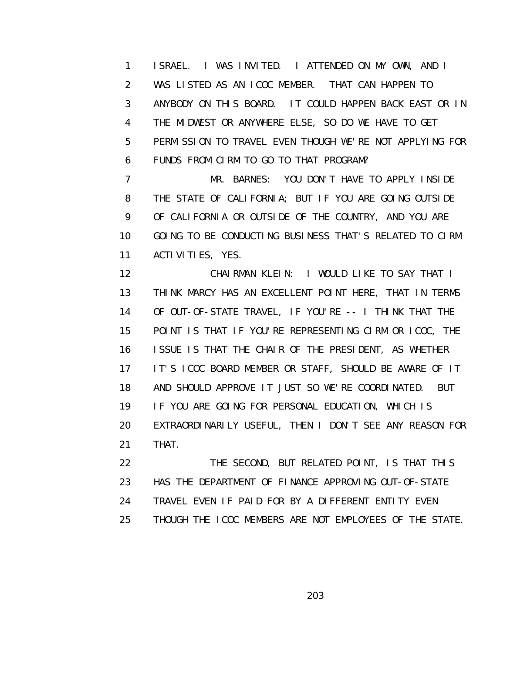1 ISRAEL. I WAS INVITED. I ATTENDED ON MY OWN, AND I 2 WAS LISTED AS AN ICOC MEMBER. THAT CAN HAPPEN TO 3 ANYBODY ON THIS BOARD. IT COULD HAPPEN BACK EAST OR IN 4 THE MIDWEST OR ANYWHERE ELSE, SO DO WE HAVE TO GET 5 PERMISSION TO TRAVEL EVEN THOUGH WE'RE NOT APPLYING FOR 6 FUNDS FROM CIRM TO GO TO THAT PROGRAM?

 7 MR. BARNES: YOU DON'T HAVE TO APPLY INSIDE 8 THE STATE OF CALIFORNIA; BUT IF YOU ARE GOING OUTSIDE 9 OF CALIFORNIA OR OUTSIDE OF THE COUNTRY, AND YOU ARE 10 GOING TO BE CONDUCTING BUSINESS THAT'S RELATED TO CIRM 11 ACTIVITIES, YES.

 12 CHAIRMAN KLEIN: I WOULD LIKE TO SAY THAT I 13 THINK MARCY HAS AN EXCELLENT POINT HERE, THAT IN TERMS 14 OF OUT-OF-STATE TRAVEL, IF YOU'RE -- I THINK THAT THE 15 POINT IS THAT IF YOU'RE REPRESENTING CIRM OR ICOC, THE 16 ISSUE IS THAT THE CHAIR OF THE PRESIDENT, AS WHETHER 17 IT'S ICOC BOARD MEMBER OR STAFF, SHOULD BE AWARE OF IT 18 AND SHOULD APPROVE IT JUST SO WE'RE COORDINATED. BUT 19 IF YOU ARE GOING FOR PERSONAL EDUCATION, WHICH IS 20 EXTRAORDINARILY USEFUL, THEN I DON'T SEE ANY REASON FOR 21 THAT.

 22 THE SECOND, BUT RELATED POINT, IS THAT THIS 23 HAS THE DEPARTMENT OF FINANCE APPROVING OUT-OF-STATE 24 TRAVEL EVEN IF PAID FOR BY A DIFFERENT ENTITY EVEN 25 THOUGH THE ICOC MEMBERS ARE NOT EMPLOYEES OF THE STATE.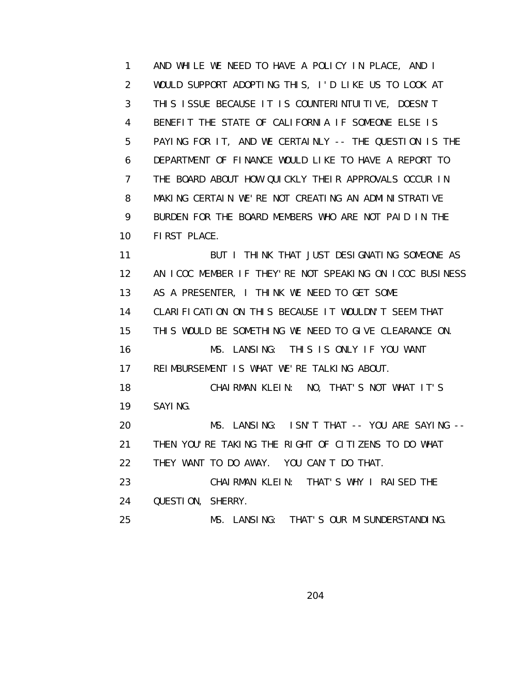1 AND WHILE WE NEED TO HAVE A POLICY IN PLACE, AND I 2 WOULD SUPPORT ADOPTING THIS, I'D LIKE US TO LOOK AT 3 THIS ISSUE BECAUSE IT IS COUNTERINTUITIVE, DOESN'T 4 BENEFIT THE STATE OF CALIFORNIA IF SOMEONE ELSE IS 5 PAYING FOR IT, AND WE CERTAINLY -- THE QUESTION IS THE 6 DEPARTMENT OF FINANCE WOULD LIKE TO HAVE A REPORT TO 7 THE BOARD ABOUT HOW QUICKLY THEIR APPROVALS OCCUR IN 8 MAKING CERTAIN WE'RE NOT CREATING AN ADMINISTRATIVE 9 BURDEN FOR THE BOARD MEMBERS WHO ARE NOT PAID IN THE 10 FIRST PLACE. 11 BUT I THINK THAT JUST DESIGNATING SOMEONE AS 12 AN ICOC MEMBER IF THEY'RE NOT SPEAKING ON ICOC BUSINESS 13 AS A PRESENTER, I THINK WE NEED TO GET SOME 14 CLARIFICATION ON THIS BECAUSE IT WOULDN'T SEEM THAT 15 THIS WOULD BE SOMETHING WE NEED TO GIVE CLEARANCE ON.

 16 MS. LANSING: THIS IS ONLY IF YOU WANT 17 REIMBURSEMENT IS WHAT WE'RE TALKING ABOUT.

 18 CHAIRMAN KLEIN: NO, THAT'S NOT WHAT IT'S 19 SAYING.

 20 MS. LANSING: ISN'T THAT -- YOU ARE SAYING -- 21 THEN YOU'RE TAKING THE RIGHT OF CITIZENS TO DO WHAT 22 THEY WANT TO DO AWAY. YOU CAN'T DO THAT.

 23 CHAIRMAN KLEIN: THAT'S WHY I RAISED THE 24 QUESTION, SHERRY.

25 MS. LANSING: THAT'S OUR MISUNDERSTANDING.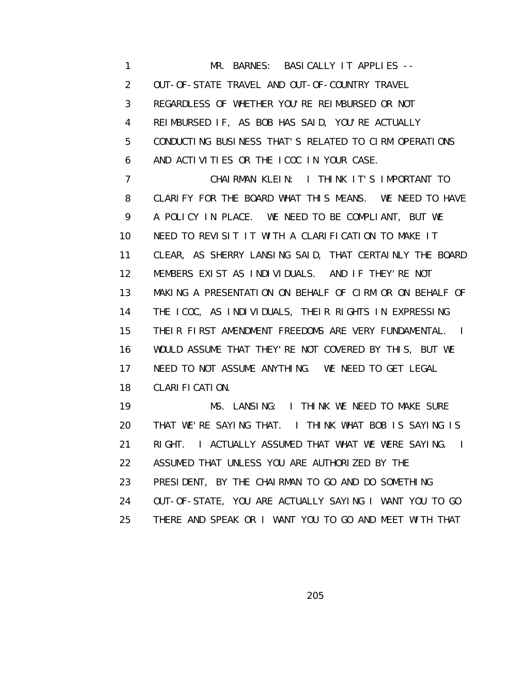1 MR. BARNES: BASICALLY IT APPLIES -- 2 OUT-OF-STATE TRAVEL AND OUT-OF-COUNTRY TRAVEL 3 REGARDLESS OF WHETHER YOU'RE REIMBURSED OR NOT 4 REIMBURSED IF, AS BOB HAS SAID, YOU'RE ACTUALLY 5 CONDUCTING BUSINESS THAT'S RELATED TO CIRM OPERATIONS 6 AND ACTIVITIES OR THE ICOC IN YOUR CASE. 7 CHAIRMAN KLEIN: I THINK IT'S IMPORTANT TO 8 CLARIFY FOR THE BOARD WHAT THIS MEANS. WE NEED TO HAVE 9 A POLICY IN PLACE. WE NEED TO BE COMPLIANT, BUT WE 10 NEED TO REVISIT IT WITH A CLARIFICATION TO MAKE IT 11 CLEAR, AS SHERRY LANSING SAID, THAT CERTAINLY THE BOARD 12 MEMBERS EXIST AS INDIVIDUALS. AND IF THEY'RE NOT 13 MAKING A PRESENTATION ON BEHALF OF CIRM OR ON BEHALF OF 14 THE ICOC, AS INDIVIDUALS, THEIR RIGHTS IN EXPRESSING 15 THEIR FIRST AMENDMENT FREEDOMS ARE VERY FUNDAMENTAL. I 16 WOULD ASSUME THAT THEY'RE NOT COVERED BY THIS, BUT WE 17 NEED TO NOT ASSUME ANYTHING. WE NEED TO GET LEGAL 18 CLARIFICATION. 19 MS. LANSING: I THINK WE NEED TO MAKE SURE 20 THAT WE'RE SAYING THAT. I THINK WHAT BOB IS SAYING IS

 21 RIGHT. I ACTUALLY ASSUMED THAT WHAT WE WERE SAYING. I 22 ASSUMED THAT UNLESS YOU ARE AUTHORIZED BY THE

- 23 PRESIDENT, BY THE CHAIRMAN TO GO AND DO SOMETHING
- 24 OUT-OF-STATE, YOU ARE ACTUALLY SAYING I WANT YOU TO GO
- 25 THERE AND SPEAK OR I WANT YOU TO GO AND MEET WITH THAT

<u>205 and 205 and 206 and 206 and 206 and 206 and 206 and 206 and 206 and 206 and 206 and 206 and 206 and 206 and 20</u>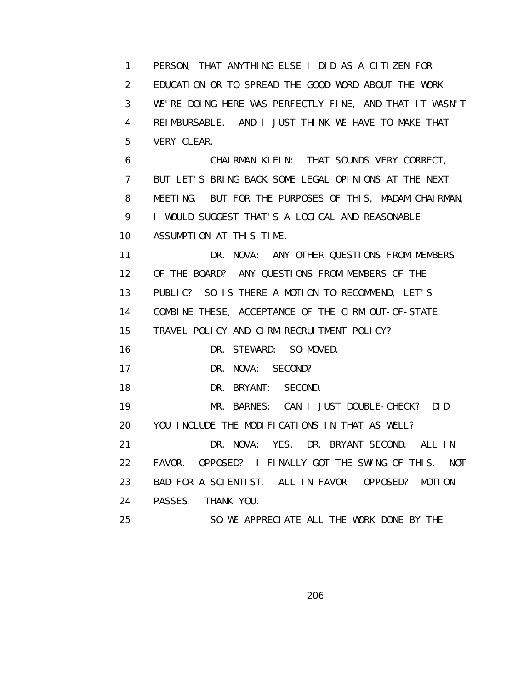1 PERSON, THAT ANYTHING ELSE I DID AS A CITIZEN FOR 2 EDUCATION OR TO SPREAD THE GOOD WORD ABOUT THE WORK 3 WE'RE DOING HERE WAS PERFECTLY FINE, AND THAT IT WASN'T 4 REIMBURSABLE. AND I JUST THINK WE HAVE TO MAKE THAT 5 VERY CLEAR. 6 CHAIRMAN KLEIN: THAT SOUNDS VERY CORRECT, 7 BUT LET'S BRING BACK SOME LEGAL OPINIONS AT THE NEXT 8 MEETING. BUT FOR THE PURPOSES OF THIS, MADAM CHAIRMAN, 9 I WOULD SUGGEST THAT'S A LOGICAL AND REASONABLE 10 ASSUMPTION AT THIS TIME. 11 DR. NOVA: ANY OTHER QUESTIONS FROM MEMBERS 12 OF THE BOARD? ANY QUESTIONS FROM MEMBERS OF THE 13 PUBLIC? SO IS THERE A MOTION TO RECOMMEND, LET'S 14 COMBINE THESE, ACCEPTANCE OF THE CIRM OUT-OF-STATE 15 TRAVEL POLICY AND CIRM RECRUITMENT POLICY? 16 DR. STEWARD: SO MOVED. 17 DR. NOVA: SECOND? 18 DR. BRYANT: SECOND. 19 MR. BARNES: CAN I JUST DOUBLE-CHECK? DID 20 YOU INCLUDE THE MODIFICATIONS IN THAT AS WELL? 21 DR. NOVA: YES. DR. BRYANT SECOND. ALL IN 22 FAVOR. OPPOSED? I FINALLY GOT THE SWING OF THIS. NOT 23 BAD FOR A SCIENTIST. ALL IN FAVOR. OPPOSED? MOTION 24 PASSES. THANK YOU. 25 SO WE APPRECIATE ALL THE WORK DONE BY THE

<u>206</u>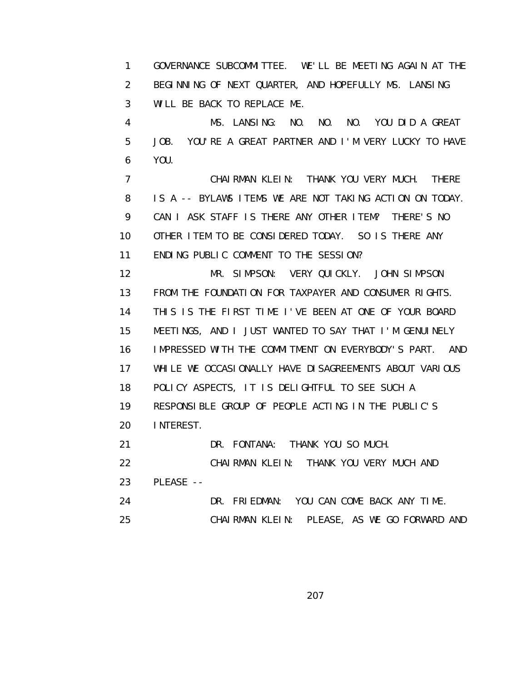1 GOVERNANCE SUBCOMMITTEE. WE'LL BE MEETING AGAIN AT THE 2 BEGINNING OF NEXT QUARTER, AND HOPEFULLY MS. LANSING 3 WILL BE BACK TO REPLACE ME.

 4 MS. LANSING: NO. NO. NO. YOU DID A GREAT 5 JOB. YOU'RE A GREAT PARTNER AND I'M VERY LUCKY TO HAVE 6 YOU.

 7 CHAIRMAN KLEIN: THANK YOU VERY MUCH. THERE 8 IS A -- BYLAWS ITEMS WE ARE NOT TAKING ACTION ON TODAY. 9 CAN I ASK STAFF IS THERE ANY OTHER ITEM? THERE'S NO 10 OTHER ITEM TO BE CONSIDERED TODAY. SO IS THERE ANY 11 ENDING PUBLIC COMMENT TO THE SESSION?

 12 MR. SIMPSON: VERY QUICKLY. JOHN SIMPSON 13 FROM THE FOUNDATION FOR TAXPAYER AND CONSUMER RIGHTS. 14 THIS IS THE FIRST TIME I'VE BEEN AT ONE OF YOUR BOARD 15 MEETINGS, AND I JUST WANTED TO SAY THAT I'M GENUINELY 16 IMPRESSED WITH THE COMMITMENT ON EVERYBODY'S PART. AND 17 WHILE WE OCCASIONALLY HAVE DISAGREEMENTS ABOUT VARIOUS 18 POLICY ASPECTS, IT IS DELIGHTFUL TO SEE SUCH A 19 RESPONSIBLE GROUP OF PEOPLE ACTING IN THE PUBLIC'S 20 INTEREST.

21 DR. FONTANA: THANK YOU SO MUCH.

22 CHAIRMAN KLEIN: THANK YOU VERY MUCH AND

23 PLEASE --

24 DR. FRIEDMAN: YOU CAN COME BACK ANY TIME.

25 CHAIRMAN KLEIN: PLEASE, AS WE GO FORWARD AND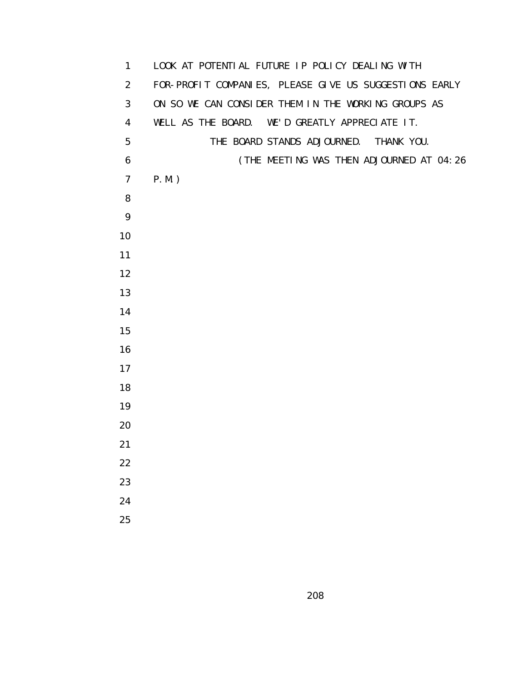| $\mathbf{1}$   | LOOK AT POTENTIAL FUTURE IP POLICY DEALING WITH        |
|----------------|--------------------------------------------------------|
| 2              | FOR-PROFIT COMPANIES, PLEASE GIVE US SUGGESTIONS EARLY |
| 3              | ON SO WE CAN CONSIDER THEM IN THE WORKING GROUPS AS    |
| $\overline{4}$ | WELL AS THE BOARD. WE'D GREATLY APPRECIATE IT.         |
| 5              | THE BOARD STANDS ADJOURNED. THANK YOU.                 |
| 6              | (THE MEETING WAS THEN ADJOURNED AT 04:26               |
| $\overline{7}$ | $P.M.$ )                                               |
| 8              |                                                        |
| 9              |                                                        |
| 10             |                                                        |
| 11             |                                                        |
| 12             |                                                        |
| 13             |                                                        |
| 14             |                                                        |
| 15             |                                                        |
| 16             |                                                        |
| 17             |                                                        |
| 18             |                                                        |
| 19             |                                                        |
| 20             |                                                        |
| 21             |                                                        |
| 22             |                                                        |
| 23             |                                                        |
| 24             |                                                        |
| 25             |                                                        |